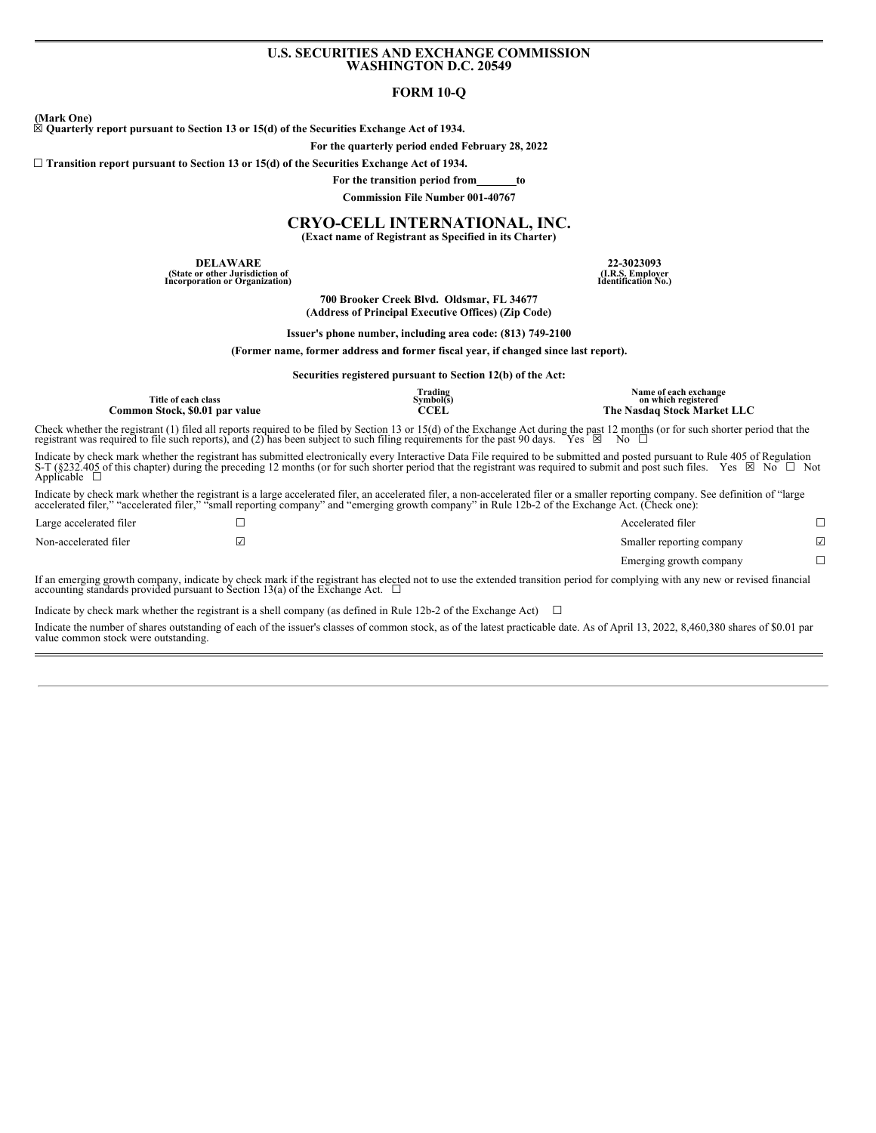# **U.S. SECURITIES AND EXCHANGE COMMISSION WASHINGTON D.C. 20549**

# **FORM 10-Q**

(Mark One)<br>⊠ Quarterly report pursuant to Section 13 or 15(d) of the Securities Exchange Act of 1934.

**For the quarterly period ended February 28, 2022**

**☐ Transition report pursuant to Section 13 or 15(d) of the Securities Exchange Act of 1934.**

**For the transition period from to**

**Commission File Number 001-40767**

# **CRYO-CELL INTERNATIONAL, INC.**

**(Exact name of Registrant as Specified in its Charter)**

**DELAWARE 22-3023093 (State or other Jurisdiction of Incorporation or Organization)**

**(I.R.S. Employer Identification No.)**

**700 Brooker Creek Blvd. Oldsmar, FL 34677 (Address of Principal Executive Offices) (Zip Code)**

**Issuer's phone number, including area code: (813) 749-2100**

**(Former name, former address and former fiscal year, if changed since last report).**

**Securities registered pursuant to Section 12(b) of the Act:**

| Common Stock, \$0.01 par value<br>CCEL | Title of each class | Trading<br>Symbol(s) | on which registered<br>The Nasdag Stock Market LLC |
|----------------------------------------|---------------------|----------------------|----------------------------------------------------|
|----------------------------------------|---------------------|----------------------|----------------------------------------------------|

Check whether the registrant (1) filed all reports required to be filed by Section 13 or 15(d) of the Exchange Act during the past 12 months (or for such shorter period that the registrant was required to file such report

Indicate by check mark whether the registrant has submitted electronically every Interactive Data File required to be submitted and posted pursuant to Rule 405 of Regulation S-T (§232.405 of this chapter) during the preceding 12 months (or for such shorter period that the registrant was required to submit and post such files. Yes  $\boxtimes$  No  $\Box$  Not Applicable □

Indicate by check mark whether the registrant is a large accelerated filer, an accelerated filer, a non-accelerated filer or a smaller reporting company. See definition of "large accelerated filer," "accelerated filer," "s

| Large accelerated filer |                               |  |  | Accelerated filer         |   |
|-------------------------|-------------------------------|--|--|---------------------------|---|
| Non-accelerated filer   |                               |  |  | Smaller reporting company | ☑ |
|                         |                               |  |  | Emerging growth company   |   |
| $\mathbf{r}$ $\alpha$   | $\cdots$<br>$\cdots$ $\cdots$ |  |  | $\sim$                    |   |

If an emerging growth company, indicate by check mark if the registrant has elected not to use the extended transition period for complying with any new or revised financial accounting standards provided pursuant to Secti

Indicate by check mark whether the registrant is a shell company (as defined in Rule 12b-2 of the Exchange Act)  $\Box$ 

Indicate the number of shares outstanding of each of the issuer's classes of common stock, as of the latest practicable date. As of April 13, 2022, 8,460,380 shares of \$0.01 par value common stock were outstanding.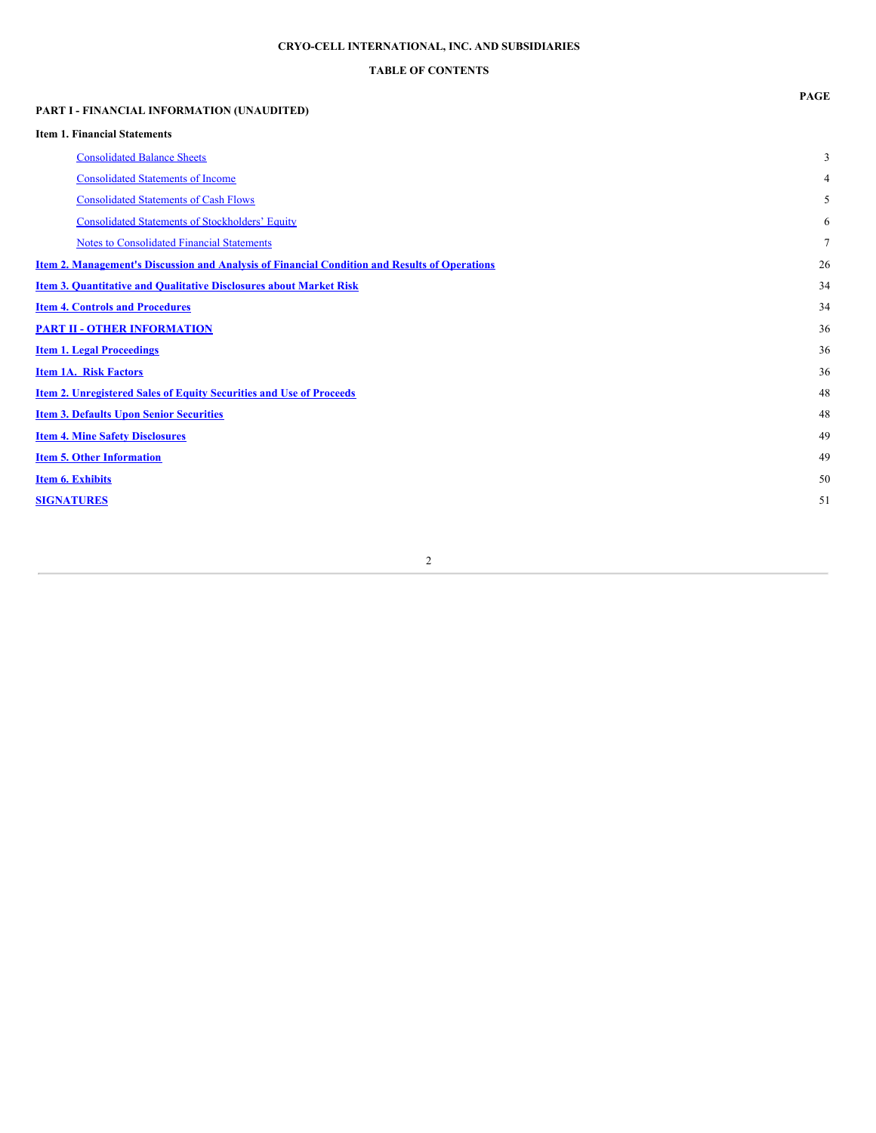# **CRYO-CELL INTERNATIONAL, INC. AND SUBSIDIARIES**

# **TABLE OF CONTENTS**

# **PAGE PART I - FINANCIAL INFORMATION (UNAUDITED) Item 1. Financial Statements [Consolidated](#page-2-0) Balance Sheets** 3 [Consolidated](#page-3-0) Statements of Income 4 [Consolidated](#page-4-0) Statements of Cash Flows 5 Consolidated Statements of [Stockholders'](#page-5-0) Equity 6 Notes to [Consolidated](#page-6-0) Financial Statements 7 **Item 2. [Management's](#page-25-0) Discussion and Analysis of Financial Condition and Results of Operations** 26 **Item 3. [Quantitative](#page-33-0) and Qualitative Disclosures about Market Risk** 34 **Item 4. Controls and [Procedures](#page-33-1)** 34 **PART II - OTHER [INFORMATION](#page-35-0)** 36 **Item 1. Legal [Proceedings](#page-35-1)** 36 **Item 1A. Risk [Factors](#page-35-2)** 36 **Item 2. [Unregistered](#page-47-0) Sales of Equity Securities and Use of Proceeds** 48 **Item 3. Defaults Upon Senior [Securities](#page-47-1)** 48 **Item 4. Mine Safety [Disclosures](#page-48-0)** 49 **Item 5. Other [Information](#page-48-1)** 49 **Item 6. [Exhibits](#page-49-0)** 50 **[SIGNATURES](#page-50-0)** 51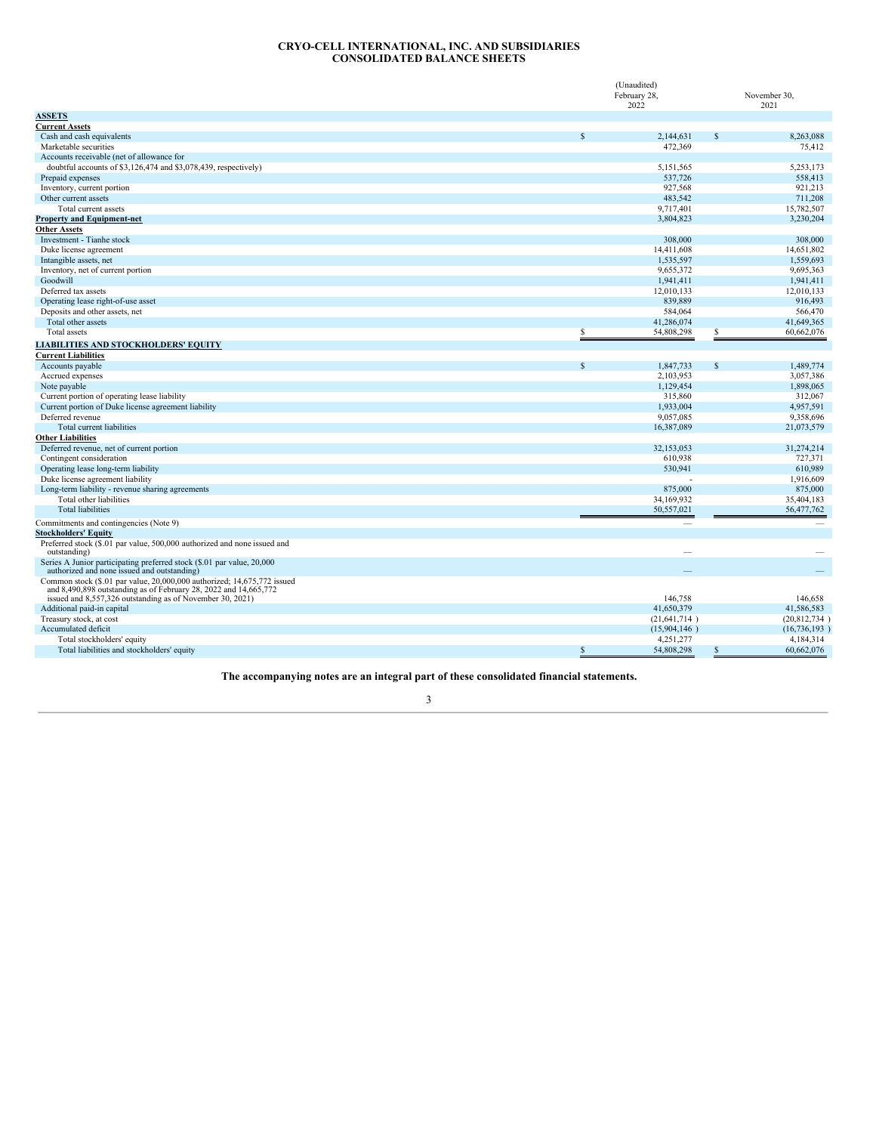### **CRYO-CELL INTERNATIONAL, INC. AND SUBSIDIARIES CONSOLIDATED BALANCE SHEETS**

<span id="page-2-0"></span>

|                                                                                                                                                                                                          |             | (Unaudited)<br>February 28, |              | November 30.   |
|----------------------------------------------------------------------------------------------------------------------------------------------------------------------------------------------------------|-------------|-----------------------------|--------------|----------------|
|                                                                                                                                                                                                          |             | 2022                        |              | 2021           |
| <b>ASSETS</b><br><b>Current Assets</b>                                                                                                                                                                   |             |                             |              |                |
| Cash and cash equivalents                                                                                                                                                                                | $\mathbf S$ | 2,144,631                   | S            | 8.263.088      |
| Marketable securities                                                                                                                                                                                    |             |                             |              |                |
|                                                                                                                                                                                                          |             | 472,369                     |              | 75,412         |
| Accounts receivable (net of allowance for                                                                                                                                                                |             |                             |              |                |
| doubtful accounts of \$3,126,474 and \$3,078,439, respectively)                                                                                                                                          |             | 5,151,565                   |              | 5,253,173      |
| Prepaid expenses                                                                                                                                                                                         |             | 537,726                     |              | 558,413        |
| Inventory, current portion                                                                                                                                                                               |             | 927,568                     |              | 921,213        |
| Other current assets                                                                                                                                                                                     |             | 483,542                     |              | 711,208        |
| Total current assets                                                                                                                                                                                     |             | 9,717,401                   |              | 15,782,507     |
| <b>Property and Equipment-net</b>                                                                                                                                                                        |             | 3,804,823                   |              | 3,230,204      |
| <b>Other Assets</b>                                                                                                                                                                                      |             |                             |              |                |
| Investment - Tianhe stock                                                                                                                                                                                |             | 308,000                     |              | 308,000        |
| Duke license agreement                                                                                                                                                                                   |             | 14,411,608                  |              | 14,651,802     |
| Intangible assets, net                                                                                                                                                                                   |             | 1,535,597                   |              | 1,559,693      |
| Inventory, net of current portion                                                                                                                                                                        |             | 9,655,372                   |              | 9,695,363      |
| Goodwill                                                                                                                                                                                                 |             | 1,941,411                   |              | 1,941,411      |
| Deferred tax assets                                                                                                                                                                                      |             | 12,010,133                  |              | 12,010,133     |
| Operating lease right-of-use asset                                                                                                                                                                       |             | 839,889                     |              | 916,493        |
| Deposits and other assets, net                                                                                                                                                                           |             | 584,064                     |              | 566,470        |
| Total other assets                                                                                                                                                                                       |             | 41,286,074                  |              | 41,649,365     |
| <b>Total</b> assets                                                                                                                                                                                      | $\mathbf S$ | 54,808,298                  | S            | 60,662,076     |
|                                                                                                                                                                                                          |             |                             |              |                |
| <b>LIABILITIES AND STOCKHOLDERS' EQUITY</b>                                                                                                                                                              |             |                             |              |                |
| <b>Current Liabilities</b>                                                                                                                                                                               |             |                             |              |                |
| Accounts payable                                                                                                                                                                                         | $\mathbf S$ | 1,847,733                   | $\mathbb{S}$ | 1,489,774      |
| Accrued expenses                                                                                                                                                                                         |             | 2,103,953                   |              | 3,057,386      |
| Note payable                                                                                                                                                                                             |             | 1,129,454                   |              | 1,898,065      |
| Current portion of operating lease liability                                                                                                                                                             |             | 315,860                     |              | 312,067        |
| Current portion of Duke license agreement liability                                                                                                                                                      |             | 1,933,004                   |              | 4,957,591      |
| Deferred revenue                                                                                                                                                                                         |             | 9,057,085                   |              | 9,358,696      |
| Total current liabilities                                                                                                                                                                                |             | 16,387,089                  |              | 21,073,579     |
| <b>Other Liabilities</b>                                                                                                                                                                                 |             |                             |              |                |
| Deferred revenue, net of current portion                                                                                                                                                                 |             | 32,153,053                  |              | 31,274,214     |
| Contingent consideration                                                                                                                                                                                 |             | 610,938                     |              | 727,371        |
| Operating lease long-term liability                                                                                                                                                                      |             | 530,941                     |              | 610,989        |
| Duke license agreement liability                                                                                                                                                                         |             |                             |              | 1,916,609      |
| Long-term liability - revenue sharing agreements                                                                                                                                                         |             | 875,000                     |              | 875,000        |
| Total other liabilities                                                                                                                                                                                  |             | 34,169,932                  |              | 35,404,183     |
| <b>Total liabilities</b>                                                                                                                                                                                 |             | 50,557,021                  |              | 56,477,762     |
|                                                                                                                                                                                                          |             |                             |              |                |
| Commitments and contingencies (Note 9)<br><b>Stockholders' Equity</b>                                                                                                                                    |             |                             |              |                |
| Preferred stock (\$.01 par value, 500,000 authorized and none issued and<br>outstanding)                                                                                                                 |             |                             |              |                |
| Series A Junior participating preferred stock (\$.01 par value, 20,000<br>authorized and none issued and outstanding)                                                                                    |             |                             |              |                |
| Common stock (\$.01 par value, 20,000,000 authorized; 14,675,772 issued<br>and 8,490,898 outstanding as of February 28, 2022 and 14,665,772<br>issued and 8,557,326 outstanding as of November 30, 2021) |             | 146,758                     |              | 146,658        |
| Additional paid-in capital                                                                                                                                                                               |             | 41,650,379                  |              | 41,586,583     |
| Treasury stock, at cost                                                                                                                                                                                  |             | (21, 641, 714)              |              | (20,812,734)   |
| Accumulated deficit                                                                                                                                                                                      |             | (15,904,146)                |              | (16, 736, 193) |
| Total stockholders' equity                                                                                                                                                                               |             | 4,251,277                   |              | 4,184,314      |
| Total liabilities and stockholders' equity                                                                                                                                                               | \$.         | 54,808,298                  | S            | 60.662.076     |

**The accompanying notes are an integral part of these consolidated financial statements.**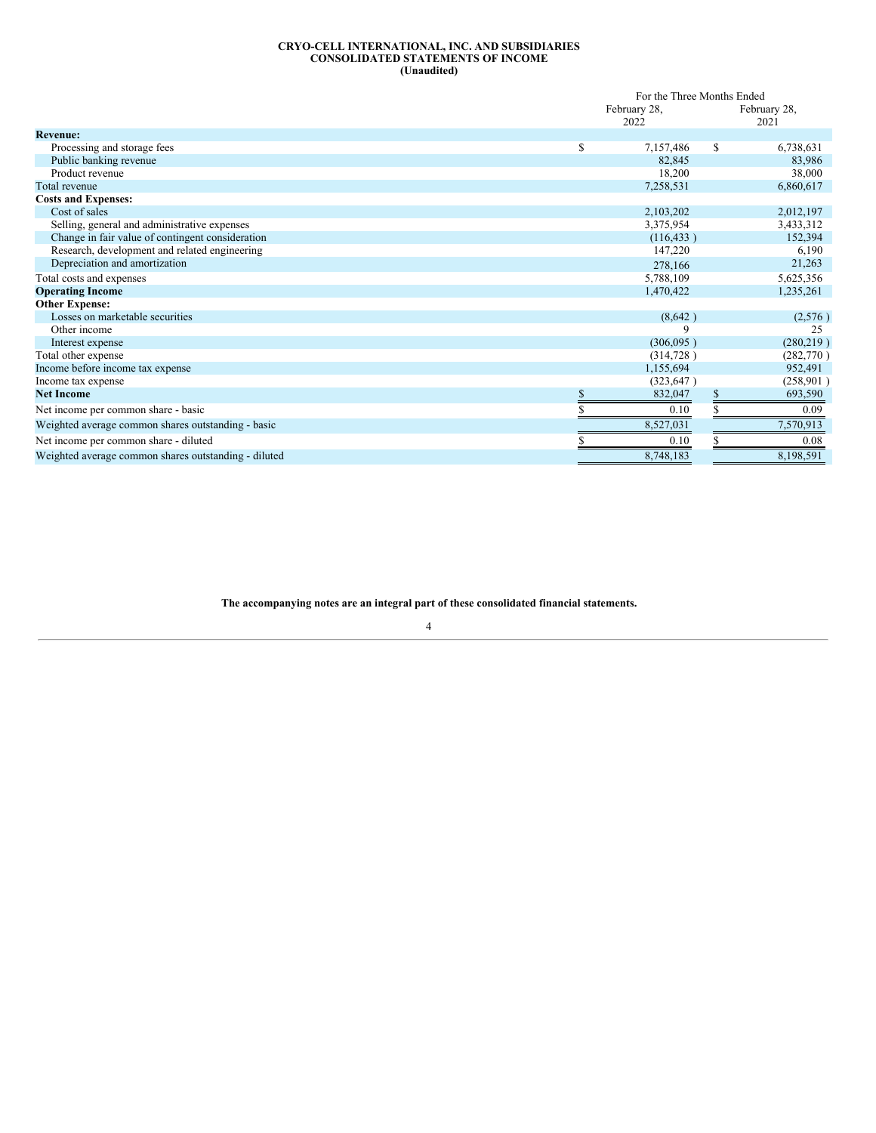#### **CRYO-CELL INTERNATIONAL, INC. AND SUBSIDIARIES CONSOLIDATED STATEMENTS OF INCOME (Unaudited)**

<span id="page-3-0"></span>

|                                                      |   | For the Three Months Ended |                      |  |  |
|------------------------------------------------------|---|----------------------------|----------------------|--|--|
|                                                      |   | February 28,<br>2022       | February 28,<br>2021 |  |  |
| <b>Revenue:</b>                                      |   |                            |                      |  |  |
| Processing and storage fees                          | S | 7,157,486                  | \$<br>6,738,631      |  |  |
| Public banking revenue                               |   | 82,845                     | 83,986               |  |  |
| Product revenue                                      |   | 18,200                     | 38,000               |  |  |
| Total revenue                                        |   | 7,258,531                  | 6,860,617            |  |  |
| <b>Costs and Expenses:</b>                           |   |                            |                      |  |  |
| Cost of sales                                        |   | 2,103,202                  | 2,012,197            |  |  |
| Selling, general and administrative expenses         |   | 3,375,954                  | 3,433,312            |  |  |
| Change in fair value of contingent consideration     |   | (116, 433)                 | 152,394              |  |  |
| Research, development and related engineering        |   | 147,220                    | 6,190                |  |  |
| Depreciation and amortization                        |   | 278,166                    | 21,263               |  |  |
| Total costs and expenses                             |   | 5,788,109                  | 5,625,356            |  |  |
| <b>Operating Income</b>                              |   | 1,470,422                  | 1,235,261            |  |  |
| <b>Other Expense:</b>                                |   |                            |                      |  |  |
| Losses on marketable securities                      |   | (8,642)                    | (2,576)              |  |  |
| Other income                                         |   | 9                          | 25                   |  |  |
| Interest expense                                     |   | (306,095)                  | (280, 219)           |  |  |
| Total other expense                                  |   | (314, 728)                 | (282,770)            |  |  |
| Income before income tax expense                     |   | 1,155,694                  | 952,491              |  |  |
| Income tax expense                                   |   | (323, 647)                 | (258,901)            |  |  |
| <b>Net Income</b>                                    |   | 832,047                    | \$<br>693,590        |  |  |
| Net income per common share - basic                  |   | 0.10                       | \$<br>0.09           |  |  |
| Weighted average common shares outstanding - basic   |   | 8,527,031                  | 7,570,913            |  |  |
| Net income per common share - diluted                |   | 0.10                       | \$<br>0.08           |  |  |
| Weighted average common shares outstanding - diluted |   | 8,748,183                  | 8,198,591            |  |  |

**The accompanying notes are an integral part of these consolidated financial statements.**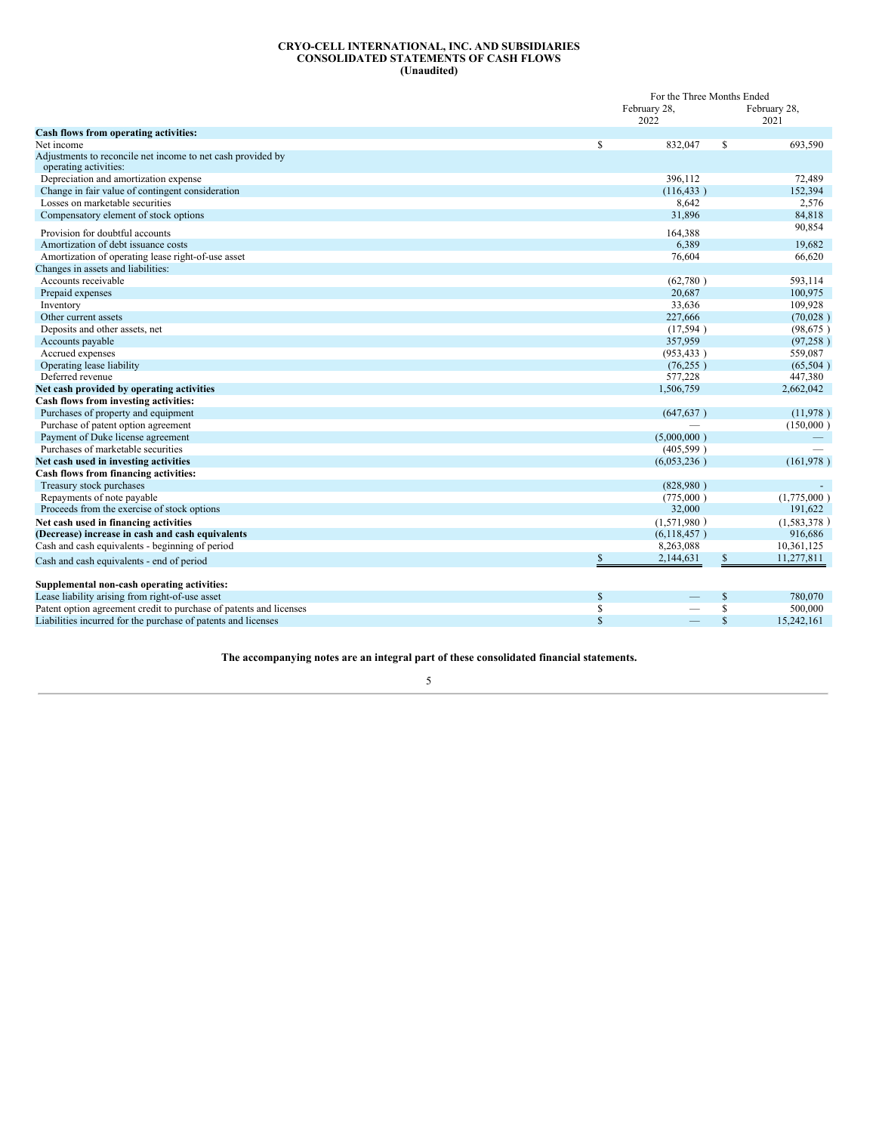#### **CRYO-CELL INTERNATIONAL, INC. AND SUBSIDIARIES CONSOLIDATED STATEMENTS OF CASH FLOWS (Unaudited)**

<span id="page-4-0"></span>

|                                                                                      |    | For the Three Months Ended |               |                      |  |  |
|--------------------------------------------------------------------------------------|----|----------------------------|---------------|----------------------|--|--|
|                                                                                      |    | February 28,<br>2022       |               | February 28,<br>2021 |  |  |
| Cash flows from operating activities:                                                |    |                            |               |                      |  |  |
| Net income                                                                           | \$ | 832,047                    | S             | 693,590              |  |  |
| Adjustments to reconcile net income to net cash provided by<br>operating activities: |    |                            |               |                      |  |  |
| Depreciation and amortization expense                                                |    | 396.112                    |               | 72,489               |  |  |
| Change in fair value of contingent consideration                                     |    | (116, 433)                 |               | 152,394              |  |  |
| Losses on marketable securities                                                      |    | 8,642                      |               | 2,576                |  |  |
| Compensatory element of stock options                                                |    | 31,896                     |               | 84,818               |  |  |
| Provision for doubtful accounts                                                      |    | 164,388                    |               | 90,854               |  |  |
| Amortization of debt issuance costs                                                  |    | 6,389                      |               | 19.682               |  |  |
| Amortization of operating lease right-of-use asset                                   |    | 76,604                     |               | 66,620               |  |  |
| Changes in assets and liabilities:                                                   |    |                            |               |                      |  |  |
| Accounts receivable                                                                  |    | (62,780)                   |               | 593,114              |  |  |
| Prepaid expenses                                                                     |    | 20,687                     |               | 100,975              |  |  |
| Inventory                                                                            |    | 33.636                     |               | 109,928              |  |  |
| Other current assets                                                                 |    | 227,666                    |               | (70,028)             |  |  |
| Deposits and other assets, net                                                       |    | (17, 594)                  |               | (98, 675)            |  |  |
| Accounts payable                                                                     |    | 357,959                    |               | (97,258)             |  |  |
| Accrued expenses                                                                     |    | (953, 433)                 |               | 559,087              |  |  |
| Operating lease liability                                                            |    | (76, 255)                  |               | (65, 504)            |  |  |
| Deferred revenue                                                                     |    | 577,228                    |               | 447,380              |  |  |
| Net cash provided by operating activities                                            |    | 1,506,759                  |               | 2,662,042            |  |  |
| Cash flows from investing activities:                                                |    |                            |               |                      |  |  |
| Purchases of property and equipment                                                  |    | (647, 637)                 |               | (11,978)             |  |  |
| Purchase of patent option agreement                                                  |    |                            |               | (150,000)            |  |  |
| Payment of Duke license agreement                                                    |    | (5,000,000)                |               |                      |  |  |
| Purchases of marketable securities                                                   |    | (405, 599)                 |               |                      |  |  |
| Net cash used in investing activities                                                |    | (6,053,236)                |               | (161,978)            |  |  |
| Cash flows from financing activities:                                                |    |                            |               |                      |  |  |
| Treasury stock purchases                                                             |    | (828,980)                  |               |                      |  |  |
| Repayments of note payable                                                           |    | (775,000)                  |               | (1,775,000)          |  |  |
| Proceeds from the exercise of stock options                                          |    | 32,000                     |               | 191,622              |  |  |
| Net cash used in financing activities                                                |    | (1,571,980)                |               | (1,583,378)          |  |  |
| (Decrease) increase in cash and cash equivalents                                     |    | (6,118,457)                |               | 916,686              |  |  |
| Cash and cash equivalents - beginning of period                                      |    | 8,263,088                  |               | 10,361,125           |  |  |
| Cash and cash equivalents - end of period                                            | \$ | 2,144,631                  | $\mathbb{S}$  | 11,277,811           |  |  |
| Supplemental non-cash operating activities:                                          |    |                            |               |                      |  |  |
| Lease liability arising from right-of-use asset                                      | \$ |                            | $\mathsf{\$}$ | 780,070              |  |  |
| Patent option agreement credit to purchase of patents and licenses                   | Ŝ  |                            | S             | 500,000              |  |  |
| Liabilities incurred for the purchase of patents and licenses                        | \$ |                            | $\mathbb{S}$  | 15,242,161           |  |  |

**The accompanying notes are an integral part of these consolidated financial statements.**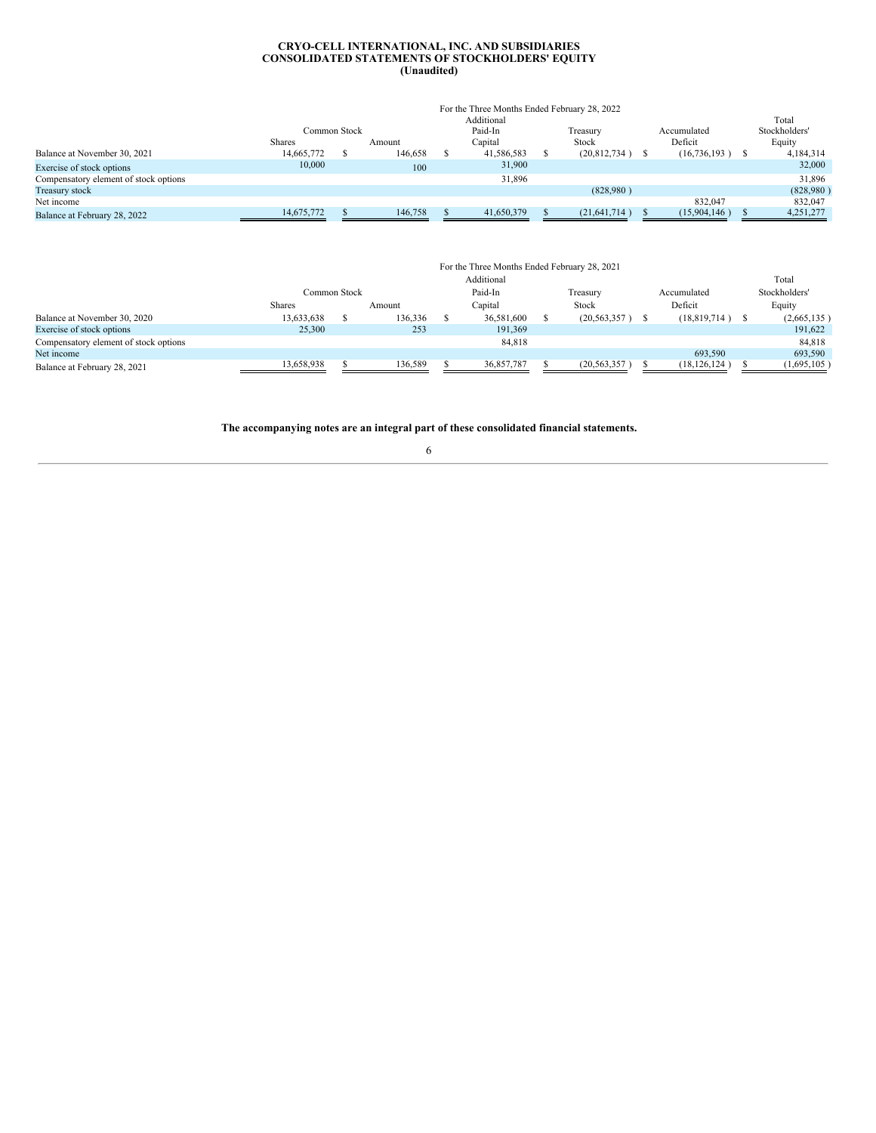#### **CRYO-CELL INTERNATIONAL, INC. AND SUBSIDIARIES CONSOLIDATED STATEMENTS OF STOCKHOLDERS' EQUITY (Unaudited)**

<span id="page-5-0"></span>

|                                       |               |            |         |         | For the Three Months Ended February 28, 2022 |          |                |             |                   |               |           |
|---------------------------------------|---------------|------------|---------|---------|----------------------------------------------|----------|----------------|-------------|-------------------|---------------|-----------|
|                                       |               | Additional |         |         |                                              |          |                |             |                   |               |           |
|                                       | Common Stock  |            |         | Paid-In |                                              | Treasury |                | Accumulated |                   | Stockholders' |           |
|                                       | <b>Shares</b> |            | Amount  |         | Capital                                      |          | <b>Stock</b>   |             | Deficit           |               | Equity    |
| Balance at November 30, 2021          | 14.665.772    |            | 146,658 |         | 41,586,583                                   |          | (20,812,734)   |             | $(16,736,193)$ \$ |               | 4,184,314 |
| Exercise of stock options             | 10,000        |            | 100     |         | 31,900                                       |          |                |             |                   |               | 32,000    |
| Compensatory element of stock options |               |            |         |         | 31,896                                       |          |                |             |                   |               | 31,896    |
| Treasury stock                        |               |            |         |         |                                              |          | (828,980)      |             |                   |               | (828,980) |
| Net income                            |               |            |         |         |                                              |          |                |             | 832,047           |               | 832.047   |
| Balance at February 28, 2022          | 14,675,772    |            | 146,758 |         | 41,650,379                                   |          | (21, 641, 714) |             | (15,904,146)      |               | 4,251,277 |

|                                       |               |                          |         |  | For the Three Months Ended February 28, 2021 |  |                |  |                |  |               |
|---------------------------------------|---------------|--------------------------|---------|--|----------------------------------------------|--|----------------|--|----------------|--|---------------|
|                                       |               | Additional               |         |  |                                              |  |                |  |                |  | Total         |
|                                       |               | Paid-In<br>Common Stock- |         |  |                                              |  | Treasury       |  | Accumulated    |  | Stockholders' |
|                                       | <b>Shares</b> |                          | Amount  |  | Capital                                      |  | <b>Stock</b>   |  | Deficit        |  | Equity        |
| Balance at November 30, 2020          | 13.633.638    |                          | 136,336 |  | 36,581,600                                   |  | (20, 563, 357) |  | (18, 819, 714) |  | (2,665,135)   |
| Exercise of stock options             | 25,300        |                          | 253     |  | 191.369                                      |  |                |  |                |  | 191.622       |
| Compensatory element of stock options |               |                          |         |  | 84,818                                       |  |                |  |                |  | 84.818        |
| Net income                            |               |                          |         |  |                                              |  |                |  | 693.590        |  | 693.590       |
| Balance at February 28, 2021          | 13,658,938    |                          | 136,589 |  | 36,857,787                                   |  | (20, 563, 357) |  | (18, 126, 124) |  | (1,695,105)   |

**The accompanying notes are an integral part of these consolidated financial statements.**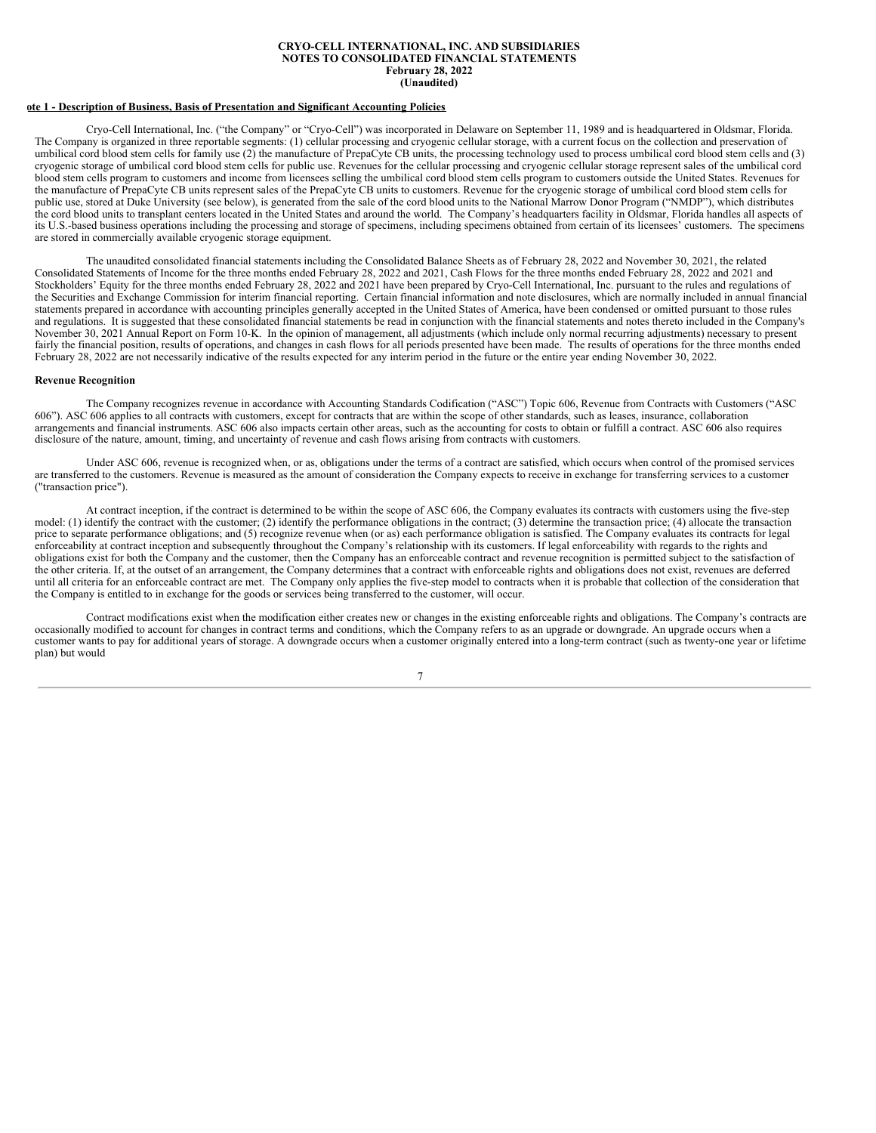### **CRYO-CELL INTERNATIONAL, INC. AND SUBSIDIARIES NOTES TO CONSOLIDATED FINANCIAL STATEMENTS February 28, 2022 (Unaudited)**

#### <span id="page-6-0"></span>**Note 1 - Description of Business, Basis of Presentation and Significant Accounting Policies**

Cryo-Cell International, Inc. ("the Company" or "Cryo-Cell") was incorporated in Delaware on September 11, 1989 and is headquartered in Oldsmar, Florida. The Company is organized in three reportable segments: (1) cellular processing and cryogenic cellular storage, with a current focus on the collection and preservation of umbilical cord blood stem cells for family use (2) the manufacture of PrepaCyte CB units, the processing technology used to process umbilical cord blood stem cells and (3) cryogenic storage of umbilical cord blood stem cells for public use. Revenues for the cellular processing and cryogenic cellular storage represent sales of the umbilical cord blood stem cells program to customers and income from licensees selling the umbilical cord blood stem cells program to customers outside the United States. Revenues for the manufacture of PrepaCyte CB units represent sales of the PrepaCyte CB units to customers. Revenue for the cryogenic storage of umbilical cord blood stem cells for public use, stored at Duke University (see below), is generated from the sale of the cord blood units to the National Marrow Donor Program ("NMDP"), which distributes the cord blood units to transplant centers located in the United States and around the world. The Company's headquarters facility in Oldsmar, Florida handles all aspects of its U.S.-based business operations including the processing and storage of specimens, including specimens obtained from certain of its licensees' customers. The specimens are stored in commercially available cryogenic storage equipment.

The unaudited consolidated financial statements including the Consolidated Balance Sheets as of February 28, 2022 and November 30, 2021, the related Consolidated Statements of Income for the three months ended February 28, 2022 and 2021, Cash Flows for the three months ended February 28, 2022 and 2021 and Stockholders' Equity for the three months ended February 28, 2022 and 2021 have been prepared by Cryo-Cell International, Inc. pursuant to the rules and regulations of the Securities and Exchange Commission for interim financial reporting. Certain financial information and note disclosures, which are normally included in annual financial statements prepared in accordance with accounting principles generally accepted in the United States of America, have been condensed or omitted pursuant to those rules and regulations. It is suggested that these consolidated financial statements be read in conjunction with the financial statements and notes thereto included in the Company's November 30, 2021 Annual Report on Form 10-K. In the opinion of management, all adjustments (which include only normal recurring adjustments) necessary to present fairly the financial position, results of operations, and changes in cash flows for all periods presented have been made. The results of operations for the three months ended February 28, 2022 are not necessarily indicative of the results expected for any interim period in the future or the entire year ending November 30, 2022.

#### **Revenue Recognition**

The Company recognizes revenue in accordance with Accounting Standards Codification ("ASC") Topic 606, Revenue from Contracts with Customers ("ASC 606"). ASC 606 applies to all contracts with customers, except for contracts that are within the scope of other standards, such as leases, insurance, collaboration arrangements and financial instruments. ASC 606 also impacts certain other areas, such as the accounting for costs to obtain or fulfill a contract. ASC 606 also requires disclosure of the nature, amount, timing, and uncertainty of revenue and cash flows arising from contracts with customers.

Under ASC 606, revenue is recognized when, or as, obligations under the terms of a contract are satisfied, which occurs when control of the promised services are transferred to the customers. Revenue is measured as the amount of consideration the Company expects to receive in exchange for transferring services to a customer ("transaction price").

At contract inception, if the contract is determined to be within the scope of ASC 606, the Company evaluates its contracts with customers using the five-step model: (1) identify the contract with the customer; (2) identify the performance obligations in the contract; (3) determine the transaction price; (4) allocate the transaction price to separate performance obligations; and (5) recognize revenue when (or as) each performance obligation is satisfied. The Company evaluates its contracts for legal enforceability at contract inception and subsequently throughout the Company's relationship with its customers. If legal enforceability with regards to the rights and obligations exist for both the Company and the customer, then the Company has an enforceable contract and revenue recognition is permitted subject to the satisfaction of the other criteria. If, at the outset of an arrangement, the Company determines that a contract with enforceable rights and obligations does not exist, revenues are deferred until all criteria for an enforceable contract are met. The Company only applies the five-step model to contracts when it is probable that collection of the consideration that the Company is entitled to in exchange for the goods or services being transferred to the customer, will occur.

Contract modifications exist when the modification either creates new or changes in the existing enforceable rights and obligations. The Company's contracts are occasionally modified to account for changes in contract terms and conditions, which the Company refers to as an upgrade or downgrade. An upgrade occurs when a customer wants to pay for additional years of storage. A downgrade occurs when a customer originally entered into a long-term contract (such as twenty-one year or lifetime plan) but would

| I |
|---|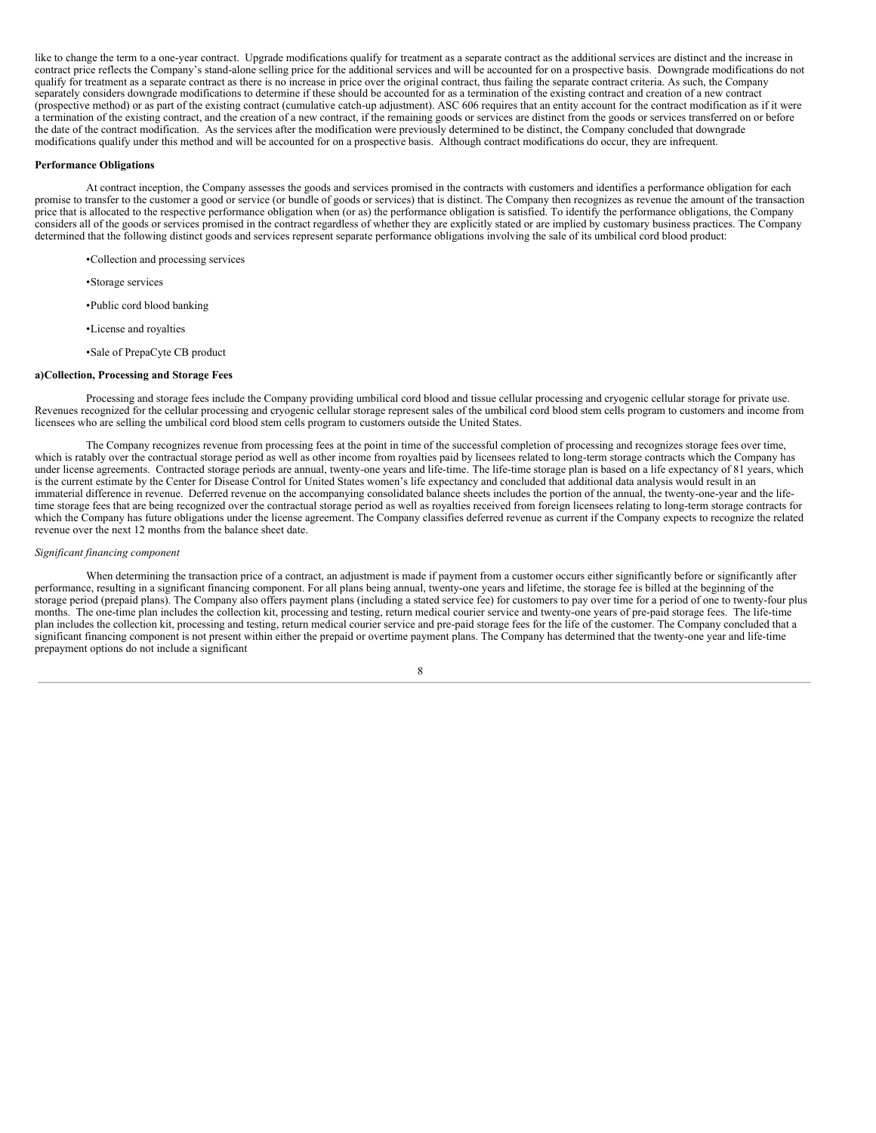like to change the term to a one-year contract. Upgrade modifications qualify for treatment as a separate contract as the additional services are distinct and the increase in contract price reflects the Company's stand-alone selling price for the additional services and will be accounted for on a prospective basis. Downgrade modifications do not qualify for treatment as a separate contract as there is no increase in price over the original contract, thus failing the separate contract criteria. As such, the Company separately considers downgrade modifications to determine if these should be accounted for as a termination of the existing contract and creation of a new contract (prospective method) or as part of the existing contract (cumulative catch-up adjustment). ASC 606 requires that an entity account for the contract modification as if it were a termination of the existing contract, and the creation of a new contract, if the remaining goods or services are distinct from the goods or services transferred on or before the date of the contract modification. As the services after the modification were previously determined to be distinct, the Company concluded that downgrade modifications qualify under this method and will be accounted for on a prospective basis. Although contract modifications do occur, they are infrequent.

#### **Performance Obligations**

At contract inception, the Company assesses the goods and services promised in the contracts with customers and identifies a performance obligation for each promise to transfer to the customer a good or service (or bundle of goods or services) that is distinct. The Company then recognizes as revenue the amount of the transaction price that is allocated to the respective performance obligation when (or as) the performance obligation is satisfied. To identify the performance obligations, the Company considers all of the goods or services promised in the contract regardless of whether they are explicitly stated or are implied by customary business practices. The Company determined that the following distinct goods and services represent separate performance obligations involving the sale of its umbilical cord blood product:

- •Collection and processing services
- •Storage services
- •Public cord blood banking
- •License and royalties
- •Sale of PrepaCyte CB product

# **a)Collection, Processing and Storage Fees**

Processing and storage fees include the Company providing umbilical cord blood and tissue cellular processing and cryogenic cellular storage for private use. Revenues recognized for the cellular processing and cryogenic cellular storage represent sales of the umbilical cord blood stem cells program to customers and income from licensees who are selling the umbilical cord blood stem cells program to customers outside the United States.

The Company recognizes revenue from processing fees at the point in time of the successful completion of processing and recognizes storage fees over time, which is ratably over the contractual storage period as well as other income from royalties paid by licensees related to long-term storage contracts which the Company has under license agreements. Contracted storage periods are annual, twenty-one years and life-time. The life-time storage plan is based on a life expectancy of 81 years, which is the current estimate by the Center for Disease Control for United States women's life expectancy and concluded that additional data analysis would result in an immaterial difference in revenue. Deferred revenue on the accompanying consolidated balance sheets includes the portion of the annual, the twenty-one-year and the lifetime storage fees that are being recognized over the contractual storage period as well as royalties received from foreign licensees relating to long-term storage contracts for which the Company has future obligations under the license agreement. The Company classifies deferred revenue as current if the Company expects to recognize the related revenue over the next 12 months from the balance sheet date.

#### *Significant financing component*

When determining the transaction price of a contract, an adjustment is made if payment from a customer occurs either significantly before or significantly after performance, resulting in a significant financing component. For all plans being annual, twenty-one years and lifetime, the storage fee is billed at the beginning of the storage period (prepaid plans). The Company also offers payment plans (including a stated service fee) for customers to pay over time for a period of one to twenty-four plus months. The one-time plan includes the collection kit, processing and testing, return medical courier service and twenty-one years of pre-paid storage fees. The life-time plan includes the collection kit, processing and testing, return medical courier service and pre-paid storage fees for the life of the customer. The Company concluded that a significant financing component is not present within either the prepaid or overtime payment plans. The Company has determined that the twenty-one year and life-time prepayment options do not include a significant

|   | I |  |
|---|---|--|
|   |   |  |
| × |   |  |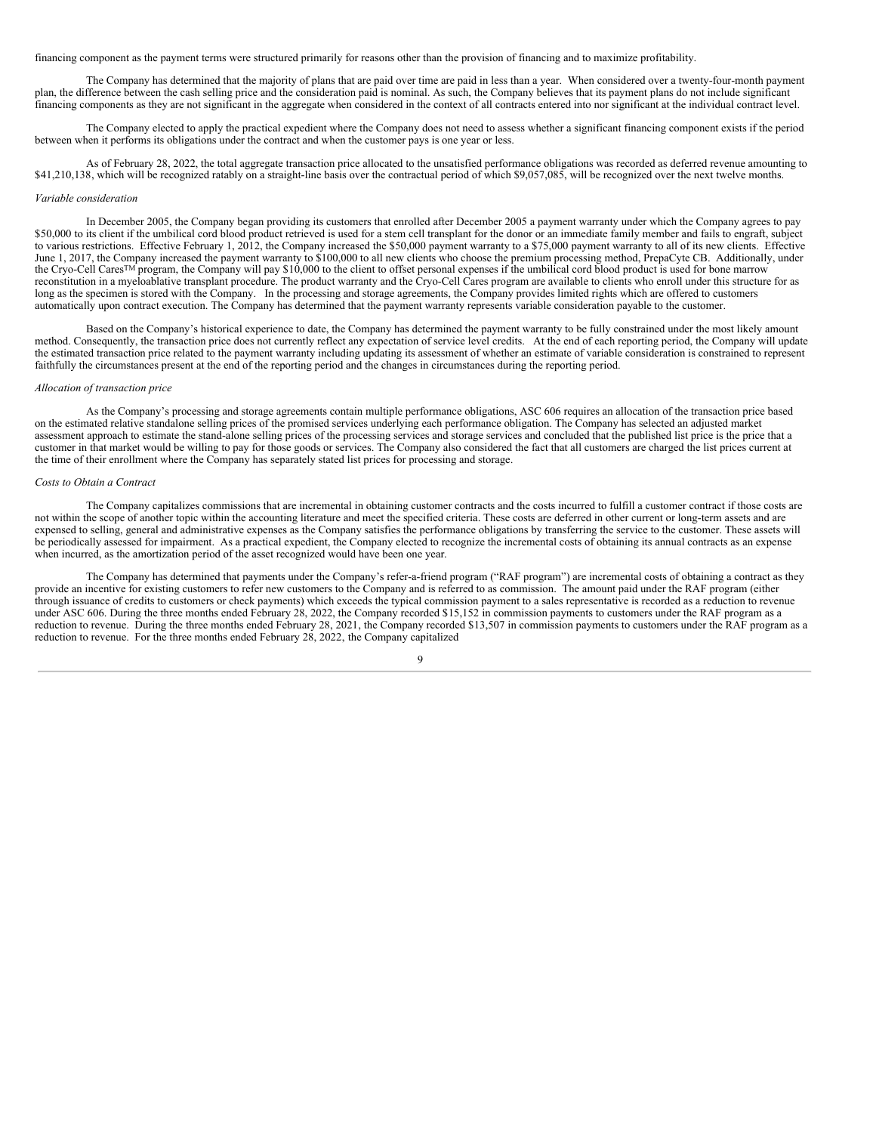financing component as the payment terms were structured primarily for reasons other than the provision of financing and to maximize profitability.

The Company has determined that the majority of plans that are paid over time are paid in less than a year. When considered over a twenty-four-month payment plan, the difference between the cash selling price and the consideration paid is nominal. As such, the Company believes that its payment plans do not include significant financing components as they are not significant in the aggregate when considered in the context of all contracts entered into nor significant at the individual contract level.

The Company elected to apply the practical expedient where the Company does not need to assess whether a significant financing component exists if the period between when it performs its obligations under the contract and when the customer pays is one year or less.

As of February 28, 2022, the total aggregate transaction price allocated to the unsatisfied performance obligations was recorded as deferred revenue amounting to \$41,210,138, which will be recognized ratably on a straight-line basis over the contractual period of which \$9,057,085, will be recognized over the next twelve months.

#### *Variable consideration*

In December 2005, the Company began providing its customers that enrolled after December 2005 a payment warranty under which the Company agrees to pay \$50,000 to its client if the umbilical cord blood product retrieved is used for a stem cell transplant for the donor or an immediate family member and fails to engraft, subject to various restrictions. Effective February 1, 2012, the Company increased the \$50,000 payment warranty to a \$75,000 payment warranty to all of its new clients. Effective June 1, 2017, the Company increased the payment warranty to \$100,000 to all new clients who choose the premium processing method, PrepaCyte CB. Additionally, under the Cryo-Cell Cares<sup>TM</sup> program, the Company will pay \$10,000 to the client to offset personal expenses if the umbilical cord blood product is used for bone marrow reconstitution in a myeloablative transplant procedure. The product warranty and the Cryo-Cell Cares program are available to clients who enroll under this structure for as long as the specimen is stored with the Company. In the processing and storage agreements, the Company provides limited rights which are offered to customers automatically upon contract execution. The Company has determined that the payment warranty represents variable consideration payable to the customer.

Based on the Company's historical experience to date, the Company has determined the payment warranty to be fully constrained under the most likely amount method. Consequently, the transaction price does not currently reflect any expectation of service level credits. At the end of each reporting period, the Company will update the estimated transaction price related to the payment warranty including updating its assessment of whether an estimate of variable consideration is constrained to represent faithfully the circumstances present at the end of the reporting period and the changes in circumstances during the reporting period.

#### *Allocation of transaction price*

As the Company's processing and storage agreements contain multiple performance obligations, ASC 606 requires an allocation of the transaction price based on the estimated relative standalone selling prices of the promised services underlying each performance obligation. The Company has selected an adjusted market assessment approach to estimate the stand-alone selling prices of the processing services and storage services and concluded that the published list price is the price that a customer in that market would be willing to pay for those goods or services. The Company also considered the fact that all customers are charged the list prices current at the time of their enrollment where the Company has separately stated list prices for processing and storage.

#### *Costs to Obtain a Contract*

The Company capitalizes commissions that are incremental in obtaining customer contracts and the costs incurred to fulfill a customer contract if those costs are not within the scope of another topic within the accounting literature and meet the specified criteria. These costs are deferred in other current or long-term assets and are expensed to selling, general and administrative expenses as the Company satisfies the performance obligations by transferring the service to the customer. These assets will be periodically assessed for impairment. As a practical expedient, the Company elected to recognize the incremental costs of obtaining its annual contracts as an expense when incurred, as the amortization period of the asset recognized would have been one year.

The Company has determined that payments under the Company's refer-a-friend program ("RAF program") are incremental costs of obtaining a contract as they provide an incentive for existing customers to refer new customers to the Company and is referred to as commission. The amount paid under the RAF program (either through issuance of credits to customers or check payments) which exceeds the typical commission payment to a sales representative is recorded as a reduction to revenue under ASC 606. During the three months ended February 28, 2022, the Company recorded \$15,152 in commission payments to customers under the RAF program as a reduction to revenue. During the three months ended February 28, 2021, the Company recorded \$13,507 in commission payments to customers under the RAF program as a reduction to revenue. For the three months ended February 28, 2022, the Company capitalized

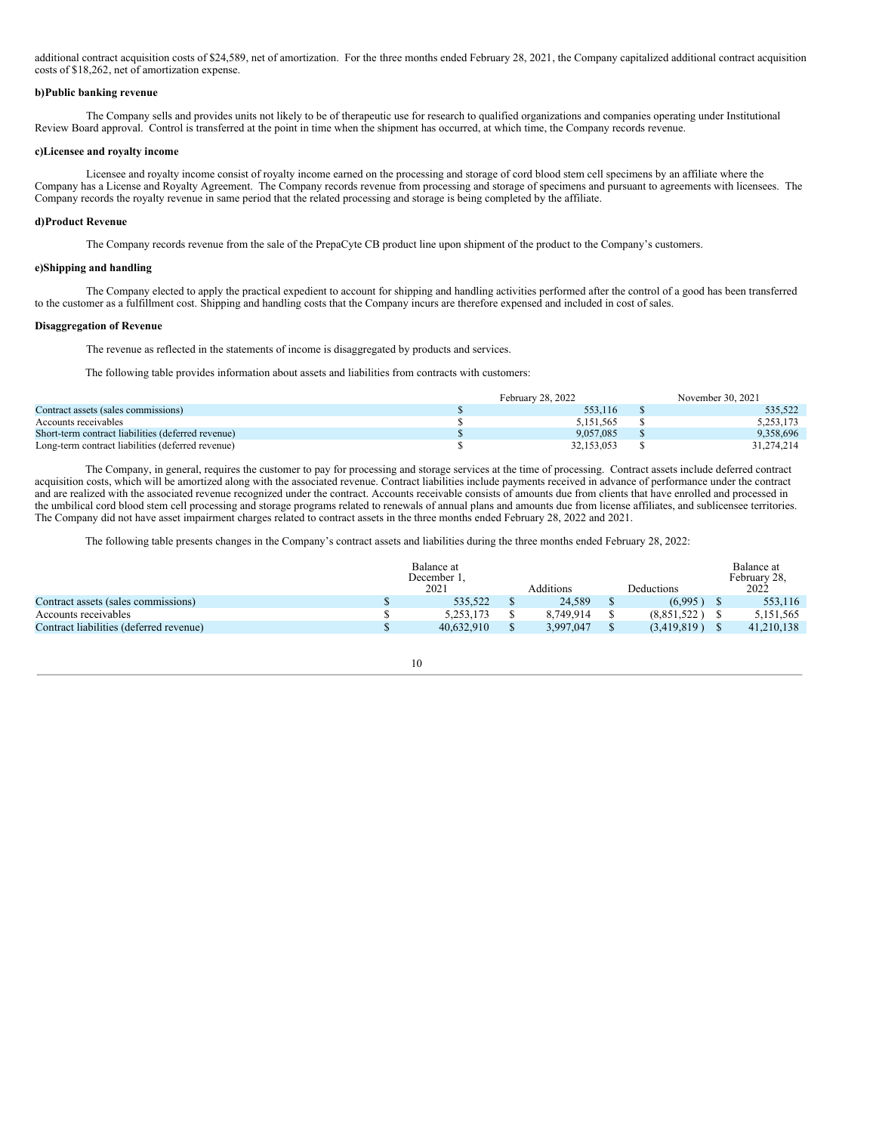additional contract acquisition costs of \$24,589, net of amortization. For the three months ended February 28, 2021, the Company capitalized additional contract acquisition costs of \$18,262, net of amortization expense.

# **b)Public banking revenue**

The Company sells and provides units not likely to be of therapeutic use for research to qualified organizations and companies operating under Institutional Review Board approval. Control is transferred at the point in time when the shipment has occurred, at which time, the Company records revenue.

#### **c)Licensee and royalty income**

Licensee and royalty income consist of royalty income earned on the processing and storage of cord blood stem cell specimens by an affiliate where the Company has a License and Royalty Agreement. The Company records revenue from processing and storage of specimens and pursuant to agreements with licensees. The Company records the royalty revenue in same period that the related processing and storage is being completed by the affiliate.

#### **d)Product Revenue**

The Company records revenue from the sale of the PrepaCyte CB product line upon shipment of the product to the Company's customers.

# **e)Shipping and handling**

The Company elected to apply the practical expedient to account for shipping and handling activities performed after the control of a good has been transferred to the customer as a fulfillment cost. Shipping and handling costs that the Company incurs are therefore expensed and included in cost of sales.

#### **Disaggregation of Revenue**

The revenue as reflected in the statements of income is disaggregated by products and services.

The following table provides information about assets and liabilities from contracts with customers:

|                                                    | February 28, 2022 | November 30, 2021 |
|----------------------------------------------------|-------------------|-------------------|
| Contract assets (sales commissions)                | 553,116           | 535.522           |
| Accounts receivables                               | 5.151.565         | 5.253.173         |
| Short-term contract liabilities (deferred revenue) | 9.057.085         | 9.358.696         |
| Long-term contract liabilities (deferred revenue)  | 32.153.053        | 31,274,214        |

The Company, in general, requires the customer to pay for processing and storage services at the time of processing. Contract assets include deferred contract acquisition costs, which will be amortized along with the associated revenue. Contract liabilities include payments received in advance of performance under the contract and are realized with the associated revenue recognized under the contract. Accounts receivable consists of amounts due from clients that have enrolled and processed in the umbilical cord blood stem cell processing and storage programs related to renewals of annual plans and amounts due from license affiliates, and sublicensee territories. The Company did not have asset impairment charges related to contract assets in the three months ended February 28, 2022 and 2021.

The following table presents changes in the Company's contract assets and liabilities during the three months ended February 28, 2022:

|                                         | Balance at<br>December 1,<br>2021 | Additions | Deductions  | Balance at<br>February 28,<br>2022 |
|-----------------------------------------|-----------------------------------|-----------|-------------|------------------------------------|
| Contract assets (sales commissions)     | 535.522                           | 24.589    | (6.995)     | 553,116                            |
| Accounts receivables                    | 5.253.173                         | 8.749.914 | (8,851,522) | 5, 151, 565                        |
| Contract liabilities (deferred revenue) | 40.632.910                        | 3.997.047 | (3.419.819) | 41,210,138                         |

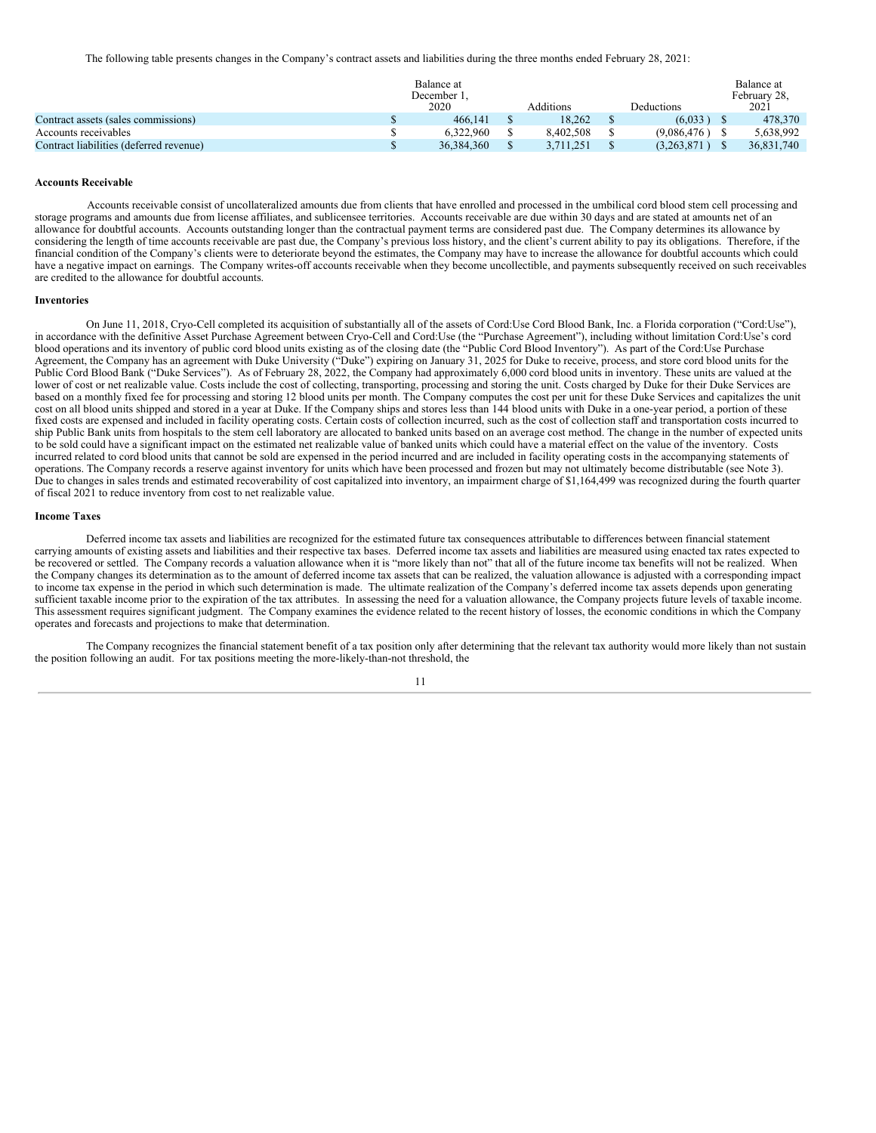The following table presents changes in the Company's contract assets and liabilities during the three months ended February 28, 2021:

|                                         | Balance at<br>December 1. |           |             | Balance at<br>February 28, |
|-----------------------------------------|---------------------------|-----------|-------------|----------------------------|
|                                         | 2020                      | Additions | Deductions  | 2021                       |
| Contract assets (sales commissions)     | 466,141                   | 18.262    | (6.033)     | 478,370                    |
| Accounts receivables                    | 6.322.960                 | 8.402.508 | (9.086.476) | 5.638.992                  |
| Contract liabilities (deferred revenue) | 36, 384, 360              | 3.711.251 | (3.263.871) | 36,831,740                 |

# **Accounts Receivable**

Accounts receivable consist of uncollateralized amounts due from clients that have enrolled and processed in the umbilical cord blood stem cell processing and storage programs and amounts due from license affiliates, and sublicensee territories. Accounts receivable are due within 30 days and are stated at amounts net of an allowance for doubtful accounts. Accounts outstanding longer than the contractual payment terms are considered past due. The Company determines its allowance by considering the length of time accounts receivable are past due, the Company's previous loss history, and the client's current ability to pay its obligations. Therefore, if the financial condition of the Company's clients were to deteriorate beyond the estimates, the Company may have to increase the allowance for doubtful accounts which could have a negative impact on earnings. The Company writes-off accounts receivable when they become uncollectible, and payments subsequently received on such receivables are credited to the allowance for doubtful accounts.

#### **Inventories**

On June 11, 2018, Cryo-Cell completed its acquisition of substantially all of the assets of Cord:Use Cord Blood Bank, Inc. a Florida corporation ("Cord:Use"), in accordance with the definitive Asset Purchase Agreement between Cryo-Cell and Cord:Use (the "Purchase Agreement"), including without limitation Cord:Use's cord blood operations and its inventory of public cord blood units existing as of the closing date (the "Public Cord Blood Inventory"). As part of the Cord:Use Purchase Agreement, the Company has an agreement with Duke University ("Duke") expiring on January 31, 2025 for Duke to receive, process, and store cord blood units for the Public Cord Blood Bank ("Duke Services"). As of February 28, 2022, the Company had approximately 6,000 cord blood units in inventory. These units are valued at the lower of cost or net realizable value. Costs include the cost of collecting, transporting, processing and storing the unit. Costs charged by Duke for their Duke Services are based on a monthly fixed fee for processing and storing 12 blood units per month. The Company computes the cost per unit for these Duke Services and capitalizes the unit cost on all blood units shipped and stored in a year at Duke. If the Company ships and stores less than 144 blood units with Duke in a one-year period, a portion of these fixed costs are expensed and included in facility operating costs. Certain costs of collection incurred, such as the cost of collection staff and transportation costs incurred to ship Public Bank units from hospitals to the stem cell laboratory are allocated to banked units based on an average cost method. The change in the number of expected units to be sold could have a significant impact on the estimated net realizable value of banked units which could have a material effect on the value of the inventory. Costs incurred related to cord blood units that cannot be sold are expensed in the period incurred and are included in facility operating costs in the accompanying statements of operations. The Company records a reserve against inventory for units which have been processed and frozen but may not ultimately become distributable (see Note 3). Due to changes in sales trends and estimated recoverability of cost capitalized into inventory, an impairment charge of \$1,164,499 was recognized during the fourth quarter of fiscal 2021 to reduce inventory from cost to net realizable value.

#### **Income Taxes**

Deferred income tax assets and liabilities are recognized for the estimated future tax consequences attributable to differences between financial statement carrying amounts of existing assets and liabilities and their respective tax bases. Deferred income tax assets and liabilities are measured using enacted tax rates expected to be recovered or settled. The Company records a valuation allowance when it is "more likely than not" that all of the future income tax benefits will not be realized. When the Company changes its determination as to the amount of deferred income tax assets that can be realized, the valuation allowance is adjusted with a corresponding impact to income tax expense in the period in which such determination is made. The ultimate realization of the Company's deferred income tax assets depends upon generating sufficient taxable income prior to the expiration of the tax attributes. In assessing the need for a valuation allowance, the Company projects future levels of taxable income. This assessment requires significant judgment. The Company examines the evidence related to the recent history of losses, the economic conditions in which the Company operates and forecasts and projections to make that determination.

The Company recognizes the financial statement benefit of a tax position only after determining that the relevant tax authority would more likely than not sustain the position following an audit. For tax positions meeting the more-likely-than-not threshold, the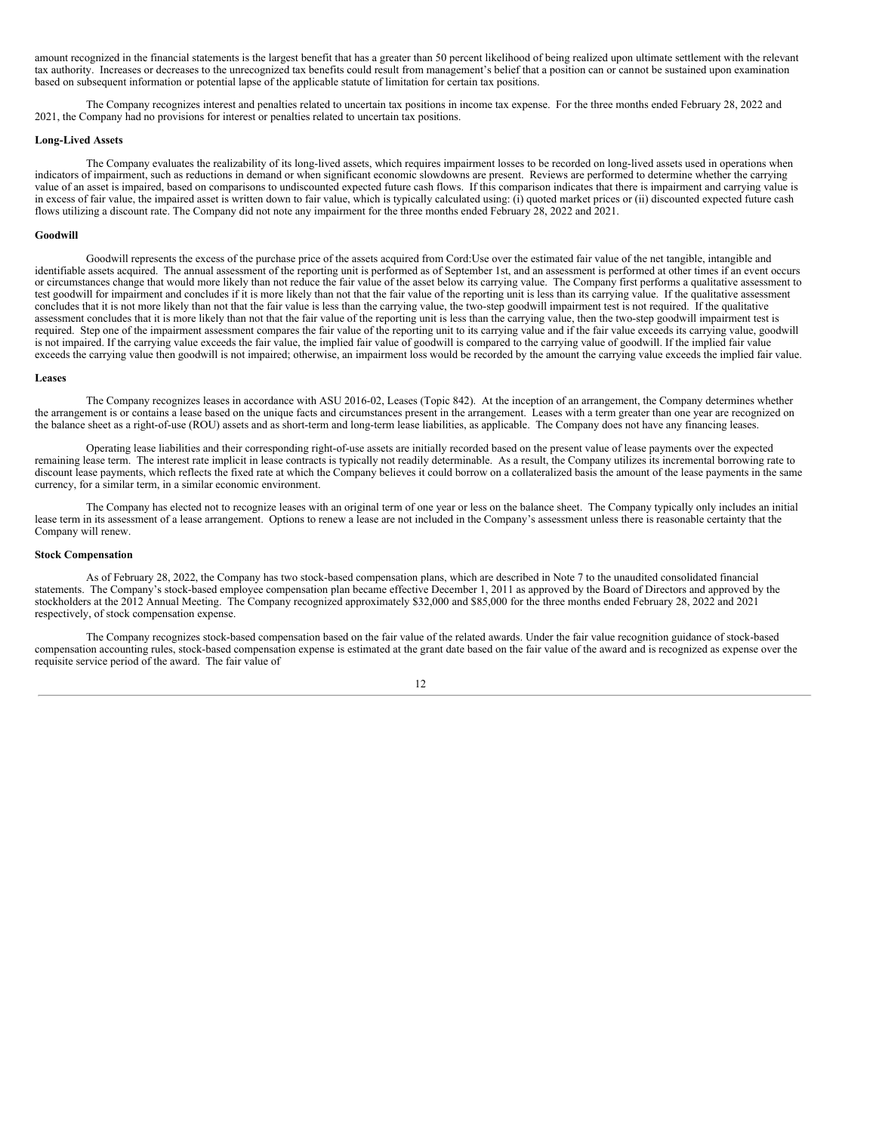amount recognized in the financial statements is the largest benefit that has a greater than 50 percent likelihood of being realized upon ultimate settlement with the relevant tax authority. Increases or decreases to the unrecognized tax benefits could result from management's belief that a position can or cannot be sustained upon examination based on subsequent information or potential lapse of the applicable statute of limitation for certain tax positions.

The Company recognizes interest and penalties related to uncertain tax positions in income tax expense. For the three months ended February 28, 2022 and 2021, the Company had no provisions for interest or penalties related to uncertain tax positions.

# **Long-Lived Assets**

The Company evaluates the realizability of its long-lived assets, which requires impairment losses to be recorded on long-lived assets used in operations when indicators of impairment, such as reductions in demand or when significant economic slowdowns are present. Reviews are performed to determine whether the carrying value of an asset is impaired, based on comparisons to undiscounted expected future cash flows. If this comparison indicates that there is impairment and carrying value is in excess of fair value, the impaired asset is written down to fair value, which is typically calculated using: (i) quoted market prices or (ii) discounted expected future cash flows utilizing a discount rate. The Company did not note any impairment for the three months ended February 28, 2022 and 2021.

### **Goodwill**

Goodwill represents the excess of the purchase price of the assets acquired from Cord:Use over the estimated fair value of the net tangible, intangible and identifiable assets acquired. The annual assessment of the reporting unit is performed as of September 1st, and an assessment is performed at other times if an event occurs or circumstances change that would more likely than not reduce the fair value of the asset below its carrying value. The Company first performs a qualitative assessment to test goodwill for impairment and concludes if it is more likely than not that the fair value of the reporting unit is less than its carrying value. If the qualitative assessment concludes that it is not more likely than not that the fair value is less than the carrying value, the two-step goodwill impairment test is not required. If the qualitative assessment concludes that it is more likely than not that the fair value of the reporting unit is less than the carrying value, then the two-step goodwill impairment test is required. Step one of the impairment assessment compares the fair value of the reporting unit to its carrying value and if the fair value exceeds its carrying value, goodwill is not impaired. If the carrying value exceeds the fair value, the implied fair value of goodwill is compared to the carrying value of goodwill. If the implied fair value exceeds the carrying value then goodwill is not impaired; otherwise, an impairment loss would be recorded by the amount the carrying value exceeds the implied fair value.

#### **Leases**

The Company recognizes leases in accordance with ASU 2016-02, Leases (Topic 842). At the inception of an arrangement, the Company determines whether the arrangement is or contains a lease based on the unique facts and circumstances present in the arrangement. Leases with a term greater than one year are recognized on the balance sheet as a right-of-use (ROU) assets and as short-term and long-term lease liabilities, as applicable. The Company does not have any financing leases.

Operating lease liabilities and their corresponding right-of-use assets are initially recorded based on the present value of lease payments over the expected remaining lease term. The interest rate implicit in lease contracts is typically not readily determinable. As a result, the Company utilizes its incremental borrowing rate to discount lease payments, which reflects the fixed rate at which the Company believes it could borrow on a collateralized basis the amount of the lease payments in the same currency, for a similar term, in a similar economic environment.

The Company has elected not to recognize leases with an original term of one year or less on the balance sheet. The Company typically only includes an initial lease term in its assessment of a lease arrangement. Options to renew a lease are not included in the Company's assessment unless there is reasonable certainty that the Company will renew.

### **Stock Compensation**

As of February 28, 2022, the Company has two stock-based compensation plans, which are described in Note 7 to the unaudited consolidated financial statements. The Company's stock-based employee compensation plan became effective December 1, 2011 as approved by the Board of Directors and approved by the stockholders at the 2012 Annual Meeting. The Company recognized approximately \$32,000 and \$85,000 for the three months ended February 28, 2022 and 2021 respectively, of stock compensation expense.

The Company recognizes stock-based compensation based on the fair value of the related awards. Under the fair value recognition guidance of stock-based compensation accounting rules, stock-based compensation expense is estimated at the grant date based on the fair value of the award and is recognized as expense over the requisite service period of the award. The fair value of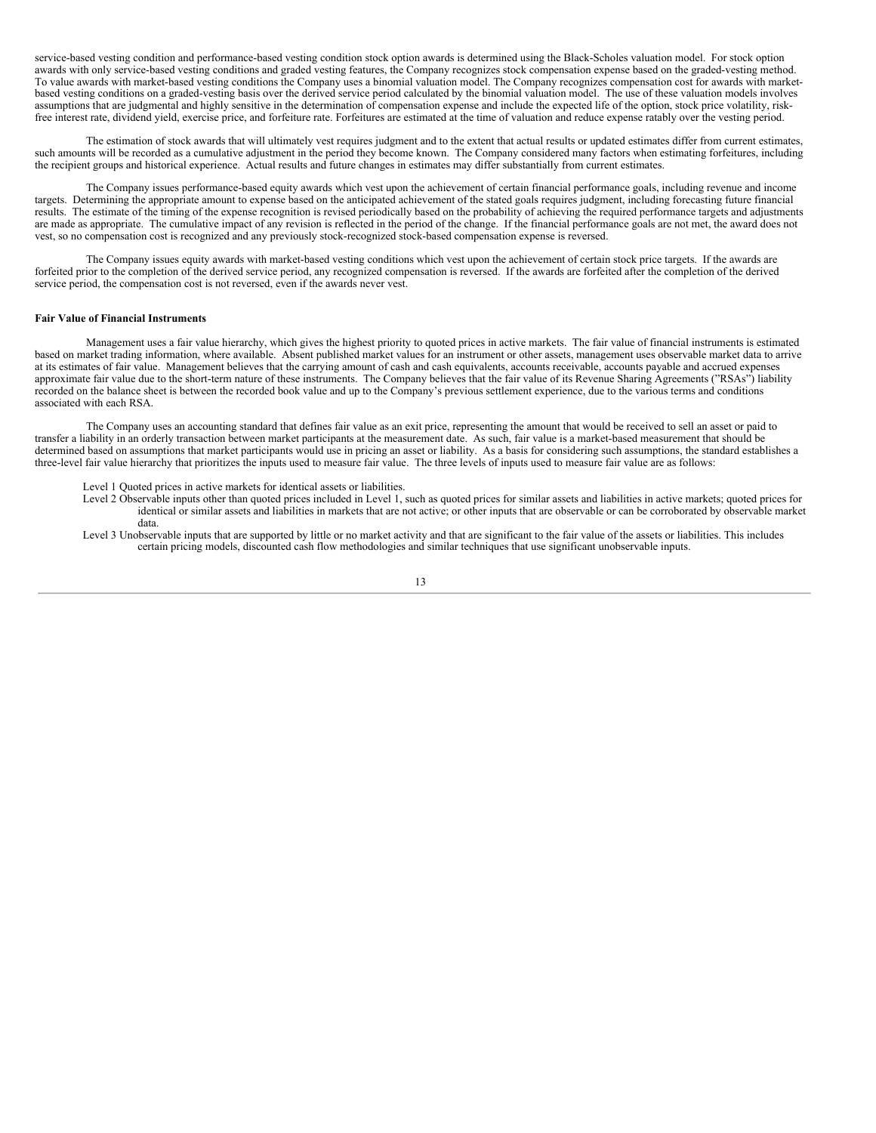service-based vesting condition and performance-based vesting condition stock option awards is determined using the Black-Scholes valuation model. For stock option awards with only service-based vesting conditions and graded vesting features, the Company recognizes stock compensation expense based on the graded-vesting method. To value awards with market-based vesting conditions the Company uses a binomial valuation model. The Company recognizes compensation cost for awards with marketbased vesting conditions on a graded-vesting basis over the derived service period calculated by the binomial valuation model. The use of these valuation models involves assumptions that are judgmental and highly sensitive in the determination of compensation expense and include the expected life of the option, stock price volatility, riskfree interest rate, dividend yield, exercise price, and forfeiture rate. Forfeitures are estimated at the time of valuation and reduce expense ratably over the vesting period.

The estimation of stock awards that will ultimately vest requires judgment and to the extent that actual results or updated estimates differ from current estimates, such amounts will be recorded as a cumulative adjustment in the period they become known. The Company considered many factors when estimating forfeitures, including the recipient groups and historical experience. Actual results and future changes in estimates may differ substantially from current estimates.

The Company issues performance-based equity awards which vest upon the achievement of certain financial performance goals, including revenue and income targets. Determining the appropriate amount to expense based on the anticipated achievement of the stated goals requires judgment, including forecasting future financial results. The estimate of the timing of the expense recognition is revised periodically based on the probability of achieving the required performance targets and adjustments are made as appropriate. The cumulative impact of any revision is reflected in the period of the change. If the financial performance goals are not met, the award does not vest, so no compensation cost is recognized and any previously stock-recognized stock-based compensation expense is reversed.

The Company issues equity awards with market-based vesting conditions which vest upon the achievement of certain stock price targets. If the awards are forfeited prior to the completion of the derived service period, any recognized compensation is reversed. If the awards are forfeited after the completion of the derived service period, the compensation cost is not reversed, even if the awards never vest.

# **Fair Value of Financial Instruments**

Management uses a fair value hierarchy, which gives the highest priority to quoted prices in active markets. The fair value of financial instruments is estimated based on market trading information, where available. Absent published market values for an instrument or other assets, management uses observable market data to arrive at its estimates of fair value. Management believes that the carrying amount of cash and cash equivalents, accounts receivable, accounts payable and accrued expenses approximate fair value due to the short-term nature of these instruments. The Company believes that the fair value of its Revenue Sharing Agreements ("RSAs") liability recorded on the balance sheet is between the recorded book value and up to the Company's previous settlement experience, due to the various terms and conditions associated with each RSA.

The Company uses an accounting standard that defines fair value as an exit price, representing the amount that would be received to sell an asset or paid to transfer a liability in an orderly transaction between market participants at the measurement date. As such, fair value is a market-based measurement that should be determined based on assumptions that market participants would use in pricing an asset or liability. As a basis for considering such assumptions, the standard establishes a three-level fair value hierarchy that prioritizes the inputs used to measure fair value. The three levels of inputs used to measure fair value are as follows:

- Level 1 Quoted prices in active markets for identical assets or liabilities.
- Level 2 Observable inputs other than quoted prices included in Level 1, such as quoted prices for similar assets and liabilities in active markets; quoted prices for identical or similar assets and liabilities in markets that are not active; or other inputs that are observable or can be corroborated by observable market data.
- Level 3 Unobservable inputs that are supported by little or no market activity and that are significant to the fair value of the assets or liabilities. This includes certain pricing models, discounted cash flow methodologies and similar techniques that use significant unobservable inputs.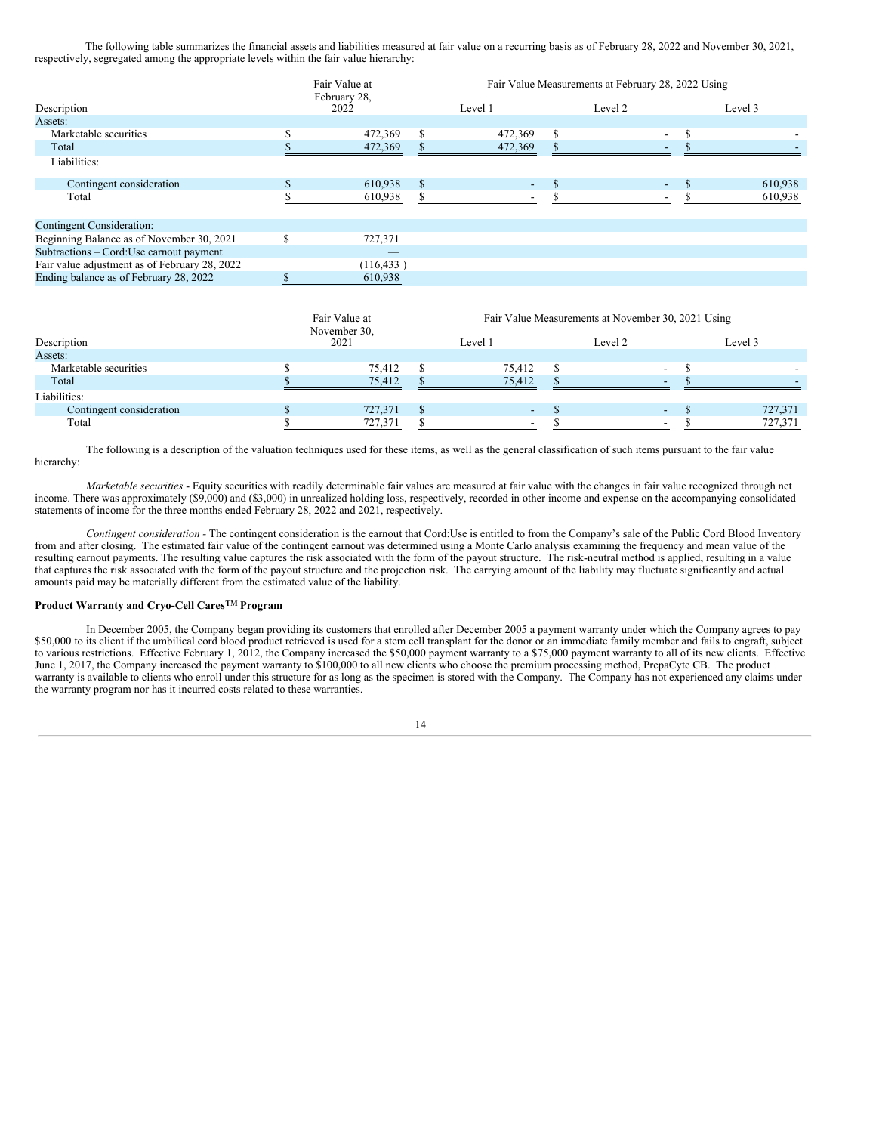The following table summarizes the financial assets and liabilities measured at fair value on a recurring basis as of February 28, 2022 and November 30, 2021, respectively, segregated among the appropriate levels within the fair value hierarchy:

|                                               |     | Fair Value at        |               | Fair Value Measurements at February 28, 2022 Using |         |                          |  |         |
|-----------------------------------------------|-----|----------------------|---------------|----------------------------------------------------|---------|--------------------------|--|---------|
| Description                                   |     | February 28,<br>2022 |               | Level 1                                            | Level 2 |                          |  | Level 3 |
| Assets:                                       |     |                      |               |                                                    |         |                          |  |         |
| Marketable securities                         |     | 472,369              |               | 472,369                                            | -S      | $\overline{\phantom{0}}$ |  |         |
| Total                                         |     | 472,369              |               | 472,369                                            |         |                          |  |         |
| Liabilities:                                  |     |                      |               |                                                    |         |                          |  |         |
| Contingent consideration                      |     | 610,938              | <sup>\$</sup> | $\sim$                                             |         | $\sim$                   |  | 610,938 |
| Total                                         |     | 610,938              |               |                                                    |         |                          |  | 610,938 |
| <b>Contingent Consideration:</b>              |     |                      |               |                                                    |         |                          |  |         |
| Beginning Balance as of November 30, 2021     | \$. | 727,371              |               |                                                    |         |                          |  |         |
| Subtractions – Cord: Use earnout payment      |     |                      |               |                                                    |         |                          |  |         |
| Fair value adjustment as of February 28, 2022 |     | (116, 433)           |               |                                                    |         |                          |  |         |
| Ending balance as of February 28, 2022        |     | 610,938              |               |                                                    |         |                          |  |         |

|                          | Fair Value at<br>November 30, |  | Fair Value Measurements at November 30, 2021 Using |                          |  |         |
|--------------------------|-------------------------------|--|----------------------------------------------------|--------------------------|--|---------|
| Description              | 2021                          |  | Level 1                                            | Level 2                  |  | Level 3 |
| Assets:                  |                               |  |                                                    |                          |  |         |
| Marketable securities    | 75,412                        |  | 75,412                                             | $\sim$                   |  |         |
| Total                    | 75.412                        |  | 75,412                                             | -                        |  |         |
| Liabilities:             |                               |  |                                                    |                          |  |         |
| Contingent consideration | 727.371                       |  | $\sim$                                             | $\overline{\phantom{0}}$ |  | 727,371 |
| Total                    | 727,371                       |  | $\overline{\phantom{0}}$                           | $\overline{\phantom{0}}$ |  | 727,371 |

The following is a description of the valuation techniques used for these items, as well as the general classification of such items pursuant to the fair value hierarchy:

*Marketable securities* - Equity securities with readily determinable fair values are measured at fair value with the changes in fair value recognized through net income. There was approximately (\$9,000) and (\$3,000) in unrealized holding loss, respectively, recorded in other income and expense on the accompanying consolidated statements of income for the three months ended February 28, 2022 and 2021, respectively.

*Contingent consideration -* The contingent consideration is the earnout that Cord:Use is entitled to from the Company's sale of the Public Cord Blood Inventory from and after closing. The estimated fair value of the contingent earnout was determined using a Monte Carlo analysis examining the frequency and mean value of the resulting earnout payments. The resulting value captures the risk associated with the form of the payout structure. The risk-neutral method is applied, resulting in a value that captures the risk associated with the form of the payout structure and the projection risk. The carrying amount of the liability may fluctuate significantly and actual amounts paid may be materially different from the estimated value of the liability.

# **Product Warranty and Cryo-Cell CaresTM Program**

In December 2005, the Company began providing its customers that enrolled after December 2005 a payment warranty under which the Company agrees to pay \$50,000 to its client if the umbilical cord blood product retrieved is used for a stem cell transplant for the donor or an immediate family member and fails to engraft, subject to various restrictions. Effective February 1, 2012, the Company increased the \$50,000 payment warranty to a \$75,000 payment warranty to all of its new clients. Effective June 1, 2017, the Company increased the payment warranty to \$100,000 to all new clients who choose the premium processing method, PrepaCyte CB. The product warranty is available to clients who enroll under this structure for as long as the specimen is stored with the Company. The Company has not experienced any claims under the warranty program nor has it incurred costs related to these warranties.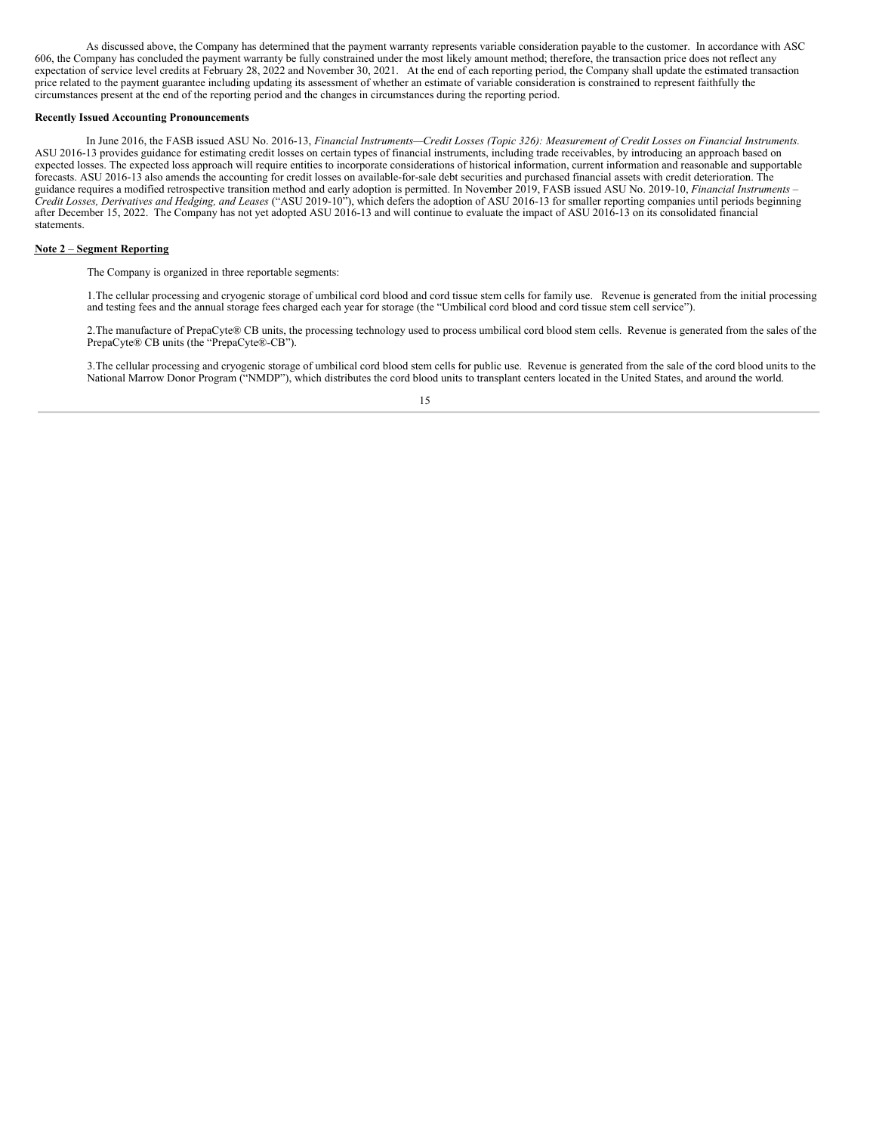As discussed above, the Company has determined that the payment warranty represents variable consideration payable to the customer. In accordance with ASC 606, the Company has concluded the payment warranty be fully constrained under the most likely amount method; therefore, the transaction price does not reflect any expectation of service level credits at February 28, 2022 and November 30, 2021. At the end of each reporting period, the Company shall update the estimated transaction price related to the payment guarantee including updating its assessment of whether an estimate of variable consideration is constrained to represent faithfully the circumstances present at the end of the reporting period and the changes in circumstances during the reporting period.

# **Recently Issued Accounting Pronouncements**

In June 2016, the FASB issued ASU No. 2016-13, Financial Instruments-Credit Losses (Topic 326): Measurement of Credit Losses on Financial Instruments. ASU 2016-13 provides guidance for estimating credit losses on certain types of financial instruments, including trade receivables, by introducing an approach based on expected losses. The expected loss approach will require entities to incorporate considerations of historical information, current information and reasonable and supportable forecasts. ASU 2016-13 also amends the accounting for credit losses on available-for-sale debt securities and purchased financial assets with credit deterioration. The guidance requires a modified retrospective transition method and early adoption is permitted. In November 2019, FASB issued ASU No. 2019-10, *Financial Instruments – Credit Losses, Derivatives and Hedging, and Leases* ("ASU 2019-10"), which defers the adoption of ASU 2016-13 for smaller reporting companies until periods beginning after December 15, 2022. The Company has not yet adopted ASU 2016-13 and will continue to evaluate the impact of ASU 2016-13 on its consolidated financial statements.

# **Note 2** – **Segment Reporting**

The Company is organized in three reportable segments:

1.The cellular processing and cryogenic storage of umbilical cord blood and cord tissue stem cells for family use. Revenue is generated from the initial processing and testing fees and the annual storage fees charged each year for storage (the "Umbilical cord blood and cord tissue stem cell service").

2.The manufacture of PrepaCyte® CB units, the processing technology used to process umbilical cord blood stem cells. Revenue is generated from the sales of the PrepaCyte® CB units (the "PrepaCyte®-CB").

3.The cellular processing and cryogenic storage of umbilical cord blood stem cells for public use. Revenue is generated from the sale of the cord blood units to the National Marrow Donor Program ("NMDP"), which distributes the cord blood units to transplant centers located in the United States, and around the world.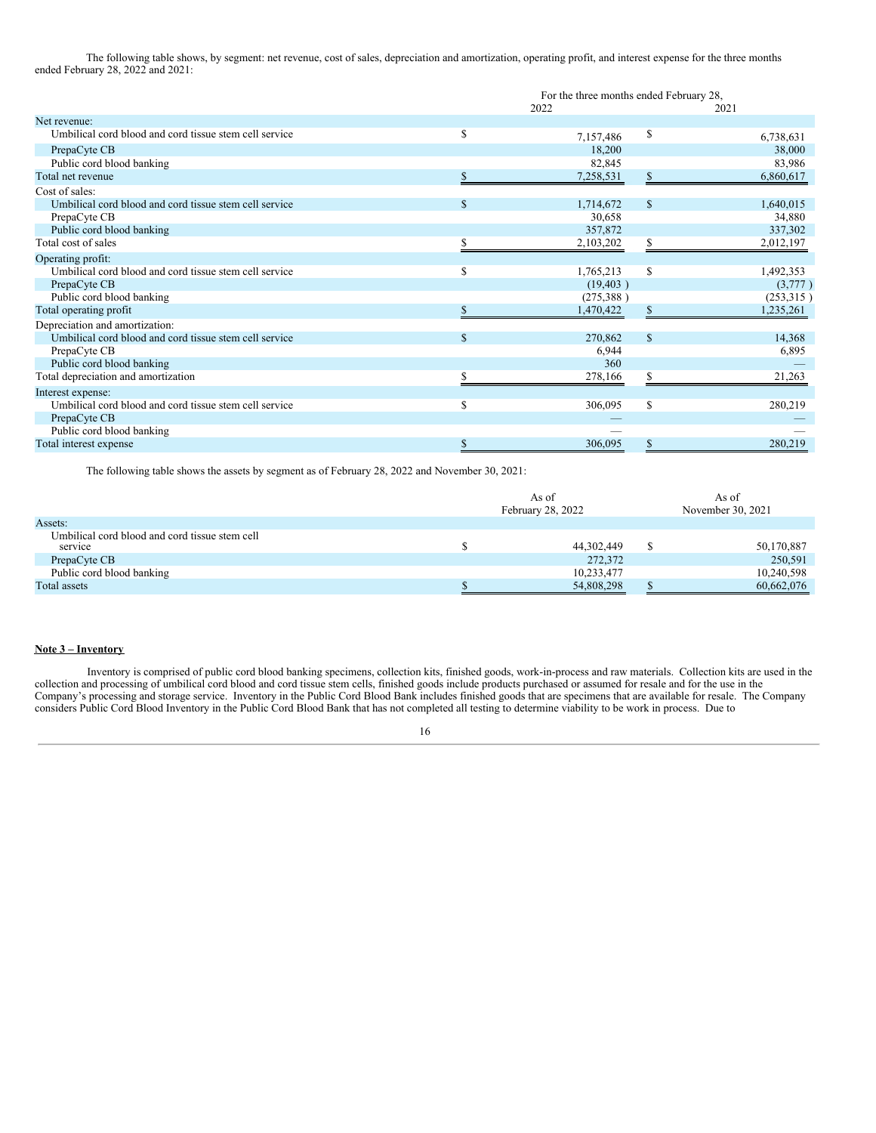The following table shows, by segment: net revenue, cost of sales, depreciation and amortization, operating profit, and interest expense for the three months ended February 28, 2022 and 2021:

|                                                        | For the three months ended February 28, |           |              |           |  |
|--------------------------------------------------------|-----------------------------------------|-----------|--------------|-----------|--|
|                                                        |                                         | 2022      |              | 2021      |  |
| Net revenue:                                           |                                         |           |              |           |  |
| Umbilical cord blood and cord tissue stem cell service | S                                       | 7,157,486 | \$           | 6,738,631 |  |
| PrepaCyte CB                                           |                                         | 18,200    |              | 38,000    |  |
| Public cord blood banking                              |                                         | 82,845    |              | 83,986    |  |
| Total net revenue                                      |                                         | 7,258,531 | \$           | 6,860,617 |  |
| Cost of sales:                                         |                                         |           |              |           |  |
| Umbilical cord blood and cord tissue stem cell service | \$                                      | 1,714,672 | \$           | 1,640,015 |  |
| PrepaCyte CB                                           |                                         | 30,658    |              | 34,880    |  |
| Public cord blood banking                              |                                         | 357,872   |              | 337,302   |  |
| Total cost of sales                                    |                                         | 2,103,202 | \$           | 2,012,197 |  |
| Operating profit:                                      |                                         |           |              |           |  |
| Umbilical cord blood and cord tissue stem cell service | \$                                      | 1,765,213 | \$           | 1,492,353 |  |
| PrepaCyte CB                                           |                                         | (19, 403) |              | (3,777)   |  |
| Public cord blood banking                              |                                         | (275,388) |              | (253,315) |  |
| Total operating profit                                 |                                         | 1,470,422 |              | 1,235,261 |  |
| Depreciation and amortization:                         |                                         |           |              |           |  |
| Umbilical cord blood and cord tissue stem cell service | \$.                                     | 270,862   | $\mathbb{S}$ | 14,368    |  |
| PrepaCyte CB                                           |                                         | 6,944     |              | 6,895     |  |
| Public cord blood banking                              |                                         | 360       |              |           |  |
| Total depreciation and amortization                    |                                         | 278,166   |              | 21,263    |  |
| Interest expense:                                      |                                         |           |              |           |  |
| Umbilical cord blood and cord tissue stem cell service | S                                       | 306,095   | \$           | 280,219   |  |
| PrepaCyte CB                                           |                                         |           |              |           |  |
| Public cord blood banking                              |                                         |           |              |           |  |
| Total interest expense                                 |                                         | 306,095   |              | 280,219   |  |

The following table shows the assets by segment as of February 28, 2022 and November 30, 2021:

|                                                           | As of<br>February 28, 2022 | As of<br>November 30, 2021 |
|-----------------------------------------------------------|----------------------------|----------------------------|
| Assets:                                                   |                            |                            |
| Umbilical cord blood and cord tissue stem cell<br>service | 44,302,449                 | 50,170,887                 |
| PrepaCyte CB                                              | 272,372                    | 250,591                    |
| Public cord blood banking                                 | 10,233,477                 | 10,240,598                 |
| Total assets                                              | 54,808,298                 | 60,662,076                 |

# **Note 3 – Inventory**

Inventory is comprised of public cord blood banking specimens, collection kits, finished goods, work-in-process and raw materials. Collection kits are used in the collection and processing of umbilical cord blood and cord tissue stem cells, finished goods include products purchased or assumed for resale and for the use in the Company's processing and storage service. Inventory in the Public Cord Blood Bank includes finished goods that are specimens that are available for resale. The Company considers Public Cord Blood Inventory in the Public Cord Blood Bank that has not completed all testing to determine viability to be work in process. Due to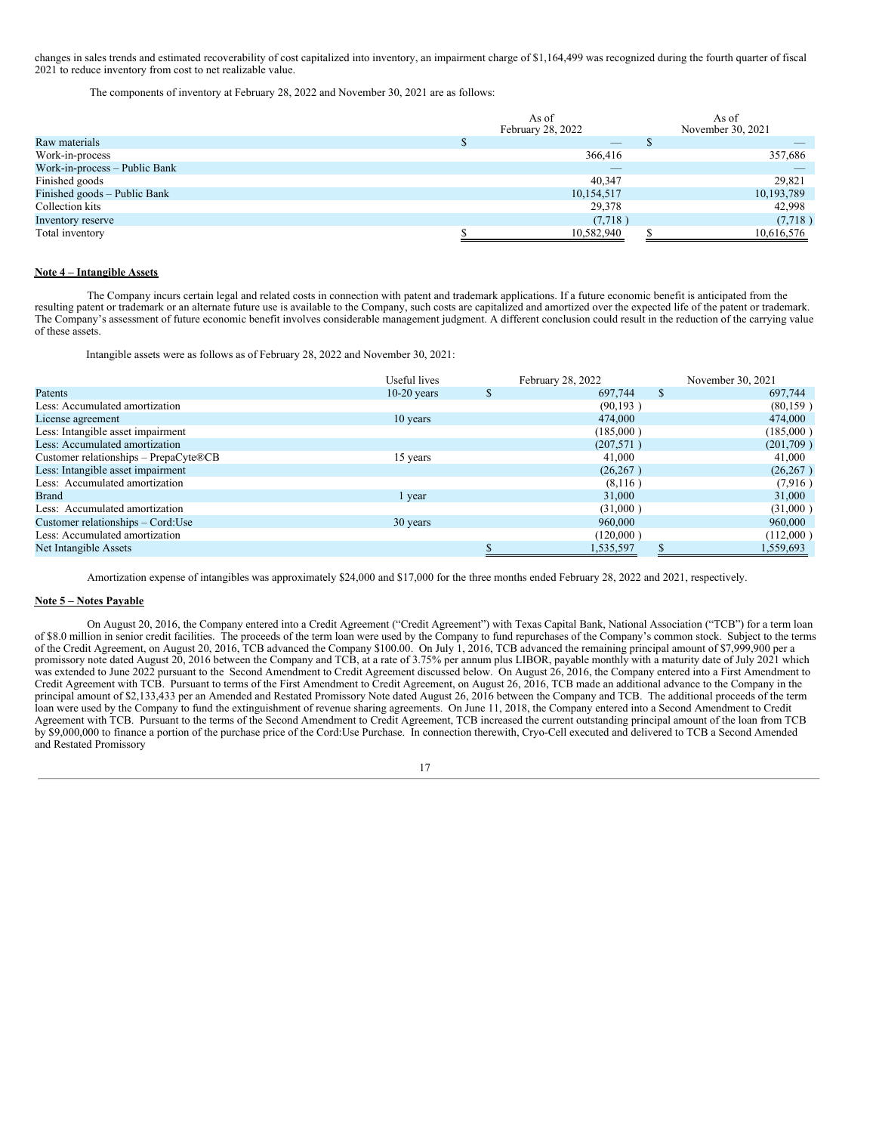changes in sales trends and estimated recoverability of cost capitalized into inventory, an impairment charge of \$1,164,499 was recognized during the fourth quarter of fiscal 2021 to reduce inventory from cost to net realizable value.

The components of inventory at February 28, 2022 and November 30, 2021 are as follows:

|                               | As of<br>February 28, 2022 | As of<br>November 30, 2021 |
|-------------------------------|----------------------------|----------------------------|
| Raw materials                 | $\overline{\phantom{a}}$   |                            |
| Work-in-process               | 366,416                    | 357,686                    |
| Work-in-process – Public Bank |                            |                            |
| Finished goods                | 40.347                     | 29.821                     |
| Finished goods – Public Bank  | 10,154,517                 | 10,193,789                 |
| Collection kits               | 29.378                     | 42,998                     |
| Inventory reserve             | (7,718)                    | (7,718)                    |
| Total inventory               | 10,582,940                 | 10,616,576                 |

# **Note 4 – Intangible Assets**

The Company incurs certain legal and related costs in connection with patent and trademark applications. If a future economic benefit is anticipated from the resulting patent or trademark or an alternate future use is available to the Company, such costs are capitalized and amortized over the expected life of the patent or trademark. The Company's assessment of future economic benefit involves considerable management judgment. A different conclusion could result in the reduction of the carrying value of these assets.

Intangible assets were as follows as of February 28, 2022 and November 30, 2021:

|                                       | Useful lives  |   | February 28, 2022 | November 30, 2021 |
|---------------------------------------|---------------|---|-------------------|-------------------|
| Patents                               | $10-20$ years | ъ | 697.744           | 697,744<br>S      |
| Less: Accumulated amortization        |               |   | (90, 193)         | (80, 159)         |
| License agreement                     | 10 years      |   | 474,000           | 474,000           |
| Less: Intangible asset impairment     |               |   | (185,000)         | (185,000)         |
| Less: Accumulated amortization        |               |   | (207, 571)        | (201,709)         |
| Customer relationships - PrepaCyte®CB | 15 years      |   | 41,000            | 41,000            |
| Less: Intangible asset impairment     |               |   | (26, 267)         | (26, 267)         |
| Less: Accumulated amortization        |               |   | (8,116)           | (7,916)           |
| <b>Brand</b>                          | 1 year        |   | 31,000            | 31,000            |
| Less: Accumulated amortization        |               |   | (31,000)          | (31,000)          |
| Customer relationships – Cord: Use    | 30 years      |   | 960,000           | 960,000           |
| Less: Accumulated amortization        |               |   | (120,000)         | (112,000)         |
| Net Intangible Assets                 |               |   | 1,535,597         | 1,559,693         |

Amortization expense of intangibles was approximately \$24,000 and \$17,000 for the three months ended February 28, 2022 and 2021, respectively.

### **Note 5 – Notes Payable**

On August 20, 2016, the Company entered into a Credit Agreement ("Credit Agreement") with Texas Capital Bank, National Association ("TCB") for a term loan of \$8.0 million in senior credit facilities. The proceeds of the term loan were used by the Company to fund repurchases of the Company's common stock. Subject to the terms of the Credit Agreement, on August 20, 2016, TCB advanced the Company \$100.00. On July 1, 2016, TCB advanced the remaining principal amount of \$7,999,900 per a promissory note dated August 20, 2016 between the Company and TCB, at a rate of 3.75% per annum plus LIBOR, payable monthly with a maturity date of July 2021 which was extended to June 2022 pursuant to the Second Amendment to Credit Agreement discussed below. On August 26, 2016, the Company entered into a First Amendment to Credit Agreement with TCB. Pursuant to terms of the First Amendment to Credit Agreement, on August 26, 2016, TCB made an additional advance to the Company in the principal amount of \$2,133,433 per an Amended and Restated Promissory Note dated August 26, 2016 between the Company and TCB. The additional proceeds of the term loan were used by the Company to fund the extinguishment of revenue sharing agreements. On June 11, 2018, the Company entered into a Second Amendment to Credit Agreement with TCB. Pursuant to the terms of the Second Amendment to Credit Agreement, TCB increased the current outstanding principal amount of the loan from TCB by \$9,000,000 to finance a portion of the purchase price of the Cord:Use Purchase. In connection therewith, Cryo-Cell executed and delivered to TCB a Second Amended and Restated Promissory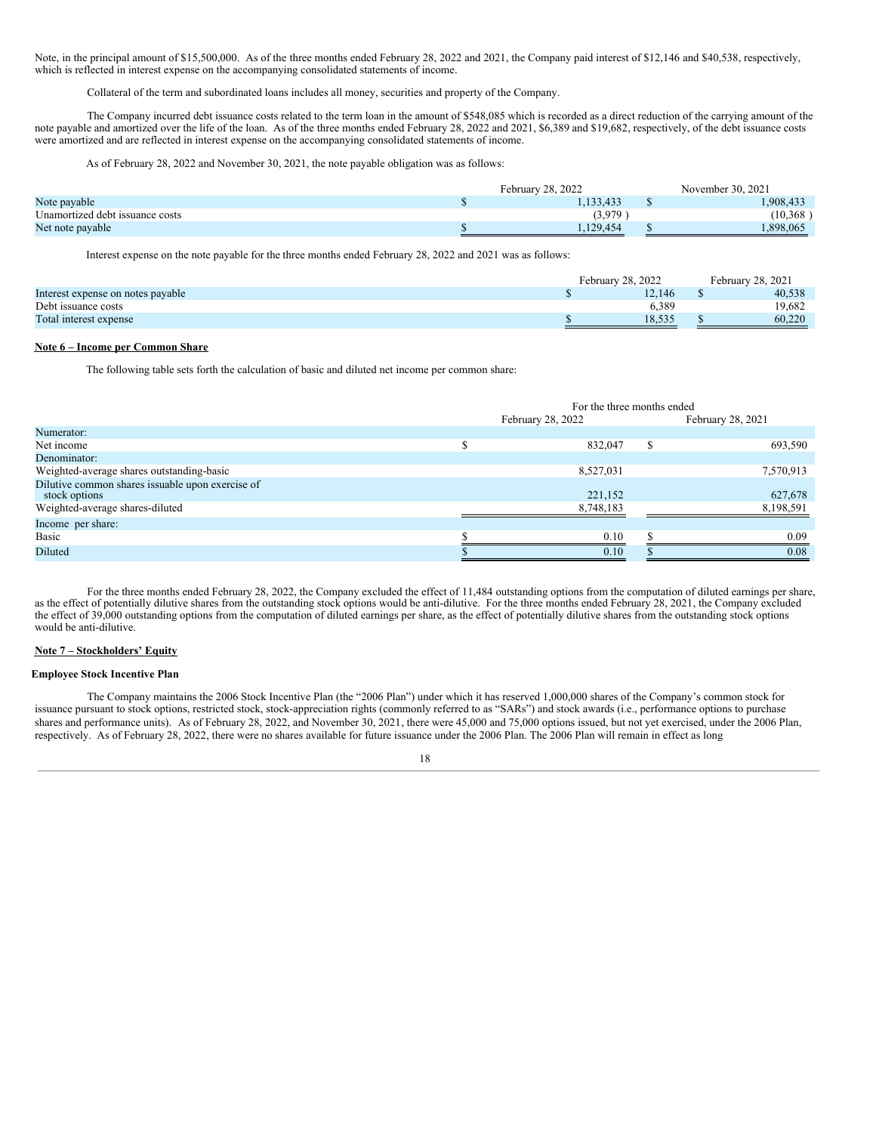Note, in the principal amount of \$15,500,000. As of the three months ended February 28, 2022 and 2021, the Company paid interest of \$12,146 and \$40,538, respectively, which is reflected in interest expense on the accompanying consolidated statements of income.

Collateral of the term and subordinated loans includes all money, securities and property of the Company.

The Company incurred debt issuance costs related to the term loan in the amount of \$548,085 which is recorded as a direct reduction of the carrying amount of the note payable and amortized over the life of the loan. As of the three months ended February 28, 2022 and 2021, \$6,389 and \$19,682, respectively, of the debt issuance costs were amortized and are reflected in interest expense on the accompanying consolidated statements of income.

As of February 28, 2022 and November 30, 2021, the note payable obligation was as follows:

|                                 | February 28, 2022 |           |  | November 30, 2021 |
|---------------------------------|-------------------|-----------|--|-------------------|
| Note payable                    |                   | 1.133.433 |  | .908.433          |
| Unamortized debt issuance costs |                   | (3,979)   |  | (10, 368)         |
| Net note payable                |                   | .129.454  |  | .898.065          |

Interest expense on the note payable for the three months ended February 28, 2022 and 2021 was as follows:

|                                   | February 28, 2022 | February 28, 2021 |
|-----------------------------------|-------------------|-------------------|
| Interest expense on notes payable | 12.146            | 40.538            |
| Debt issuance costs               | 0.389             | 19,682            |
| Total interest expense            | 18.535            | 60.220            |

# **Note 6 – Income per Common Share**

The following table sets forth the calculation of basic and diluted net income per common share:

|                                                                   | For the three months ended |                   |    |                   |  |
|-------------------------------------------------------------------|----------------------------|-------------------|----|-------------------|--|
|                                                                   |                            | February 28, 2022 |    | February 28, 2021 |  |
| Numerator:                                                        |                            |                   |    |                   |  |
| Net income                                                        |                            | 832,047           | £. | 693,590           |  |
| Denominator:                                                      |                            |                   |    |                   |  |
| Weighted-average shares outstanding-basic                         |                            | 8,527,031         |    | 7,570,913         |  |
| Dilutive common shares issuable upon exercise of<br>stock options |                            | 221,152           |    | 627,678           |  |
| Weighted-average shares-diluted                                   |                            | 8,748,183         |    | 8,198,591         |  |
| Income per share:                                                 |                            |                   |    |                   |  |
| Basic                                                             |                            | 0.10              |    | 0.09              |  |
| Diluted                                                           |                            | 0.10              |    | 0.08              |  |

For the three months ended February 28, 2022, the Company excluded the effect of 11,484 outstanding options from the computation of diluted earnings per share, as the effect of potentially dilutive shares from the outstanding stock options would be anti-dilutive. For the three months ended February 28, 2021, the Company excluded the effect of 39,000 outstanding options from the computation of diluted earnings per share, as the effect of potentially dilutive shares from the outstanding stock options would be anti-dilutive.

# **Note 7 – Stockholders' Equity**

# **Employee Stock Incentive Plan**

The Company maintains the 2006 Stock Incentive Plan (the "2006 Plan") under which it has reserved 1,000,000 shares of the Company's common stock for issuance pursuant to stock options, restricted stock, stock-appreciation rights (commonly referred to as "SARs") and stock awards (i.e., performance options to purchase shares and performance units). As of February 28, 2022, and November 30, 2021, there were 45,000 and 75,000 options issued, but not yet exercised, under the 2006 Plan, respectively. As of February 28, 2022, there were no shares available for future issuance under the 2006 Plan. The 2006 Plan will remain in effect as long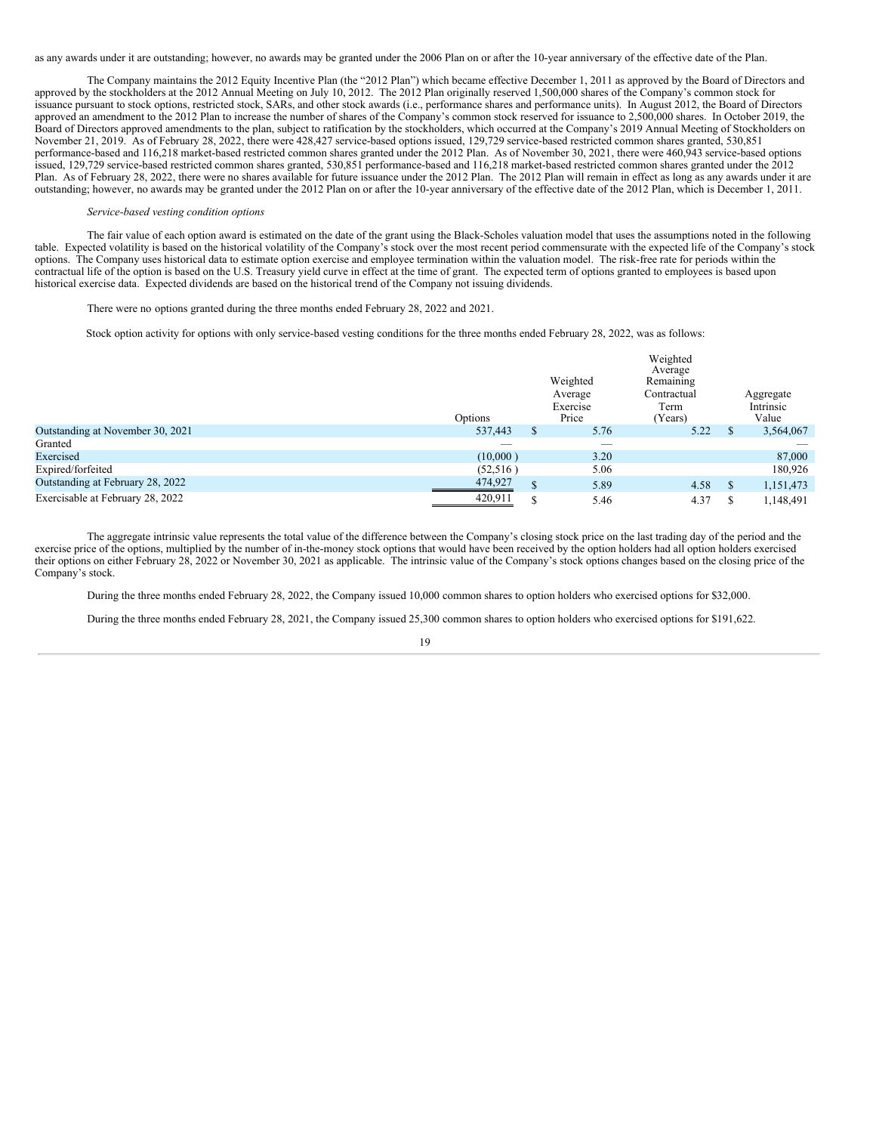as any awards under it are outstanding; however, no awards may be granted under the 2006 Plan on or after the 10-year anniversary of the effective date of the Plan.

The Company maintains the 2012 Equity Incentive Plan (the "2012 Plan") which became effective December 1, 2011 as approved by the Board of Directors and approved by the stockholders at the 2012 Annual Meeting on July 10, 2012. The 2012 Plan originally reserved 1,500,000 shares of the Company's common stock for issuance pursuant to stock options, restricted stock, SARs, and other stock awards (i.e., performance shares and performance units). In August 2012, the Board of Directors approved an amendment to the 2012 Plan to increase the number of shares of the Company's common stock reserved for issuance to 2,500,000 shares. In October 2019, the Board of Directors approved amendments to the plan, subject to ratification by the stockholders, which occurred at the Company's 2019 Annual Meeting of Stockholders on November 21, 2019. As of February 28, 2022, there were 428,427 service-based options issued, 129,729 service-based restricted common shares granted, 530,851 performance-based and 116,218 market-based restricted common shares granted under the 2012 Plan. As of November 30, 2021, there were 460,943 service-based options issued, 129,729 service-based restricted common shares granted, 530,851 performance-based and 116,218 market-based restricted common shares granted under the 2012 Plan. As of February 28, 2022, there were no shares available for future issuance under the 2012 Plan. The 2012 Plan will remain in effect as long as any awards under it are outstanding; however, no awards may be granted under the 2012 Plan on or after the 10-year anniversary of the effective date of the 2012 Plan, which is December 1, 2011.

# *Service-based vesting condition options*

The fair value of each option award is estimated on the date of the grant using the Black-Scholes valuation model that uses the assumptions noted in the following table. Expected volatility is based on the historical volatility of the Company's stock over the most recent period commensurate with the expected life of the Company's stock options. The Company uses historical data to estimate option exercise and employee termination within the valuation model. The risk-free rate for periods within the contractual life of the option is based on the U.S. Treasury yield curve in effect at the time of grant. The expected term of options granted to employees is based upon historical exercise data. Expected dividends are based on the historical trend of the Company not issuing dividends.

There were no options granted during the three months ended February 28, 2022 and 2021.

Stock option activity for options with only service-based vesting conditions for the three months ended February 28, 2022, was as follows:

|                                  | Options   |   | Weighted<br>Average<br>Exercise<br>Price | Weighted<br>Average<br>Remaining<br>Contractual<br>Term<br>(Years) |     | Aggregate<br>Intrinsic<br>Value |
|----------------------------------|-----------|---|------------------------------------------|--------------------------------------------------------------------|-----|---------------------------------|
| Outstanding at November 30, 2021 | 537,443   | S | 5.76                                     | 5.22                                                               |     | 3,564,067                       |
| Granted                          |           |   | $-$                                      |                                                                    |     |                                 |
| Exercised                        | (10,000)  |   | 3.20                                     |                                                                    |     | 87,000                          |
| Expired/forfeited                | (52, 516) |   | 5.06                                     |                                                                    |     | 180,926                         |
| Outstanding at February 28, 2022 | 474,927   | S | 5.89                                     | 4.58                                                               | - S | 1,151,473                       |
| Exercisable at February 28, 2022 | 420,911   |   | 5.46                                     | 4.37                                                               |     | 1,148,491                       |

The aggregate intrinsic value represents the total value of the difference between the Company's closing stock price on the last trading day of the period and the exercise price of the options, multiplied by the number of in-the-money stock options that would have been received by the option holders had all option holders exercised their options on either February 28, 2022 or November 30, 2021 as applicable. The intrinsic value of the Company's stock options changes based on the closing price of the Company's stock.

During the three months ended February 28, 2022, the Company issued 10,000 common shares to option holders who exercised options for \$32,000.

During the three months ended February 28, 2021, the Company issued 25,300 common shares to option holders who exercised options for \$191,622.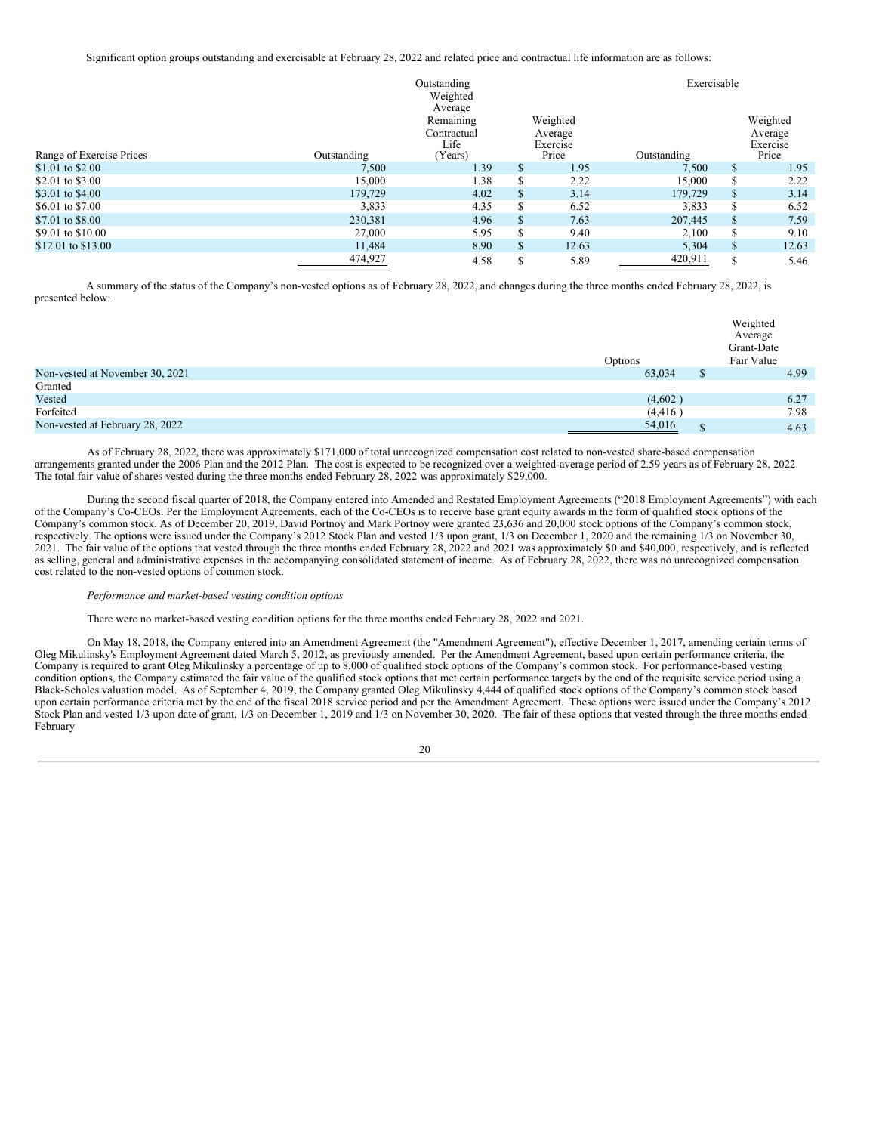Significant option groups outstanding and exercisable at February 28, 2022 and related price and contractual life information are as follows:

|                          |             | Outstanding<br>Weighted<br>Average         |     |                                          | Exercisable |   |                                          |
|--------------------------|-------------|--------------------------------------------|-----|------------------------------------------|-------------|---|------------------------------------------|
| Range of Exercise Prices | Outstanding | Remaining<br>Contractual<br>Life<br>Years) |     | Weighted<br>Average<br>Exercise<br>Price | Outstanding |   | Weighted<br>Average<br>Exercise<br>Price |
| \$1.01 to \$2.00         | 7,500       | 1.39                                       | \$. | 1.95                                     | 7,500       | S | 1.95                                     |
| \$2.01 to \$3.00         | 15,000      | 1.38                                       | S   | 2.22                                     | 15,000      | S | 2.22                                     |
| \$3.01 to \$4.00         | 179,729     | 4.02                                       | \$. | 3.14                                     | 179,729     | S | 3.14                                     |
| \$6.01 to \$7.00         | 3,833       | 4.35                                       | S   | 6.52                                     | 3,833       | S | 6.52                                     |
| \$7.01 to \$8.00         | 230,381     | 4.96                                       | \$. | 7.63                                     | 207,445     | S | 7.59                                     |
| \$9.01 to \$10.00        | 27,000      | 5.95                                       | S   | 9.40                                     | 2,100       | S | 9.10                                     |
| \$12.01 to \$13.00       | 11.484      | 8.90                                       | \$. | 12.63                                    | 5,304       | S | 12.63                                    |
|                          | 474,927     | 4.58                                       | S   | 5.89                                     | 420,911     | S | 5.46                                     |

A summary of the status of the Company's non-vested options as of February 28, 2022, and changes during the three months ended February 28, 2022, is presented below:

|                                 | Options                  | Weighted<br>Average<br>Grant-Date<br>Fair Value |
|---------------------------------|--------------------------|-------------------------------------------------|
| Non-vested at November 30, 2021 | 63,034                   | 4.99                                            |
| Granted                         | $\overline{\phantom{a}}$ | $\hspace{0.1mm}-\hspace{0.1mm}$                 |
| Vested                          | (4,602)                  | 6.27                                            |
| Forfeited                       | (4, 416)                 | 7.98                                            |
| Non-vested at February 28, 2022 | 54,016                   | 4.63                                            |

As of February 28, 2022, there was approximately \$171,000 of total unrecognized compensation cost related to non-vested share-based compensation arrangements granted under the 2006 Plan and the 2012 Plan. The cost is expected to be recognized over a weighted-average period of 2.59 years as of February 28, 2022. The total fair value of shares vested during the three months ended February 28, 2022 was approximately \$29,000.

During the second fiscal quarter of 2018, the Company entered into Amended and Restated Employment Agreements ("2018 Employment Agreements") with each of the Company's Co-CEOs. Per the Employment Agreements, each of the Co-CEOs is to receive base grant equity awards in the form of qualified stock options of the Company's common stock. As of December 20, 2019, David Portnoy and Mark Portnoy were granted 23,636 and 20,000 stock options of the Company's common stock, respectively. The options were issued under the Company's 2012 Stock Plan and vested 1/3 upon grant, 1/3 on December 1, 2020 and the remaining 1/3 on November 30, 2021. The fair value of the options that vested through the three months ended February 28, 2022 and 2021 was approximately \$0 and \$40,000, respectively, and is reflected as selling, general and administrative expenses in the accompanying consolidated statement of income. As of February 28, 2022, there was no unrecognized compensation cost related to the non-vested options of common stock.

# *Performance and market-based vesting condition options*

There were no market-based vesting condition options for the three months ended February 28, 2022 and 2021.

On May 18, 2018, the Company entered into an Amendment Agreement (the "Amendment Agreement"), effective December 1, 2017, amending certain terms of Oleg Mikulinsky's Employment Agreement dated March 5, 2012, as previously amended. Per the Amendment Agreement, based upon certain performance criteria, the Company is required to grant Oleg Mikulinsky a percentage of up to 8,000 of qualified stock options of the Company's common stock. For performance-based vesting condition options, the Company estimated the fair value of the qualified stock options that met certain performance targets by the end of the requisite service period using a Black-Scholes valuation model. As of September 4, 2019, the Company granted Oleg Mikulinsky 4,444 of qualified stock options of the Company's common stock based upon certain performance criteria met by the end of the fiscal 2018 service period and per the Amendment Agreement. These options were issued under the Company's 2012 Stock Plan and vested 1/3 upon date of grant, 1/3 on December 1, 2019 and 1/3 on November 30, 2020. The fair of these options that vested through the three months ended February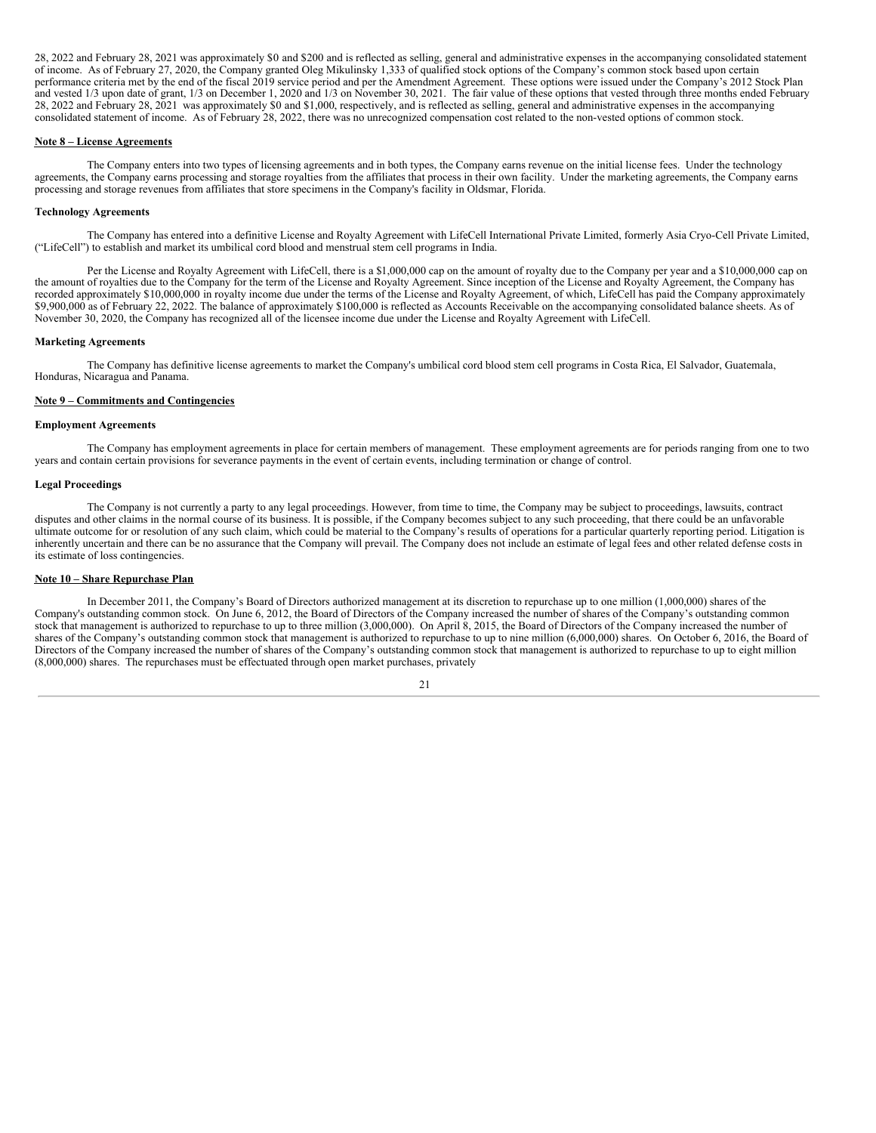28, 2022 and February 28, 2021 was approximately \$0 and \$200 and is reflected as selling, general and administrative expenses in the accompanying consolidated statement of income. As of February 27, 2020, the Company granted Oleg Mikulinsky 1,333 of qualified stock options of the Company's common stock based upon certain performance criteria met by the end of the fiscal 2019 service period and per the Amendment Agreement. These options were issued under the Company's 2012 Stock Plan and vested 1/3 upon date of grant, 1/3 on December 1, 2020 and 1/3 on November 30, 2021. The fair value of these options that vested through three months ended February 28, 2022 and February 28, 2021 was approximately \$0 and \$1,000, respectively, and is reflected as selling, general and administrative expenses in the accompanying consolidated statement of income. As of February 28, 2022, there was no unrecognized compensation cost related to the non-vested options of common stock.

### **Note 8 – License Agreements**

The Company enters into two types of licensing agreements and in both types, the Company earns revenue on the initial license fees. Under the technology agreements, the Company earns processing and storage royalties from the affiliates that process in their own facility. Under the marketing agreements, the Company earns processing and storage revenues from affiliates that store specimens in the Company's facility in Oldsmar, Florida.

#### **Technology Agreements**

The Company has entered into a definitive License and Royalty Agreement with LifeCell International Private Limited, formerly Asia Cryo-Cell Private Limited, ("LifeCell") to establish and market its umbilical cord blood and menstrual stem cell programs in India.

Per the License and Royalty Agreement with LifeCell, there is a \$1,000,000 cap on the amount of royalty due to the Company per year and a \$10,000,000 cap on the amount of royalties due to the Company for the term of the License and Royalty Agreement. Since inception of the License and Royalty Agreement, the Company has recorded approximately \$10,000,000 in royalty income due under the terms of the License and Royalty Agreement, of which, LifeCell has paid the Company approximately \$9,900,000 as of February 22, 2022. The balance of approximately \$100,000 is reflected as Accounts Receivable on the accompanying consolidated balance sheets. As of November 30, 2020, the Company has recognized all of the licensee income due under the License and Royalty Agreement with LifeCell.

#### **Marketing Agreements**

The Company has definitive license agreements to market the Company's umbilical cord blood stem cell programs in Costa Rica, El Salvador, Guatemala, Honduras, Nicaragua and Panama.

# **Note 9 – Commitments and Contingencies**

### **Employment Agreements**

The Company has employment agreements in place for certain members of management. These employment agreements are for periods ranging from one to two years and contain certain provisions for severance payments in the event of certain events, including termination or change of control.

#### **Legal Proceedings**

The Company is not currently a party to any legal proceedings. However, from time to time, the Company may be subject to proceedings, lawsuits, contract disputes and other claims in the normal course of its business. It is possible, if the Company becomes subject to any such proceeding, that there could be an unfavorable ultimate outcome for or resolution of any such claim, which could be material to the Company's results of operations for a particular quarterly reporting period. Litigation is inherently uncertain and there can be no assurance that the Company will prevail. The Company does not include an estimate of legal fees and other related defense costs in its estimate of loss contingencies.

### **Note 10 – Share Repurchase Plan**

In December 2011, the Company's Board of Directors authorized management at its discretion to repurchase up to one million (1,000,000) shares of the Company's outstanding common stock. On June 6, 2012, the Board of Directors of the Company increased the number of shares of the Company's outstanding common stock that management is authorized to repurchase to up to three million (3,000,000). On April 8, 2015, the Board of Directors of the Company increased the number of shares of the Company's outstanding common stock that management is authorized to repurchase to up to nine million (6,000,000) shares. On October 6, 2016, the Board of Directors of the Company increased the number of shares of the Company's outstanding common stock that management is authorized to repurchase to up to eight million (8,000,000) shares. The repurchases must be effectuated through open market purchases, privately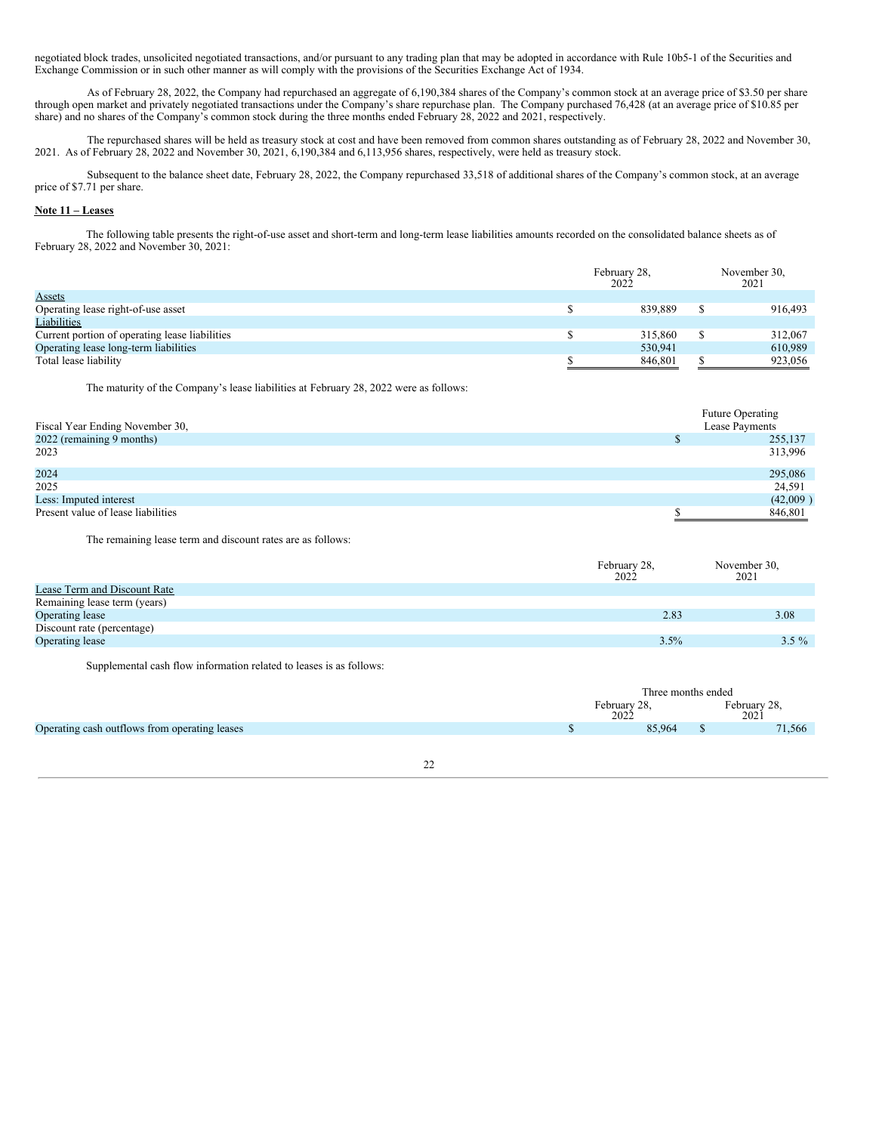negotiated block trades, unsolicited negotiated transactions, and/or pursuant to any trading plan that may be adopted in accordance with Rule 10b5-1 of the Securities and Exchange Commission or in such other manner as will comply with the provisions of the Securities Exchange Act of 1934.

As of February 28, 2022, the Company had repurchased an aggregate of 6,190,384 shares of the Company's common stock at an average price of \$3.50 per share through open market and privately negotiated transactions under the Company's share repurchase plan. The Company purchased 76,428 (at an average price of \$10.85 per share) and no shares of the Company's common stock during the three months ended February 28, 2022 and 2021, respectively.

The repurchased shares will be held as treasury stock at cost and have been removed from common shares outstanding as of February 28, 2022 and November 30, 2021. As of February 28, 2022 and November 30, 2021, 6,190,384 and 6,113,956 shares, respectively, were held as treasury stock.

Subsequent to the balance sheet date, February 28, 2022, the Company repurchased 33,518 of additional shares of the Company's common stock, at an average price of \$7.71 per share.

# **Note 11 – Leases**

The following table presents the right-of-use asset and short-term and long-term lease liabilities amounts recorded on the consolidated balance sheets as of February 28, 2022 and November 30, 2021:

|                                                | February 28,<br>2022 | November 30,<br>2021 |
|------------------------------------------------|----------------------|----------------------|
| Assets                                         |                      |                      |
| Operating lease right-of-use asset             | 839.889              | 916,493              |
| Liabilities                                    |                      |                      |
| Current portion of operating lease liabilities | 315,860              | 312,067              |
| Operating lease long-term liabilities          | 530,941              | 610,989              |
| Total lease liability                          | 846,801              | 923,056              |

The maturity of the Company's lease liabilities at February 28, 2022 were as follows:

|                                    |                | <b>Future Operating</b> |
|------------------------------------|----------------|-------------------------|
| Fiscal Year Ending November 30,    | Lease Payments |                         |
| 2022 (remaining 9 months)          |                | 255,137                 |
| 2023                               |                | 313,996                 |
|                                    |                |                         |
| 2024                               |                | 295,086                 |
| 2025                               |                | 24,591                  |
| Less: Imputed interest             |                | (42,009)                |
| Present value of lease liabilities |                | 846,801                 |

The remaining lease term and discount rates are as follows:

|                              | February 28,<br>2022 | November 30,<br>2021 |
|------------------------------|----------------------|----------------------|
| Lease Term and Discount Rate |                      |                      |
| Remaining lease term (years) |                      |                      |
| Operating lease              | 2.83                 | 3.08                 |
| Discount rate (percentage)   |                      |                      |
| Operating lease              | $3.5\%$              | $3.5\%$              |
|                              |                      |                      |

Supplemental cash flow information related to leases is as follows:

|                                               | Three months ended   |  |                      |
|-----------------------------------------------|----------------------|--|----------------------|
|                                               | February 28,<br>2022 |  | February 28,<br>2021 |
| Operating cash outflows from operating leases | 85.964               |  | 71.566               |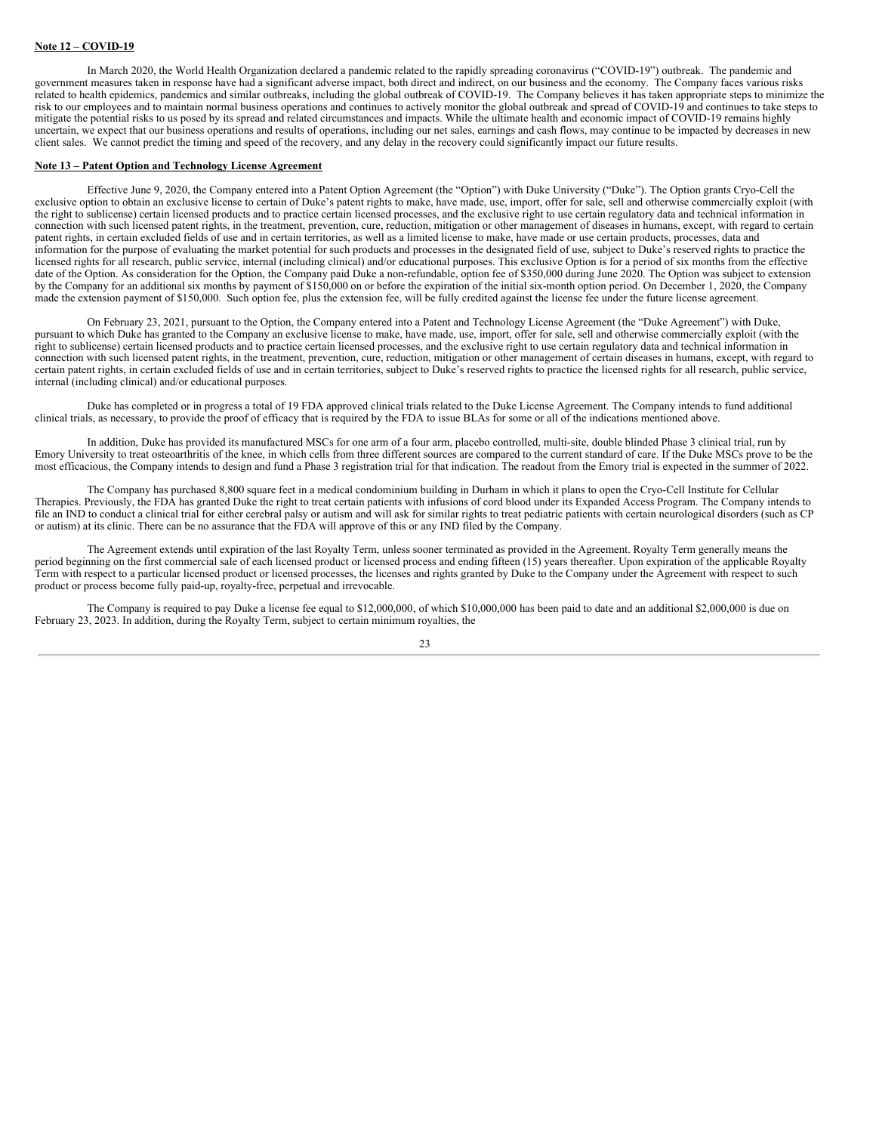# **Note 12 – COVID-19**

In March 2020, the World Health Organization declared a pandemic related to the rapidly spreading coronavirus ("COVID-19") outbreak. The pandemic and government measures taken in response have had a significant adverse impact, both direct and indirect, on our business and the economy. The Company faces various risks related to health epidemics, pandemics and similar outbreaks, including the global outbreak of COVID-19. The Company believes it has taken appropriate steps to minimize the risk to our employees and to maintain normal business operations and continues to actively monitor the global outbreak and spread of COVID-19 and continues to take steps to matic our process and related circumstances and impacts. While the ultimate health and economic impact of COVID-19 remains highly<br>mitigate the potential risks to us posed by its spread and related circumstances and impacts uncertain, we expect that our business operations and results of operations, including our net sales, earnings and cash flows, may continue to be impacted by decreases in new client sales. We cannot predict the timing and speed of the recovery, and any delay in the recovery could significantly impact our future results.

# **Note 13 – Patent Option and Technology License Agreement**

Effective June 9, 2020, the Company entered into a Patent Option Agreement (the "Option") with Duke University ("Duke"). The Option grants Cryo-Cell the exclusive option to obtain an exclusive license to certain of Duke's patent rights to make, have made, use, import, offer for sale, sell and otherwise commercially exploit (with the right to sublicense) certain licensed products and to practice certain licensed processes, and the exclusive right to use certain regulatory data and technical information in connection with such licensed patent rights, in the treatment, prevention, cure, reduction, mitigation or other management of diseases in humans, except, with regard to certain patent rights, in certain excluded fields of use and in certain territories, as well as a limited license to make, have made or use certain products, processes, data and information for the purpose of evaluating the market potential for such products and processes in the designated field of use, subject to Duke's reserved rights to practice the licensed rights for all research, public service, internal (including clinical) and/or educational purposes. This exclusive Option is for a period of six months from the effective date of the Option. As consideration for the Option, the Company paid Duke a non-refundable, option fee of \$350,000 during June 2020. The Option was subject to extension by the Company for an additional six months by payment of \$150,000 on or before the expiration of the initial six-month option period. On December 1, 2020, the Company made the extension payment of \$150,000. Such option fee, plus the extension fee, will be fully credited against the license fee under the future license agreement.

On February 23, 2021, pursuant to the Option, the Company entered into a Patent and Technology License Agreement (the "Duke Agreement") with Duke, pursuant to which Duke has granted to the Company an exclusive license to make, have made, use, import, offer for sale, sell and otherwise commercially exploit (with the right to sublicense) certain licensed products and to practice certain licensed processes, and the exclusive right to use certain regulatory data and technical information in connection with such licensed patent rights, in the treatment, prevention, cure, reduction, mitigation or other management of certain diseases in humans, except, with regard to certain patent rights, in certain excluded fields of use and in certain territories, subject to Duke's reserved rights to practice the licensed rights for all research, public service, internal (including clinical) and/or educational purposes.

Duke has completed or in progress a total of 19 FDA approved clinical trials related to the Duke License Agreement. The Company intends to fund additional clinical trials, as necessary, to provide the proof of efficacy that is required by the FDA to issue BLAs for some or all of the indications mentioned above.

In addition, Duke has provided its manufactured MSCs for one arm of a four arm, placebo controlled, multi-site, double blinded Phase 3 clinical trial, run by Emory University to treat osteoarthritis of the knee, in which cells from three different sources are compared to the current standard of care. If the Duke MSCs prove to be the most efficacious, the Company intends to design and fund a Phase 3 registration trial for that indication. The readout from the Emory trial is expected in the summer of 2022.

The Company has purchased 8,800 square feet in a medical condominium building in Durham in which it plans to open the Cryo-Cell Institute for Cellular Therapies. Previously, the FDA has granted Duke the right to treat certain patients with infusions of cord blood under its Expanded Access Program. The Company intends to file an IND to conduct a clinical trial for either cerebral palsy or autism and will ask for similar rights to treat pediatric patients with certain neurological disorders (such as CP or autism) at its clinic. There can be no assurance that the FDA will approve of this or any IND filed by the Company.

The Agreement extends until expiration of the last Royalty Term, unless sooner terminated as provided in the Agreement. Royalty Term generally means the period beginning on the first commercial sale of each licensed product or licensed process and ending fifteen (15) years thereafter. Upon expiration of the applicable Royalty Term with respect to a particular licensed product or licensed processes, the licenses and rights granted by Duke to the Company under the Agreement with respect to such product or process become fully paid-up, royalty-free, perpetual and irrevocable.

The Company is required to pay Duke a license fee equal to \$12,000,000, of which \$10,000,000 has been paid to date and an additional \$2,000,000 is due on February 23, 2023. In addition, during the Royalty Term, subject to certain minimum royalties, the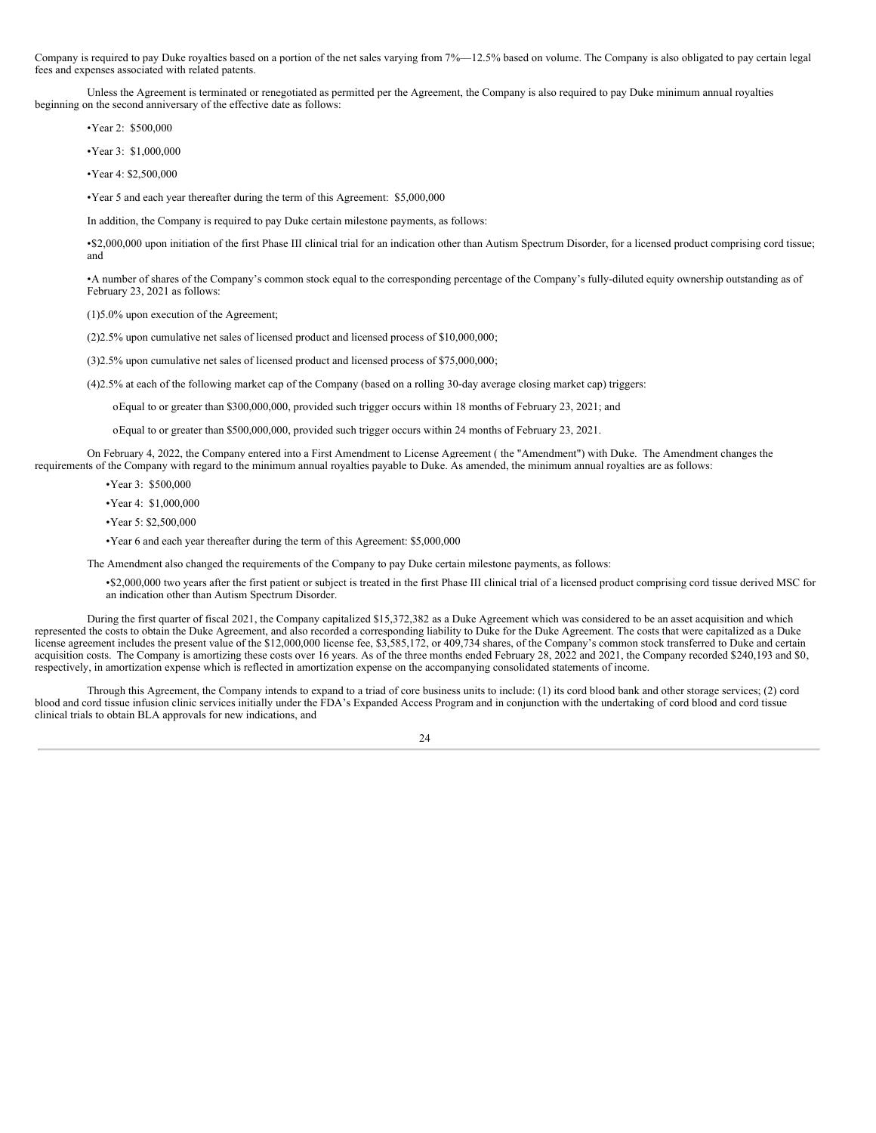Company is required to pay Duke royalties based on a portion of the net sales varying from 7%—12.5% based on volume. The Company is also obligated to pay certain legal fees and expenses associated with related patents.

Unless the Agreement is terminated or renegotiated as permitted per the Agreement, the Company is also required to pay Duke minimum annual royalties beginning on the second anniversary of the effective date as follows:

- •Year 2: \$500,000
- •Year 3: \$1,000,000
- •Year 4: \$2,500,000
- •Year 5 and each year thereafter during the term of this Agreement: \$5,000,000

In addition, the Company is required to pay Duke certain milestone payments, as follows:

•\$2,000,000 upon initiation of the first Phase III clinical trial for an indication other than Autism Spectrum Disorder, for a licensed product comprising cord tissue; and

•A number of shares of the Company's common stock equal to the corresponding percentage of the Company's fully-diluted equity ownership outstanding as of February 23, 2021 as follows:

(1)5.0% upon execution of the Agreement;

(2)2.5% upon cumulative net sales of licensed product and licensed process of \$10,000,000;

(3)2.5% upon cumulative net sales of licensed product and licensed process of \$75,000,000;

(4)2.5% at each of the following market cap of the Company (based on a rolling 30-day average closing market cap) triggers:

oEqual to or greater than \$300,000,000, provided such trigger occurs within 18 months of February 23, 2021; and

oEqual to or greater than \$500,000,000, provided such trigger occurs within 24 months of February 23, 2021.

On February 4, 2022, the Company entered into a First Amendment to License Agreement ( the "Amendment") with Duke. The Amendment changes the requirements of the Company with regard to the minimum annual royalties payable to Duke. As amended, the minimum annual royalties are as follows:

- •Year 3: \$500,000
- •Year 4: \$1,000,000
- •Year 5: \$2,500,000

•Year 6 and each year thereafter during the term of this Agreement: \$5,000,000

The Amendment also changed the requirements of the Company to pay Duke certain milestone payments, as follows:

•\$2,000,000 two years after the first patient or subject is treated in the first Phase III clinical trial of a licensed product comprising cord tissue derived MSC for an indication other than Autism Spectrum Disorder.

During the first quarter of fiscal 2021, the Company capitalized \$15,372,382 as a Duke Agreement which was considered to be an asset acquisition and which represented the costs to obtain the Duke Agreement, and also recorded a corresponding liability to Duke for the Duke Agreement. The costs that were capitalized as a Duke license agreement includes the present value of the \$12,000,000 license fee, \$3,585,172, or 409,734 shares, of the Company's common stock transferred to Duke and certain acquisition costs. The Company is amortizing these costs over 16 years. As of the three months ended February 28, 2022 and 2021, the Company recorded \$240,193 and \$0, accuracy of the three months ended February 28, 2022 a respectively, in amortization expense which is reflected in amortization expense on the accompanying consolidated statements of income.

Through this Agreement, the Company intends to expand to a triad of core business units to include: (1) its cord blood bank and other storage services; (2) cord blood and cord tissue infusion clinic services initially under the FDA's Expanded Access Program and in conjunction with the undertaking of cord blood and cord tissue clinical trials to obtain BLA approvals for new indications, and

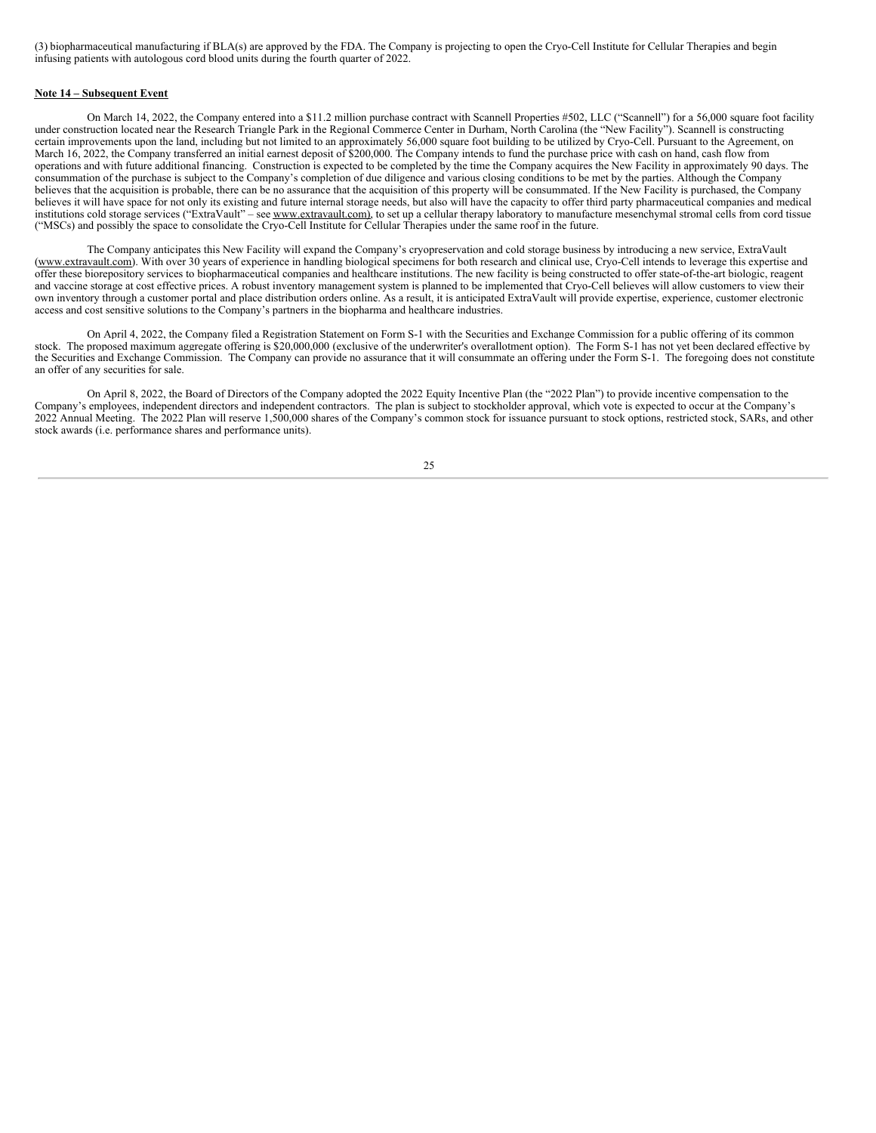(3) biopharmaceutical manufacturing if BLA(s) are approved by the FDA. The Company is projecting to open the Cryo-Cell Institute for Cellular Therapies and begin infusing patients with autologous cord blood units during the fourth quarter of 2022.

### **Note 14 – Subsequent Event**

On March 14, 2022, the Company entered into a \$11.2 million purchase contract with Scannell Properties #502, LLC ("Scannell") for a 56,000 square foot facility under construction located near the Research Triangle Park in the Regional Commerce Center in Durham, North Carolina (the "New Facility"). Scannell is constructing certain improvements upon the land, including but not limited to an approximately 56,000 square foot building to be utilized by Cryo-Cell. Pursuant to the Agreement, on March 16, 2022, the Company transferred an initial earnest deposit of \$200,000. The Company intends to fund the purchase price with cash on hand, cash flow from operations and with future additional financing. Construction is expected to be completed by the time the Company acquires the New Facility in approximately 90 days. The consummation of the purchase is subject to the Company's completion of due diligence and various closing conditions to be met by the parties. Although the Company believes that the acquisition is probable, there can be no assurance that the acquisition of this property will be consummated. If the New Facility is purchased, the Company believes it will have space for not only its existing and future internal storage needs, but also will have the capacity to offer third party pharmaceutical companies and medical institutions cold storage services ("ExtraVault" – see www.extravault.com), to set up a cellular therapy laboratory to manufacture mesenchymal stromal cells from cord tissue ("MSCs) and possibly the space to consolidate the Cryo-Cell Institute for Cellular Therapies under the same roof in the future.

The Company anticipates this New Facility will expand the Company's cryopreservation and cold storage business by introducing a new service, ExtraVault (www.extravault.com). With over 30 years of experience in handling biological specimens for both research and clinical use, Cryo-Cell intends to leverage this expertise and offer these biorepository services to biopharmaceutical companies and healthcare institutions. The new facility is being constructed to offer state-of-the-art biologic, reagent and vaccine storage at cost effective prices. A robust inventory management system is planned to be implemented that Cryo-Cell believes will allow customers to view their own inventory through a customer portal and place distribution orders online. As a result, it is anticipated ExtraVault will provide expertise, experience, customer electronic access and cost sensitive solutions to the Company's partners in the biopharma and healthcare industries.

On April 4, 2022, the Company filed a Registration Statement on Form S-1 with the Securities and Exchange Commission for a public offering of its common stock. The proposed maximum aggregate offering is \$20,000,000 (exclusive of the underwriter's overallotment option). The Form S-1 has not yet been declared effective by the Securities and Exchange Commission. The Company can provide no assurance that it will consummate an offering under the Form S-1. The foregoing does not constitute an offer of any securities for sale.

On April 8, 2022, the Board of Directors of the Company adopted the 2022 Equity Incentive Plan (the "2022 Plan") to provide incentive compensation to the Company's employees, independent directors and independent contractors. The plan is subject to stockholder approval, which vote is expected to occur at the Company's 2022 Annual Meeting. The 2022 Plan will reserve 1,500,000 shares of the Company's common stock for issuance pursuant to stock options, restricted stock, SARs, and other stock awards (i.e. performance shares and performance units).

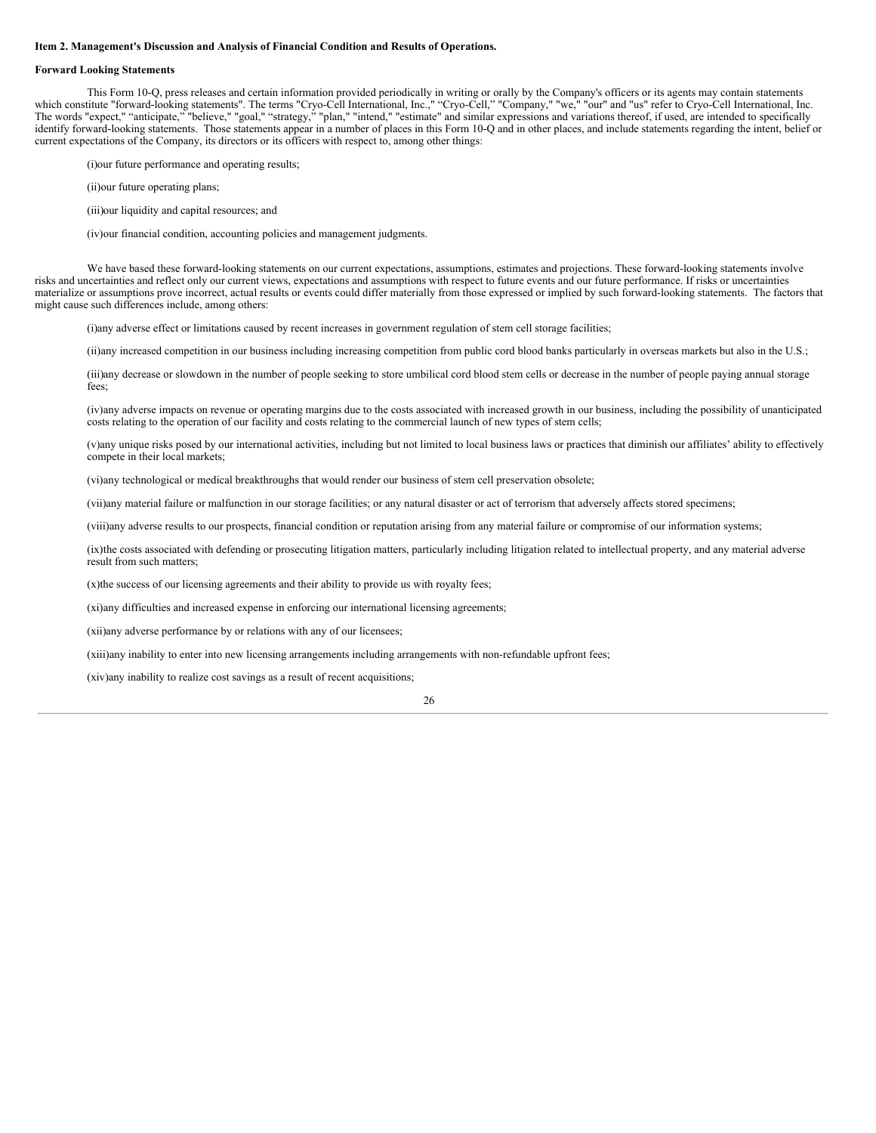### <span id="page-25-0"></span>**Item 2. Management's Discussion and Analysis of Financial Condition and Results of Operations.**

### **Forward Looking Statements**

This Form 10‑Q, press releases and certain information provided periodically in writing or orally by the Company's officers or its agents may contain statements which constitute "forward-looking statements". The terms "Cryo-Cell International, Inc.," "Cryo-Cell," "Company," "we," "our" and "us" refer to Cryo-Cell International, Inc. The words "expect," "anticipate," "believe," "goal," "strategy," "plan," "intend," "estimate" and similar expressions and variations thereof, if used, are intended to specifically identify forward-looking statements. Those statements appear in a number of places in this Form 10-Q and in other places, and include statements regarding the intent, belief or current expectations of the Company, its directors or its officers with respect to, among other things:

(i)our future performance and operating results;

(ii)our future operating plans;

(iii)our liquidity and capital resources; and

(iv)our financial condition, accounting policies and management judgments.

We have based these forward-looking statements on our current expectations, assumptions, estimates and projections. These forward-looking statements involve risks and uncertainties and reflect only our current views, expectations and assumptions with respect to future events and our future performance. If risks or uncertainties materialize or assumptions prove incorrect, actual results or events could differ materially from those expressed or implied by such forward-looking statements. The factors that might cause such differences include, among others:

(i)any adverse effect or limitations caused by recent increases in government regulation of stem cell storage facilities;

(ii)any increased competition in our business including increasing competition from public cord blood banks particularly in overseas markets but also in the U.S.;

(iii)any decrease or slowdown in the number of people seeking to store umbilical cord blood stem cells or decrease in the number of people paying annual storage fees;

(iv)any adverse impacts on revenue or operating margins due to the costs associated with increased growth in our business, including the possibility of unanticipated costs relating to the operation of our facility and costs relating to the commercial launch of new types of stem cells;

(v)any unique risks posed by our international activities, including but not limited to local business laws or practices that diminish our affiliates' ability to effectively compete in their local markets;

(vi)any technological or medical breakthroughs that would render our business of stem cell preservation obsolete;

(vii)any material failure or malfunction in our storage facilities; or any natural disaster or act of terrorism that adversely affects stored specimens;

(viii)any adverse results to our prospects, financial condition or reputation arising from any material failure or compromise of our information systems;

(ix)the costs associated with defending or prosecuting litigation matters, particularly including litigation related to intellectual property, and any material adverse result from such matters;

(x)the success of our licensing agreements and their ability to provide us with royalty fees;

(xi)any difficulties and increased expense in enforcing our international licensing agreements;

(xii)any adverse performance by or relations with any of our licensees;

(xiii)any inability to enter into new licensing arrangements including arrangements with non-refundable upfront fees;

(xiv)any inability to realize cost savings as a result of recent acquisitions;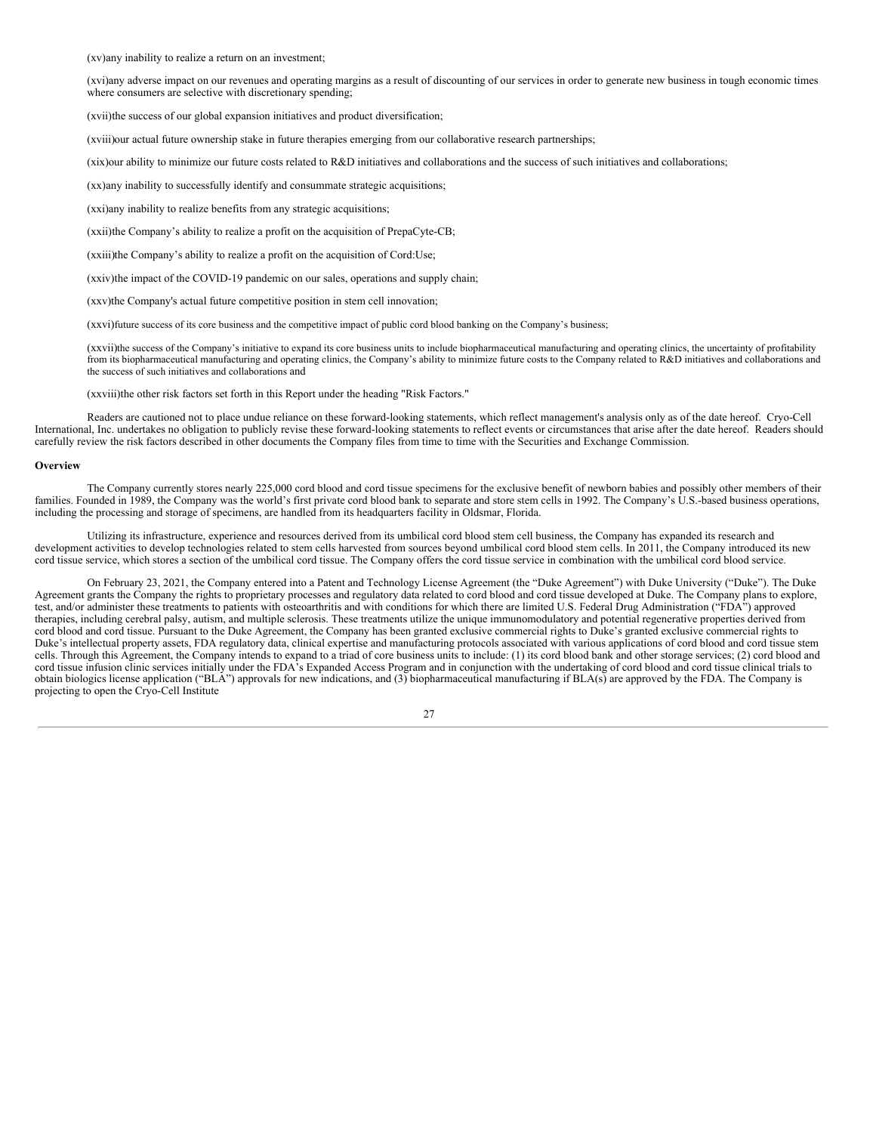(xv)any inability to realize a return on an investment;

(xvi)any adverse impact on our revenues and operating margins as a result of discounting of our services in order to generate new business in tough economic times where consumers are selective with discretionary spending;

(xvii)the success of our global expansion initiatives and product diversification;

(xviii)our actual future ownership stake in future therapies emerging from our collaborative research partnerships;

(xix)our ability to minimize our future costs related to R&D initiatives and collaborations and the success of such initiatives and collaborations;

(xx)any inability to successfully identify and consummate strategic acquisitions;

(xxi)any inability to realize benefits from any strategic acquisitions;

(xxii)the Company's ability to realize a profit on the acquisition of PrepaCyte-CB;

(xxiii)the Company's ability to realize a profit on the acquisition of Cord:Use;

(xxiv)the impact of the COVID-19 pandemic on our sales, operations and supply chain;

(xxv)the Company's actual future competitive position in stem cell innovation;

(xxvi)future success of its core business and the competitive impact of public cord blood banking on the Company's business;

(xxvii)the success of the Company's initiative to expand its core business units to include biopharmaceutical manufacturing and operating clinics, the uncertainty of profitability from its biopharmaceutical manufacturing and operating clinics, the Company's ability to minimize future costs to the Company related to R&D initiatives and collaborations and the success of such initiatives and collaborations and

(xxviii)the other risk factors set forth in this Report under the heading "Risk Factors."

Readers are cautioned not to place undue reliance on these forward-looking statements, which reflect management's analysis only as of the date hereof. Cryo-Cell International, Inc. undertakes no obligation to publicly revise these forward-looking statements to reflect events or circumstances that arise after the date hereof. Readers should carefully review the risk factors described in other documents the Company files from time to time with the Securities and Exchange Commission.

#### **Overview**

The Company currently stores nearly 225,000 cord blood and cord tissue specimens for the exclusive benefit of newborn babies and possibly other members of their families. Founded in 1989, the Company was the world's first private cord blood bank to separate and store stem cells in 1992. The Company's U.S.-based business operations, including the processing and storage of specimens, are handled from its headquarters facility in Oldsmar, Florida.

Utilizing its infrastructure, experience and resources derived from its umbilical cord blood stem cell business, the Company has expanded its research and development activities to develop technologies related to stem cells harvested from sources beyond umbilical cord blood stem cells. In 2011, the Company introduced its new cord tissue service, which stores a section of the umbilical cord tissue. The Company offers the cord tissue service in combination with the umbilical cord blood service.

On February 23, 2021, the Company entered into a Patent and Technology License Agreement (the "Duke Agreement") with Duke University ("Duke"). The Duke Agreement grants the Company the rights to proprietary processes and regulatory data related to cord blood and cord tissue developed at Duke. The Company plans to explore, test, and/or administer these treatments to patients with osteoarthritis and with conditions for which there are limited U.S. Federal Drug Administration ("FDA") approved therapies, including cerebral palsy, autism, and multiple sclerosis. These treatments utilize the unique immunomodulatory and potential regenerative properties derived from cord blood and cord tissue. Pursuant to the Duke Agreement, the Company has been granted exclusive commercial rights to Duke's granted exclusive commercial rights to Duke's intellectual property assets, FDA regulatory data, clinical expertise and manufacturing protocols associated with various applications of cord blood and cord tissue stem cells. Through this Agreement, the Company intends to expand to a triad of core business units to include: (1) its cord blood bank and other storage services; (2) cord blood and cord tissue infusion clinic services initially under the FDA's Expanded Access Program and in conjunction with the undertaking of cord blood and cord tissue clinical trials to obtain biologics license application ("BLA") approvals for new indications, and (3) biopharmaceutical manufacturing if BLA(s) are approved by the FDA. The Company is projecting to open the Cryo-Cell Institute

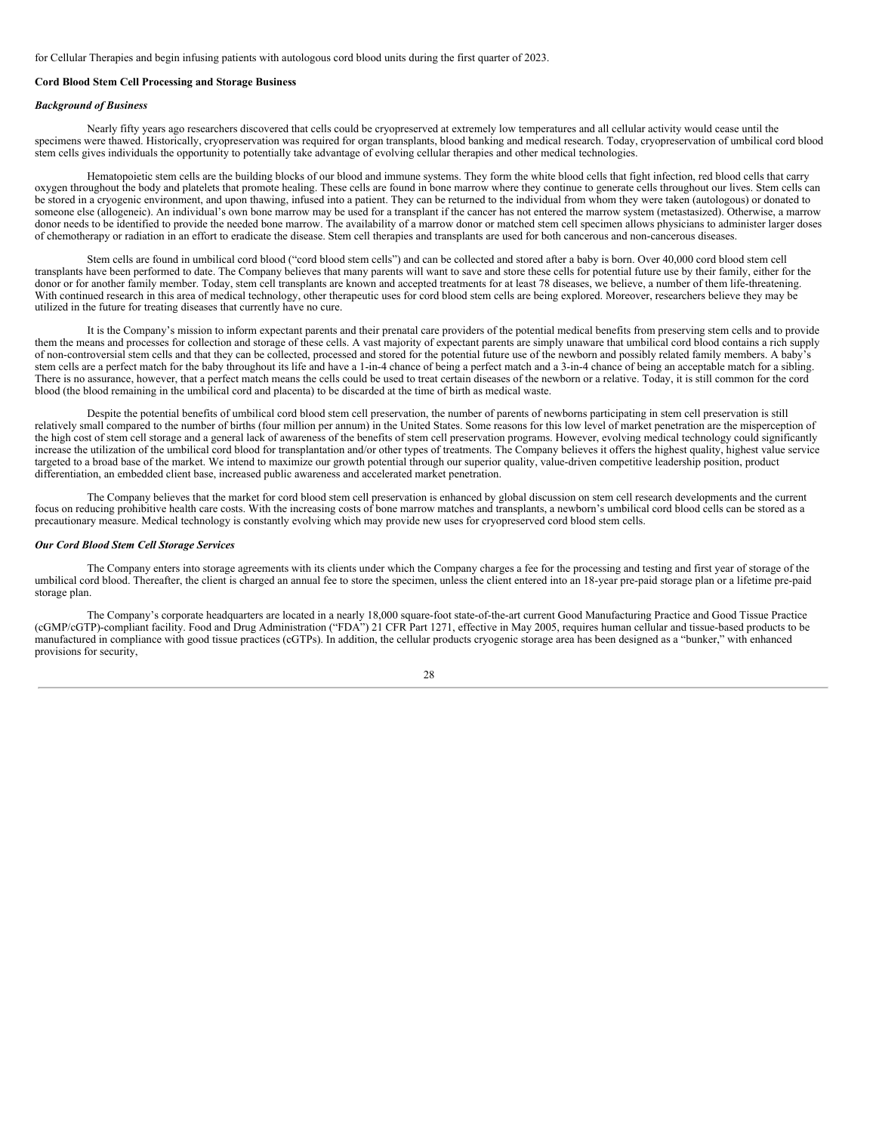for Cellular Therapies and begin infusing patients with autologous cord blood units during the first quarter of 2023.

#### **Cord Blood Stem Cell Processing and Storage Business**

### *Background of Business*

Nearly fifty years ago researchers discovered that cells could be cryopreserved at extremely low temperatures and all cellular activity would cease until the specimens were thawed. Historically, cryopreservation was required for organ transplants, blood banking and medical research. Today, cryopreservation of umbilical cord blood stem cells gives individuals the opportunity to potentially take advantage of evolving cellular therapies and other medical technologies.

Hematopoietic stem cells are the building blocks of our blood and immune systems. They form the white blood cells that fight infection, red blood cells that carry oxygen throughout the body and platelets that promote healing. These cells are found in bone marrow where they continue to generate cells throughout our lives. Stem cells can be stored in a cryogenic environment, and upon thawing, infused into a patient. They can be returned to the individual from whom they were taken (autologous) or donated to someone else (allogeneic). An individual's own bone marrow may be used for a transplant if the cancer has not entered the marrow system (metastasized). Otherwise, a marrow donor needs to be identified to provide the needed bone marrow. The availability of a marrow donor or matched stem cell specimen allows physicians to administer larger doses of chemotherapy or radiation in an effort to eradicate the disease. Stem cell therapies and transplants are used for both cancerous and non-cancerous diseases.

Stem cells are found in umbilical cord blood ("cord blood stem cells") and can be collected and stored after a baby is born. Over 40,000 cord blood stem cell transplants have been performed to date. The Company believes that many parents will want to save and store these cells for potential future use by their family, either for the donor or for another family member. Today, stem cell transplants are known and accepted treatments for at least 78 diseases, we believe, a number of them life-threatening. With continued research in this area of medical technology, other therapeutic uses for cord blood stem cells are being explored. Moreover, researchers believe they may be utilized in the future for treating diseases that currently have no cure.

It is the Company's mission to inform expectant parents and their prenatal care providers of the potential medical benefits from preserving stem cells and to provide them the means and processes for collection and storage of these cells. A vast majority of expectant parents are simply unaware that umbilical cord blood contains a rich supply of non-controversial stem cells and that they can be collected, processed and stored for the potential future use of the newborn and possibly related family members. A baby's stem cells are a perfect match for the baby throughout its life and have a 1-in-4 chance of being a perfect match and a 3-in-4 chance of being an acceptable match for a sibling. There is no assurance, however, that a perfect match means the cells could be used to treat certain diseases of the newborn or a relative. Today, it is still common for the cord blood (the blood remaining in the umbilical cord and placenta) to be discarded at the time of birth as medical waste.

Despite the potential benefits of umbilical cord blood stem cell preservation, the number of parents of newborns participating in stem cell preservation is still relatively small compared to the number of births (four million per annum) in the United States. Some reasons for this low level of market penetration are the misperception of the high cost of stem cell storage and a general lack of awareness of the benefits of stem cell preservation programs. However, evolving medical technology could significantly increase the utilization of the umbilical cord blood for transplantation and/or other types of treatments. The Company believes it offers the highest quality, highest value service targeted to a broad base of the market. We intend to maximize our growth potential through our superior quality, value-driven competitive leadership position, product differentiation, an embedded client base, increased public awareness and accelerated market penetration.

The Company believes that the market for cord blood stem cell preservation is enhanced by global discussion on stem cell research developments and the current focus on reducing prohibitive health care costs. With the increasing costs of bone marrow matches and transplants, a newborn's umbilical cord blood cells can be stored as a precautionary measure. Medical technology is constantly evolving which may provide new uses for cryopreserved cord blood stem cells.

#### *Our Cord Blood Stem Cell Storage Services*

The Company enters into storage agreements with its clients under which the Company charges a fee for the processing and testing and first year of storage of the umbilical cord blood. Thereafter, the client is charged an annual fee to store the specimen, unless the client entered into an 18-year pre-paid storage plan or a lifetime pre-paid storage plan.

The Company's corporate headquarters are located in a nearly 18,000 square-foot state-of-the-art current Good Manufacturing Practice and Good Tissue Practice (cGMP/cGTP)-compliant facility. Food and Drug Administration ("FDA") 21 CFR Part 1271, effective in May 2005, requires human cellular and tissue-based products to be manufactured in compliance with good tissue practices (cGTPs). In addition, the cellular products cryogenic storage area has been designed as a "bunker," with enhanced provisions for security,

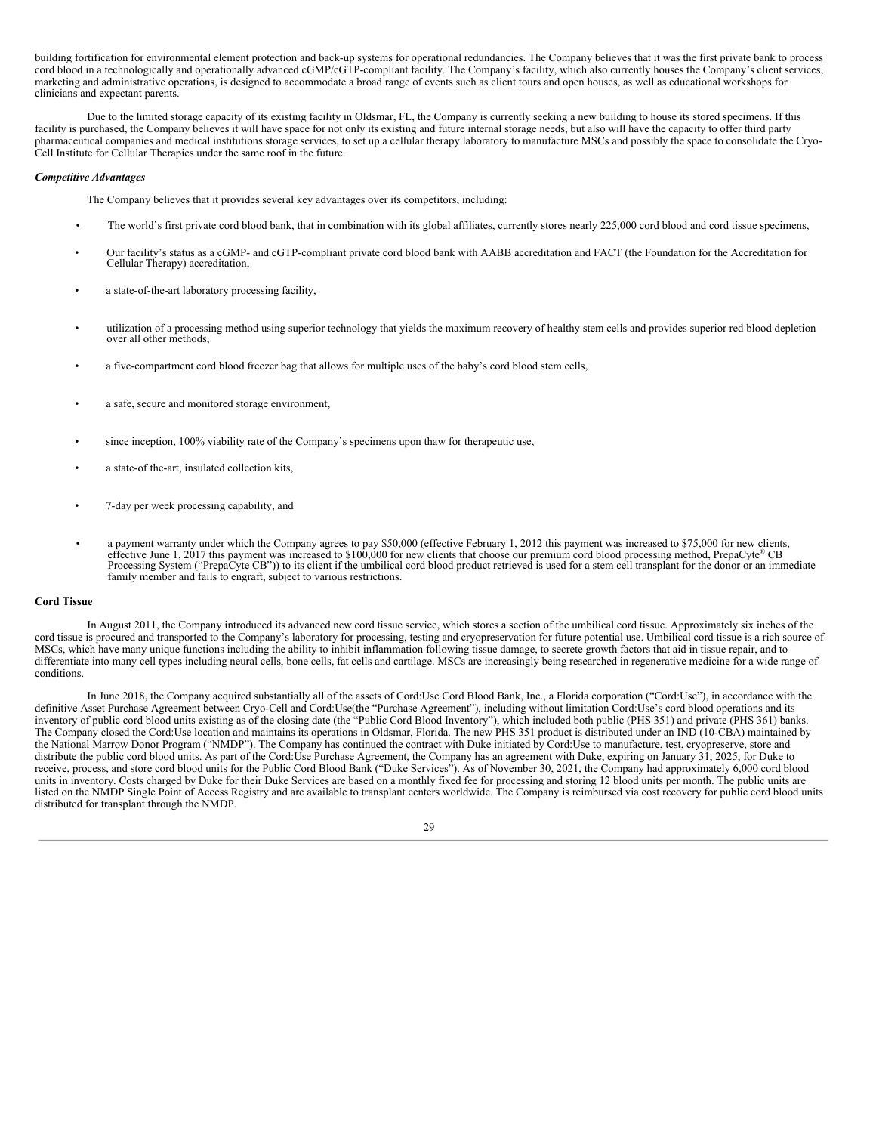building fortification for environmental element protection and back-up systems for operational redundancies. The Company believes that it was the first private bank to process cord blood in a technologically and operationally advanced cGMP/cGTP-compliant facility. The Company's facility, which also currently houses the Company's client services, marketing and administrative operations, is designed to accommodate a broad range of events such as client tours and open houses, as well as educational workshops for clinicians and expectant parents.

Due to the limited storage capacity of its existing facility in Oldsmar, FL, the Company is currently seeking a new building to house its stored specimens. If this facility is purchased, the Company believes it will have space for not only its existing and future internal storage needs, but also will have the capacity to offer third party pharmaceutical companies and medical institutions storage services, to set up a cellular therapy laboratory to manufacture MSCs and possibly the space to consolidate the Cryo-Cell Institute for Cellular Therapies under the same roof in the future.

#### *Competitive Advantages*

The Company believes that it provides several key advantages over its competitors, including:

- The world's first private cord blood bank, that in combination with its global affiliates, currently stores nearly 225,000 cord blood and cord tissue specimens,
- Our facility's status as a cGMP- and cGTP-compliant private cord blood bank with AABB accreditation and FACT (the Foundation for the Accreditation for Cellular Therapy) accreditation,
- a state-of-the-art laboratory processing facility,
- utilization of a processing method using superior technology that yields the maximum recovery of healthy stem cells and provides superior red blood depletion over all other methods,
- a five-compartment cord blood freezer bag that allows for multiple uses of the baby's cord blood stem cells,
- a safe, secure and monitored storage environment,
- since inception, 100% viability rate of the Company's specimens upon thaw for therapeutic use,
- a state-of the-art, insulated collection kits,
- 7-day per week processing capability, and
- a payment warranty under which the Company agrees to pay \$50,000 (effective February 1, 2012 this payment was increased to \$75,000 for new clients, effective June 1, 2017 this payment was increased to \$100,000 for new cl Processing System ("PrepaCyte CB")) to its client if the umbilical cord blood product retrieved is used for a stem cell transplant for the donor or an immediate family member and fails to engraft, subject to various restrictions.

# **Cord Tissue**

In August 2011, the Company introduced its advanced new cord tissue service, which stores a section of the umbilical cord tissue. Approximately six inches of the cord tissue is procured and transported to the Company's laboratory for processing, testing and cryopreservation for future potential use. Umbilical cord tissue is a rich source of MSCs, which have many unique functions including the ability to inhibit inflammation following tissue damage, to secrete growth factors that aid in tissue repair, and to differentiate into many cell types including neural cells, bone cells, fat cells and cartilage. MSCs are increasingly being researched in regenerative medicine for a wide range of conditions.

In June 2018, the Company acquired substantially all of the assets of Cord:Use Cord Blood Bank, Inc., a Florida corporation ("Cord:Use"), in accordance with the definitive Asset Purchase Agreement between Cryo-Cell and Cord:Use(the "Purchase Agreement"), including without limitation Cord:Use's cord blood operations and its inventory of public cord blood units existing as of the closing date (the "Public Cord Blood Inventory"), which included both public (PHS 351) and private (PHS 361) banks. The Company closed the Cord:Use location and maintains its operations in Oldsmar, Florida. The new PHS 351 product is distributed under an IND (10-CBA) maintained by the National Marrow Donor Program ("NMDP"). The Company has continued the contract with Duke initiated by Cord:Use to manufacture, test, cryopreserve, store and distribute the public cord blood units. As part of the Cord:Use Purchase Agreement, the Company has an agreement with Duke, expiring on January 31, 2025, for Duke to receive, process, and store cord blood units for the Public Cord Blood Bank ("Duke Services"). As of November 30, 2021, the Company had approximately 6,000 cord blood units in inventory. Costs charged by Duke for their Duke Services are based on a monthly fixed fee for processing and storing 12 blood units per month. The public units are listed on the NMDP Single Point of Access Registry and are available to transplant centers worldwide. The Company is reimbursed via cost recovery for public cord blood units distributed for transplant through the NMDP.

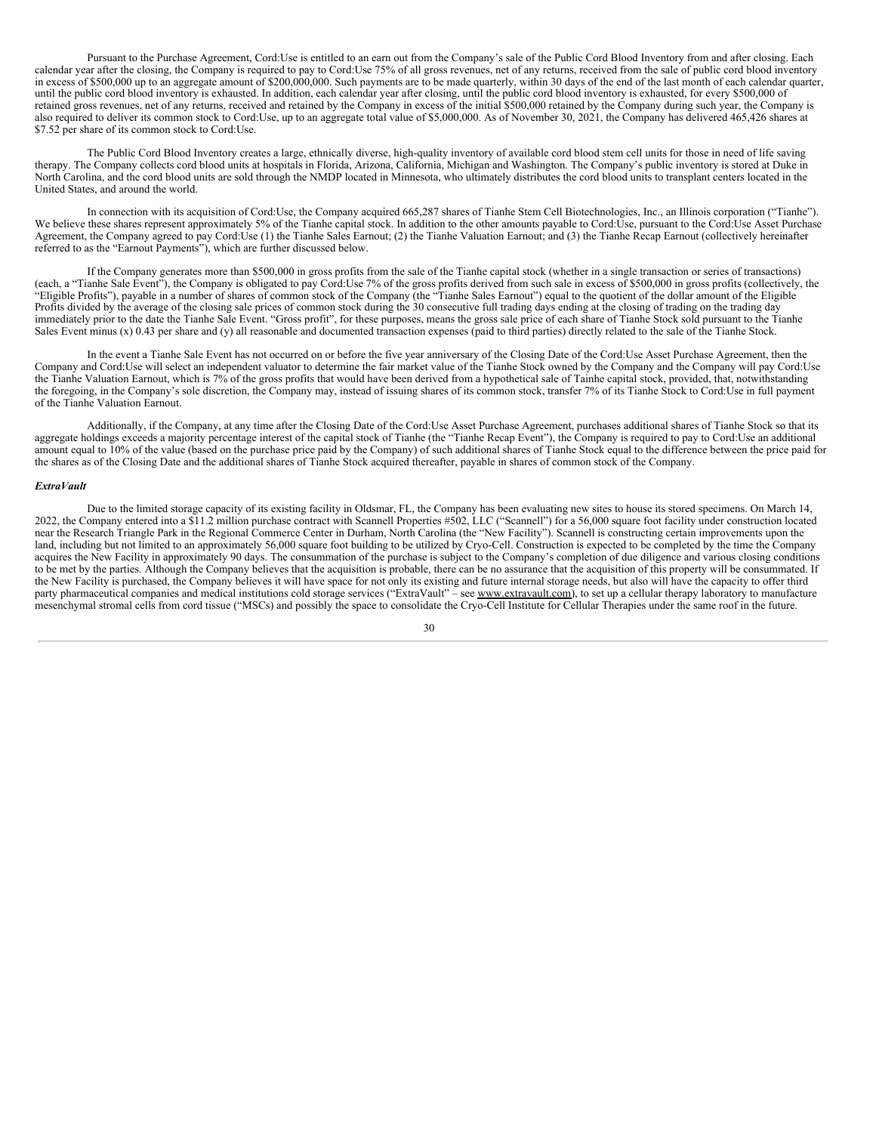Pursuant to the Purchase Agreement, Cord:Use is entitled to an earn out from the Company's sale of the Public Cord Blood Inventory from and after closing. Each calendar year after the closing, the Company is required to pay to Cord:Use 75% of all gross revenues, net of any returns, received from the sale of public cord blood inventory in excess of \$500,000 up to an aggregate amount of \$200,000,000. Such payments are to be made quarterly, within 30 days of the end of the last month of each calendar quarter, until the public cord blood inventory is exhausted. In addition, each calendar year after closing, until the public cord blood inventory is exhausted, for every \$500,000 of retained gross revenues, net of any returns, received and retained by the Company in excess of the initial \$500,000 retained by the Company during such year, the Company is also required to deliver its common stock to Cord:Use, up to an aggregate total value of \$5,000,000. As of November 30, 2021, the Company has delivered 465,426 shares at \$7.52 per share of its common stock to Cord:Use.

The Public Cord Blood Inventory creates a large, ethnically diverse, high-quality inventory of available cord blood stem cell units for those in need of life saving therapy. The Company collects cord blood units at hospitals in Florida, Arizona, California, Michigan and Washington. The Company's public inventory is stored at Duke in North Carolina, and the cord blood units are sold through the NMDP located in Minnesota, who ultimately distributes the cord blood units to transplant centers located in the United States, and around the world.

In connection with its acquisition of Cord:Use, the Company acquired 665,287 shares of Tianhe Stem Cell Biotechnologies, Inc., an Illinois corporation ("Tianhe"). We believe these shares represent approximately 5% of the Tianhe capital stock. In addition to the other amounts payable to Cord:Use, pursuant to the Cord:Use Asset Purchase Agreement, the Company agreed to pay Cord:Use (1) the Tianhe Sales Earnout; (2) the Tianhe Valuation Earnout; and (3) the Tianhe Recap Earnout (collectively hereinafter referred to as the "Earnout Payments"), which are further discussed below.

If the Company generates more than \$500,000 in gross profits from the sale of the Tianhe capital stock (whether in a single transaction or series of transactions) (each, a "Tianhe Sale Event"), the Company is obligated to pay Cord:Use 7% of the gross profits derived from such sale in excess of \$500,000 in gross profits (collectively, the "Eligible Profits"), payable in a number of shares of common stock of the Company (the "Tianhe Sales Earnout") equal to the quotient of the dollar amount of the Eligible Profits divided by the average of the closing sale prices of common stock during the 30 consecutive full trading days ending at the closing of trading on the trading day immediately prior to the date the Tianhe Sale Event. "Gross profit", for these purposes, means the gross sale price of each share of Tianhe Stock sold pursuant to the Tianhe Sales Event minus (x) 0.43 per share and (y) all reasonable and documented transaction expenses (paid to third parties) directly related to the sale of the Tianhe Stock.

In the event a Tianhe Sale Event has not occurred on or before the five year anniversary of the Closing Date of the Cord:Use Asset Purchase Agreement, then the Company and Cord:Use will select an independent valuator to determine the fair market value of the Tianhe Stock owned by the Company and the Company will pay Cord:Use the Tianhe Valuation Earnout, which is 7% of the gross profits that would have been derived from a hypothetical sale of Tainhe capital stock, provided, that, notwithstanding the foregoing, in the Company's sole discretion, the Company may, instead of issuing shares of its common stock, transfer 7% of its Tianhe Stock to Cord:Use in full payment of the Tianhe Valuation Earnout.

Additionally, if the Company, at any time after the Closing Date of the Cord:Use Asset Purchase Agreement, purchases additional shares of Tianhe Stock so that its aggregate holdings exceeds a majority percentage interest of the capital stock of Tianhe (the "Tianhe Recap Event"), the Company is required to pay to Cord:Use an additional amount equal to  $10\%$  of the value (based on the purchase price paid by the Company) of such additional shares of Tianhe Stock equal to the difference between the price paid for the shares as of the Closing Date and the additional shares of Tianhe Stock acquired thereafter, payable in shares of common stock of the Company.

### *ExtraVault*

Due to the limited storage capacity of its existing facility in Oldsmar, FL, the Company has been evaluating new sites to house its stored specimens. On March 14, 2022, the Company entered into a \$11.2 million purchase contract with Scannell Properties #502, LLC ("Scannell") for a 56,000 square foot facility under construction located near the Research Triangle Park in the Regional Commerce Center in Durham, North Carolina (the "New Facility"). Scannell is constructing certain improvements upon the land, including but not limited to an approximately 56,000 square foot building to be utilized by Cryo-Cell. Construction is expected to be completed by the time the Company acquires the New Facility in approximately 90 days. The consummation of the purchase is subject to the Company's completion of due diligence and various closing conditions to be met by the parties. Although the Company believes that the acquisition is probable, there can be no assurance that the acquisition of this property will be consummated. If the New Facility is purchased, the Company believes it will have space for not only its existing and future internal storage needs, but also will have the capacity to offer third party pharmaceutical companies and medical institutions cold storage services ("ExtraVault" – see www.extravault.com), to set up a cellular therapy laboratory to manufacture mesenchymal stromal cells from cord tissue ("MSCs) and possibly the space to consolidate the Cryo-Cell Institute for Cellular Therapies under the same roof in the future.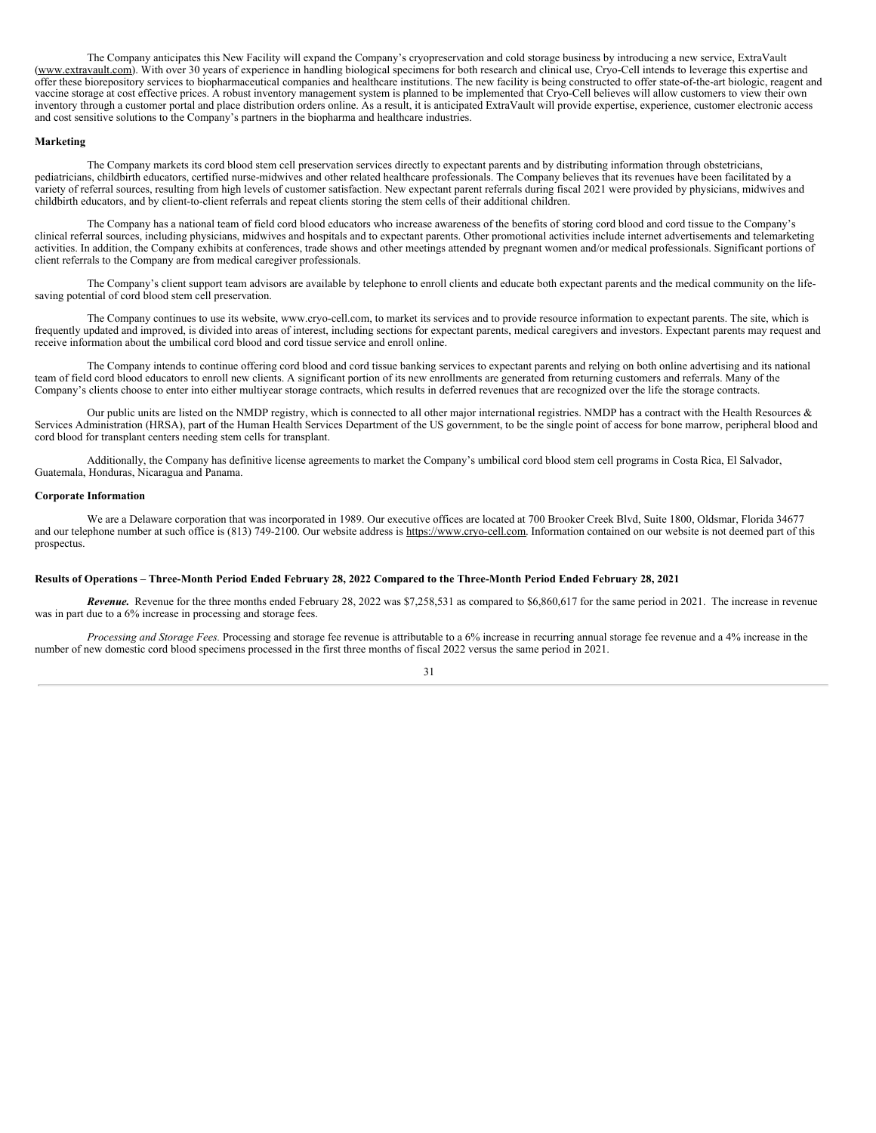The Company anticipates this New Facility will expand the Company's cryopreservation and cold storage business by introducing a new service, ExtraVault (www.extravault.com). With over 30 years of experience in handling biological specimens for both research and clinical use, Cryo-Cell intends to leverage this expertise and offer these biorepository services to biopharmaceutical companies and healthcare institutions. The new facility is being constructed to offer state-of-the-art biologic, reagent and vaccine storage at cost effective prices. A robust inventory management system is planned to be implemented that Cryo-Cell believes will allow customers to view their own inventory through a customer portal and place distribution orders online. As a result, it is anticipated ExtraVault will provide expertise, experience, customer electronic access and cost sensitive solutions to the Company's partners in the biopharma and healthcare industries.

### **Marketing**

The Company markets its cord blood stem cell preservation services directly to expectant parents and by distributing information through obstetricians, pediatricians, childbirth educators, certified nurse-midwives and other related healthcare professionals. The Company believes that its revenues have been facilitated by a variety of referral sources, resulting from high levels of customer satisfaction. New expectant parent referrals during fiscal 2021 were provided by physicians, midwives and childbirth educators, and by client-to-client referrals and repeat clients storing the stem cells of their additional children.

The Company has a national team of field cord blood educators who increase awareness of the benefits of storing cord blood and cord tissue to the Company's clinical referral sources, including physicians, midwives and hospitals and to expectant parents. Other promotional activities include internet advertisements and telemarketing activities. In addition, the Company exhibits at conferences, trade shows and other meetings attended by pregnant women and/or medical professionals. Significant portions of client referrals to the Company are from medical caregiver professionals.

The Company's client support team advisors are available by telephone to enroll clients and educate both expectant parents and the medical community on the lifesaving potential of cord blood stem cell preservation.

The Company continues to use its website, www.cryo-cell.com, to market its services and to provide resource information to expectant parents. The site, which is frequently updated and improved, is divided into areas of interest, including sections for expectant parents, medical caregivers and investors. Expectant parents may request and receive information about the umbilical cord blood and cord tissue service and enroll online.

The Company intends to continue offering cord blood and cord tissue banking services to expectant parents and relying on both online advertising and its national team of field cord blood educators to enroll new clients. A significant portion of its new enrollments are generated from returning customers and referrals. Many of the Company's clients choose to enter into either multiyear storage contracts, which results in deferred revenues that are recognized over the life the storage contracts.

Our public units are listed on the NMDP registry, which is connected to all other major international registries. NMDP has a contract with the Health Resources  $\&$ Services Administration (HRSA), part of the Human Health Services Department of the US government, to be the single point of access for bone marrow, peripheral blood and cord blood for transplant centers needing stem cells for transplant.

Additionally, the Company has definitive license agreements to market the Company's umbilical cord blood stem cell programs in Costa Rica, El Salvador, Guatemala, Honduras, Nicaragua and Panama.

# **Corporate Information**

We are a Delaware corporation that was incorporated in 1989. Our executive offices are located at 700 Brooker Creek Blvd, Suite 1800, Oldsmar, Florida 34677 and our telephone number at such office is (813) 749-2100. Our website address is https://www.cryo-cell.com. Information contained on our website is not deemed part of this prospectus.

# Results of Operations - Three-Month Period Ended February 28, 2022 Compared to the Three-Month Period Ended February 28, 2021

*Revenue.* Revenue for the three months ended February 28, 2022 was \$7,258,531 as compared to \$6,860,617 for the same period in 2021. The increase in revenue was in part due to a 6% increase in processing and storage fees.

*Processing and Storage Fees.* Processing and storage fee revenue is attributable to a 6% increase in recurring annual storage fee revenue and a 4% increase in the number of new domestic cord blood specimens processed in the first three months of fiscal 2022 versus the same period in 2021.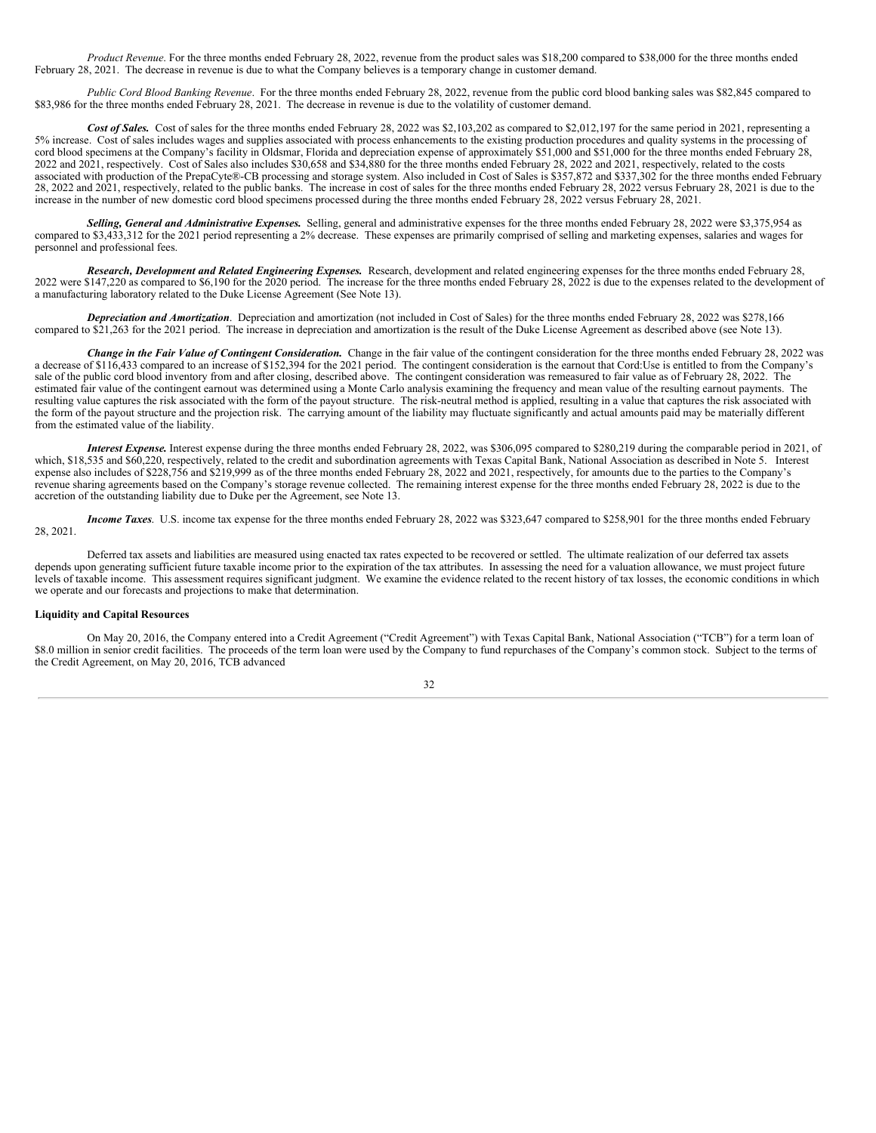*Product Revenue*. For the three months ended February 28, 2022, revenue from the product sales was \$18,200 compared to \$38,000 for the three months ended February 28, 2021. The decrease in revenue is due to what the Company believes is a temporary change in customer demand.

*Public Cord Blood Banking Revenue*. For the three months ended February 28, 2022, revenue from the public cord blood banking sales was \$82,845 compared to \$83,986 for the three months ended February 28, 2021. The decrease in revenue is due to the volatility of customer demand.

Cost of Sales. Cost of sales for the three months ended February 28, 2022 was \$2,103,202 as compared to \$2,012,197 for the same period in 2021, representing a 5% increase. Cost of sales includes wages and supplies associated with process enhancements to the existing production procedures and quality systems in the processing of cord blood specimens at the Company's facility in Oldsmar, Florida and depreciation expense of approximately \$51,000 and \$51,000 for the three months ended February 28, 2022 and 2021, respectively. Cost of Sales also includes \$30,658 and \$34,880 for the three months ended February 28, 2022 and 2021, respectively, related to the costs associated with production of the PrepaCyte®-CB processing and storage system. Also included in Cost of Sales is \$357,872 and \$337,302 for the three months ended February 28, 2022 and 2021, respectively, related to the public banks. The increase in cost of sales for the three months ended February 28, 2022 versus February 28, 2021 is due to the increase in the number of new domestic cord blood specimens processed during the three months ended February 28, 2022 versus February 28, 2021.

*Selling, General and Administrative Expenses.* Selling, general and administrative expenses for the three months ended February 28, 2022 were \$3,375,954 as compared to \$3,433,312 for the 2021 period representing a 2% decrease. These expenses are primarily comprised of selling and marketing expenses, salaries and wages for personnel and professional fees.

*Research, Development and Related Engineering Expenses.* Research, development and related engineering expenses for the three months ended February 28, 2022 were \$147,220 as compared to \$6,190 for the 2020 period. The increase for the three months ended February 28, 2022 is due to the expenses related to the development of a manufacturing laboratory related to the Duke License Agreement (See Note 13).

*Depreciation and Amortization*. Depreciation and amortization (not included in Cost of Sales) for the three months ended February 28, 2022 was \$278,166 compared to \$21,263 for the 2021 period. The increase in depreciation and amortization is the result of the Duke License Agreement as described above (see Note 13).

*Change in the Fair Value of Contingent Consideration.* Change in the fair value of the contingent consideration for the three months ended February 28, 2022 was a decrease of \$116,433 compared to an increase of \$152,394 for the 2021 period. The contingent consideration is the earnout that Cord:Use is entitled to from the Company's sale of the public cord blood inventory from and after closing, described above. The contingent consideration was remeasured to fair value as of February 28, 2022. The estimated fair value of the contingent earnout was determined using a Monte Carlo analysis examining the frequency and mean value of the resulting earnout payments. The resulting value captures the risk associated with the form of the payout structure. The risk-neutral method is applied, resulting in a value that captures the risk associated with the form of the payout structure and the projection risk. The carrying amount of the liability may fluctuate significantly and actual amounts paid may be materially different from the estimated value of the liability.

*Interest Expense.* Interest expense during the three months ended February 28, 2022, was \$306,095 compared to \$280,219 during the comparable period in 2021, of which, \$18,535 and \$60,220, respectively, related to the credit and subordination agreements with Texas Capital Bank, National Association as described in Note 5. Interest expense also includes of \$228,756 and \$219,999 as of the three months ended February 28, 2022 and 2021, respectively, for amounts due to the parties to the Company's revenue sharing agreements based on the Company's storage revenue collected. The remaining interest expense for the three months ended February 28, 2022 is due to the accretion of the outstanding liability due to Duke per the Agreement, see Note 13.

*Income Taxes*. U.S. income tax expense for the three months ended February 28, 2022 was \$323,647 compared to \$258,901 for the three months ended February 28, 2021.

Deferred tax assets and liabilities are measured using enacted tax rates expected to be recovered or settled. The ultimate realization of our deferred tax assets depends upon generating sufficient future taxable income prior to the expiration of the tax attributes. In assessing the need for a valuation allowance, we must project future levels of taxable income. This assessment requires significant judgment. We examine the evidence related to the recent history of tax losses, the economic conditions in which we operate and our forecasts and projections to make that determination.

# **Liquidity and Capital Resources**

On May 20, 2016, the Company entered into a Credit Agreement ("Credit Agreement") with Texas Capital Bank, National Association ("TCB") for a term loan of \$8.0 million in senior credit facilities. The proceeds of the term loan were used by the Company to fund repurchases of the Company's common stock. Subject to the terms of the Credit Agreement, on May 20, 2016, TCB advanced

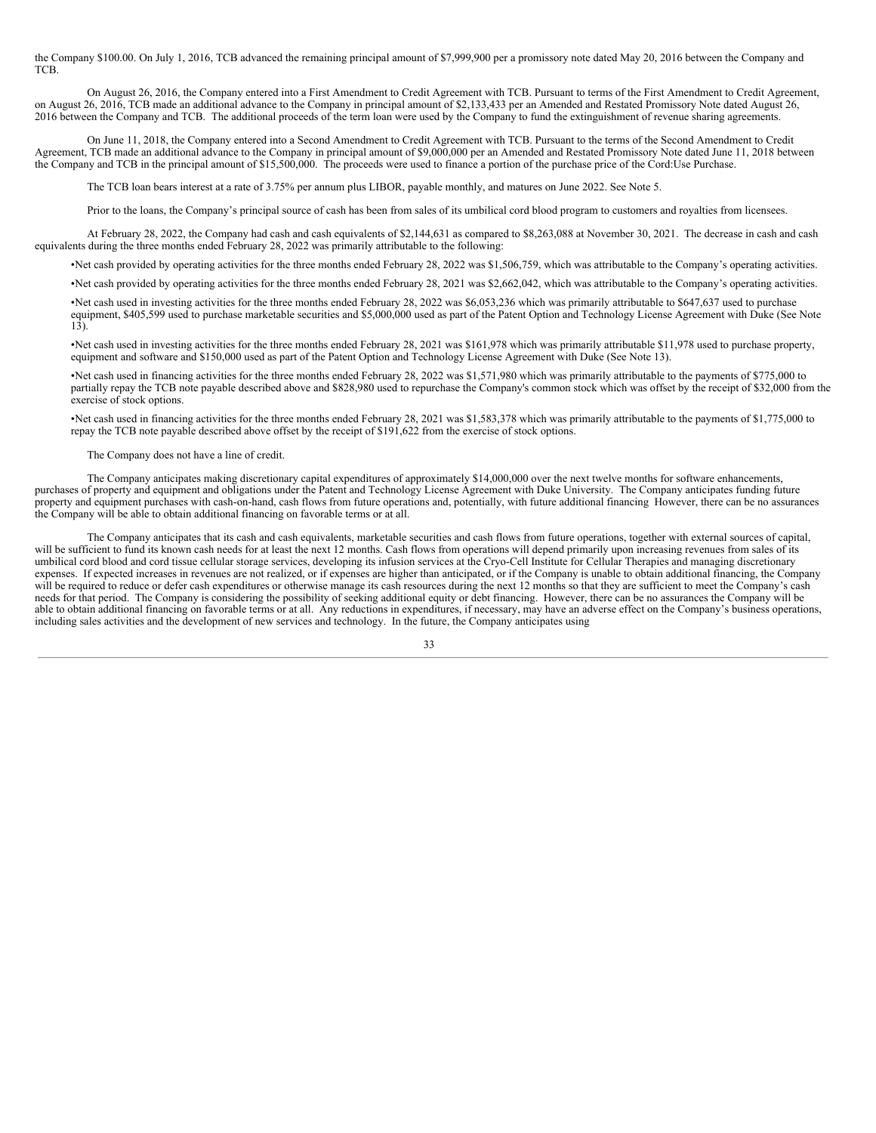the Company \$100.00. On July 1, 2016, TCB advanced the remaining principal amount of \$7,999,900 per a promissory note dated May 20, 2016 between the Company and TCB.

On August 26, 2016, the Company entered into a First Amendment to Credit Agreement with TCB. Pursuant to terms of the First Amendment to Credit Agreement, on August 26, 2016, TCB made an additional advance to the Company in principal amount of \$2,133,433 per an Amended and Restated Promissory Note dated August 26, 2016 between the Company and TCB. The additional proceeds of the term loan were used by the Company to fund the extinguishment of revenue sharing agreements.

On June 11, 2018, the Company entered into a Second Amendment to Credit Agreement with TCB. Pursuant to the terms of the Second Amendment to Credit Agreement, TCB made an additional advance to the Company in principal amount of \$9,000,000 per an Amended and Restated Promissory Note dated June 11, 2018 between the Company and TCB in the principal amount of \$15,500,000. The proceeds were used to finance a portion of the purchase price of the Cord:Use Purchase.

The TCB loan bears interest at a rate of 3.75% per annum plus LIBOR, payable monthly, and matures on June 2022. See Note 5.

Prior to the loans, the Company's principal source of cash has been from sales of its umbilical cord blood program to customers and royalties from licensees.

At February 28, 2022, the Company had cash and cash equivalents of \$2,144,631 as compared to \$8,263,088 at November 30, 2021. The decrease in cash and cash equivalents during the three months ended February 28, 2022 was primarily attributable to the following:

•Net cash provided by operating activities for the three months ended February 28, 2022 was \$1,506,759, which was attributable to the Company's operating activities.

•Net cash provided by operating activities for the three months ended February 28, 2021 was \$2,662,042, which was attributable to the Company's operating activities.

•Net cash used in investing activities for the three months ended February 28, 2022 was \$6,053,236 which was primarily attributable to \$647,637 used to purchase equipment, \$405,599 used to purchase marketable securities and \$5,000,000 used as part of the Patent Option and Technology License Agreement with Duke (See Note 13).

•Net cash used in investing activities for the three months ended February 28, 2021 was \$161,978 which was primarily attributable \$11,978 used to purchase property, equipment and software and \$150,000 used as part of the Patent Option and Technology License Agreement with Duke (See Note 13).

•Net cash used in financing activities for the three months ended February 28, 2022 was \$1,571,980 which was primarily attributable to the payments of \$775,000 to partially repay the TCB note payable described above and \$828,980 used to repurchase the Company's common stock which was offset by the receipt of \$32,000 from the exercise of stock options.

•Net cash used in financing activities for the three months ended February 28, 2021 was \$1,583,378 which was primarily attributable to the payments of \$1,775,000 to repay the TCB note payable described above offset by the receipt of \$191,622 from the exercise of stock options.

The Company does not have a line of credit.

The Company anticipates making discretionary capital expenditures of approximately \$14,000,000 over the next twelve months for software enhancements, purchases of property and equipment and obligations under the Patent and Technology License Agreement with Duke University. The Company anticipates funding future property and equipment purchases with cash-on-hand, cash flows from future operations and, potentially, with future additional financing However, there can be no assurances the Company will be able to obtain additional financing on favorable terms or at all.

The Company anticipates that its cash and cash equivalents, marketable securities and cash flows from future operations, together with external sources of capital, will be sufficient to fund its known cash needs for at least the next 12 months. Cash flows from operations will depend primarily upon increasing revenues from sales of its umbilical cord blood and cord tissue cellular storage services, developing its infusion services at the Cryo-Cell Institute for Cellular Therapies and managing discretionary expenses. If expected increases in revenues are not realized, or if expenses are higher than anticipated, or if the Company is unable to obtain additional financing, the Company will be required to reduce or defer cash expenditures or otherwise manage its cash resources during the next 12 months so that they are sufficient to meet the Company's cash needs for that period. The Company is considering the possibility of seeking additional equity or debt financing. However, there can be no assurances the Company will be able to obtain additional financing on favorable terms or at all. Any reductions in expenditures, if necessary, may have an adverse effect on the Company's business operations, including sales activities and the development of new services and technology. In the future, the Company anticipates using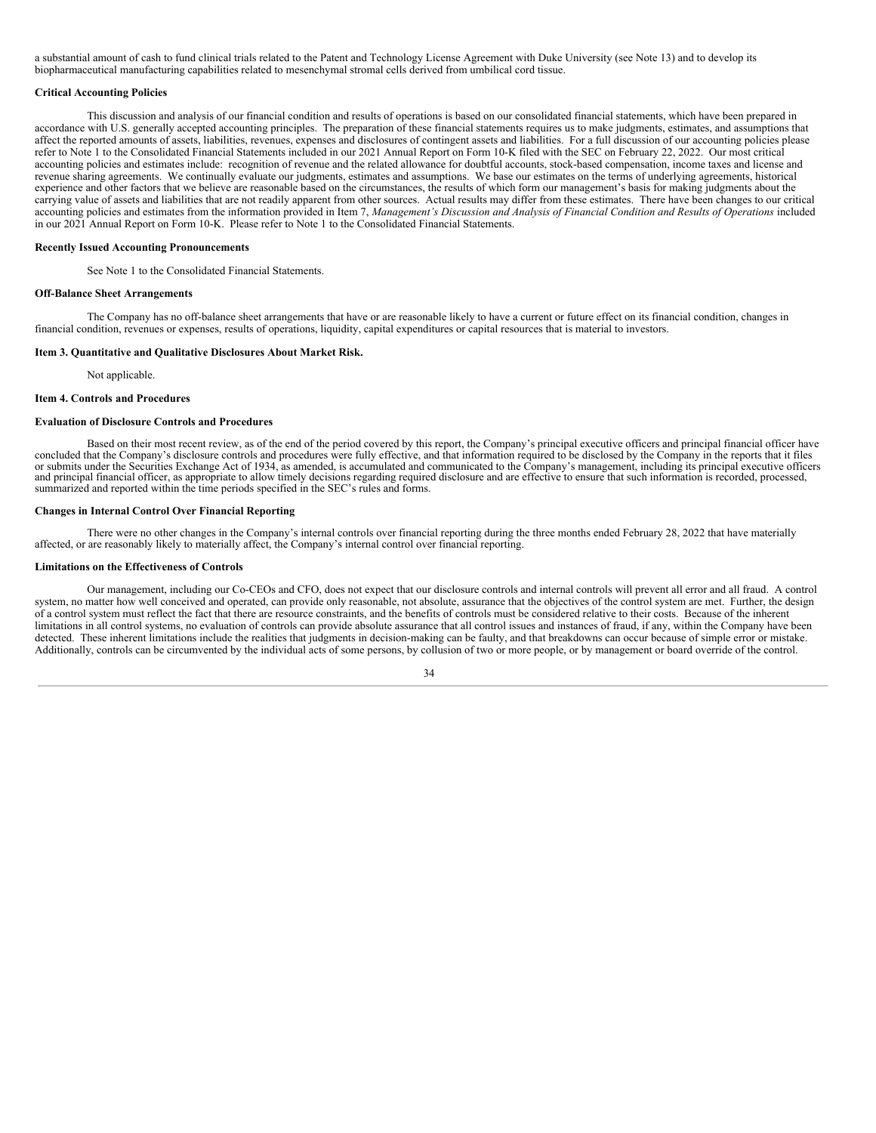a substantial amount of cash to fund clinical trials related to the Patent and Technology License Agreement with Duke University (see Note 13) and to develop its biopharmaceutical manufacturing capabilities related to mesenchymal stromal cells derived from umbilical cord tissue.

#### **Critical Accounting Policies**

This discussion and analysis of our financial condition and results of operations is based on our consolidated financial statements, which have been prepared in accordance with U.S. generally accepted accounting principles. The preparation of these financial statements requires us to make judgments, estimates, and assumptions that affect the reported amounts of assets, liabilities, revenues, expenses and disclosures of contingent assets and liabilities. For a full discussion of our accounting policies please refer to Note 1 to the Consolidated Financial Statements included in our 2021 Annual Report on Form 10-K filed with the SEC on February 22, 2022. Our most critical accounting policies and estimates include: recognition of revenue and the related allowance for doubtful accounts, stock-based compensation, income taxes and license and revenue sharing agreements. We continually evaluate our judgments, estimates and assumptions. We base our estimates on the terms of underlying agreements, historical experience and other factors that we believe are reasonable based on the circumstances, the results of which form our management's basis for making judgments about the carrying value of assets and liabilities that are not readily apparent from other sources. Actual results may differ from these estimates. There have been changes to our critical accounting policies and estimates from the information provided in Item 7, Management's Discussion and Analysis of Financial Condition and Results of Operations included in our 2021 Annual Report on Form 10-K. Please refer to Note 1 to the Consolidated Financial Statements.

#### **Recently Issued Accounting Pronouncements**

See Note 1 to the Consolidated Financial Statements.

#### **Off-Balance Sheet Arrangements**

The Company has no off-balance sheet arrangements that have or are reasonable likely to have a current or future effect on its financial condition, changes in financial condition, revenues or expenses, results of operations, liquidity, capital expenditures or capital resources that is material to investors.

# <span id="page-33-0"></span>**Item 3. Quantitative and Qualitative Disclosures About Market Risk.**

Not applicable.

#### <span id="page-33-1"></span>**Item 4. Controls and Procedures**

# **Evaluation of Disclosure Controls and Procedures**

Based on their most recent review, as of the end of the period covered by this report, the Company's principal executive officers and principal financial officer have concluded that the Company's disclosure controls and procedures were fully effective, and that information required to be disclosed by the Company in the reports that it files<br>or submits under the Securities Exchange Act o and principal financial officer, as appropriate to allow timely decisions regarding required disclosure and are effective to ensure that such information is recorded, processed, summarized and reported within the time periods specified in the SEC's rules and forms.

#### **Changes in Internal Control Over Financial Reporting**

There were no other changes in the Company's internal controls over financial reporting during the three months ended February 28, 2022 that have materially affected, or are reasonably likely to materially affect, the Company's internal control over financial reporting.

#### **Limitations on the Effectiveness of Controls**

Our management, including our Co-CEOs and CFO, does not expect that our disclosure controls and internal controls will prevent all error and all fraud. A control system, no matter how well conceived and operated, can provide only reasonable, not absolute, assurance that the objectives of the control system are met. Further, the design of a control system must reflect the fact that there are resource constraints, and the benefits of controls must be considered relative to their costs. Because of the inherent limitations in all control systems, no evaluation of controls can provide absolute assurance that all control issues and instances of fraud, if any, within the Company have been detected. These inherent limitations include the realities that judgments in decision-making can be faulty, and that breakdowns can occur because of simple error or mistake. Additionally, controls can be circumvented by the individual acts of some persons, by collusion of two or more people, or by management or board override of the control.

|              | I |
|--------------|---|
| ۰,<br>I<br>× |   |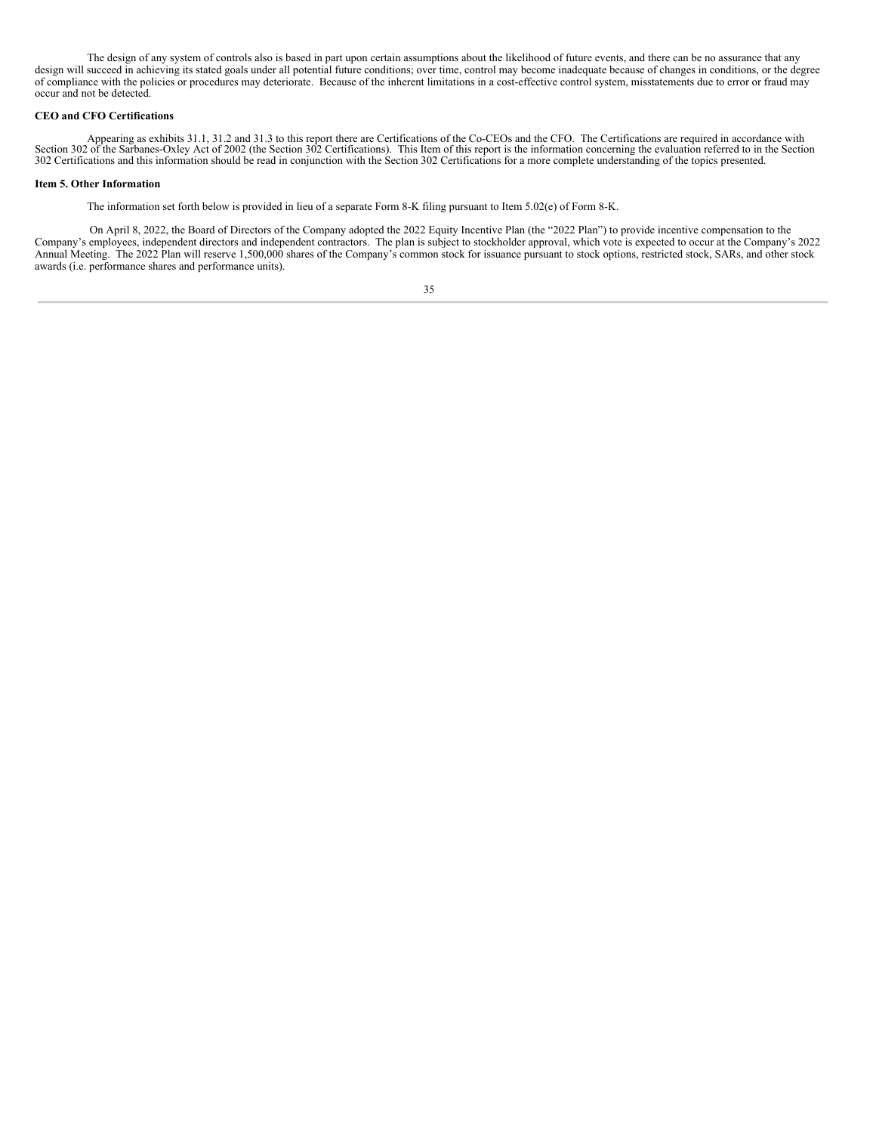The design of any system of controls also is based in part upon certain assumptions about the likelihood of future events, and there can be no assurance that any design will succeed in achieving its stated goals under all potential future conditions; over time, control may become inadequate because of changes in conditions, or the degree of compliance with the policies or procedures may deteriorate. Because of the inherent limitations in a cost-effective control system, misstatements due to error or fraud may occur and not be detected.

# **CEO and CFO Certifications**

Appearing as exhibits 31.1, 31.2 and 31.3 to this report there are Certifications of the Co-CEOs and the CFO. The Certifications are required in accordance with<br>Section 302 of the Sarbanes-Oxley Act of 2002 (the Section 30

#### **Item 5. Other Information**

The information set forth below is provided in lieu of a separate Form 8-K filing pursuant to Item 5.02(e) of Form 8-K.

On April 8, 2022, the Board of Directors of the Company adopted the 2022 Equity Incentive Plan (the "2022 Plan") to provide incentive compensation to the Company's employees, independent directors and independent contractors. The plan is subject to stockholder approval, which vote is expected to occur at the Company's 2022 Annual Meeting. The 2022 Plan will reserve 1,500,000 shares of the Company's common stock for issuance pursuant to stock options, restricted stock, SARs, and other stock awards (i.e. performance shares and performance units).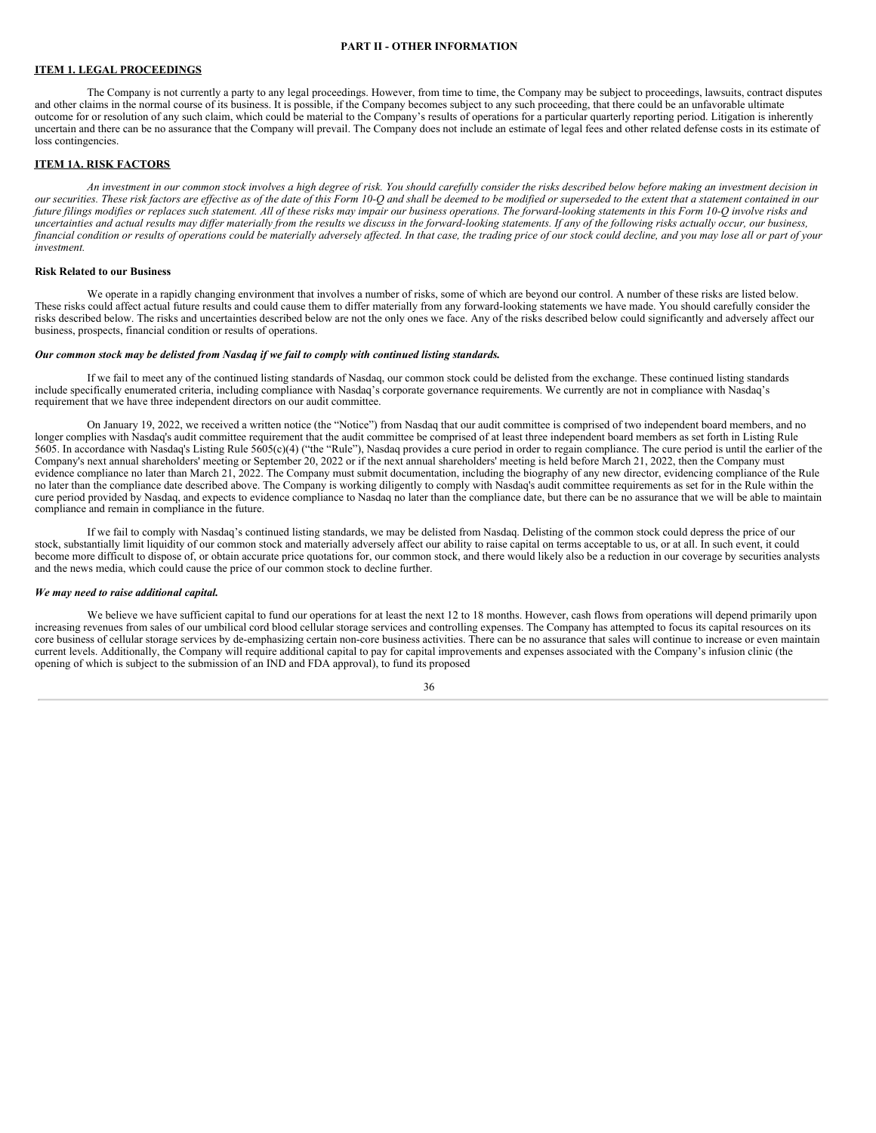# <span id="page-35-1"></span><span id="page-35-0"></span>**ITEM 1. LEGAL PROCEEDINGS**

The Company is not currently a party to any legal proceedings. However, from time to time, the Company may be subject to proceedings, lawsuits, contract disputes and other claims in the normal course of its business. It is possible, if the Company becomes subject to any such proceeding, that there could be an unfavorable ultimate outcome for or resolution of any such claim, which could be material to the Company's results of operations for a particular quarterly reporting period. Litigation is inherently uncertain and there can be no assurance that the Company will prevail. The Company does not include an estimate of legal fees and other related defense costs in its estimate of loss contingencies.

# <span id="page-35-2"></span>**ITEM 1A. RISK FACTORS**

An investment in our common stock involves a high degree of risk. You should carefully consider the risks described below before making an investment decision in our securities. These risk factors are effective as of the date of this Form 10-Q and shall be deemed to be modified or superseded to the extent that a statement contained in our future filings modifies or replaces such statement. All of these risks may impair our business operations. The forward-looking statements in this Form 10-Q involve risks and uncertainties and actual results may differ materially from the results we discuss in the forward-looking statements. If any of the following risks actually occur, our business, financial condition or results of operations could be materially adversely affected. In that case, the trading price of our stock could decline, and you may lose all or part of your *investment.*

### **Risk Related to our Business**

We operate in a rapidly changing environment that involves a number of risks, some of which are beyond our control. A number of these risks are listed below. These risks could affect actual future results and could cause them to differ materially from any forward-looking statements we have made. You should carefully consider the risks described below. The risks and uncertainties described below are not the only ones we face. Any of the risks described below could significantly and adversely affect our business, prospects, financial condition or results of operations.

# *Our common stock may be delisted from Nasdaq if we fail to comply with continued listing standards.*

If we fail to meet any of the continued listing standards of Nasdaq, our common stock could be delisted from the exchange. These continued listing standards include specifically enumerated criteria, including compliance with Nasdaq's corporate governance requirements. We currently are not in compliance with Nasdaq's requirement that we have three independent directors on our audit committee.

On January 19, 2022, we received a written notice (the "Notice") from Nasdaq that our audit committee is comprised of two independent board members, and no longer complies with Nasdaq's audit committee requirement that the audit committee be comprised of at least three independent board members as set forth in Listing Rule 5605. In accordance with Nasdaq's Listing Rule 5605(c)(4) ("the "Rule"), Nasdaq provides a cure period in order to regain compliance. The cure period is until the earlier of the Company's next annual shareholders' meeting or September 20, 2022 or if the next annual shareholders' meeting is held before March 21, 2022, then the Company must evidence compliance no later than March 21, 2022. The Company must submit documentation, including the biography of any new director, evidencing compliance of the Rule no later than the compliance date described above. The Company is working diligently to comply with Nasdaq's audit committee requirements as set for in the Rule within the cure period provided by Nasdaq, and expects to evidence compliance to Nasdaq no later than the compliance date, but there can be no assurance that we will be able to maintain compliance and remain in compliance in the future.

If we fail to comply with Nasdaq's continued listing standards, we may be delisted from Nasdaq. Delisting of the common stock could depress the price of our stock, substantially limit liquidity of our common stock and materially adversely affect our ability to raise capital on terms acceptable to us, or at all. In such event, it could become more difficult to dispose of, or obtain accurate price quotations for, our common stock, and there would likely also be a reduction in our coverage by securities analysts and the news media, which could cause the price of our common stock to decline further.

# *We may need to raise additional capital.*

We believe we have sufficient capital to fund our operations for at least the next 12 to 18 months. However, cash flows from operations will depend primarily upon increasing revenues from sales of our umbilical cord blood cellular storage services and controlling expenses. The Company has attempted to focus its capital resources on its core business of cellular storage services by de-emphasizing certain non-core business activities. There can be no assurance that sales will continue to increase or even maintain current levels. Additionally, the Company will require additional capital to pay for capital improvements and expenses associated with the Company's infusion clinic (the opening of which is subject to the submission of an IND and FDA approval), to fund its proposed

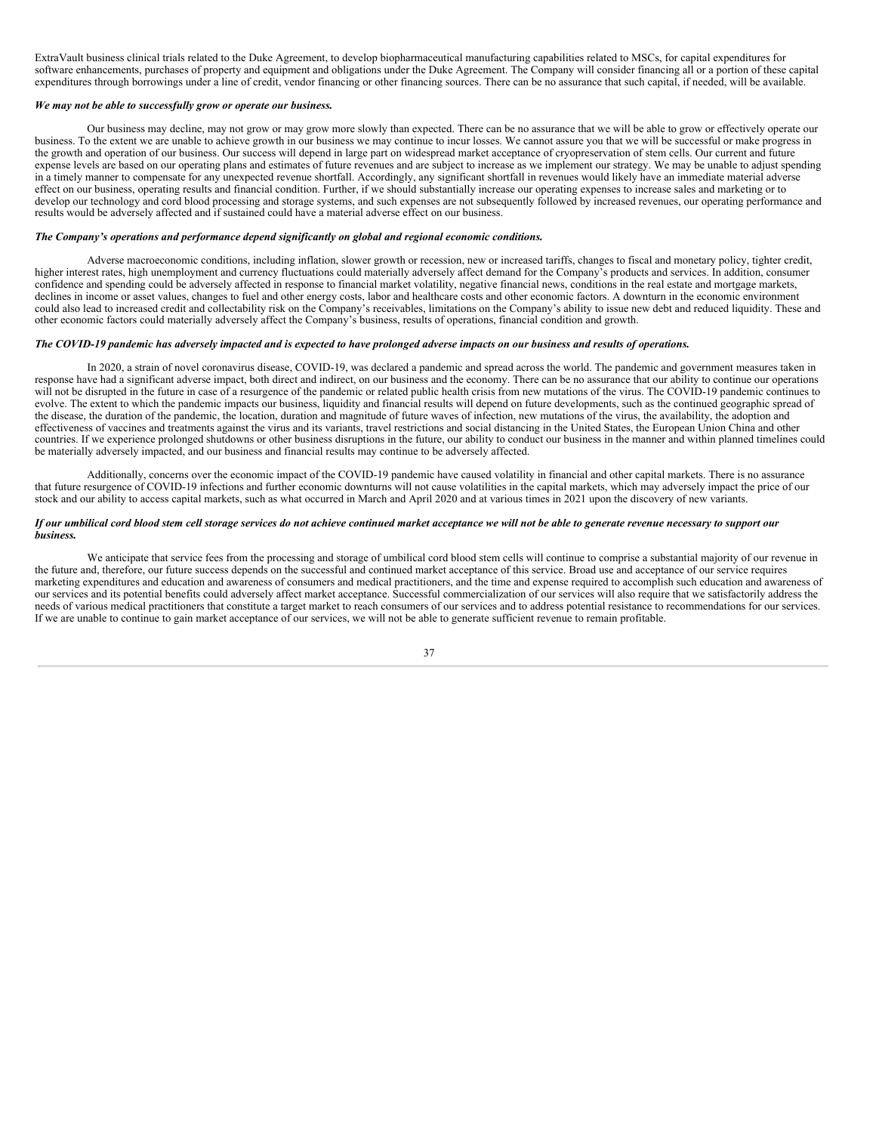ExtraVault business clinical trials related to the Duke Agreement, to develop biopharmaceutical manufacturing capabilities related to MSCs, for capital expenditures for software enhancements, purchases of property and equipment and obligations under the Duke Agreement. The Company will consider financing all or a portion of these capital expenditures through borrowings under a line of credit, vendor financing or other financing sources. There can be no assurance that such capital, if needed, will be available.

#### *We may not be able to successfully grow or operate our business.*

Our business may decline, may not grow or may grow more slowly than expected. There can be no assurance that we will be able to grow or effectively operate our business. To the extent we are unable to achieve growth in our business we may continue to incur losses. We cannot assure you that we will be successful or make progress in the growth and operation of our business. Our success will depend in large part on widespread market acceptance of cryopreservation of stem cells. Our current and future expense levels are based on our operating plans and estimates of future revenues and are subject to increase as we implement our strategy. We may be unable to adjust spending in a timely manner to compensate for any unexpected revenue shortfall. Accordingly, any significant shortfall in revenues would likely have an immediate material adverse effect on our business, operating results and financial condition. Further, if we should substantially increase our operating expenses to increase sales and marketing or to develop our technology and cord blood processing and storage systems, and such expenses are not subsequently followed by increased revenues, our operating performance and results would be adversely affected and if sustained could have a material adverse effect on our business.

## *The Company's operations and performance depend significantly on global and regional economic conditions.*

Adverse macroeconomic conditions, including inflation, slower growth or recession, new or increased tariffs, changes to fiscal and monetary policy, tighter credit, higher interest rates, high unemployment and currency fluctuations could materially adversely affect demand for the Company's products and services. In addition, consumer confidence and spending could be adversely affected in response to financial market volatility, negative financial news, conditions in the real estate and mortgage markets, declines in income or asset values, changes to fuel and other energy costs, labor and healthcare costs and other economic factors. A downturn in the economic environment could also lead to increased credit and collectability risk on the Company's receivables, limitations on the Company's ability to issue new debt and reduced liquidity. These and other economic factors could materially adversely affect the Company's business, results of operations, financial condition and growth.

### The COVID-19 pandemic has adversely impacted and is expected to have prolonged adverse impacts on our business and results of operations.

In 2020, a strain of novel coronavirus disease, COVID-19, was declared a pandemic and spread across the world. The pandemic and government measures taken in response have had a significant adverse impact, both direct and indirect, on our business and the economy. There can be no assurance that our ability to continue our operations will not be disrupted in the future in case of a resurgence of the pandemic or related public health crisis from new mutations of the virus. The COVID-19 pandemic continues to evolve. The extent to which the pandemic impacts our business, liquidity and financial results will depend on future developments, such as the continued geographic spread of the disease, the duration of the pandemic, the location, duration and magnitude of future waves of infection, new mutations of the virus, the availability, the adoption and effectiveness of vaccines and treatments against the virus and its variants, travel restrictions and social distancing in the United States, the European Union China and other countries. If we experience prolonged shutdowns or other business disruptions in the future, our ability to conduct our business in the manner and within planned timelines could be materially adversely impacted, and our business and financial results may continue to be adversely affected.

Additionally, concerns over the economic impact of the COVID-19 pandemic have caused volatility in financial and other capital markets. There is no assurance that future resurgence of COVID-19 infections and further economic downturns will not cause volatilities in the capital markets, which may adversely impact the price of our stock and our ability to access capital markets, such as what occurred in March and April 2020 and at various times in 2021 upon the discovery of new variants.

#### If our umbilical cord blood stem cell storage services do not achieve continued market acceptance we will not be able to generate revenue necessary to support our *business.*

We anticipate that service fees from the processing and storage of umbilical cord blood stem cells will continue to comprise a substantial majority of our revenue in the future and, therefore, our future success depends on the successful and continued market acceptance of this service. Broad use and acceptance of our service requires marketing expenditures and education and awareness of consumers and medical practitioners, and the time and expense required to accomplish such education and awareness of our services and its potential benefits could adversely affect market acceptance. Successful commercialization of our services will also require that we satisfactorily address the needs of various medical practitioners that constitute a target market to reach consumers of our services and to address potential resistance to recommendations for our services. If we are unable to continue to gain market acceptance of our services, we will not be able to generate sufficient revenue to remain profitable.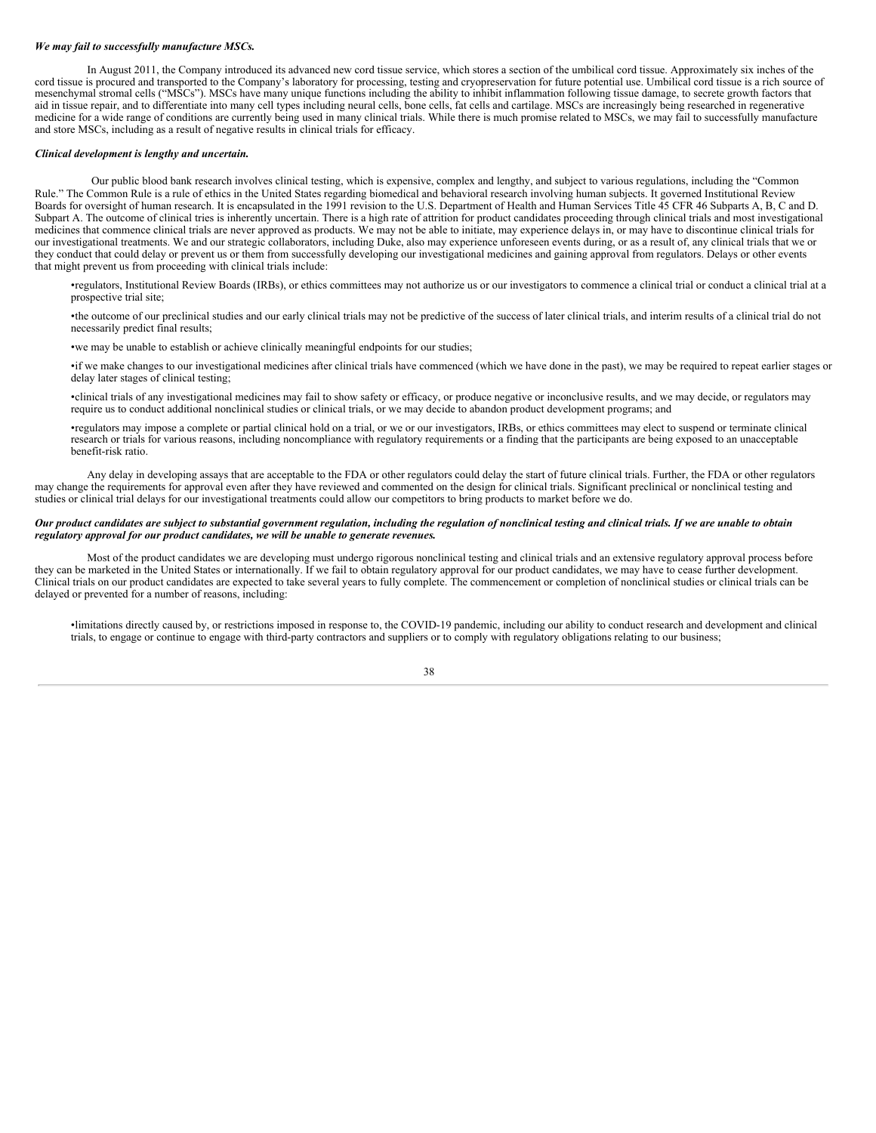## *We may fail to successfully manufacture MSCs.*

In August 2011, the Company introduced its advanced new cord tissue service, which stores a section of the umbilical cord tissue. Approximately six inches of the cord tissue is procured and transported to the Company's laboratory for processing, testing and cryopreservation for future potential use. Umbilical cord tissue is a rich source of mesenchymal stromal cells ("MSCs"). MSCs have many unique functions including the ability to inhibit inflammation following tissue damage, to secrete growth factors that aid in tissue repair, and to differentiate into many cell types including neural cells, bone cells, fat cells and cartilage. MSCs are increasingly being researched in regenerative medicine for a wide range of conditions are currently being used in many clinical trials. While there is much promise related to MSCs, we may fail to successfully manufacture and store MSCs, including as a result of negative results in clinical trials for efficacy.

#### *Clinical development is lengthy and uncertain.*

Our public blood bank research involves clinical testing, which is expensive, complex and lengthy, and subject to various regulations, including the "Common Rule." The Common Rule is a rule of ethics in the United States regarding biomedical and behavioral research involving human subjects. It governed Institutional Review Boards for oversight of human research. It is encapsulated in the 1991 revision to the U.S. Department of Health and Human Services Title 45 CFR 46 Subparts A, B, C and D. Subpart A. The outcome of clinical tries is inherently uncertain. There is a high rate of attrition for product candidates proceeding through clinical trials and most investigational medicines that commence clinical trials are never approved as products. We may not be able to initiate, may experience delays in, or may have to discontinue clinical trials for our investigational treatments. We and our strategic collaborators, including Duke, also may experience unforeseen events during, or as a result of, any clinical trials that we or they conduct that could delay or prevent us or them from successfully developing our investigational medicines and gaining approval from regulators. Delays or other events that might prevent us from proceeding with clinical trials include:

•regulators, Institutional Review Boards (IRBs), or ethics committees may not authorize us or our investigators to commence a clinical trial or conduct a clinical trial at a prospective trial site;

•the outcome of our preclinical studies and our early clinical trials may not be predictive of the success of later clinical trials, and interim results of a clinical trial do not necessarily predict final results;

•we may be unable to establish or achieve clinically meaningful endpoints for our studies;

•if we make changes to our investigational medicines after clinical trials have commenced (which we have done in the past), we may be required to repeat earlier stages or delay later stages of clinical testing;

•clinical trials of any investigational medicines may fail to show safety or efficacy, or produce negative or inconclusive results, and we may decide, or regulators may require us to conduct additional nonclinical studies or clinical trials, or we may decide to abandon product development programs; and

•regulators may impose a complete or partial clinical hold on a trial, or we or our investigators, IRBs, or ethics committees may elect to suspend or terminate clinical research or trials for various reasons, including noncompliance with regulatory requirements or a finding that the participants are being exposed to an unacceptable benefit-risk ratio.

Any delay in developing assays that are acceptable to the FDA or other regulators could delay the start of future clinical trials. Further, the FDA or other regulators may change the requirements for approval even after they have reviewed and commented on the design for clinical trials. Significant preclinical or nonclinical testing and studies or clinical trial delays for our investigational treatments could allow our competitors to bring products to market before we do.

#### Our product candidates are subject to substantial government regulation, including the regulation of nonclinical testing and clinical trials. If we are unable to obtain *regulatory approval for our product candidates, we will be unable to generate revenues.*

Most of the product candidates we are developing must undergo rigorous nonclinical testing and clinical trials and an extensive regulatory approval process before they can be marketed in the United States or internationally. If we fail to obtain regulatory approval for our product candidates, we may have to cease further development. Clinical trials on our product candidates are expected to take several years to fully complete. The commencement or completion of nonclinical studies or clinical trials can be delayed or prevented for a number of reasons, including:

•limitations directly caused by, or restrictions imposed in response to, the COVID-19 pandemic, including our ability to conduct research and development and clinical trials, to engage or continue to engage with third-party contractors and suppliers or to comply with regulatory obligations relating to our business;

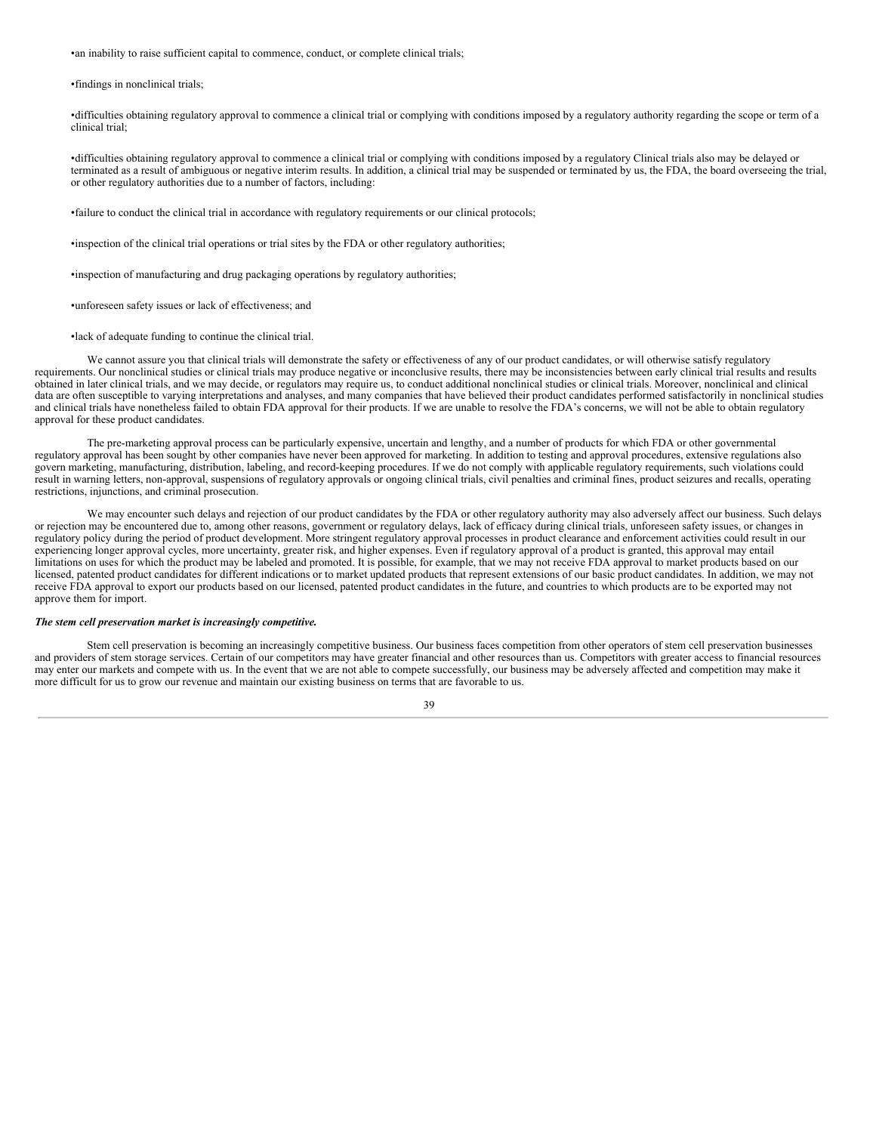•an inability to raise sufficient capital to commence, conduct, or complete clinical trials;

•findings in nonclinical trials;

•difficulties obtaining regulatory approval to commence a clinical trial or complying with conditions imposed by a regulatory authority regarding the scope or term of a clinical trial;

•difficulties obtaining regulatory approval to commence a clinical trial or complying with conditions imposed by a regulatory Clinical trials also may be delayed or terminated as a result of ambiguous or negative interim results. In addition, a clinical trial may be suspended or terminated by us, the FDA, the board overseeing the trial, or other regulatory authorities due to a number of factors, including:

•failure to conduct the clinical trial in accordance with regulatory requirements or our clinical protocols;

•inspection of the clinical trial operations or trial sites by the FDA or other regulatory authorities;

•inspection of manufacturing and drug packaging operations by regulatory authorities;

•unforeseen safety issues or lack of effectiveness; and

•lack of adequate funding to continue the clinical trial.

We cannot assure you that clinical trials will demonstrate the safety or effectiveness of any of our product candidates, or will otherwise satisfy regulatory requirements. Our nonclinical studies or clinical trials may produce negative or inconclusive results, there may be inconsistencies between early clinical trial results and results obtained in later clinical trials, and we may decide, or regulators may require us, to conduct additional nonclinical studies or clinical trials. Moreover, nonclinical and clinical data are often susceptible to varying interpretations and analyses, and many companies that have believed their product candidates performed satisfactorily in nonclinical studies and clinical trials have nonetheless failed to obtain FDA approval for their products. If we are unable to resolve the FDA's concerns, we will not be able to obtain regulatory approval for these product candidates.

The pre-marketing approval process can be particularly expensive, uncertain and lengthy, and a number of products for which FDA or other governmental regulatory approval has been sought by other companies have never been approved for marketing. In addition to testing and approval procedures, extensive regulations also govern marketing, manufacturing, distribution, labeling, and record-keeping procedures. If we do not comply with applicable regulatory requirements, such violations could result in warning letters, non-approval, suspensions of regulatory approvals or ongoing clinical trials, civil penalties and criminal fines, product seizures and recalls, operating restrictions, injunctions, and criminal prosecution.

We may encounter such delays and rejection of our product candidates by the FDA or other regulatory authority may also adversely affect our business. Such delays or rejection may be encountered due to, among other reasons, government or regulatory delays, lack of efficacy during clinical trials, unforeseen safety issues, or changes in regulatory policy during the period of product development. More stringent regulatory approval processes in product clearance and enforcement activities could result in our experiencing longer approval cycles, more uncertainty, greater risk, and higher expenses. Even if regulatory approval of a product is granted, this approval may entail limitations on uses for which the product may be labeled and promoted. It is possible, for example, that we may not receive FDA approval to market products based on our licensed, patented product candidates for different indications or to market updated products that represent extensions of our basic product candidates. In addition, we may not receive FDA approval to export our products based on our licensed, patented product candidates in the future, and countries to which products are to be exported may not approve them for import.

## *The stem cell preservation market is increasingly competitive.*

Stem cell preservation is becoming an increasingly competitive business. Our business faces competition from other operators of stem cell preservation businesses and providers of stem storage services. Certain of our competitors may have greater financial and other resources than us. Competitors with greater access to financial resources may enter our markets and compete with us. In the event that we are not able to compete successfully, our business may be adversely affected and competition may make it more difficult for us to grow our revenue and maintain our existing business on terms that are favorable to us.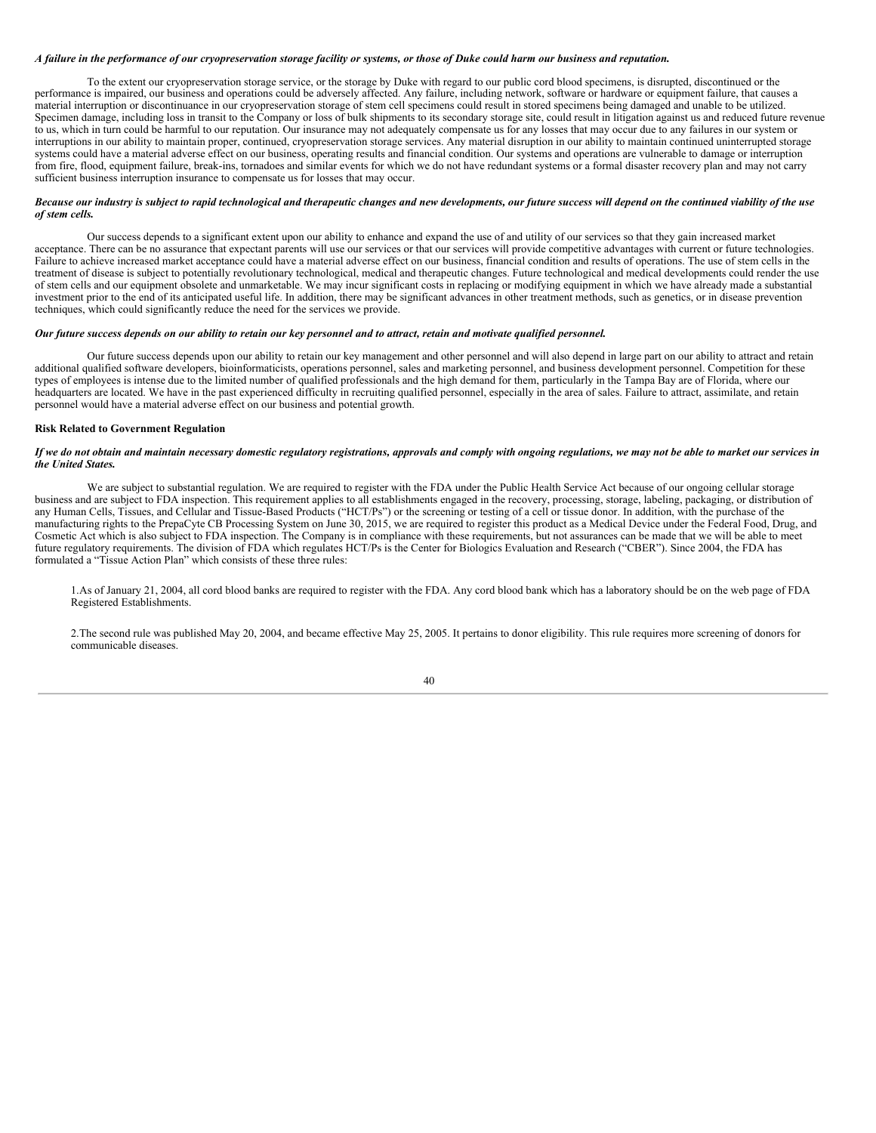#### A failure in the performance of our cryopreservation storage facility or systems, or those of Duke could harm our business and reputation.

To the extent our cryopreservation storage service, or the storage by Duke with regard to our public cord blood specimens, is disrupted, discontinued or the performance is impaired, our business and operations could be adversely affected. Any failure, including network, software or hardware or equipment failure, that causes a material interruption or discontinuance in our cryopreservation storage of stem cell specimens could result in stored specimens being damaged and unable to be utilized. Specimen damage, including loss in transit to the Company or loss of bulk shipments to its secondary storage site, could result in litigation against us and reduced future revenue to us, which in turn could be harmful to our reputation. Our insurance may not adequately compensate us for any losses that may occur due to any failures in our system or interruptions in our ability to maintain proper, continued, cryopreservation storage services. Any material disruption in our ability to maintain continued uninterrupted storage systems could have a material adverse effect on our business, operating results and financial condition. Our systems and operations are vulnerable to damage or interruption from fire, flood, equipment failure, break-ins, tornadoes and similar events for which we do not have redundant systems or a formal disaster recovery plan and may not carry sufficient business interruption insurance to compensate us for losses that may occur.

### Because our industry is subject to rapid technological and therapeutic changes and new developments, our future success will depend on the continued viability of the use *of stem cells.*

Our success depends to a significant extent upon our ability to enhance and expand the use of and utility of our services so that they gain increased market acceptance. There can be no assurance that expectant parents will use our services or that our services will provide competitive advantages with current or future technologies. Failure to achieve increased market acceptance could have a material adverse effect on our business, financial condition and results of operations. The use of stem cells in the treatment of disease is subject to potentially revolutionary technological, medical and therapeutic changes. Future technological and medical developments could render the use of stem cells and our equipment obsolete and unmarketable. We may incur significant costs in replacing or modifying equipment in which we have already made a substantial investment prior to the end of its anticipated useful life. In addition, there may be significant advances in other treatment methods, such as genetics, or in disease prevention techniques, which could significantly reduce the need for the services we provide.

#### Our future success depends on our ability to retain our key personnel and to attract, retain and motivate qualified personnel.

Our future success depends upon our ability to retain our key management and other personnel and will also depend in large part on our ability to attract and retain additional qualified software developers, bioinformaticists, operations personnel, sales and marketing personnel, and business development personnel. Competition for these types of employees is intense due to the limited number of qualified professionals and the high demand for them, particularly in the Tampa Bay are of Florida, where our headquarters are located. We have in the past experienced difficulty in recruiting qualified personnel, especially in the area of sales. Failure to attract, assimilate, and retain personnel would have a material adverse effect on our business and potential growth.

#### **Risk Related to Government Regulation**

#### If we do not obtain and maintain necessary domestic regulatory registrations, approvals and comply with ongoing regulations, we may not be able to market our services in *the United States.*

We are subject to substantial regulation. We are required to register with the FDA under the Public Health Service Act because of our ongoing cellular storage business and are subject to FDA inspection. This requirement applies to all establishments engaged in the recovery, processing, storage, labeling, packaging, or distribution of any Human Cells, Tissues, and Cellular and Tissue-Based Products ("HCT/Ps") or the screening or testing of a cell or tissue donor. In addition, with the purchase of the manufacturing rights to the PrepaCyte CB Processing System on June 30, 2015, we are required to register this product as a Medical Device under the Federal Food, Drug, and Cosmetic Act which is also subject to FDA inspection. The Company is in compliance with these requirements, but not assurances can be made that we will be able to meet future regulatory requirements. The division of FDA which regulates HCT/Ps is the Center for Biologics Evaluation and Research ("CBER"). Since 2004, the FDA has formulated a "Tissue Action Plan" which consists of these three rules:

1.As of January 21, 2004, all cord blood banks are required to register with the FDA. Any cord blood bank which has a laboratory should be on the web page of FDA Registered Establishments.

2.The second rule was published May 20, 2004, and became effective May 25, 2005. It pertains to donor eligibility. This rule requires more screening of donors for communicable diseases.

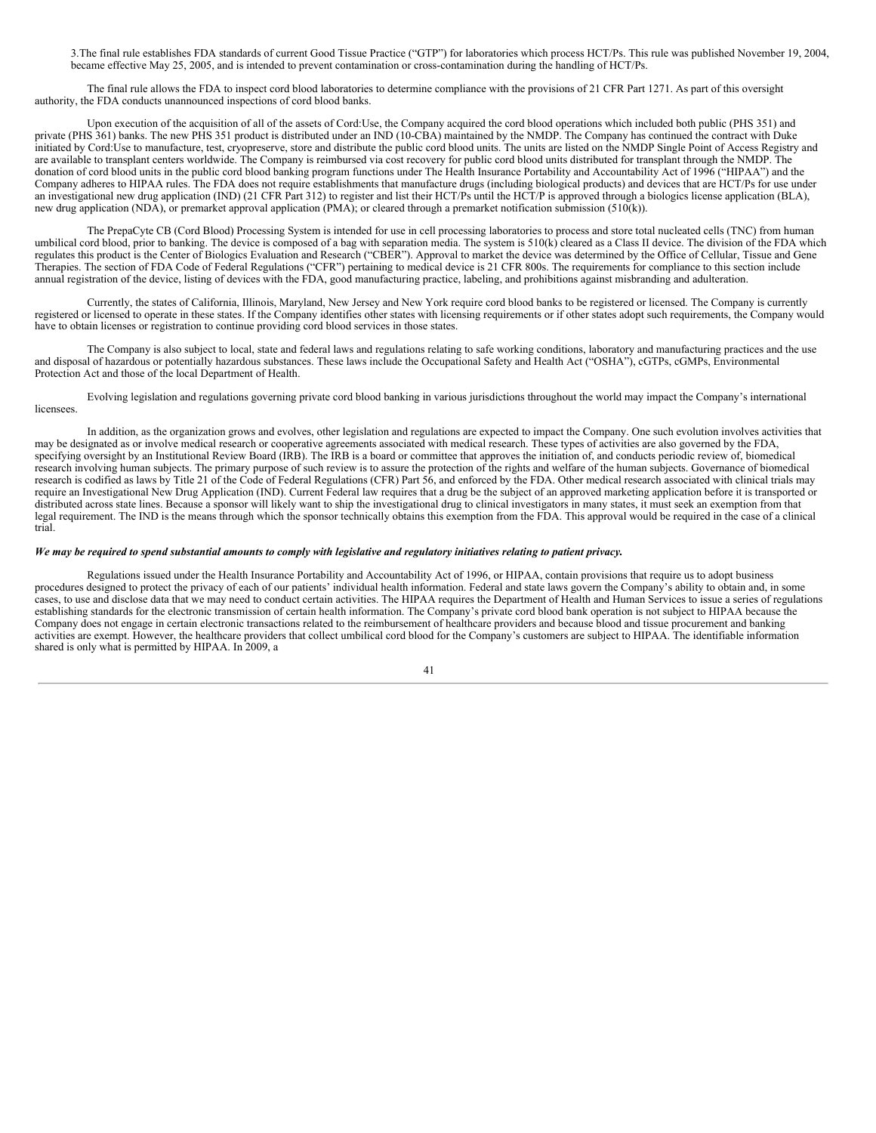3.The final rule establishes FDA standards of current Good Tissue Practice ("GTP") for laboratories which process HCT/Ps. This rule was published November 19, 2004, became effective May 25, 2005, and is intended to prevent contamination or cross-contamination during the handling of HCT/Ps.

The final rule allows the FDA to inspect cord blood laboratories to determine compliance with the provisions of 21 CFR Part 1271. As part of this oversight authority, the FDA conducts unannounced inspections of cord blood banks.

Upon execution of the acquisition of all of the assets of Cord:Use, the Company acquired the cord blood operations which included both public (PHS 351) and private (PHS 361) banks. The new PHS 351 product is distributed under an IND (10-CBA) maintained by the NMDP. The Company has continued the contract with Duke initiated by Cord:Use to manufacture, test, cryopreserve, store and distribute the public cord blood units. The units are listed on the NMDP Single Point of Access Registry and are available to transplant centers worldwide. The Company is reimbursed via cost recovery for public cord blood units distributed for transplant through the NMDP. The donation of cord blood units in the public cord blood banking program functions under The Health Insurance Portability and Accountability Act of 1996 ("HIPAA") and the Company adheres to HIPAA rules. The FDA does not require establishments that manufacture drugs (including biological products) and devices that are HCT/Ps for use under an investigational new drug application (IND) (21 CFR Part 312) to register and list their HCT/Ps until the HCT/P is approved through a biologics license application (BLA), new drug application (NDA), or premarket approval application (PMA); or cleared through a premarket notification submission (510(k)).

The PrepaCyte CB (Cord Blood) Processing System is intended for use in cell processing laboratories to process and store total nucleated cells (TNC) from human umbilical cord blood, prior to banking. The device is composed of a bag with separation media. The system is  $510(k)$  cleared as a Class II device. The division of the FDA which regulates this product is the Center of Biologics Evaluation and Research ("CBER"). Approval to market the device was determined by the Office of Cellular, Tissue and Gene Therapies. The section of FDA Code of Federal Regulations ("CFR") pertaining to medical device is 21 CFR 800s. The requirements for compliance to this section include annual registration of the device, listing of devices with the FDA, good manufacturing practice, labeling, and prohibitions against misbranding and adulteration.

Currently, the states of California, Illinois, Maryland, New Jersey and New York require cord blood banks to be registered or licensed. The Company is currently registered or licensed to operate in these states. If the Company identifies other states with licensing requirements or if other states adopt such requirements, the Company would have to obtain licenses or registration to continue providing cord blood services in those states.

The Company is also subject to local, state and federal laws and regulations relating to safe working conditions, laboratory and manufacturing practices and the use and disposal of hazardous or potentially hazardous substances. These laws include the Occupational Safety and Health Act ("OSHA"), cGTPs, cGMPs, Environmental Protection Act and those of the local Department of Health.

Evolving legislation and regulations governing private cord blood banking in various jurisdictions throughout the world may impact the Company's international licensees.

In addition, as the organization grows and evolves, other legislation and regulations are expected to impact the Company. One such evolution involves activities that may be designated as or involve medical research or cooperative agreements associated with medical research. These types of activities are also governed by the FDA, specifying oversight by an Institutional Review Board (IRB). The IRB is a board or committee that approves the initiation of, and conducts periodic review of, biomedical research involving human subjects. The primary purpose of such review is to assure the protection of the rights and welfare of the human subjects. Governance of biomedical research is codified as laws by Title 21 of the Code of Federal Regulations (CFR) Part 56, and enforced by the FDA. Other medical research associated with clinical trials may require an Investigational New Drug Application (IND). Current Federal law requires that a drug be the subject of an approved marketing application before it is transported or distributed across state lines. Because a sponsor will likely want to ship the investigational drug to clinical investigators in many states, it must seek an exemption from that distributed across state lines. Because a sp legal requirement. The IND is the means through which the sponsor technically obtains this exemption from the FDA. This approval would be required in the case of a clinical trial.

## We may be required to spend substantial amounts to comply with legislative and regulatory initiatives relating to patient privacy.

Regulations issued under the Health Insurance Portability and Accountability Act of 1996, or HIPAA, contain provisions that require us to adopt business procedures designed to protect the privacy of each of our patients' individual health information. Federal and state laws govern the Company's ability to obtain and, in some cases, to use and disclose data that we may need to conduct certain activities. The HIPAA requires the Department of Health and Human Services to issue a series of regulations establishing standards for the electronic transmission of certain health information. The Company's private cord blood bank operation is not subject to HIPAA because the Company does not engage in certain electronic transactions related to the reimbursement of healthcare providers and because blood and tissue procurement and banking activities are exempt. However, the healthcare providers that collect umbilical cord blood for the Company's customers are subject to HIPAA. The identifiable information shared is only what is permitted by HIPAA. In 2009, a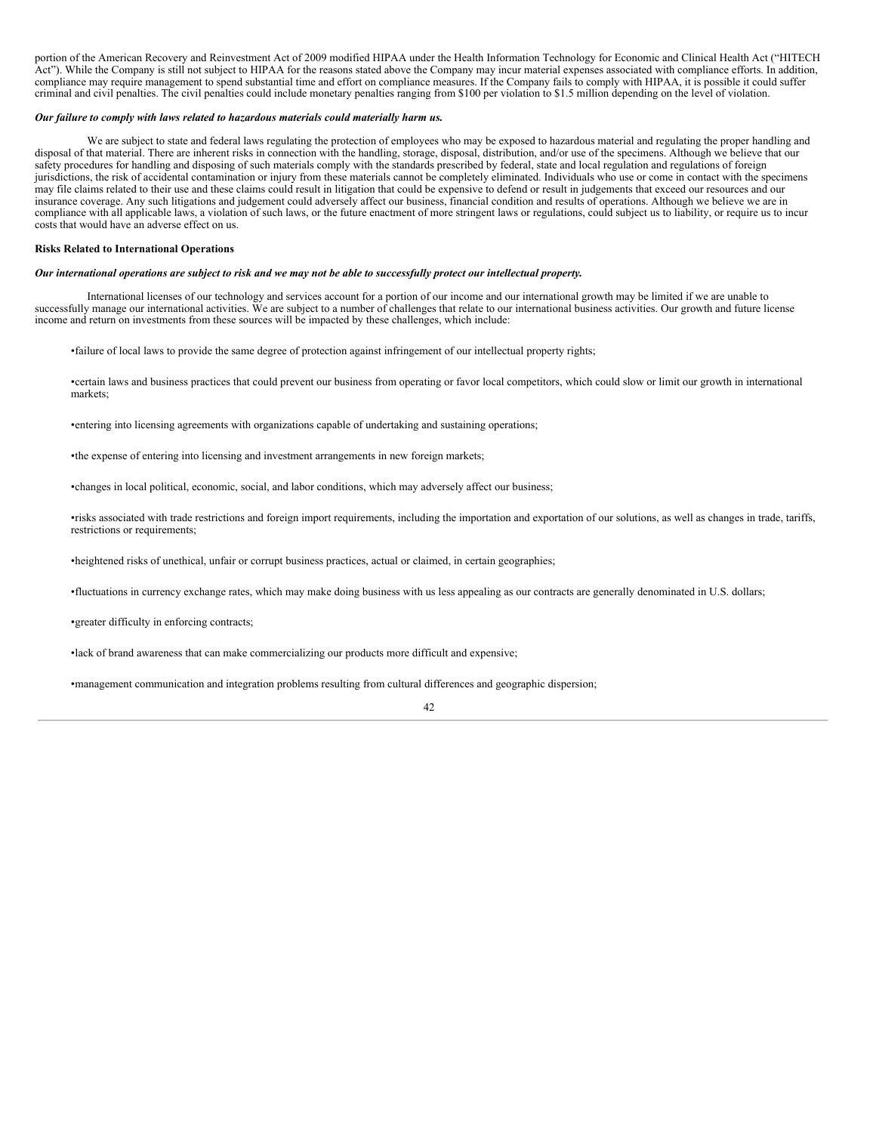portion of the American Recovery and Reinvestment Act of 2009 modified HIPAA under the Health Information Technology for Economic and Clinical Health Act ("HITECH Act"). While the Company is still not subject to HIPAA for the reasons stated above the Company may incur material expenses associated with compliance efforts. In addition, compliance may require management to spend substantial time and effort on compliance measures. If the Company fails to comply with HIPAA, it is possible it could suffer criminal and civil penalties. The civil penalties could include monetary penalties ranging from \$100 per violation to \$1.5 million depending on the level of violation.

## *Our failure to comply with laws related to hazardous materials could materially harm us.*

We are subject to state and federal laws regulating the protection of employees who may be exposed to hazardous material and regulating the proper handling and disposal of that material. There are inherent risks in connection with the handling, storage, disposal, distribution, and/or use of the specimens. Although we believe that our safety procedures for handling and disposing of such materials comply with the standards prescribed by federal, state and local regulation and regulations of foreign jurisdictions, the risk of accidental contamination or injury from these materials cannot be completely eliminated. Individuals who use or come in contact with the specimens may file claims related to their use and these claims could result in litigation that could be expensive to defend or result in judgements that exceed our resources and our insurance coverage. Any such litigations and judgement could adversely affect our business, financial condition and results of operations. Although we believe we are in compliance with all applicable laws, a violation of such laws, or the future enactment of more stringent laws or regulations, could subject us to liability, or require us to incur costs that would have an adverse effect on us.

### **Risks Related to International Operations**

## Our international operations are subject to risk and we may not be able to successfully protect our intellectual property.

International licenses of our technology and services account for a portion of our income and our international growth may be limited if we are unable to successfully manage our international activities. We are subject to a number of challenges that relate to our international business activities. Our growth and future license income and return on investments from these sources will be impacted by these challenges, which include:

•failure of local laws to provide the same degree of protection against infringement of our intellectual property rights;

•certain laws and business practices that could prevent our business from operating or favor local competitors, which could slow or limit our growth in international markets;

•entering into licensing agreements with organizations capable of undertaking and sustaining operations;

•the expense of entering into licensing and investment arrangements in new foreign markets;

•changes in local political, economic, social, and labor conditions, which may adversely affect our business;

•risks associated with trade restrictions and foreign import requirements, including the importation and exportation of our solutions, as well as changes in trade, tariffs, restrictions or requirements;

•heightened risks of unethical, unfair or corrupt business practices, actual or claimed, in certain geographies;

•fluctuations in currency exchange rates, which may make doing business with us less appealing as our contracts are generally denominated in U.S. dollars;

•greater difficulty in enforcing contracts;

•lack of brand awareness that can make commercializing our products more difficult and expensive;

•management communication and integration problems resulting from cultural differences and geographic dispersion;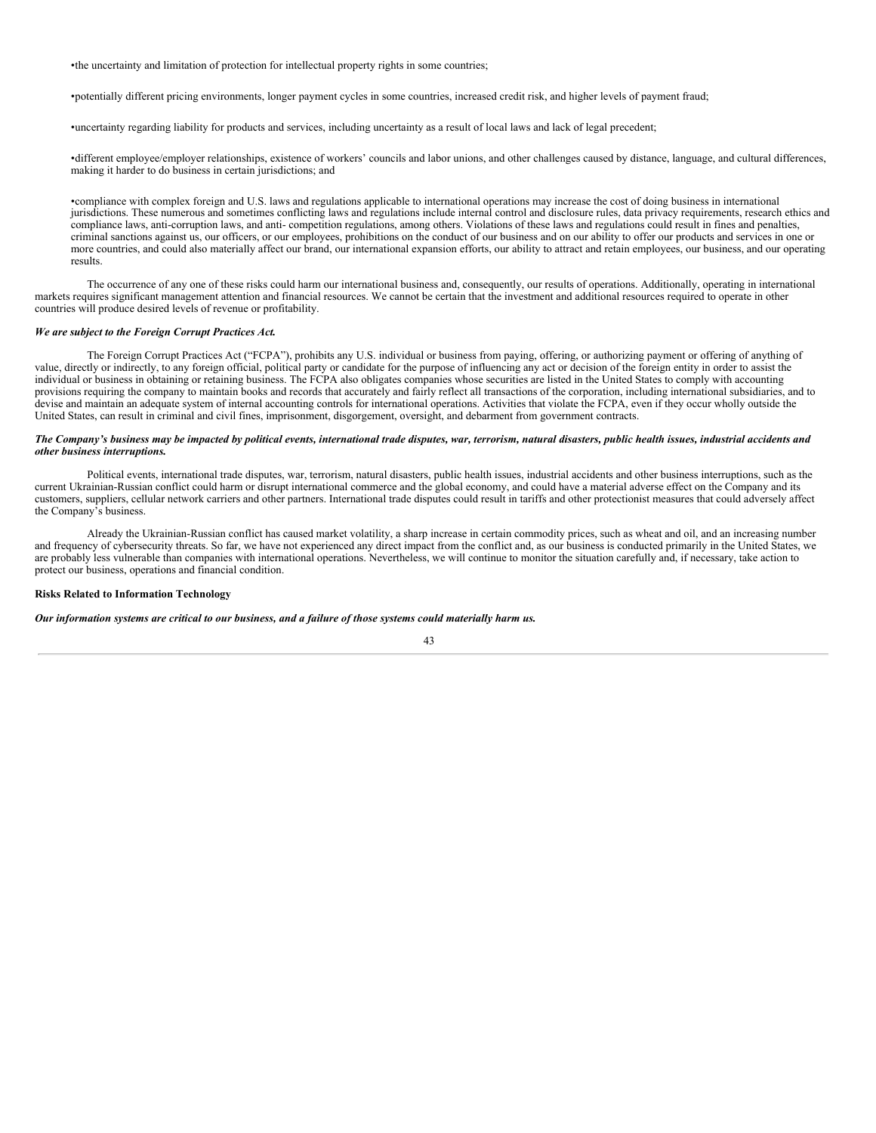•the uncertainty and limitation of protection for intellectual property rights in some countries;

•potentially different pricing environments, longer payment cycles in some countries, increased credit risk, and higher levels of payment fraud;

•uncertainty regarding liability for products and services, including uncertainty as a result of local laws and lack of legal precedent;

•different employee/employer relationships, existence of workers' councils and labor unions, and other challenges caused by distance, language, and cultural differences, making it harder to do business in certain jurisdictions; and

•compliance with complex foreign and U.S. laws and regulations applicable to international operations may increase the cost of doing business in international jurisdictions. These numerous and sometimes conflicting laws and regulations include internal control and disclosure rules, data privacy requirements, research ethics and compliance laws, anti-corruption laws, and anti- competition regulations, among others. Violations of these laws and regulations could result in fines and penalties, criminal sanctions against us, our officers, or our employees, prohibitions on the conduct of our business and on our ability to offer our products and services in one or more countries, and could also materially affect our brand, our international expansion efforts, our ability to attract and retain employees, our business, and our operating results.

The occurrence of any one of these risks could harm our international business and, consequently, our results of operations. Additionally, operating in international markets requires significant management attention and financial resources. We cannot be certain that the investment and additional resources required to operate in other countries will produce desired levels of revenue or profitability.

## *We are subject to the Foreign Corrupt Practices Act.*

The Foreign Corrupt Practices Act ("FCPA"), prohibits any U.S. individual or business from paying, offering, or authorizing payment or offering of anything of value, directly or indirectly, to any foreign official, political party or candidate for the purpose of influencing any act or decision of the foreign entity in order to assist the individual or business in obtaining or retaining business. The FCPA also obligates companies whose securities are listed in the United States to comply with accounting provisions requiring the company to maintain books and records that accurately and fairly reflect all transactions of the corporation, including international subsidiaries, and to devise and maintain an adequate system of internal accounting controls for international operations. Activities that violate the FCPA, even if they occur wholly outside the United States, can result in criminal and civil fines, imprisonment, disgorgement, oversight, and debarment from government contracts.

## The Company's business may be impacted by political events, international trade disputes, war, terrorism, natural disasters, public health issues, industrial accidents and *other business interruptions.*

Political events, international trade disputes, war, terrorism, natural disasters, public health issues, industrial accidents and other business interruptions, such as the current Ukrainian-Russian conflict could harm or disrupt international commerce and the global economy, and could have a material adverse effect on the Company and its customers, suppliers, cellular network carriers and other partners. International trade disputes could result in tariffs and other protectionist measures that could adversely affect the Company's business.

Already the Ukrainian-Russian conflict has caused market volatility, a sharp increase in certain commodity prices, such as wheat and oil, and an increasing number and frequency of cybersecurity threats. So far, we have not experienced any direct impact from the conflict and, as our business is conducted primarily in the United States, we are probably less vulnerable than companies with international operations. Nevertheless, we will continue to monitor the situation carefully and, if necessary, take action to protect our business, operations and financial condition.

### **Risks Related to Information Technology**

Our information systems are critical to our business, and a failure of those systems could materially harm us.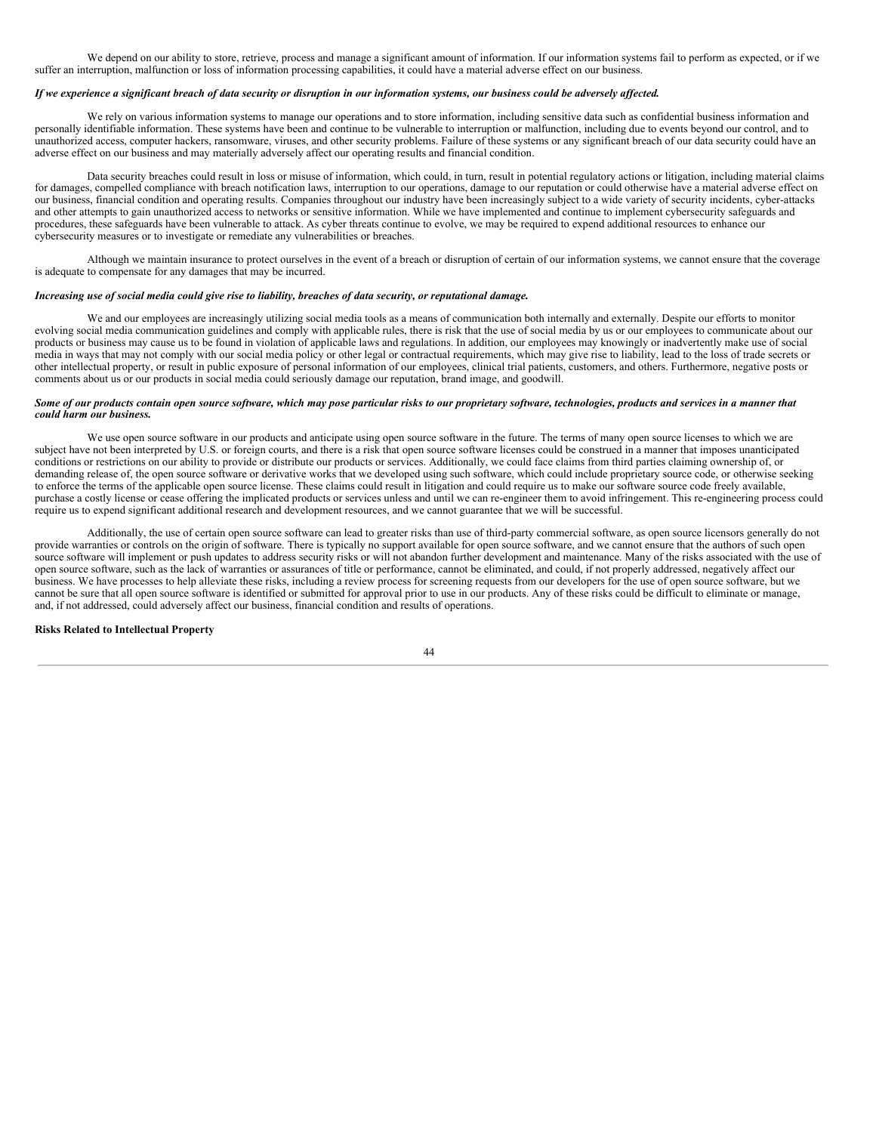We depend on our ability to store, retrieve, process and manage a significant amount of information. If our information systems fail to perform as expected, or if we suffer an interruption, malfunction or loss of information processing capabilities, it could have a material adverse effect on our business.

## If we experience a significant breach of data security or disruption in our information systems, our business could be adversely affected.

We rely on various information systems to manage our operations and to store information, including sensitive data such as confidential business information and personally identifiable information. These systems have been and continue to be vulnerable to interruption or malfunction, including due to events beyond our control, and to unauthorized access, computer hackers, ransomware, viruses, and other security problems. Failure of these systems or any significant breach of our data security could have an adverse effect on our business and may materially adversely affect our operating results and financial condition.

Data security breaches could result in loss or misuse of information, which could, in turn, result in potential regulatory actions or litigation, including material claims for damages, compelled compliance with breach notification laws, interruption to our operations, damage to our reputation or could otherwise have a material adverse effect on our business, financial condition and operating results. Companies throughout our industry have been increasingly subject to a wide variety of security incidents, cyber-attacks and other attempts to gain unauthorized access to networks or sensitive information. While we have implemented and continue to implement cybersecurity safeguards and procedures, these safeguards have been vulnerable to attack. As cyber threats continue to evolve, we may be required to expend additional resources to enhance our cybersecurity measures or to investigate or remediate any vulnerabilities or breaches.

Although we maintain insurance to protect ourselves in the event of a breach or disruption of certain of our information systems, we cannot ensure that the coverage is adequate to compensate for any damages that may be incurred.

#### Increasing use of social media could give rise to liability, breaches of data security, or reputational damage.

We and our employees are increasingly utilizing social media tools as a means of communication both internally and externally. Despite our efforts to monitor evolving social media communication guidelines and comply with applicable rules, there is risk that the use of social media by us or our employees to communicate about our products or business may cause us to be found in violation of applicable laws and regulations. In addition, our employees may knowingly or inadvertently make use of social media in ways that may not comply with our social media policy or other legal or contractual requirements, which may give rise to liability, lead to the loss of trade secrets or other intellectual property, or result in public exposure of personal information of our employees, clinical trial patients, customers, and others. Furthermore, negative posts or comments about us or our products in social media could seriously damage our reputation, brand image, and goodwill.

#### Some of our products contain open source software, which may pose particular risks to our proprietary software, technologies, products and services in a manner that *could harm our business.*

We use open source software in our products and anticipate using open source software in the future. The terms of many open source licenses to which we are subject have not been interpreted by U.S. or foreign courts, and there is a risk that open source software licenses could be construed in a manner that imposes unanticipated conditions or restrictions on our ability to provide or distribute our products or services. Additionally, we could face claims from third parties claiming ownership of, or demanding release of, the open source software or derivative works that we developed using such software, which could include proprietary source code, or otherwise seeking to enforce the terms of the applicable open source license. These claims could result in litigation and could require us to make our software source code freely available, purchase a costly license or cease offering the implicated products or services unless and until we can re-engineer them to avoid infringement. This re-engineering process could require us to expend significant additional research and development resources, and we cannot guarantee that we will be successful.

Additionally, the use of certain open source software can lead to greater risks than use of third-party commercial software, as open source licensors generally do not provide warranties or controls on the origin of software. There is typically no support available for open source software, and we cannot ensure that the authors of such open source software will implement or push updates to address security risks or will not abandon further development and maintenance. Many of the risks associated with the use of open source software, such as the lack of warranties or assurances of title or performance, cannot be eliminated, and could, if not properly addressed, negatively affect our business. We have processes to help alleviate these risks, including a review process for screening requests from our developers for the use of open source software, but we cannot be sure that all open source software is identified or submitted for approval prior to use in our products. Any of these risks could be difficult to eliminate or manage, and, if not addressed, could adversely affect our business, financial condition and results of operations.

## **Risks Related to Intellectual Property**

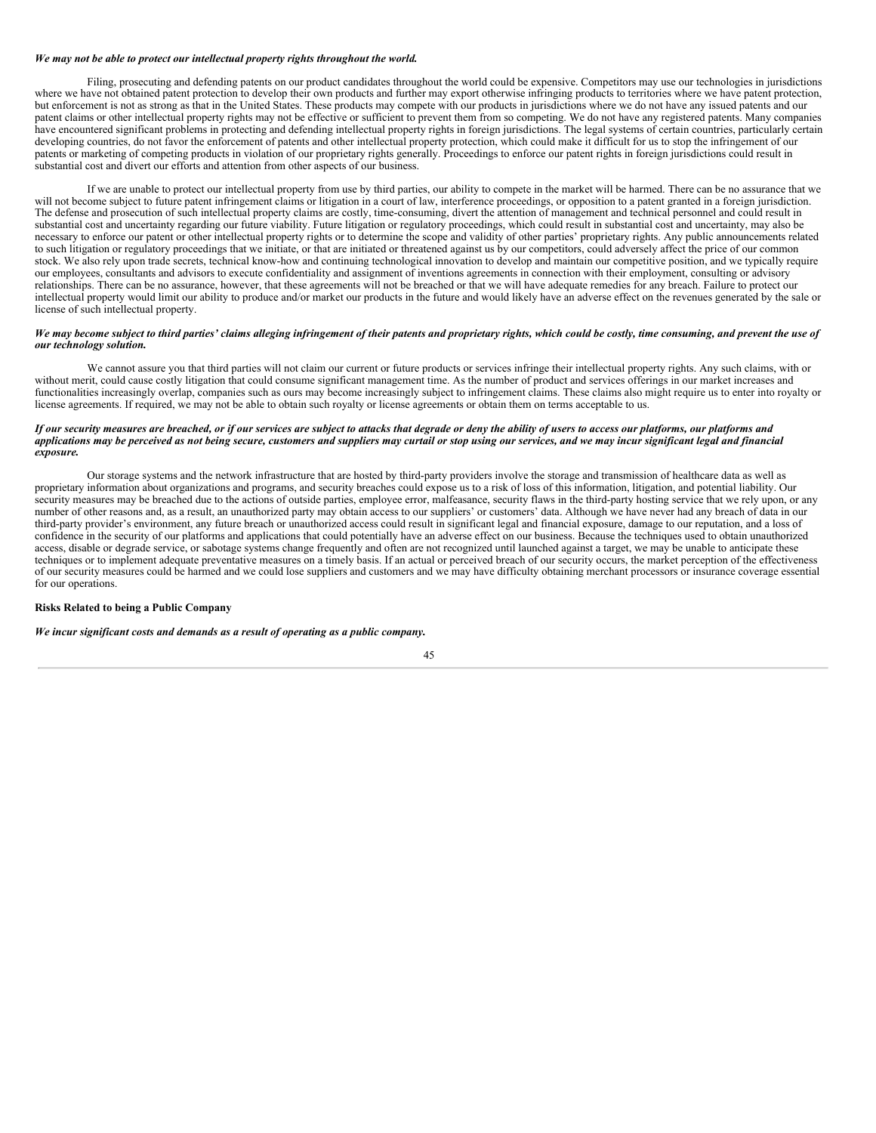#### *We may not be able to protect our intellectual property rights throughout the world.*

Filing, prosecuting and defending patents on our product candidates throughout the world could be expensive. Competitors may use our technologies in jurisdictions where we have not obtained patent protection to develop their own products and further may export otherwise infringing products to territories where we have patent protection, but enforcement is not as strong as that in the United States. These products may compete with our products in jurisdictions where we do not have any issued patents and our patent claims or other intellectual property rights may not be effective or sufficient to prevent them from so competing. We do not have any registered patents. Many companies have encountered significant problems in protecting and defending intellectual property rights in foreign jurisdictions. The legal systems of certain countries, particularly certain developing countries, do not favor the enforcement of patents and other intellectual property protection, which could make it difficult for us to stop the infringement of our patents or marketing of competing products in violation of our proprietary rights generally. Proceedings to enforce our patent rights in foreign jurisdictions could result in substantial cost and divert our efforts and attention from other aspects of our business.

If we are unable to protect our intellectual property from use by third parties, our ability to compete in the market will be harmed. There can be no assurance that we will not become subject to future patent infringement claims or litigation in a court of law, interference proceedings, or opposition to a patent granted in a foreign jurisdiction. The defense and prosecution of such intellectual property claims are costly, time-consuming, divert the attention of management and technical personnel and could result in substantial cost and uncertainty regarding our future viability. Future litigation or regulatory proceedings, which could result in substantial cost and uncertainty, may also be necessary to enforce our patent or other intellectual property rights or to determine the scope and validity of other parties' proprietary rights. Any public announcements related to such litigation or regulatory proceedings that we initiate, or that are initiated or threatened against us by our competitors, could adversely affect the price of our common stock. We also rely upon trade secrets, technical know-how and continuing technological innovation to develop and maintain our competitive position, and we typically require our employees, consultants and advisors to execute confidentiality and assignment of inventions agreements in connection with their employment, consulting or advisory relationships. There can be no assurance, however, that these agreements will not be breached or that we will have adequate remedies for any breach. Failure to protect our intellectual property would limit our ability to produce and/or market our products in the future and would likely have an adverse effect on the revenues generated by the sale or license of such intellectual property.

## We may become subject to third parties' claims alleging infringement of their patents and proprietary rights, which could be costly, time consuming, and prevent the use of *our technology solution.*

We cannot assure you that third parties will not claim our current or future products or services infringe their intellectual property rights. Any such claims, with or without merit, could cause costly litigation that could consume significant management time. As the number of product and services offerings in our market increases and functionalities increasingly overlap, companies such as ours may become increasingly subject to infringement claims. These claims also might require us to enter into royalty or license agreements. If required, we may not be able to obtain such royalty or license agreements or obtain them on terms acceptable to us.

#### If our security measures are breached, or if our services are subject to attacks that degrade or deny the ability of users to access our platforms, our platforms and applications may be perceived as not being secure, customers and suppliers may curtail or stop using our services, and we may incur significant legal and financial *exposure.*

Our storage systems and the network infrastructure that are hosted by third-party providers involve the storage and transmission of healthcare data as well as proprietary information about organizations and programs, and security breaches could expose us to a risk of loss of this information, litigation, and potential liability. Our security measures may be breached due to the actions of outside parties, employee error, malfeasance, security flaws in the third-party hosting service that we rely upon, or any number of other reasons and, as a result, an unauthorized party may obtain access to our suppliers' or customers' data. Although we have never had any breach of data in our third-party provider's environment, any future breach or unauthorized access could result in significant legal and financial exposure, damage to our reputation, and a loss of confidence in the security of our platforms and applications that could potentially have an adverse effect on our business. Because the techniques used to obtain unauthorized access, disable or degrade service, or sabotage systems change frequently and often are not recognized until launched against a target, we may be unable to anticipate these techniques or to implement adequate preventative measures on a timely basis. If an actual or perceived breach of our security occurs, the market perception of the effectiveness of our security measures could be harmed and we could lose suppliers and customers and we may have difficulty obtaining merchant processors or insurance coverage essential for our operations.

#### **Risks Related to being a Public Company**

*We incur significant costs and demands as a result of operating as a public company.*

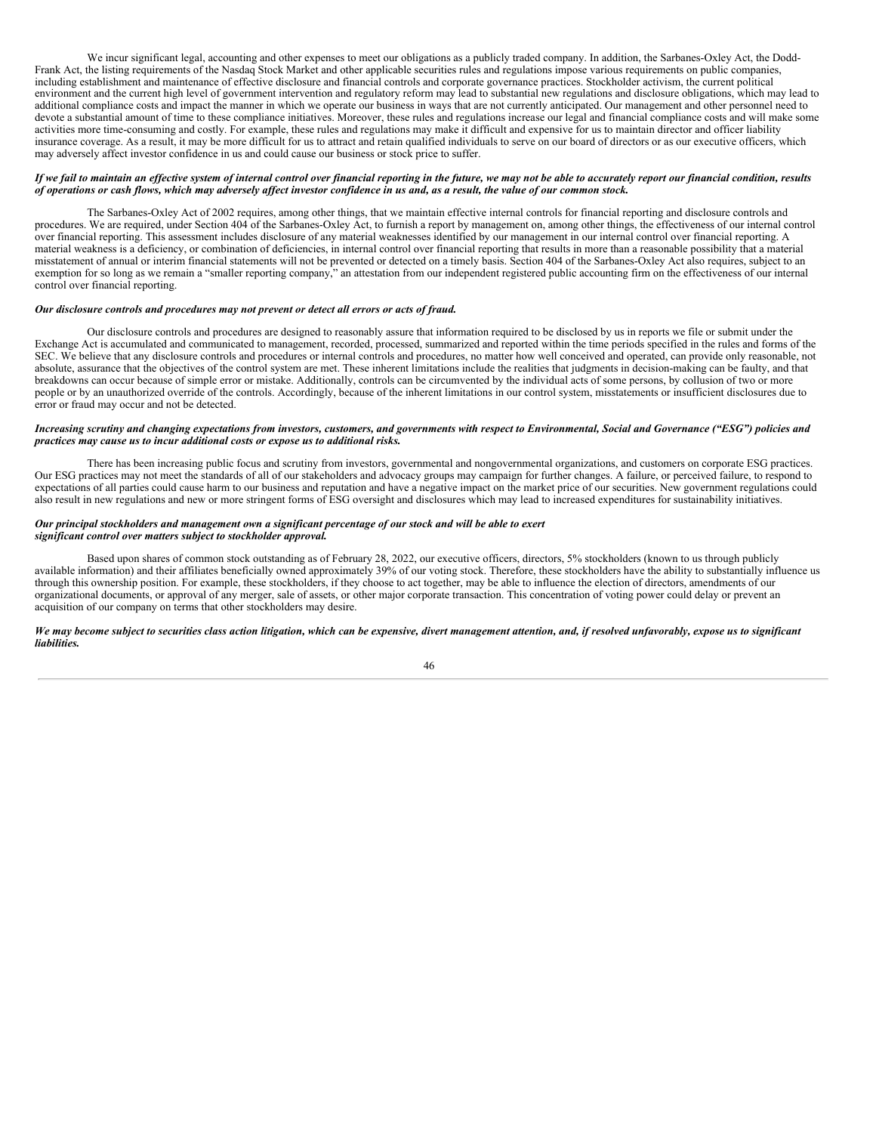We incur significant legal, accounting and other expenses to meet our obligations as a publicly traded company. In addition, the Sarbanes-Oxley Act, the Dodd-Frank Act, the listing requirements of the Nasdaq Stock Market and other applicable securities rules and regulations impose various requirements on public companies, including establishment and maintenance of effective disclosure and financial controls and corporate governance practices. Stockholder activism, the current political environment and the current high level of government intervention and regulatory reform may lead to substantial new regulations and disclosure obligations, which may lead to additional compliance costs and impact the manner in which we operate our business in ways that are not currently anticipated. Our management and other personnel need to devote a substantial amount of time to these compliance initiatives. Moreover, these rules and regulations increase our legal and financial compliance costs and will make some activities more time-consuming and costly. For example, these rules and regulations may make it difficult and expensive for us to maintain director and officer liability insurance coverage. As a result, it may be more difficult for us to attract and retain qualified individuals to serve on our board of directors or as our executive officers, which may adversely affect investor confidence in us and could cause our business or stock price to suffer.

#### If we fail to maintain an effective system of internal control over financial reporting in the future, we may not be able to accurately report our financial condition, results of operations or cash flows, which may adversely affect investor confidence in us and, as a result, the value of our common stock.

The Sarbanes-Oxley Act of 2002 requires, among other things, that we maintain effective internal controls for financial reporting and disclosure controls and procedures. We are required, under Section 404 of the Sarbanes-Oxley Act, to furnish a report by management on, among other things, the effectiveness of our internal control over financial reporting. This assessment includes disclosure of any material weaknesses identified by our management in our internal control over financial reporting. A material weakness is a deficiency, or combination of deficiencies, in internal control over financial reporting that results in more than a reasonable possibility that a material misstatement of annual or interim financial statements will not be prevented or detected on a timely basis. Section 404 of the Sarbanes-Oxley Act also requires, subject to an exemption for so long as we remain a "smaller reporting company," an attestation from our independent registered public accounting firm on the effectiveness of our internal control over financial reporting.

## *Our disclosure controls and procedures may not prevent or detect all errors or acts of fraud.*

Our disclosure controls and procedures are designed to reasonably assure that information required to be disclosed by us in reports we file or submit under the Exchange Act is accumulated and communicated to management, recorded, processed, summarized and reported within the time periods specified in the rules and forms of the SEC. We believe that any disclosure controls and procedures or internal controls and procedures, no matter how well conceived and operated, can provide only reasonable, not absolute, assurance that the objectives of the control system are met. These inherent limitations include the realities that judgments in decision-making can be faulty, and that breakdowns can occur because of simple error or mistake. Additionally, controls can be circumvented by the individual acts of some persons, by collusion of two or more people or by an unauthorized override of the controls. Accordingly, because of the inherent limitations in our control system, misstatements or insufficient disclosures due to error or fraud may occur and not be detected.

#### Increasing scrutiny and changing expectations from investors, customers, and governments with respect to Environmental, Social and Governance ("ESG") policies and *practices may cause us to incur additional costs or expose us to additional risks.*

There has been increasing public focus and scrutiny from investors, governmental and nongovernmental organizations, and customers on corporate ESG practices. Our ESG practices may not meet the standards of all of our stakeholders and advocacy groups may campaign for further changes. A failure, or perceived failure, to respond to expectations of all parties could cause harm to our business and reputation and have a negative impact on the market price of our securities. New government regulations could also result in new regulations and new or more stringent forms of ESG oversight and disclosures which may lead to increased expenditures for sustainability initiatives.

#### Our principal stockholders and management own a significant percentage of our stock and will be able to exert *significant control over matters subject to stockholder approval.*

Based upon shares of common stock outstanding as of February 28, 2022, our executive officers, directors, 5% stockholders (known to us through publicly available information) and their affiliates beneficially owned approximately 39% of our voting stock. Therefore, these stockholders have the ability to substantially influence us through this ownership position. For example, these stockholders, if they choose to act together, may be able to influence the election of directors, amendments of our organizational documents, or approval of any merger, sale of assets, or other major corporate transaction. This concentration of voting power could delay or prevent an acquisition of our company on terms that other stockholders may desire.

#### We may become subject to securities class action litigation, which can be expensive, divert management attention, and, if resolved unfavorably, expose us to significant *liabilities.*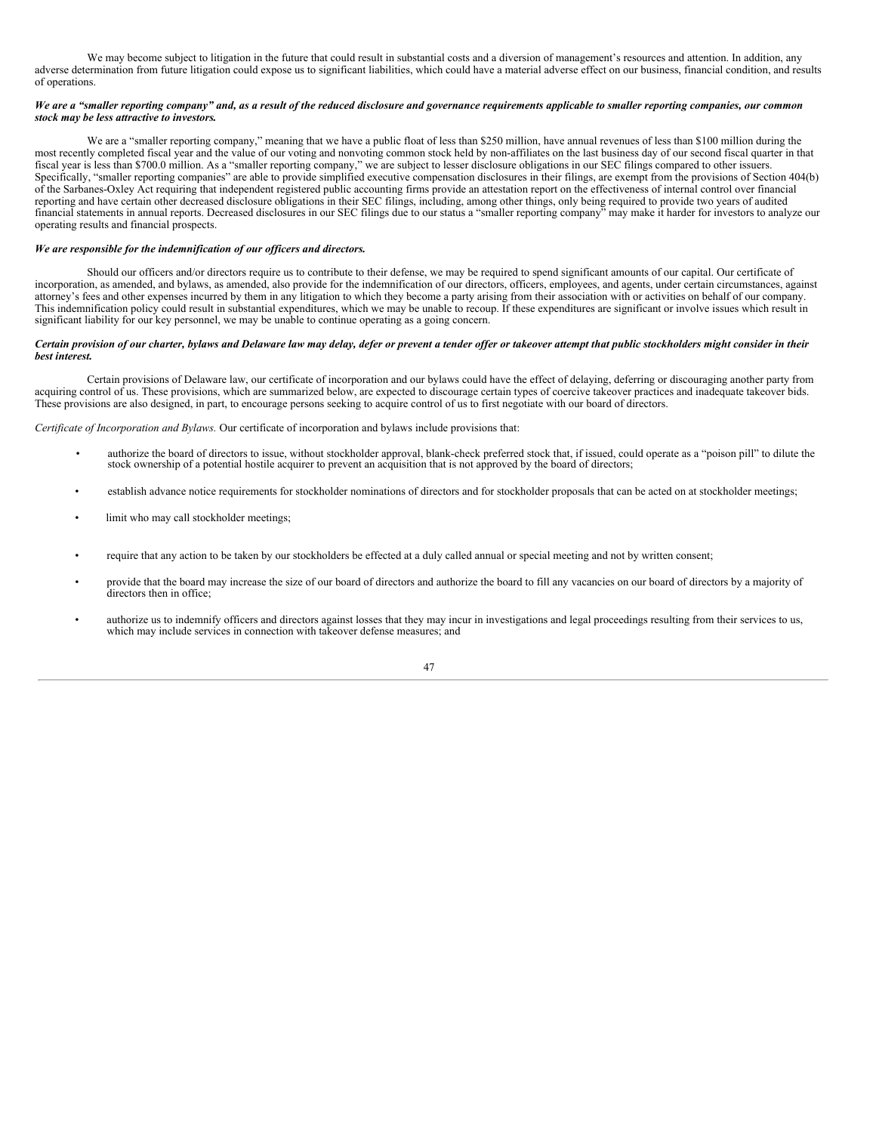We may become subject to litigation in the future that could result in substantial costs and a diversion of management's resources and attention. In addition, any adverse determination from future litigation could expose us to significant liabilities, which could have a material adverse effect on our business, financial condition, and results of operations.

#### We are a "smaller reporting company" and, as a result of the reduced disclosure and governance requirements applicable to smaller reporting companies, our common *stock may be less attractive to investors.*

We are a "smaller reporting company," meaning that we have a public float of less than \$250 million, have annual revenues of less than \$100 million during the most recently completed fiscal year and the value of our voting and nonvoting common stock held by non-affiliates on the last business day of our second fiscal quarter in that fiscal year is less than \$700.0 million. As a "smaller reporting company," we are subject to lesser disclosure obligations in our SEC filings compared to other issuers. Specifically, "smaller reporting companies" are able to provide simplified executive compensation disclosures in their filings, are exempt from the provisions of Section 404(b) of the Sarbanes-Oxley Act requiring that independent registered public accounting firms provide an attestation report on the effectiveness of internal control over financial reporting and have certain other decreased disclosure obligations in their SEC filings, including, among other things, only being required to provide two years of audited financial statements in annual reports. Decreased disclosures in our SEC filings due to our status a "smaller reporting company" may make it harder for investors to analyze our operating results and financial prospects.

## *We are responsible for the indemnification of our of icers and directors.*

Should our officers and/or directors require us to contribute to their defense, we may be required to spend significant amounts of our capital. Our certificate of incorporation, as amended, and bylaws, as amended, also provide for the indemnification of our directors, officers, employees, and agents, under certain circumstances, against attorney's fees and other expenses incurred by them in any litigation to which they become a party arising from their association with or activities on behalf of our company. This indemnification policy could result in substantial expenditures, which we may be unable to recoup. If these expenditures are significant or involve issues which result in significant liability for our key personnel, we may be unable to continue operating as a going concern.

## Certain provision of our charter, bylaws and Delaware law may delay, defer or prevent a tender offer or takeover attempt that public stockholders might consider in their *best interest.*

Certain provisions of Delaware law, our certificate of incorporation and our bylaws could have the effect of delaying, deferring or discouraging another party from acquiring control of us. These provisions, which are summarized below, are expected to discourage certain types of coercive takeover practices and inadequate takeover bids. These provisions are also designed, in part, to encourage persons seeking to acquire control of us to first negotiate with our board of directors.

*Certificate of Incorporation and Bylaws.* Our certificate of incorporation and bylaws include provisions that:

- authorize the board of directors to issue, without stockholder approval, blank-check preferred stock that, if issued, could operate as a "poison pill" to dilute the stock ownership of a potential hostile acquirer to prevent an acquisition that is not approved by the board of directors;
- establish advance notice requirements for stockholder nominations of directors and for stockholder proposals that can be acted on at stockholder meetings;
- limit who may call stockholder meetings;
- require that any action to be taken by our stockholders be effected at a duly called annual or special meeting and not by written consent;
- provide that the board may increase the size of our board of directors and authorize the board to fill any vacancies on our board of directors by a majority of directors then in office;
- authorize us to indemnify officers and directors against losses that they may incur in investigations and legal proceedings resulting from their services to us, which may include services in connection with takeover defense measures; and

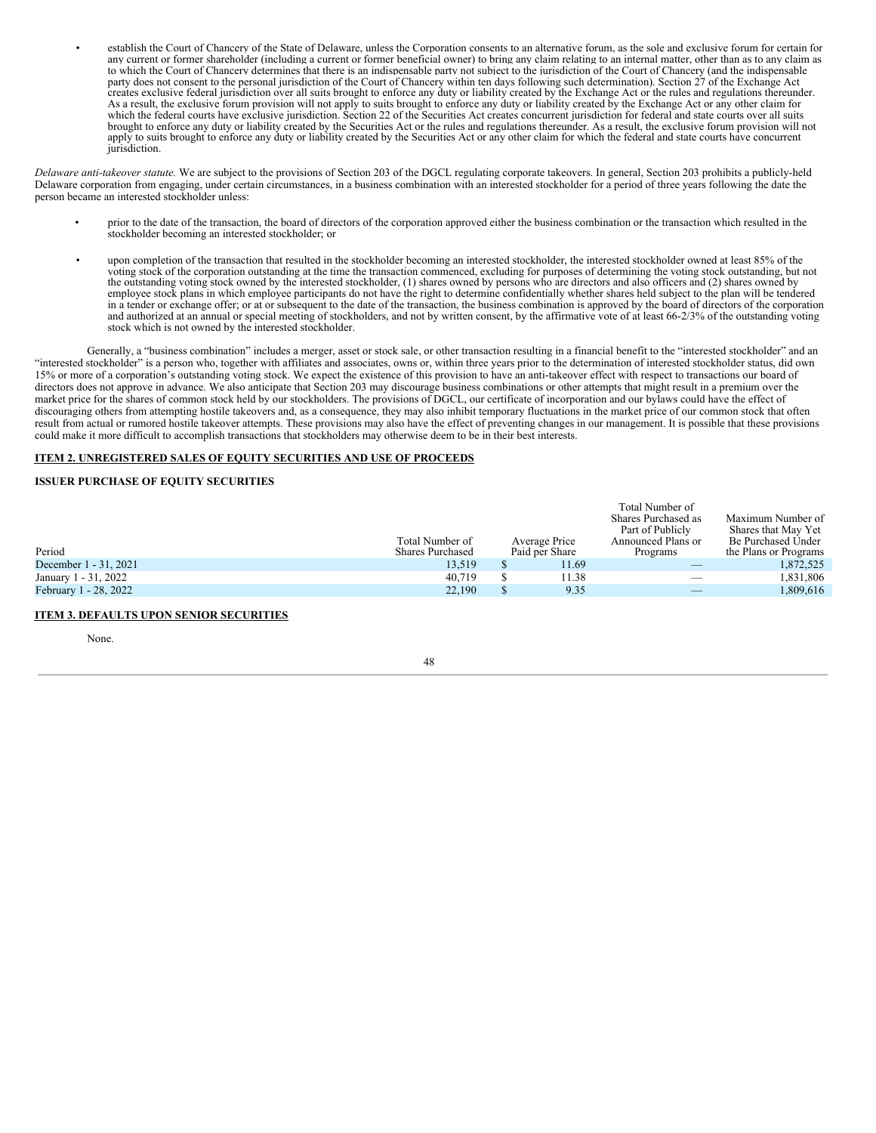• establish the Court of Chancery of the State of Delaware, unless the Corporation consents to an alternative forum, as the sole and exclusive forum for certain for any current or former shareholder (including a current or former beneficial owner) to bring any claim relating to an internal matter, other than as to any claim as to which the Court of Chancery determines that there is an indispensable party not subject to the jurisdiction of the Court of Chancery (and the indispensable party does not consent to the personal jurisdiction of the Court of Chancery within ten days following such determination). Section 27 of the Exchange Act creates exclusive federal jurisdiction over all suits brought to enforce any duty or liability created by the Exchange Act or the rules and regulations thereunder. As a result, the exclusive forum provision will not apply to suits brought to enforce any duty or liability created by the Exchange Act or any other claim for which the federal courts have exclusive jurisdiction. Section 22 of the Securities Act creates concurrent jurisdiction for federal and state courts over all suits brought to enforce any duty or liability created by the Securities Act or the rules and regulations thereunder. As a result, the exclusive forum provision will not apply to suits brought to enforce any duty or liability created by the Securities Act or any other claim for which the federal and state courts have concurrent jurisdiction.

*Delaware anti-takeover statute.* We are subject to the provisions of Section 203 of the DGCL regulating corporate takeovers. In general, Section 203 prohibits a publicly-held Delaware corporation from engaging, under certain circumstances, in a business combination with an interested stockholder for a period of three years following the date the person became an interested stockholder unless:

- prior to the date of the transaction, the board of directors of the corporation approved either the business combination or the transaction which resulted in the stockholder becoming an interested stockholder; or
- upon completion of the transaction that resulted in the stockholder becoming an interested stockholder, the interested stockholder owned at least 85% of the voting stock of the corporation outstanding at the time the transaction commenced, excluding for purposes of determining the voting stock outstanding, but not the outstanding voting stock owned by the interested stockholder, (1) shares owned by persons who are directors and also officers and (2) shares owned by employee stock plans in which employee participants do not have the right to determine confidentially whether shares held subject to the plan will be tendered in a tender or exchange offer; or at or subsequent to the date of the transaction, the business combination is approved by the board of directors of the corporation and authorized at an annual or special meeting of stockholders, and not by written consent, by the affirmative vote of at least 66-2/3% of the outstanding voting stock which is not owned by the interested stockholder.

Generally, a "business combination" includes a merger, asset or stock sale, or other transaction resulting in a financial benefit to the "interested stockholder" and an "interested stockholder" is a person who, together with affiliates and associates, owns or, within three years prior to the determination of interested stockholder status, did own 15% or more of a corporation's outstanding voting stock. We expect the existence of this provision to have an anti-takeover effect with respect to transactions our board of directors does not approve in advance. We also anticipate that Section 203 may discourage business combinations or other attempts that might result in a premium over the market price for the shares of common stock held by our stockholders. The provisions of DGCL, our certificate of incorporation and our bylaws could have the effect of discouraging others from attempting hostile takeovers and, as a consequence, they may also inhibit temporary fluctuations in the market price of our common stock that often result from actual or rumored hostile takeover attempts. These provisions may also have the effect of preventing changes in our management. It is possible that these provisions could make it more difficult to accomplish transactions that stockholders may otherwise deem to be in their best interests.

## **ITEM 2. UNREGISTERED SALES OF EQUITY SECURITIES AND USE OF PROCEEDS**

# **ISSUER PURCHASE OF EQUITY SECURITIES**

| Period                | Total Number of<br><b>Shares Purchased</b> | Average Price<br>Paid per Share | Total Number of<br>Shares Purchased as<br>Part of Publicly<br>Announced Plans or<br>Programs | Maximum Number of<br>Shares that May Yet<br>Be Purchased Under<br>the Plans or Programs |
|-----------------------|--------------------------------------------|---------------------------------|----------------------------------------------------------------------------------------------|-----------------------------------------------------------------------------------------|
| December 1 - 31, 2021 | 13.519                                     | 11.69                           | $\overline{\phantom{a}}$                                                                     | 1,872,525                                                                               |
| January 1 - 31, 2022  | 40.719                                     | 11.38                           | -                                                                                            | 1,831,806                                                                               |
| February 1 - 28, 2022 | 22.190                                     | 9.35                            |                                                                                              | 1.809.616                                                                               |

## **ITEM 3. DEFAULTS UPON SENIOR SECURITIES**

None.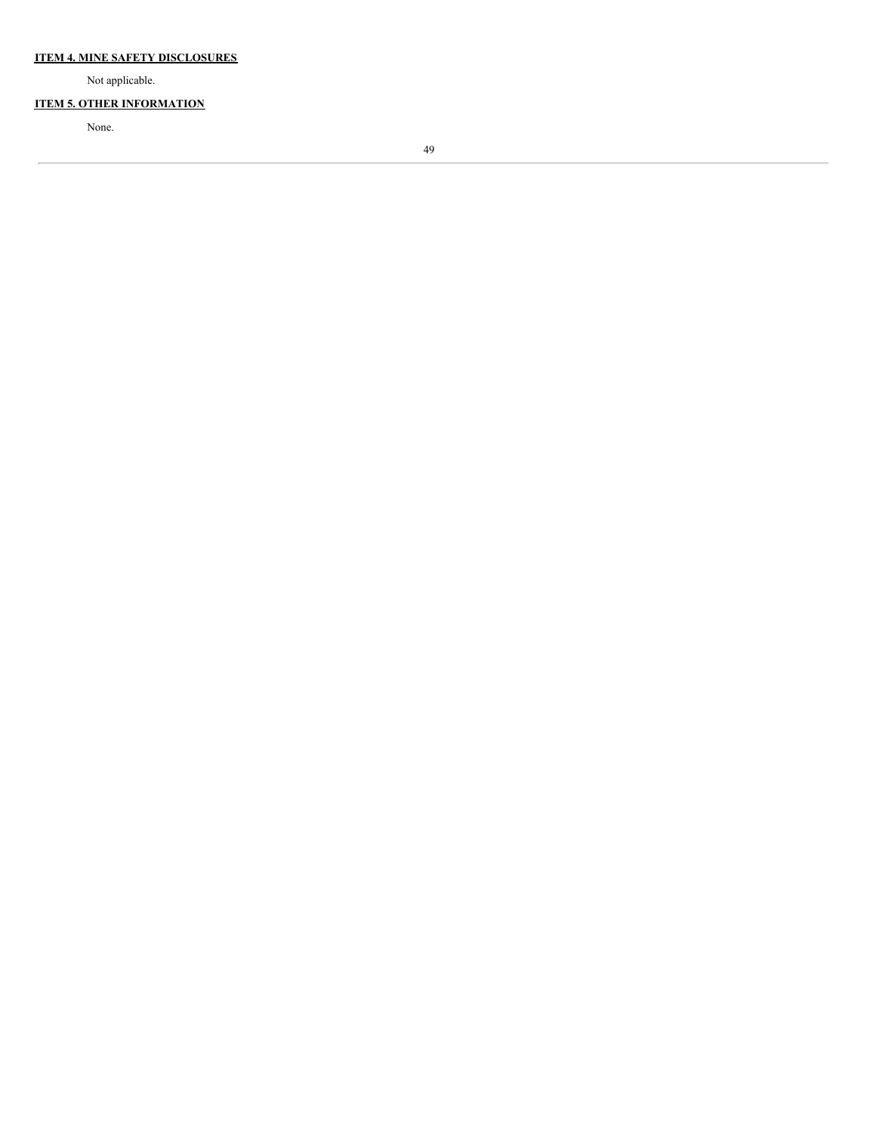# **ITEM 4. MINE SAFETY DISCLOSURES**

Not applicable.

# **ITEM 5. OTHER INFORMATION**

None.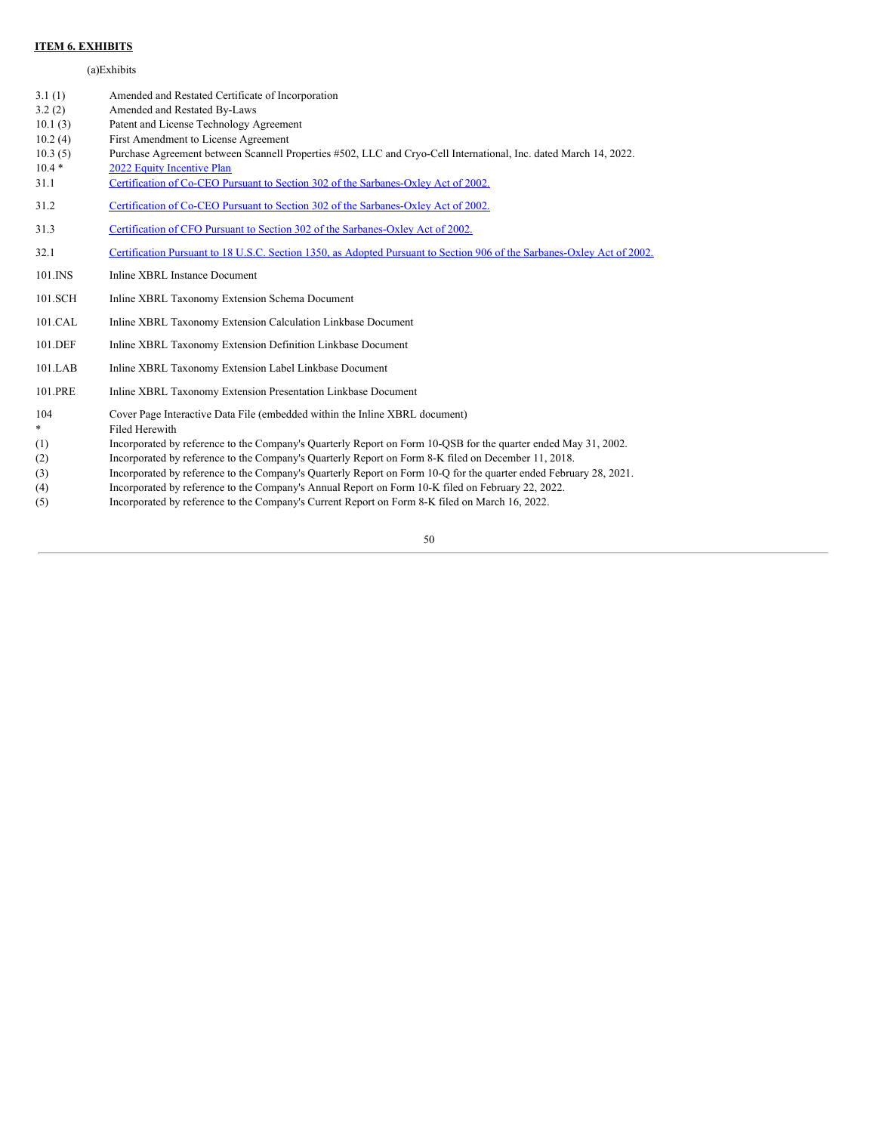# **ITEM 6. EXHIBITS**

(a)Exhibits

| 3.1(1)<br>3.2(2)<br>10.1(3)<br>10.2(4)<br>10.3(5)<br>$10.4*$<br>31.1 | Amended and Restated Certificate of Incorporation<br>Amended and Restated By-Laws<br>Patent and License Technology Agreement<br>First Amendment to License Agreement<br>Purchase Agreement between Scannell Properties #502, LLC and Cryo-Cell International, Inc. dated March 14, 2022.<br>2022 Equity Incentive Plan<br>Certification of Co-CEO Pursuant to Section 302 of the Sarbanes-Oxley Act of 2002.                                                                                                                                                                                                                                       |
|----------------------------------------------------------------------|----------------------------------------------------------------------------------------------------------------------------------------------------------------------------------------------------------------------------------------------------------------------------------------------------------------------------------------------------------------------------------------------------------------------------------------------------------------------------------------------------------------------------------------------------------------------------------------------------------------------------------------------------|
| 31.2                                                                 | Certification of Co-CEO Pursuant to Section 302 of the Sarbanes-Oxley Act of 2002.                                                                                                                                                                                                                                                                                                                                                                                                                                                                                                                                                                 |
| 31.3                                                                 | Certification of CFO Pursuant to Section 302 of the Sarbanes-Oxley Act of 2002.                                                                                                                                                                                                                                                                                                                                                                                                                                                                                                                                                                    |
| 32.1                                                                 | Certification Pursuant to 18 U.S.C. Section 1350, as Adopted Pursuant to Section 906 of the Sarbanes-Oxley Act of 2002.                                                                                                                                                                                                                                                                                                                                                                                                                                                                                                                            |
| 101.INS                                                              | <b>Inline XBRL Instance Document</b>                                                                                                                                                                                                                                                                                                                                                                                                                                                                                                                                                                                                               |
| 101.SCH                                                              | Inline XBRL Taxonomy Extension Schema Document                                                                                                                                                                                                                                                                                                                                                                                                                                                                                                                                                                                                     |
| 101.CAL                                                              | Inline XBRL Taxonomy Extension Calculation Linkbase Document                                                                                                                                                                                                                                                                                                                                                                                                                                                                                                                                                                                       |
| 101.DEF                                                              | Inline XBRL Taxonomy Extension Definition Linkbase Document                                                                                                                                                                                                                                                                                                                                                                                                                                                                                                                                                                                        |
| 101.LAB                                                              | Inline XBRL Taxonomy Extension Label Linkbase Document                                                                                                                                                                                                                                                                                                                                                                                                                                                                                                                                                                                             |
| 101.PRE                                                              | Inline XBRL Taxonomy Extension Presentation Linkbase Document                                                                                                                                                                                                                                                                                                                                                                                                                                                                                                                                                                                      |
| 104<br>$\ast$<br>(1)<br>(2)<br>(3)<br>(4)<br>(5)                     | Cover Page Interactive Data File (embedded within the Inline XBRL document)<br>Filed Herewith<br>Incorporated by reference to the Company's Quarterly Report on Form 10-QSB for the quarter ended May 31, 2002.<br>Incorporated by reference to the Company's Quarterly Report on Form 8-K filed on December 11, 2018.<br>Incorporated by reference to the Company's Quarterly Report on Form 10-Q for the quarter ended February 28, 2021.<br>Incorporated by reference to the Company's Annual Report on Form 10-K filed on February 22, 2022.<br>Incorporated by reference to the Company's Current Report on Form 8-K filed on March 16, 2022. |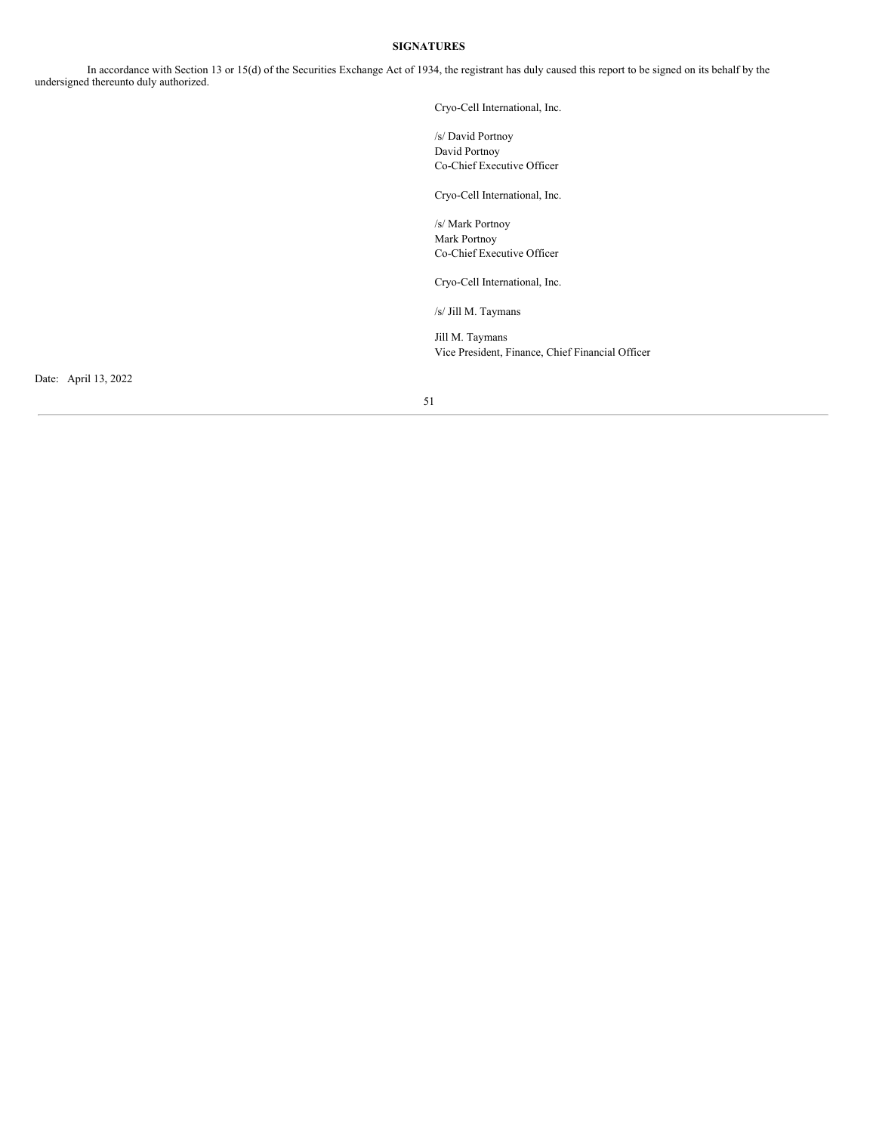# **SIGNATURES**

In accordance with Section 13 or 15(d) of the Securities Exchange Act of 1934, the registrant has duly caused this report to be signed on its behalf by the undersigned thereunto duly authorized.

Cryo-Cell International, Inc.

/s/ David Portnoy David Portnoy Co-Chief Executive Officer

Cryo-Cell International, Inc.

/s/ Mark Portnoy Mark Portnoy Co-Chief Executive Officer

Cryo-Cell International, Inc.

/s/ Jill M. Taymans

Jill M. Taymans Vice President, Finance, Chief Financial Officer

Date: April 13, 2022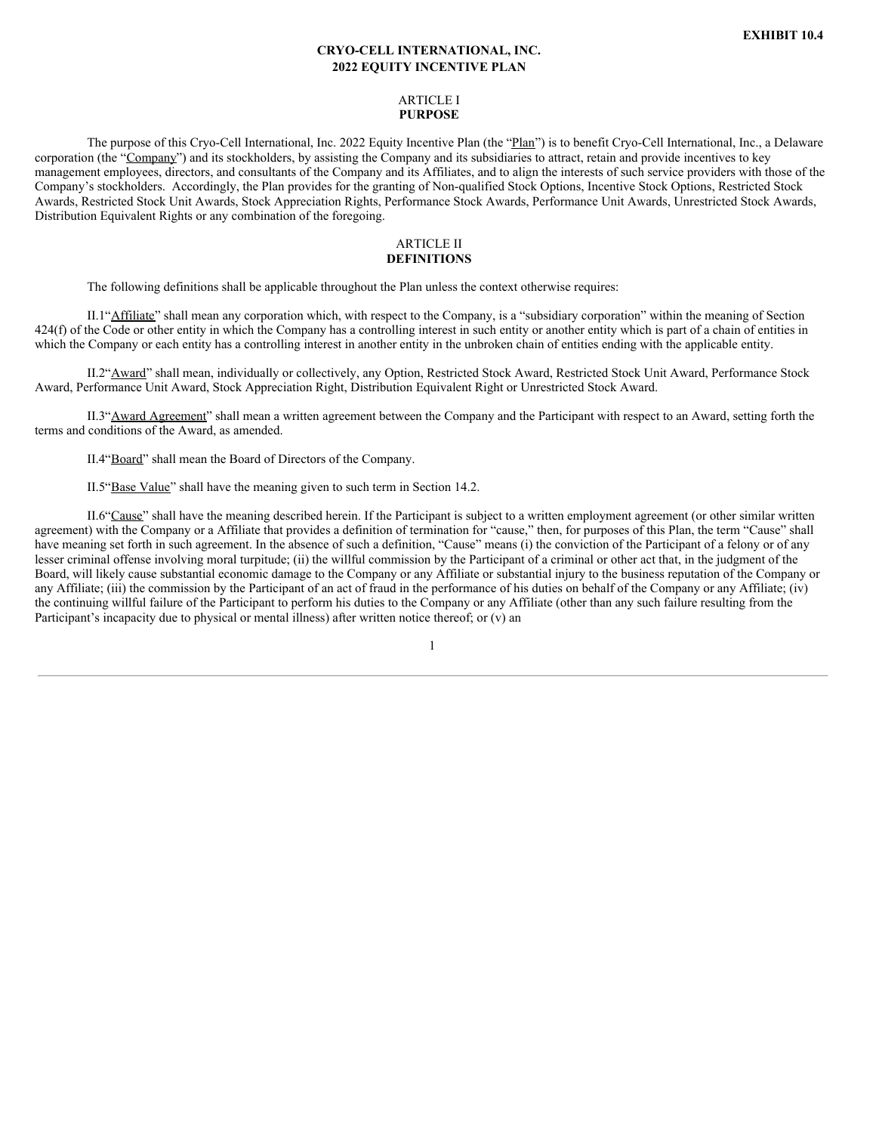# **CRYO-CELL INTERNATIONAL, INC. 2022 EQUITY INCENTIVE PLAN**

## **ARTICLE I PURPOSE**

The purpose of this Cryo-Cell International, Inc. 2022 Equity Incentive Plan (the "Plan") is to benefit Cryo-Cell International, Inc., a Delaware corporation (the "Company") and its stockholders, by assisting the Company and its subsidiaries to attract, retain and provide incentives to key management employees, directors, and consultants of the Company and its Affiliates, and to align the interests of such service providers with those of the Company's stockholders. Accordingly, the Plan provides for the granting of Non-qualified Stock Options, Incentive Stock Options, Restricted Stock Awards, Restricted Stock Unit Awards, Stock Appreciation Rights, Performance Stock Awards, Performance Unit Awards, Unrestricted Stock Awards, Distribution Equivalent Rights or any combination of the foregoing.

## ARTICLE II **DEFINITIONS**

The following definitions shall be applicable throughout the Plan unless the context otherwise requires:

II.1"Affiliate" shall mean any corporation which, with respect to the Company, is a "subsidiary corporation" within the meaning of Section 424(f) of the Code or other entity in which the Company has a controlling interest in such entity or another entity which is part of a chain of entities in which the Company or each entity has a controlling interest in another entity in the unbroken chain of entities ending with the applicable entity.

II.2"Award" shall mean, individually or collectively, any Option, Restricted Stock Award, Restricted Stock Unit Award, Performance Stock Award, Performance Unit Award, Stock Appreciation Right, Distribution Equivalent Right or Unrestricted Stock Award.

II.3"Award Agreement" shall mean a written agreement between the Company and the Participant with respect to an Award, setting forth the terms and conditions of the Award, as amended.

II.4"Board" shall mean the Board of Directors of the Company.

II.5"Base Value" shall have the meaning given to such term in Section 14.2.

II.6"Cause" shall have the meaning described herein. If the Participant is subject to a written employment agreement (or other similar written agreement) with the Company or a Affiliate that provides a definition of termination for "cause," then, for purposes of this Plan, the term "Cause" shall have meaning set forth in such agreement. In the absence of such a definition, "Cause" means (i) the conviction of the Participant of a felony or of any lesser criminal offense involving moral turpitude; (ii) the willful commission by the Participant of a criminal or other act that, in the judgment of the Board, will likely cause substantial economic damage to the Company or any Affiliate or substantial injury to the business reputation of the Company or any Affiliate; (iii) the commission by the Participant of an act of fraud in the performance of his duties on behalf of the Company or any Affiliate; (iv) the continuing willful failure of the Participant to perform his duties to the Company or any Affiliate (other than any such failure resulting from the Participant's incapacity due to physical or mental illness) after written notice thereof; or (v) an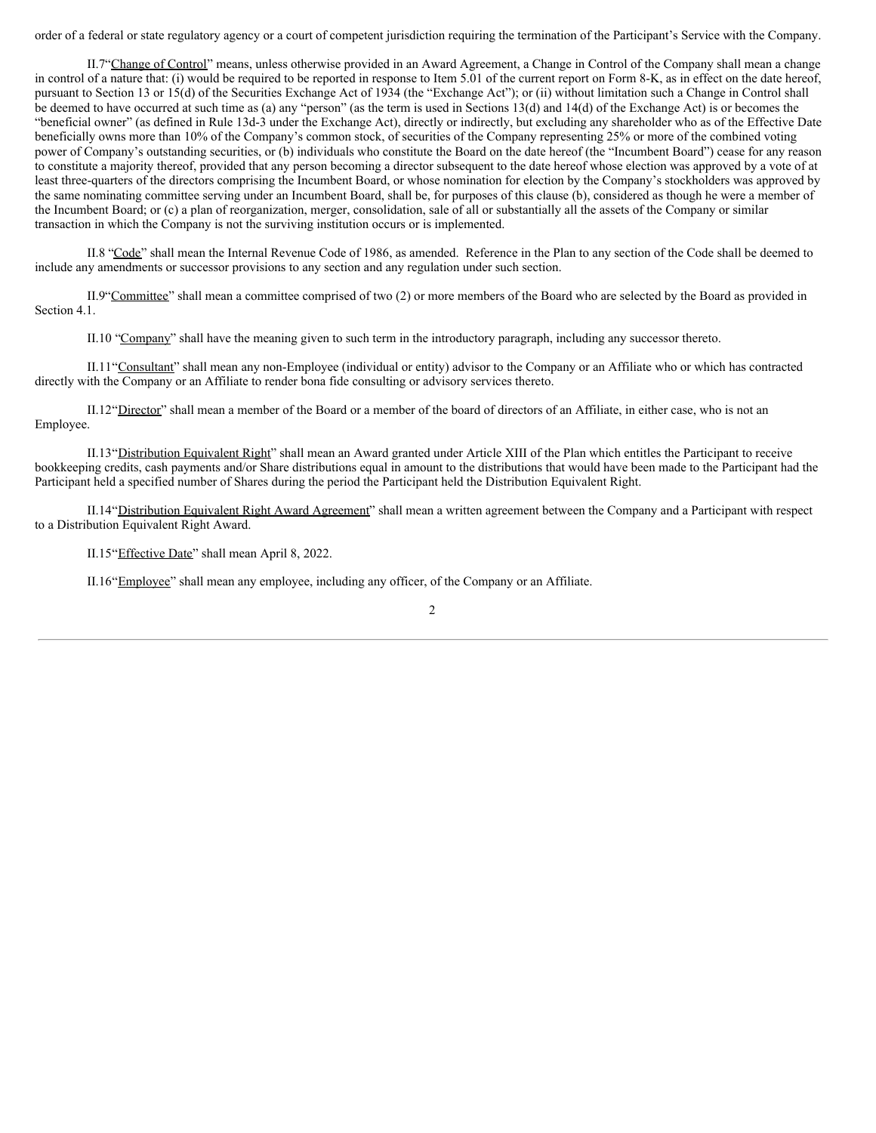order of a federal or state regulatory agency or a court of competent jurisdiction requiring the termination of the Participant's Service with the Company.

II.7"Change of Control" means, unless otherwise provided in an Award Agreement, a Change in Control of the Company shall mean a change in control of a nature that: (i) would be required to be reported in response to Item 5.01 of the current report on Form 8-K, as in effect on the date hereof, pursuant to Section 13 or 15(d) of the Securities Exchange Act of 1934 (the "Exchange Act"); or (ii) without limitation such a Change in Control shall be deemed to have occurred at such time as (a) any "person" (as the term is used in Sections 13(d) and 14(d) of the Exchange Act) is or becomes the "beneficial owner" (as defined in Rule 13d-3 under the Exchange Act), directly or indirectly, but excluding any shareholder who as of the Effective Date beneficially owns more than 10% of the Company's common stock, of securities of the Company representing 25% or more of the combined voting power of Company's outstanding securities, or (b) individuals who constitute the Board on the date hereof (the "Incumbent Board") cease for any reason to constitute a majority thereof, provided that any person becoming a director subsequent to the date hereof whose election was approved by a vote of at least three-quarters of the directors comprising the Incumbent Board, or whose nomination for election by the Company's stockholders was approved by the same nominating committee serving under an Incumbent Board, shall be, for purposes of this clause (b), considered as though he were a member of the Incumbent Board; or (c) a plan of reorganization, merger, consolidation, sale of all or substantially all the assets of the Company or similar transaction in which the Company is not the surviving institution occurs or is implemented.

II.8 "Code" shall mean the Internal Revenue Code of 1986, as amended. Reference in the Plan to any section of the Code shall be deemed to include any amendments or successor provisions to any section and any regulation under such section.

II.9"Committee" shall mean a committee comprised of two (2) or more members of the Board who are selected by the Board as provided in Section 4.1.

II.10 "Company" shall have the meaning given to such term in the introductory paragraph, including any successor thereto.

II.11"Consultant" shall mean any non-Employee (individual or entity) advisor to the Company or an Affiliate who or which has contracted directly with the Company or an Affiliate to render bona fide consulting or advisory services thereto.

II.12"Director" shall mean a member of the Board or a member of the board of directors of an Affiliate, in either case, who is not an Employee.

II.13"Distribution Equivalent Right" shall mean an Award granted under Article XIII of the Plan which entitles the Participant to receive bookkeeping credits, cash payments and/or Share distributions equal in amount to the distributions that would have been made to the Participant had the Participant held a specified number of Shares during the period the Participant held the Distribution Equivalent Right.

II.14"Distribution Equivalent Right Award Agreement" shall mean a written agreement between the Company and a Participant with respect to a Distribution Equivalent Right Award.

II.15"Effective Date" shall mean April 8, 2022.

II.16"Employee" shall mean any employee, including any officer, of the Company or an Affiliate.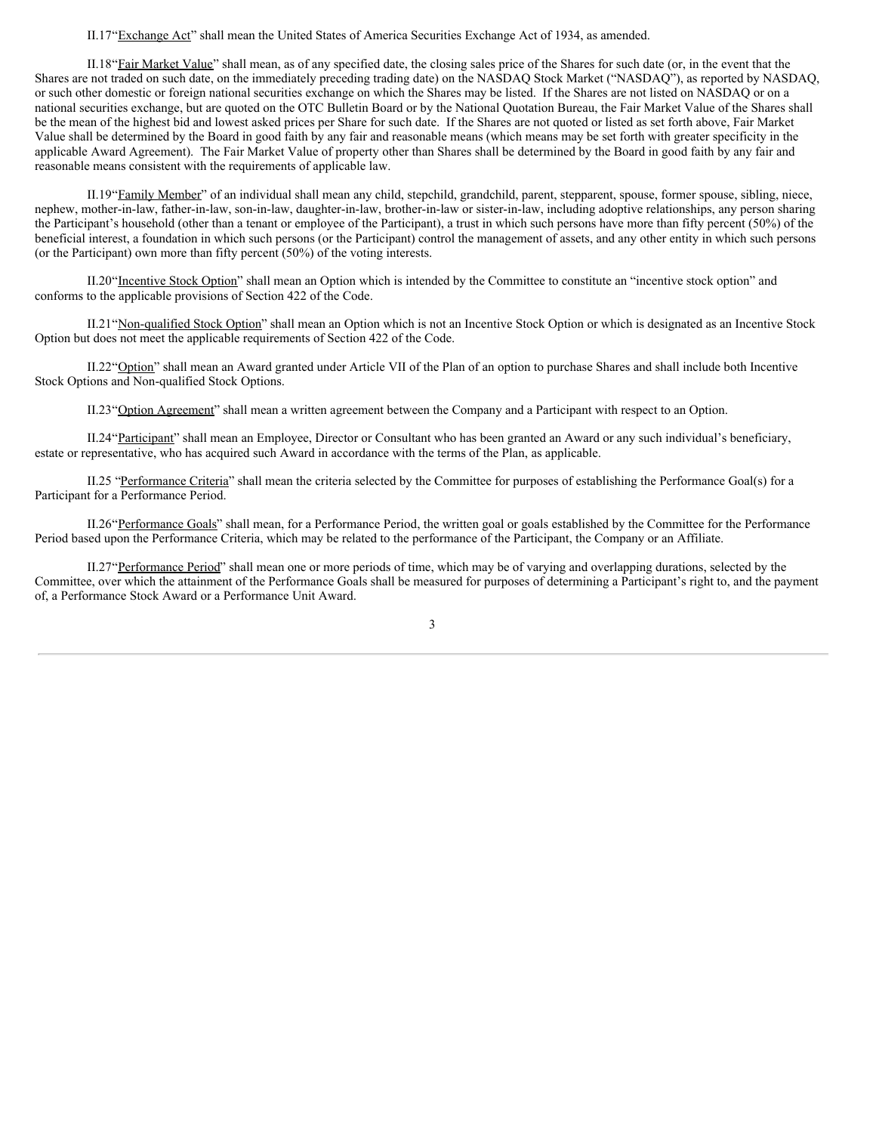# II.17"Exchange Act" shall mean the United States of America Securities Exchange Act of 1934, as amended.

II.18"Fair Market Value" shall mean, as of any specified date, the closing sales price of the Shares for such date (or, in the event that the Shares are not traded on such date, on the immediately preceding trading date) on the NASDAQ Stock Market ("NASDAQ"), as reported by NASDAQ, or such other domestic or foreign national securities exchange on which the Shares may be listed. If the Shares are not listed on NASDAQ or on a national securities exchange, but are quoted on the OTC Bulletin Board or by the National Quotation Bureau, the Fair Market Value of the Shares shall be the mean of the highest bid and lowest asked prices per Share for such date. If the Shares are not quoted or listed as set forth above, Fair Market Value shall be determined by the Board in good faith by any fair and reasonable means (which means may be set forth with greater specificity in the applicable Award Agreement). The Fair Market Value of property other than Shares shall be determined by the Board in good faith by any fair and reasonable means consistent with the requirements of applicable law.

II.19"Family Member" of an individual shall mean any child, stepchild, grandchild, parent, stepparent, spouse, former spouse, sibling, niece, nephew, mother-in-law, father-in-law, son-in-law, daughter-in-law, brother-in-law or sister-in-law, including adoptive relationships, any person sharing the Participant's household (other than a tenant or employee of the Participant), a trust in which such persons have more than fifty percent (50%) of the beneficial interest, a foundation in which such persons (or the Participant) control the management of assets, and any other entity in which such persons (or the Participant) own more than fifty percent (50%) of the voting interests.

II.20"Incentive Stock Option" shall mean an Option which is intended by the Committee to constitute an "incentive stock option" and conforms to the applicable provisions of Section 422 of the Code.

II.21"Non-qualified Stock Option" shall mean an Option which is not an Incentive Stock Option or which is designated as an Incentive Stock Option but does not meet the applicable requirements of Section 422 of the Code.

II.22"Option" shall mean an Award granted under Article VII of the Plan of an option to purchase Shares and shall include both Incentive Stock Options and Non-qualified Stock Options.

II.23"Option Agreement" shall mean a written agreement between the Company and a Participant with respect to an Option.

II.24"Participant" shall mean an Employee, Director or Consultant who has been granted an Award or any such individual's beneficiary, estate or representative, who has acquired such Award in accordance with the terms of the Plan, as applicable.

II.25 "Performance Criteria" shall mean the criteria selected by the Committee for purposes of establishing the Performance Goal(s) for a Participant for a Performance Period.

II.26"Performance Goals" shall mean, for a Performance Period, the written goal or goals established by the Committee for the Performance Period based upon the Performance Criteria, which may be related to the performance of the Participant, the Company or an Affiliate.

II.27"Performance Period" shall mean one or more periods of time, which may be of varying and overlapping durations, selected by the Committee, over which the attainment of the Performance Goals shall be measured for purposes of determining a Participant's right to, and the payment of, a Performance Stock Award or a Performance Unit Award.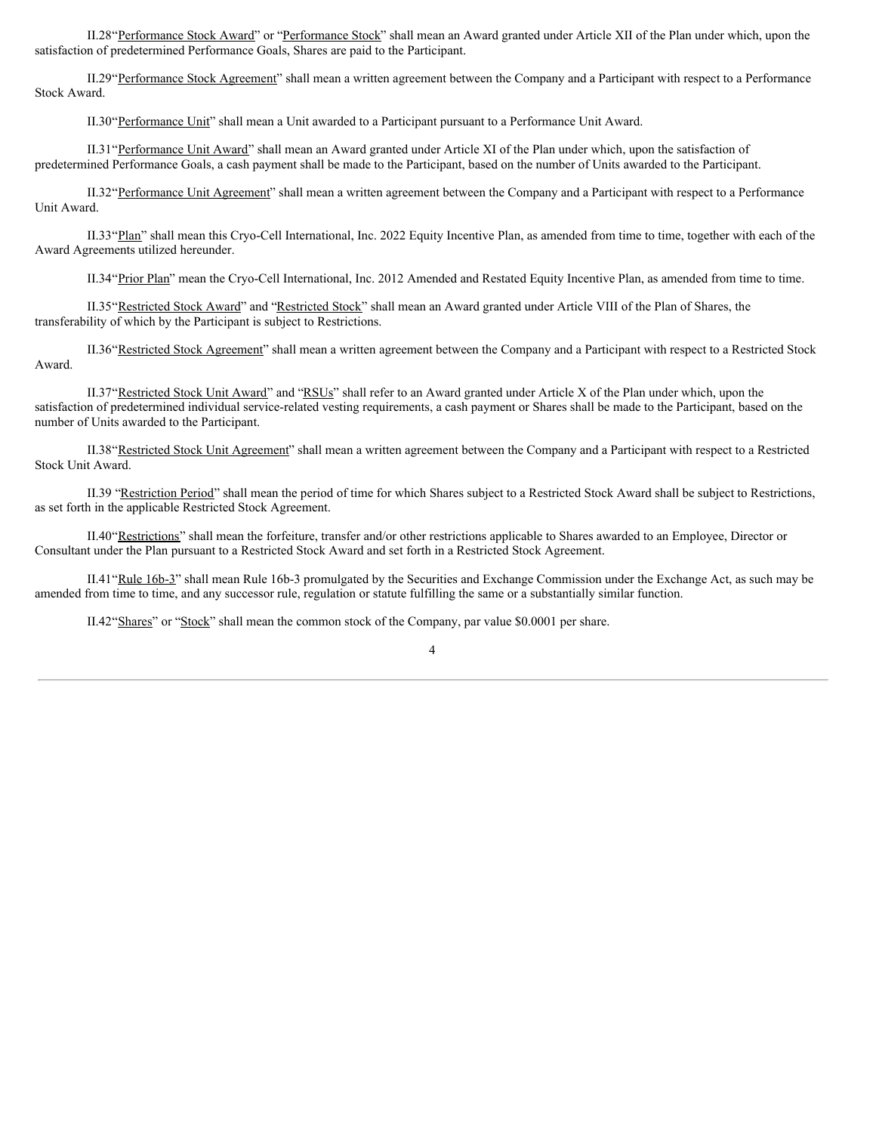II.28"Performance Stock Award" or "Performance Stock" shall mean an Award granted under Article XII of the Plan under which, upon the satisfaction of predetermined Performance Goals, Shares are paid to the Participant.

II.29"Performance Stock Agreement" shall mean a written agreement between the Company and a Participant with respect to a Performance Stock Award.

II.30"Performance Unit" shall mean a Unit awarded to a Participant pursuant to a Performance Unit Award.

II.31"Performance Unit Award" shall mean an Award granted under Article XI of the Plan under which, upon the satisfaction of predetermined Performance Goals, a cash payment shall be made to the Participant, based on the number of Units awarded to the Participant.

II.32"Performance Unit Agreement" shall mean a written agreement between the Company and a Participant with respect to a Performance Unit Award.

II.33"Plan" shall mean this Cryo-Cell International, Inc. 2022 Equity Incentive Plan, as amended from time to time, together with each of the Award Agreements utilized hereunder.

II.34"Prior Plan" mean the Cryo-Cell International, Inc. 2012 Amended and Restated Equity Incentive Plan, as amended from time to time.

II.35"Restricted Stock Award" and "Restricted Stock" shall mean an Award granted under Article VIII of the Plan of Shares, the transferability of which by the Participant is subject to Restrictions.

II.36"Restricted Stock Agreement" shall mean a written agreement between the Company and a Participant with respect to a Restricted Stock Award.

II.37"Restricted Stock Unit Award" and "RSUs" shall refer to an Award granted under Article X of the Plan under which, upon the satisfaction of predetermined individual service-related vesting requirements, a cash payment or Shares shall be made to the Participant, based on the number of Units awarded to the Participant.

II.38"Restricted Stock Unit Agreement" shall mean a written agreement between the Company and a Participant with respect to a Restricted Stock Unit Award.

II.39 "Restriction Period" shall mean the period of time for which Shares subject to a Restricted Stock Award shall be subject to Restrictions, as set forth in the applicable Restricted Stock Agreement.

II.40"Restrictions" shall mean the forfeiture, transfer and/or other restrictions applicable to Shares awarded to an Employee, Director or Consultant under the Plan pursuant to a Restricted Stock Award and set forth in a Restricted Stock Agreement.

II.41"Rule 16b-3" shall mean Rule 16b-3 promulgated by the Securities and Exchange Commission under the Exchange Act, as such may be amended from time to time, and any successor rule, regulation or statute fulfilling the same or a substantially similar function.

II.42"Shares" or "Stock" shall mean the common stock of the Company, par value \$0.0001 per share.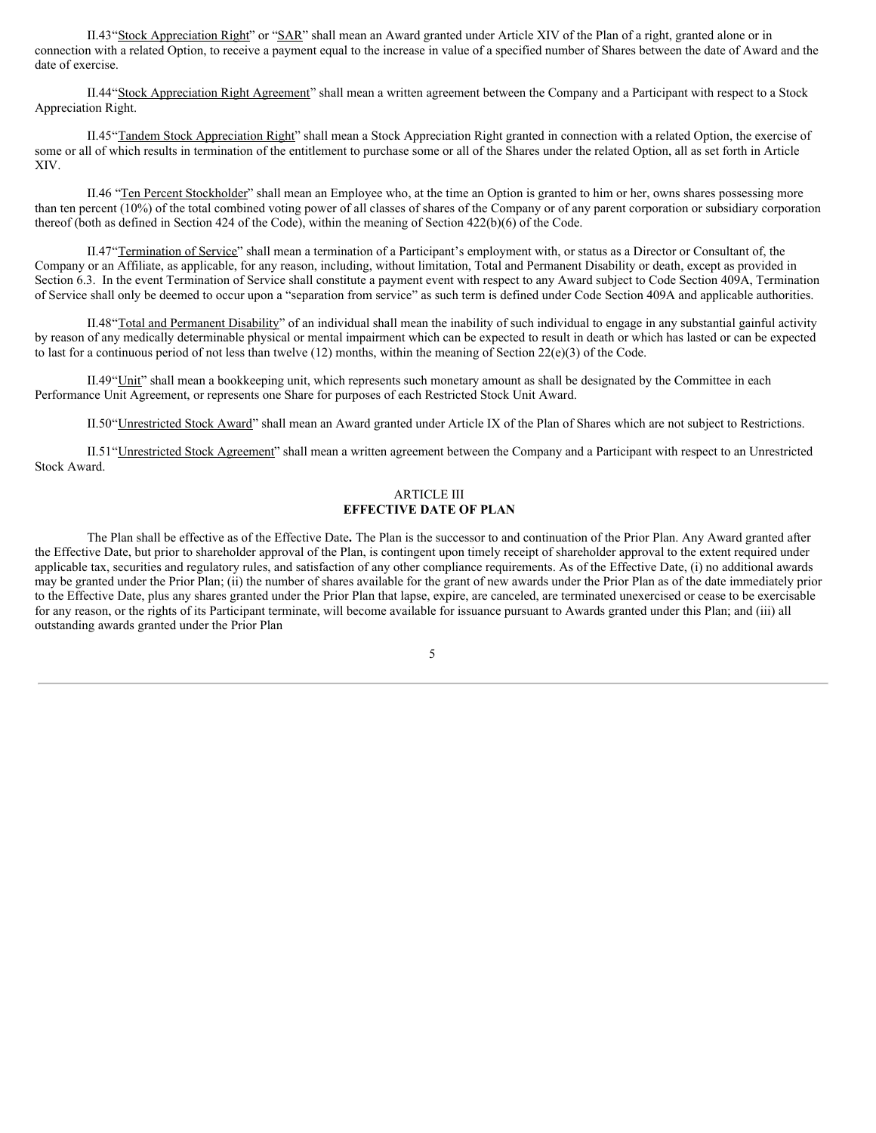II.43"Stock Appreciation Right" or "SAR" shall mean an Award granted under Article XIV of the Plan of a right, granted alone or in connection with a related Option, to receive a payment equal to the increase in value of a specified number of Shares between the date of Award and the date of exercise.

II.44"Stock Appreciation Right Agreement" shall mean a written agreement between the Company and a Participant with respect to a Stock Appreciation Right.

II.45"Tandem Stock Appreciation Right" shall mean a Stock Appreciation Right granted in connection with a related Option, the exercise of some or all of which results in termination of the entitlement to purchase some or all of the Shares under the related Option, all as set forth in Article XIV.

II.46 "Ten Percent Stockholder" shall mean an Employee who, at the time an Option is granted to him or her, owns shares possessing more than ten percent (10%) of the total combined voting power of all classes of shares of the Company or of any parent corporation or subsidiary corporation thereof (both as defined in Section 424 of the Code), within the meaning of Section 422(b)(6) of the Code.

II.47"Termination of Service" shall mean a termination of a Participant's employment with, or status as a Director or Consultant of, the Company or an Affiliate, as applicable, for any reason, including, without limitation, Total and Permanent Disability or death, except as provided in Section 6.3. In the event Termination of Service shall constitute a payment event with respect to any Award subject to Code Section 409A, Termination of Service shall only be deemed to occur upon a "separation from service" as such term is defined under Code Section 409A and applicable authorities.

II.48"Total and Permanent Disability" of an individual shall mean the inability of such individual to engage in any substantial gainful activity by reason of any medically determinable physical or mental impairment which can be expected to result in death or which has lasted or can be expected to last for a continuous period of not less than twelve  $(12)$  months, within the meaning of Section 22(e)(3) of the Code.

II.49"Unit" shall mean a bookkeeping unit, which represents such monetary amount as shall be designated by the Committee in each Performance Unit Agreement, or represents one Share for purposes of each Restricted Stock Unit Award.

II.50"Unrestricted Stock Award" shall mean an Award granted under Article IX of the Plan of Shares which are not subject to Restrictions.

II.51"Unrestricted Stock Agreement" shall mean a written agreement between the Company and a Participant with respect to an Unrestricted Stock Award.

# ARTICLE III **EFFECTIVE DATE OF PLAN**

The Plan shall be effective as of the Effective Date**.** The Plan is the successor to and continuation of the Prior Plan. Any Award granted after the Effective Date, but prior to shareholder approval of the Plan, is contingent upon timely receipt of shareholder approval to the extent required under applicable tax, securities and regulatory rules, and satisfaction of any other compliance requirements. As of the Effective Date, (i) no additional awards may be granted under the Prior Plan; (ii) the number of shares available for the grant of new awards under the Prior Plan as of the date immediately prior to the Effective Date, plus any shares granted under the Prior Plan that lapse, expire, are canceled, are terminated unexercised or cease to be exercisable for any reason, or the rights of its Participant terminate, will become available for issuance pursuant to Awards granted under this Plan; and (iii) all outstanding awards granted under the Prior Plan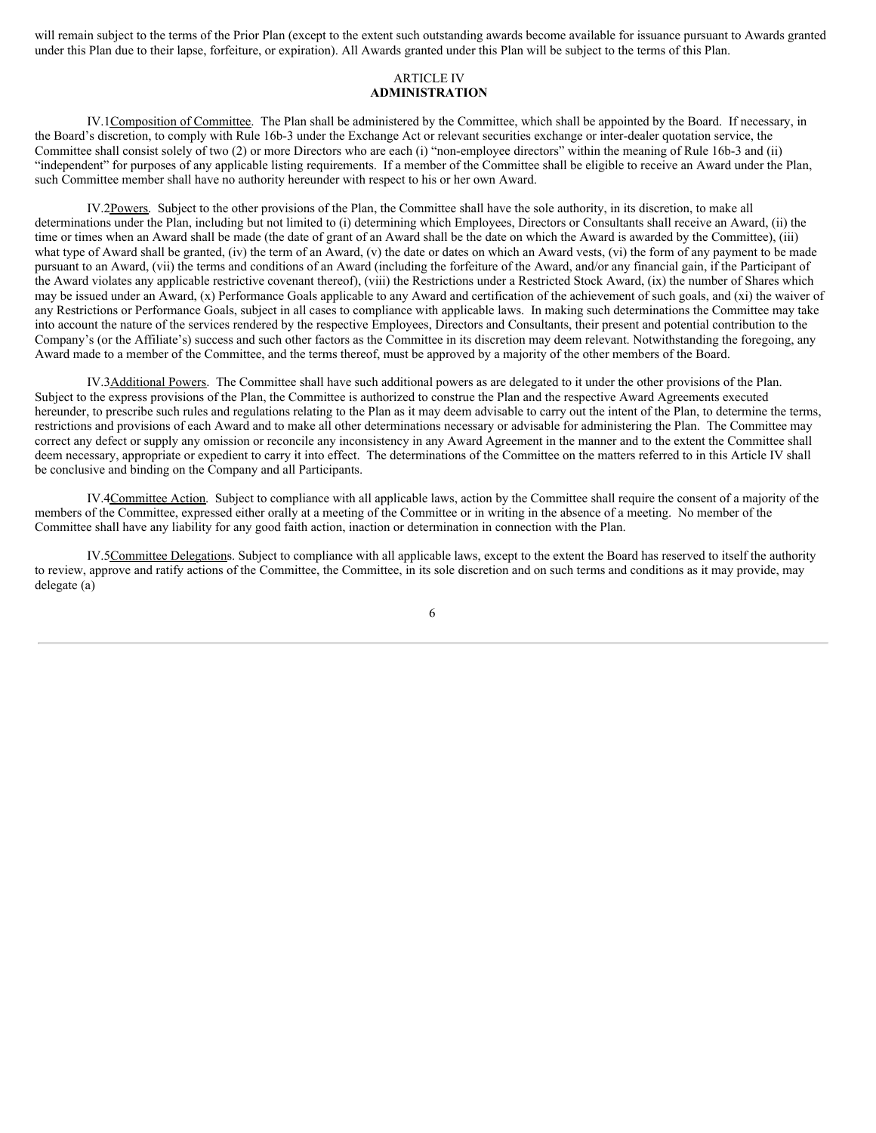will remain subject to the terms of the Prior Plan (except to the extent such outstanding awards become available for issuance pursuant to Awards granted under this Plan due to their lapse, forfeiture, or expiration). All Awards granted under this Plan will be subject to the terms of this Plan.

# ARTICLE IV **ADMINISTRATION**

IV.1Composition of Committee. The Plan shall be administered by the Committee, which shall be appointed by the Board. If necessary, in the Board's discretion, to comply with Rule 16b-3 under the Exchange Act or relevant securities exchange or inter-dealer quotation service, the Committee shall consist solely of two (2) or more Directors who are each (i) "non-employee directors" within the meaning of Rule 16b-3 and (ii) "independent" for purposes of any applicable listing requirements. If a member of the Committee shall be eligible to receive an Award under the Plan, such Committee member shall have no authority hereunder with respect to his or her own Award.

IV.2Powers. Subject to the other provisions of the Plan, the Committee shall have the sole authority, in its discretion, to make all determinations under the Plan, including but not limited to (i) determining which Employees, Directors or Consultants shall receive an Award, (ii) the time or times when an Award shall be made (the date of grant of an Award shall be the date on which the Award is awarded by the Committee), (iii) what type of Award shall be granted, (iv) the term of an Award, (v) the date or dates on which an Award vests, (vi) the form of any payment to be made pursuant to an Award, (vii) the terms and conditions of an Award (including the forfeiture of the Award, and/or any financial gain, if the Participant of the Award violates any applicable restrictive covenant thereof), (viii) the Restrictions under a Restricted Stock Award, (ix) the number of Shares which may be issued under an Award, (x) Performance Goals applicable to any Award and certification of the achievement of such goals, and (xi) the waiver of any Restrictions or Performance Goals, subject in all cases to compliance with applicable laws. In making such determinations the Committee may take into account the nature of the services rendered by the respective Employees, Directors and Consultants, their present and potential contribution to the Company's (or the Affiliate's) success and such other factors as the Committee in its discretion may deem relevant. Notwithstanding the foregoing, any Award made to a member of the Committee, and the terms thereof, must be approved by a majority of the other members of the Board.

IV.3Additional Powers. The Committee shall have such additional powers as are delegated to it under the other provisions of the Plan. Subject to the express provisions of the Plan, the Committee is authorized to construe the Plan and the respective Award Agreements executed hereunder, to prescribe such rules and regulations relating to the Plan as it may deem advisable to carry out the intent of the Plan, to determine the terms, restrictions and provisions of each Award and to make all other determinations necessary or advisable for administering the Plan. The Committee may correct any defect or supply any omission or reconcile any inconsistency in any Award Agreement in the manner and to the extent the Committee shall deem necessary, appropriate or expedient to carry it into effect. The determinations of the Committee on the matters referred to in this Article IV shall be conclusive and binding on the Company and all Participants.

IV.4Committee Action. Subject to compliance with all applicable laws, action by the Committee shall require the consent of a majority of the members of the Committee, expressed either orally at a meeting of the Committee or in writing in the absence of a meeting. No member of the Committee shall have any liability for any good faith action, inaction or determination in connection with the Plan.

IV.5Committee Delegations. Subject to compliance with all applicable laws, except to the extent the Board has reserved to itself the authority to review, approve and ratify actions of the Committee, the Committee, in its sole discretion and on such terms and conditions as it may provide, may delegate (a)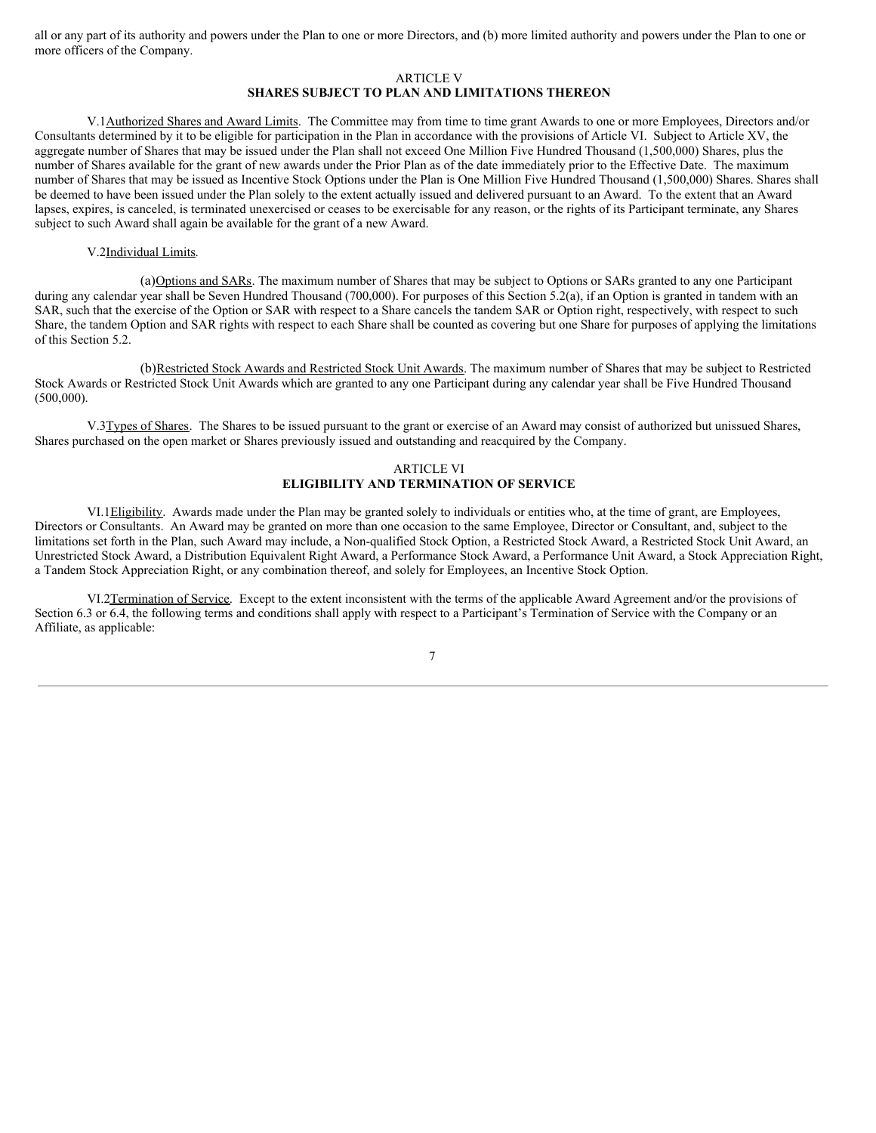all or any part of its authority and powers under the Plan to one or more Directors, and (b) more limited authority and powers under the Plan to one or more officers of the Company.

## ARTICLE V **SHARES SUBJECT TO PLAN AND LIMITATIONS THEREON**

V.1Authorized Shares and Award Limits. The Committee may from time to time grant Awards to one or more Employees, Directors and/or Consultants determined by it to be eligible for participation in the Plan in accordance with the provisions of Article VI. Subject to Article XV, the aggregate number of Shares that may be issued under the Plan shall not exceed One Million Five Hundred Thousand (1,500,000) Shares, plus the number of Shares available for the grant of new awards under the Prior Plan as of the date immediately prior to the Effective Date. The maximum number of Shares that may be issued as Incentive Stock Options under the Plan is One Million Five Hundred Thousand (1,500,000) Shares. Shares shall be deemed to have been issued under the Plan solely to the extent actually issued and delivered pursuant to an Award. To the extent that an Award lapses, expires, is canceled, is terminated unexercised or ceases to be exercisable for any reason, or the rights of its Participant terminate, any Shares subject to such Award shall again be available for the grant of a new Award.

# V.2Individual Limits.

(a)Options and SARs. The maximum number of Shares that may be subject to Options or SARs granted to any one Participant during any calendar year shall be Seven Hundred Thousand (700,000). For purposes of this Section 5.2(a), if an Option is granted in tandem with an SAR, such that the exercise of the Option or SAR with respect to a Share cancels the tandem SAR or Option right, respectively, with respect to such Share, the tandem Option and SAR rights with respect to each Share shall be counted as covering but one Share for purposes of applying the limitations of this Section 5.2.

(b)Restricted Stock Awards and Restricted Stock Unit Awards. The maximum number of Shares that may be subject to Restricted Stock Awards or Restricted Stock Unit Awards which are granted to any one Participant during any calendar year shall be Five Hundred Thousand (500,000).

V.3Types of Shares. The Shares to be issued pursuant to the grant or exercise of an Award may consist of authorized but unissued Shares, Shares purchased on the open market or Shares previously issued and outstanding and reacquired by the Company.

# ARTICLE VI **ELIGIBILITY AND TERMINATION OF SERVICE**

VI.1Eligibility. Awards made under the Plan may be granted solely to individuals or entities who, at the time of grant, are Employees, Directors or Consultants. An Award may be granted on more than one occasion to the same Employee, Director or Consultant, and, subject to the limitations set forth in the Plan, such Award may include, a Non-qualified Stock Option, a Restricted Stock Award, a Restricted Stock Unit Award, an Unrestricted Stock Award, a Distribution Equivalent Right Award, a Performance Stock Award, a Performance Unit Award, a Stock Appreciation Right, a Tandem Stock Appreciation Right, or any combination thereof, and solely for Employees, an Incentive Stock Option.

VI.2Termination of Service. Except to the extent inconsistent with the terms of the applicable Award Agreement and/or the provisions of Section 6.3 or 6.4, the following terms and conditions shall apply with respect to a Participant's Termination of Service with the Company or an Affiliate, as applicable: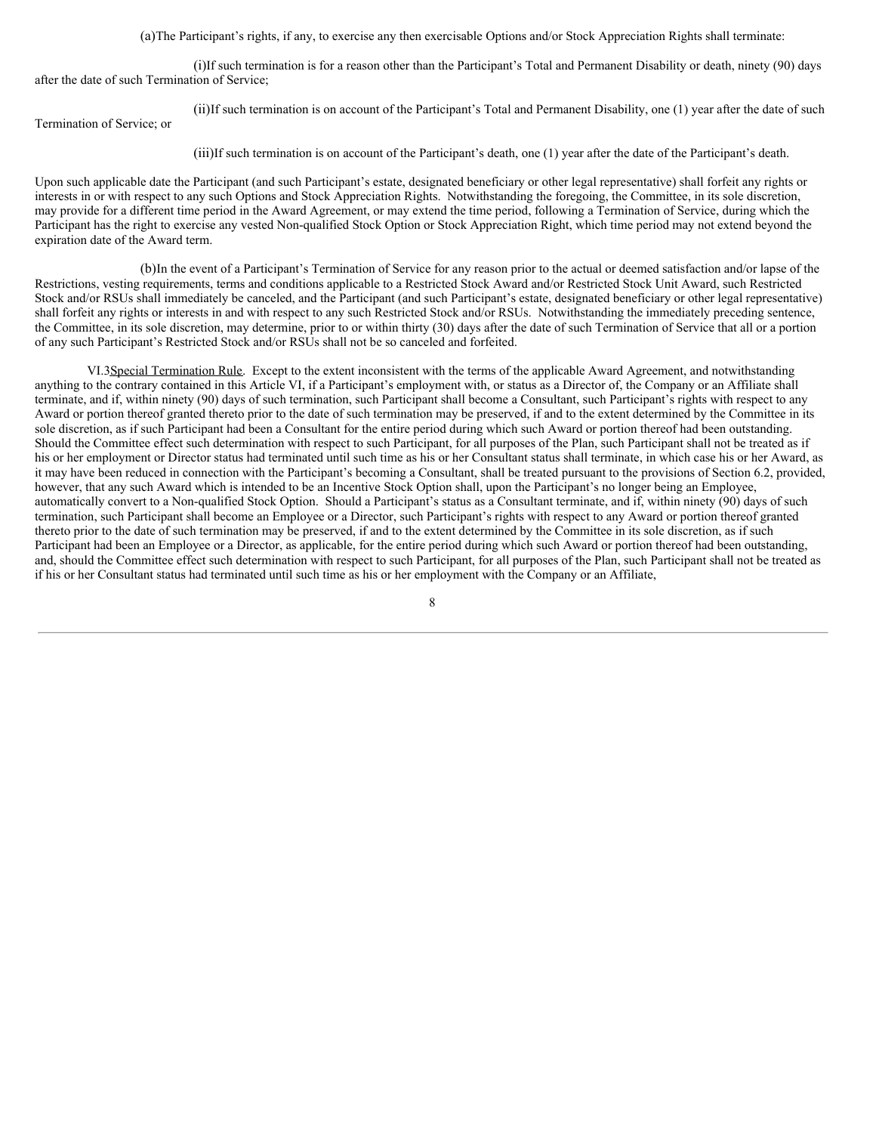(a)The Participant's rights, if any, to exercise any then exercisable Options and/or Stock Appreciation Rights shall terminate:

(i)If such termination is for a reason other than the Participant's Total and Permanent Disability or death, ninety (90) days after the date of such Termination of Service;

(ii)If such termination is on account of the Participant's Total and Permanent Disability, one (1) year after the date of such Termination of Service; or

(iii)If such termination is on account of the Participant's death, one (1) year after the date of the Participant's death.

Upon such applicable date the Participant (and such Participant's estate, designated beneficiary or other legal representative) shall forfeit any rights or interests in or with respect to any such Options and Stock Appreciation Rights. Notwithstanding the foregoing, the Committee, in its sole discretion, may provide for a different time period in the Award Agreement, or may extend the time period, following a Termination of Service, during which the Participant has the right to exercise any vested Non-qualified Stock Option or Stock Appreciation Right, which time period may not extend beyond the expiration date of the Award term.

(b)In the event of a Participant's Termination of Service for any reason prior to the actual or deemed satisfaction and/or lapse of the Restrictions, vesting requirements, terms and conditions applicable to a Restricted Stock Award and/or Restricted Stock Unit Award, such Restricted Stock and/or RSUs shall immediately be canceled, and the Participant (and such Participant's estate, designated beneficiary or other legal representative) shall forfeit any rights or interests in and with respect to any such Restricted Stock and/or RSUs. Notwithstanding the immediately preceding sentence, the Committee, in its sole discretion, may determine, prior to or within thirty (30) days after the date of such Termination of Service that all or a portion of any such Participant's Restricted Stock and/or RSUs shall not be so canceled and forfeited.

VI.3Special Termination Rule. Except to the extent inconsistent with the terms of the applicable Award Agreement, and notwithstanding anything to the contrary contained in this Article VI, if a Participant's employment with, or status as a Director of, the Company or an Affiliate shall terminate, and if, within ninety (90) days of such termination, such Participant shall become a Consultant, such Participant's rights with respect to any Award or portion thereof granted thereto prior to the date of such termination may be preserved, if and to the extent determined by the Committee in its sole discretion, as if such Participant had been a Consultant for the entire period during which such Award or portion thereof had been outstanding. Should the Committee effect such determination with respect to such Participant, for all purposes of the Plan, such Participant shall not be treated as if his or her employment or Director status had terminated until such time as his or her Consultant status shall terminate, in which case his or her Award, as it may have been reduced in connection with the Participant's becoming a Consultant, shall be treated pursuant to the provisions of Section 6.2, provided, however, that any such Award which is intended to be an Incentive Stock Option shall, upon the Participant's no longer being an Employee, automatically convert to a Non-qualified Stock Option. Should a Participant's status as a Consultant terminate, and if, within ninety (90) days of such termination, such Participant shall become an Employee or a Director, such Participant's rights with respect to any Award or portion thereof granted thereto prior to the date of such termination may be preserved, if and to the extent determined by the Committee in its sole discretion, as if such Participant had been an Employee or a Director, as applicable, for the entire period during which such Award or portion thereof had been outstanding, and, should the Committee effect such determination with respect to such Participant, for all purposes of the Plan, such Participant shall not be treated as if his or her Consultant status had terminated until such time as his or her employment with the Company or an Affiliate,

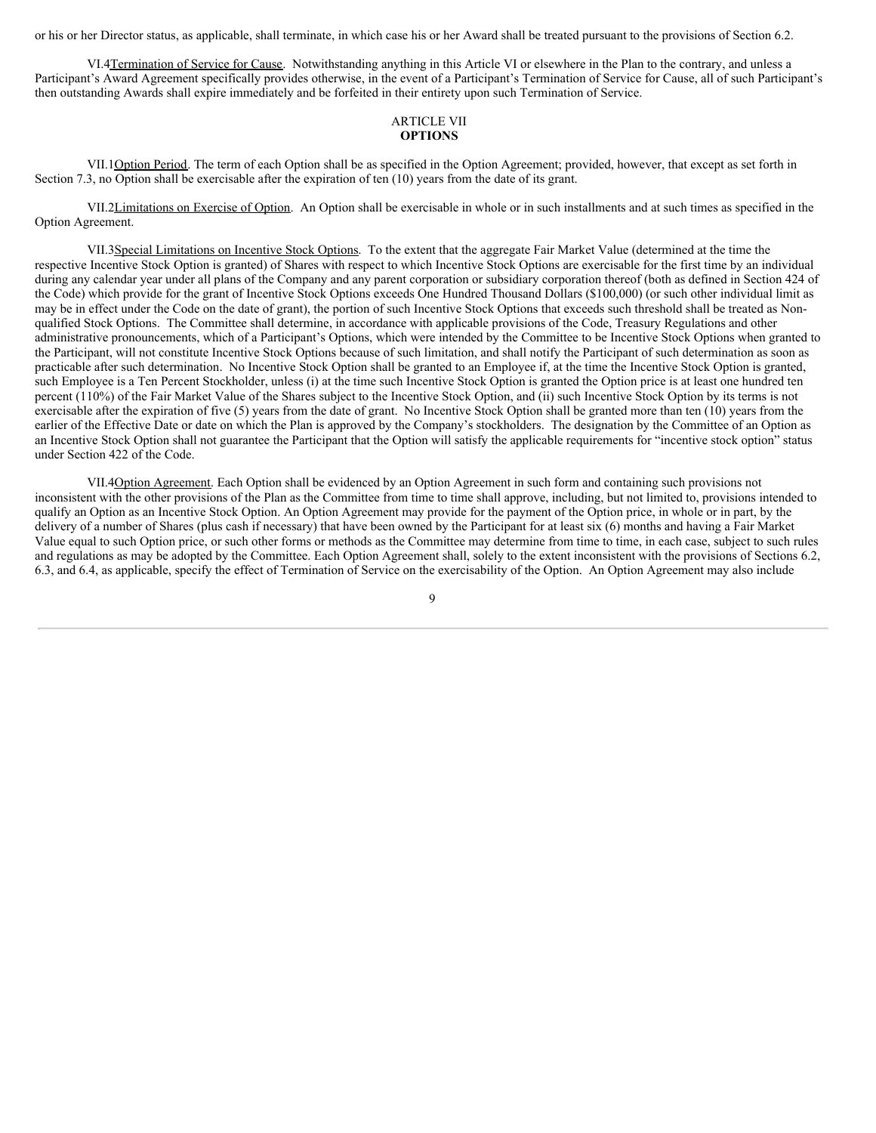or his or her Director status, as applicable, shall terminate, in which case his or her Award shall be treated pursuant to the provisions of Section 6.2.

VI.4Termination of Service for Cause. Notwithstanding anything in this Article VI or elsewhere in the Plan to the contrary, and unless a Participant's Award Agreement specifically provides otherwise, in the event of a Participant's Termination of Service for Cause, all of such Participant's then outstanding Awards shall expire immediately and be forfeited in their entirety upon such Termination of Service.

# ARTICLE VII **OPTIONS**

VII.1 Option Period. The term of each Option shall be as specified in the Option Agreement; provided, however, that except as set forth in Section 7.3, no Option shall be exercisable after the expiration of ten (10) years from the date of its grant.

VII.2Limitations on Exercise of Option. An Option shall be exercisable in whole or in such installments and at such times as specified in the Option Agreement.

VII.3Special Limitations on Incentive Stock Options. To the extent that the aggregate Fair Market Value (determined at the time the respective Incentive Stock Option is granted) of Shares with respect to which Incentive Stock Options are exercisable for the first time by an individual during any calendar year under all plans of the Company and any parent corporation or subsidiary corporation thereof (both as defined in Section 424 of the Code) which provide for the grant of Incentive Stock Options exceeds One Hundred Thousand Dollars (\$100,000) (or such other individual limit as may be in effect under the Code on the date of grant), the portion of such Incentive Stock Options that exceeds such threshold shall be treated as Nonqualified Stock Options. The Committee shall determine, in accordance with applicable provisions of the Code, Treasury Regulations and other administrative pronouncements, which of a Participant's Options, which were intended by the Committee to be Incentive Stock Options when granted to the Participant, will not constitute Incentive Stock Options because of such limitation, and shall notify the Participant of such determination as soon as practicable after such determination. No Incentive Stock Option shall be granted to an Employee if, at the time the Incentive Stock Option is granted, such Employee is a Ten Percent Stockholder, unless (i) at the time such Incentive Stock Option is granted the Option price is at least one hundred ten percent (110%) of the Fair Market Value of the Shares subject to the Incentive Stock Option, and (ii) such Incentive Stock Option by its terms is not exercisable after the expiration of five (5) years from the date of grant. No Incentive Stock Option shall be granted more than ten (10) years from the earlier of the Effective Date or date on which the Plan is approved by the Company's stockholders. The designation by the Committee of an Option as an Incentive Stock Option shall not guarantee the Participant that the Option will satisfy the applicable requirements for "incentive stock option" status under Section 422 of the Code.

VII.4Option Agreement. Each Option shall be evidenced by an Option Agreement in such form and containing such provisions not inconsistent with the other provisions of the Plan as the Committee from time to time shall approve, including, but not limited to, provisions intended to qualify an Option as an Incentive Stock Option. An Option Agreement may provide for the payment of the Option price, in whole or in part, by the delivery of a number of Shares (plus cash if necessary) that have been owned by the Participant for at least six (6) months and having a Fair Market Value equal to such Option price, or such other forms or methods as the Committee may determine from time to time, in each case, subject to such rules and regulations as may be adopted by the Committee. Each Option Agreement shall, solely to the extent inconsistent with the provisions of Sections 6.2, 6.3, and 6.4, as applicable, specify the effect of Termination of Service on the exercisability of the Option. An Option Agreement may also include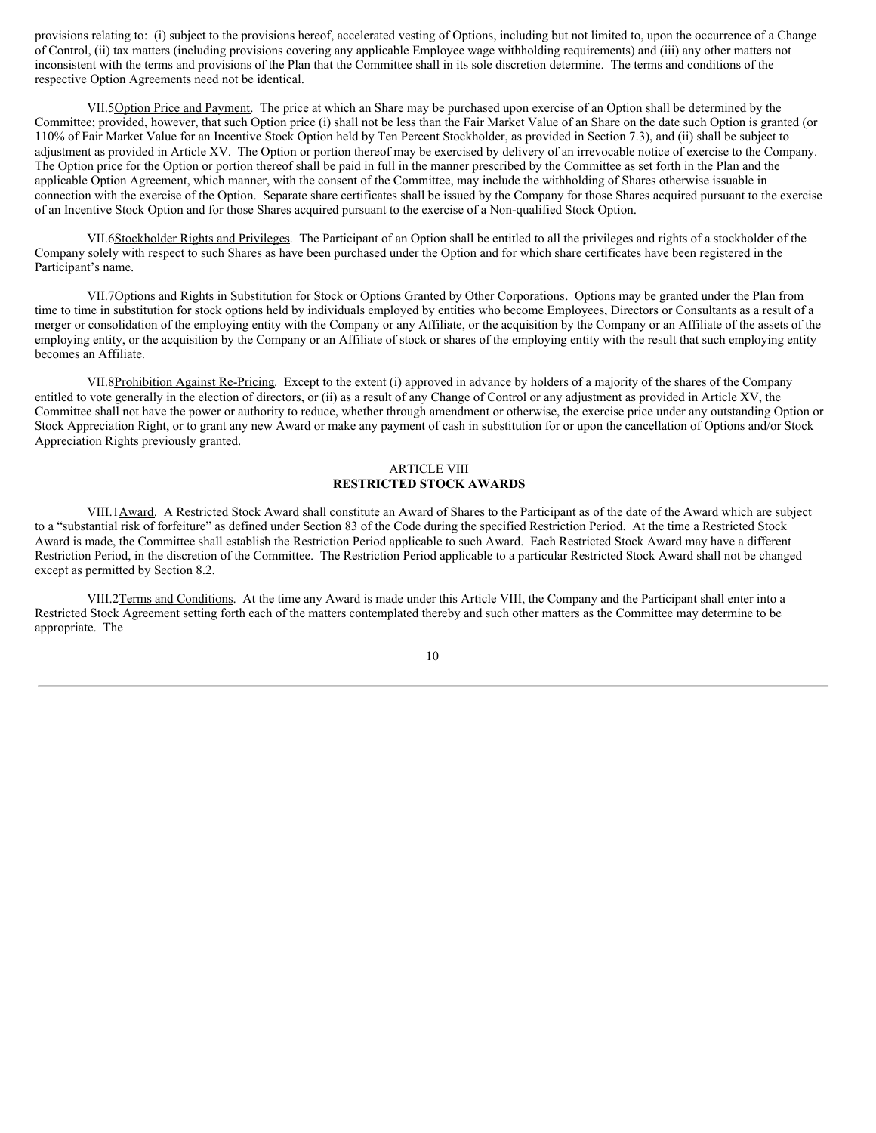provisions relating to: (i) subject to the provisions hereof, accelerated vesting of Options, including but not limited to, upon the occurrence of a Change of Control, (ii) tax matters (including provisions covering any applicable Employee wage withholding requirements) and (iii) any other matters not inconsistent with the terms and provisions of the Plan that the Committee shall in its sole discretion determine. The terms and conditions of the respective Option Agreements need not be identical.

VII.5Option Price and Payment. The price at which an Share may be purchased upon exercise of an Option shall be determined by the Committee; provided, however, that such Option price (i) shall not be less than the Fair Market Value of an Share on the date such Option is granted (or 110% of Fair Market Value for an Incentive Stock Option held by Ten Percent Stockholder, as provided in Section 7.3), and (ii) shall be subject to adjustment as provided in Article XV. The Option or portion thereof may be exercised by delivery of an irrevocable notice of exercise to the Company. The Option price for the Option or portion thereof shall be paid in full in the manner prescribed by the Committee as set forth in the Plan and the applicable Option Agreement, which manner, with the consent of the Committee, may include the withholding of Shares otherwise issuable in connection with the exercise of the Option. Separate share certificates shall be issued by the Company for those Shares acquired pursuant to the exercise of an Incentive Stock Option and for those Shares acquired pursuant to the exercise of a Non-qualified Stock Option.

VII.6Stockholder Rights and Privileges. The Participant of an Option shall be entitled to all the privileges and rights of a stockholder of the Company solely with respect to such Shares as have been purchased under the Option and for which share certificates have been registered in the Participant's name.

VII.7Options and Rights in Substitution for Stock or Options Granted by Other Corporations. Options may be granted under the Plan from time to time in substitution for stock options held by individuals employed by entities who become Employees, Directors or Consultants as a result of a merger or consolidation of the employing entity with the Company or any Affiliate, or the acquisition by the Company or an Affiliate of the assets of the employing entity, or the acquisition by the Company or an Affiliate of stock or shares of the employing entity with the result that such employing entity becomes an Affiliate.

VII.8Prohibition Against Re-Pricing. Except to the extent (i) approved in advance by holders of a majority of the shares of the Company entitled to vote generally in the election of directors, or (ii) as a result of any Change of Control or any adjustment as provided in Article XV, the Committee shall not have the power or authority to reduce, whether through amendment or otherwise, the exercise price under any outstanding Option or Stock Appreciation Right, or to grant any new Award or make any payment of cash in substitution for or upon the cancellation of Options and/or Stock Appreciation Rights previously granted.

# ARTICLE VIII **RESTRICTED STOCK AWARDS**

VIII.1Award. A Restricted Stock Award shall constitute an Award of Shares to the Participant as of the date of the Award which are subject to a "substantial risk of forfeiture" as defined under Section 83 of the Code during the specified Restriction Period. At the time a Restricted Stock Award is made, the Committee shall establish the Restriction Period applicable to such Award. Each Restricted Stock Award may have a different Restriction Period, in the discretion of the Committee. The Restriction Period applicable to a particular Restricted Stock Award shall not be changed except as permitted by Section 8.2.

VIII.2Terms and Conditions. At the time any Award is made under this Article VIII, the Company and the Participant shall enter into a Restricted Stock Agreement setting forth each of the matters contemplated thereby and such other matters as the Committee may determine to be appropriate. The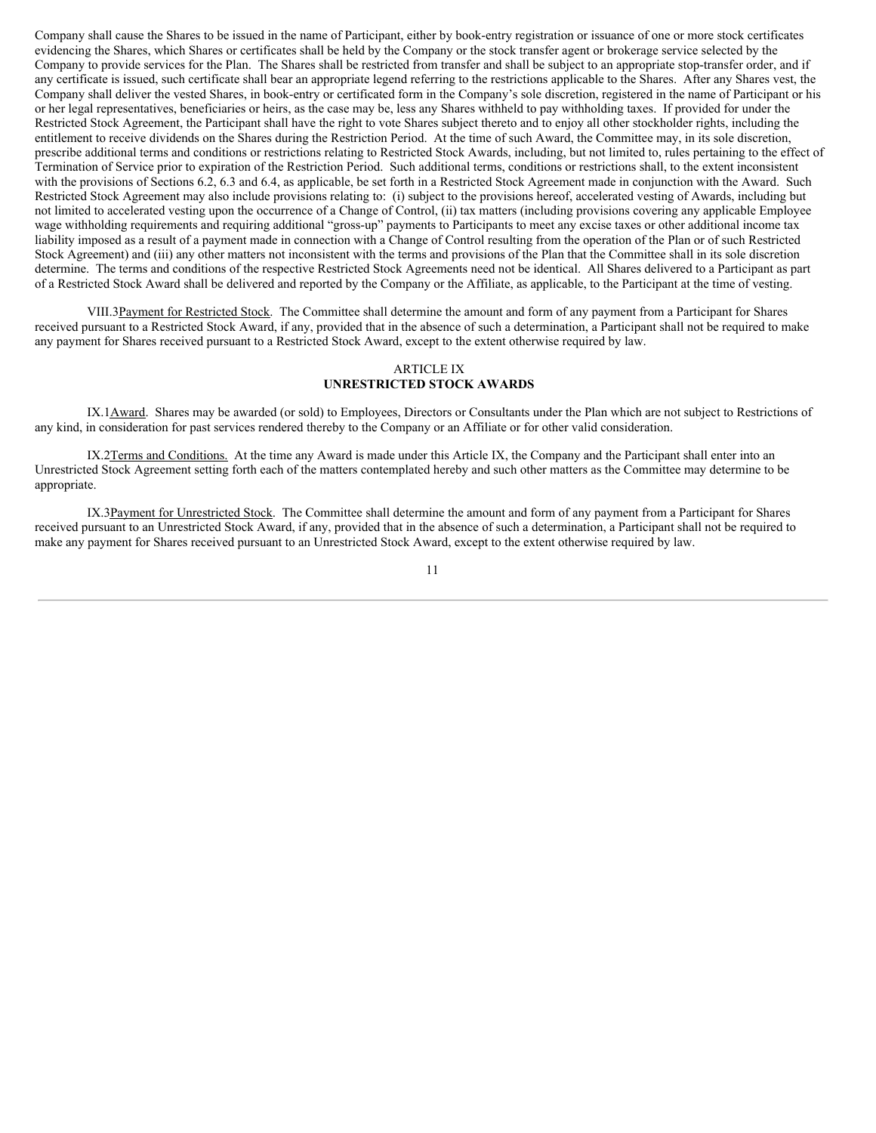<span id="page-62-0"></span>Company shall cause the Shares to be issued in the name of Participant, either by book-entry registration or issuance of one or more stock certificates evidencing the Shares, which Shares or certificates shall be held by the Company or the stock transfer agent or brokerage service selected by the Company to provide services for the Plan. The Shares shall be restricted from transfer and shall be subject to an appropriate stop-transfer order, and if any certificate is issued, such certificate shall bear an appropriate legend referring to the restrictions applicable to the Shares. After any Shares vest, the Company shall deliver the vested Shares, in book-entry or certificated form in the Company's sole discretion, registered in the name of Participant or his or her legal representatives, beneficiaries or heirs, as the case may be, less any Shares withheld to pay withholding taxes. If provided for under the Restricted Stock Agreement, the Participant shall have the right to vote Shares subject thereto and to enjoy all other stockholder rights, including the entitlement to receive dividends on the Shares during the Restriction Period. At the time of such Award, the Committee may, in its sole discretion, prescribe additional terms and conditions or restrictions relating to Restricted Stock Awards, including, but not limited to, rules pertaining to the effect of Termination of Service prior to expiration of the Restriction Period. Such additional terms, conditions or restrictions shall, to the extent inconsistent with the provisions of Sections 6.2, 6.3 and 6.4, as applicable, be set forth in a Restricted Stock Agreement made in conjunction with the Award. Such Restricted Stock Agreement may also include provisions relating to: (i) subject to the provisions hereof, accelerated vesting of Awards, including but not limited to accelerated vesting upon the occurrence of a Change of Control, (ii) tax matters (including provisions covering any applicable Employee wage withholding requirements and requiring additional "gross-up" payments to Participants to meet any excise taxes or other additional income tax liability imposed as a result of a payment made in connection with a Change of Control resulting from the operation of the Plan or of such Restricted Stock Agreement) and (iii) any other matters not inconsistent with the terms and provisions of the Plan that the Committee shall in its sole discretion determine. The terms and conditions of the respective Restricted Stock Agreements need not be identical. All Shares delivered to a Participant as part of a Restricted Stock Award shall be delivered and reported by the Company or the Affiliate, as applicable, to the Participant at the time of vesting.

VIII.3Payment for Restricted Stock. The Committee shall determine the amount and form of any payment from a Participant for Shares received pursuant to a Restricted Stock Award, if any, provided that in the absence of such a determination, a Participant shall not be required to make any payment for Shares received pursuant to a Restricted Stock Award, except to the extent otherwise required by law.

# ARTICLE IX **UNRESTRICTED STOCK AWARDS**

IX.1Award. Shares may be awarded (or sold) to Employees, Directors or Consultants under the Plan which are not subject to Restrictions of any kind, in consideration for past services rendered thereby to the Company or an Affiliate or for other valid consideration.

IX.2Terms and Conditions. At the time any Award is made under this Article IX, the Company and the Participant shall enter into an Unrestricted Stock Agreement setting forth each of the matters contemplated hereby and such other matters as the Committee may determine to be appropriate.

IX.3Payment for Unrestricted Stock. The Committee shall determine the amount and form of any payment from a Participant for Shares received pursuant to an Unrestricted Stock Award, if any, provided that in the absence of such a determination, a Participant shall not be required to make any payment for Shares received pursuant to an Unrestricted Stock Award, except to the extent otherwise required by law.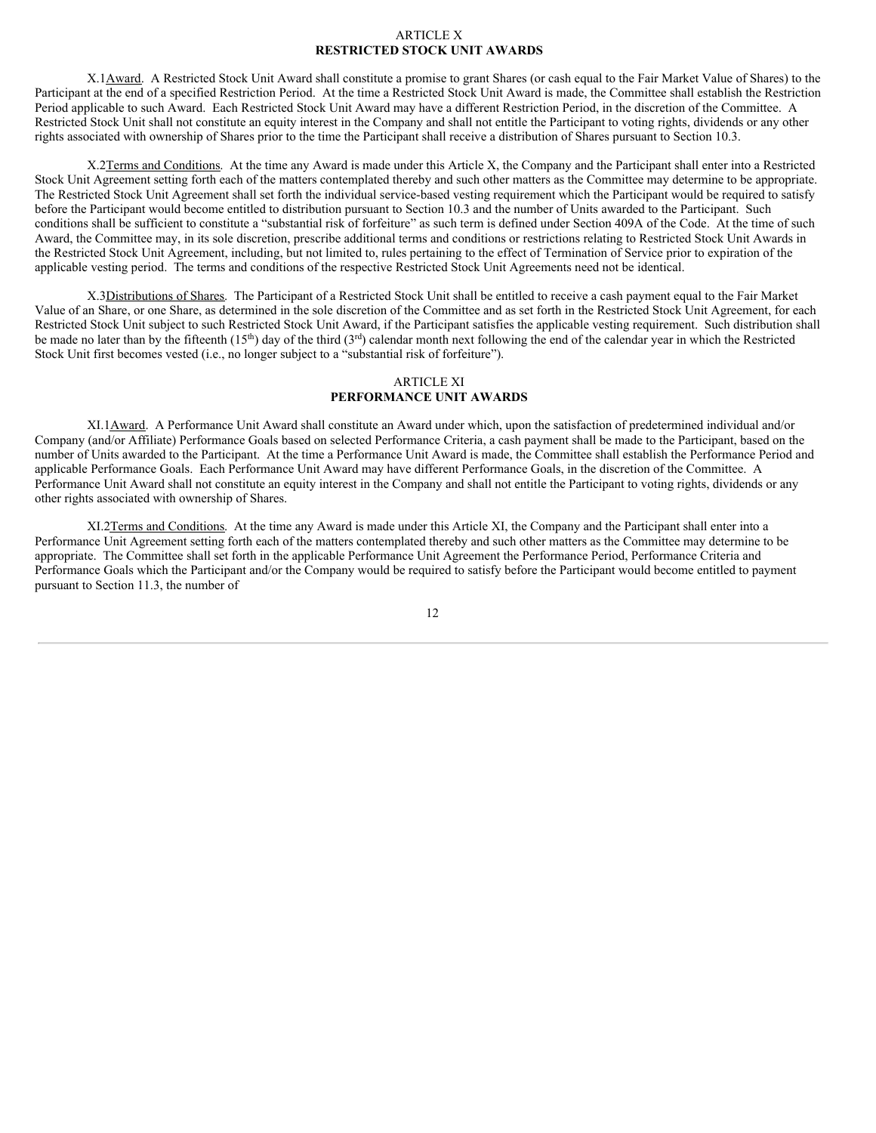# ARTICLE X **RESTRICTED STOCK UNIT AWARDS**

X.1Award. A Restricted Stock Unit Award shall constitute a promise to grant Shares (or cash equal to the Fair Market Value of Shares) to the Participant at the end of a specified Restriction Period. At the time a Restricted Stock Unit Award is made, the Committee shall establish the Restriction Period applicable to such Award. Each Restricted Stock Unit Award may have a different Restriction Period, in the discretion of the Committee. A Restricted Stock Unit shall not constitute an equity interest in the Company and shall not entitle the Participant to voting rights, dividends or any other rights associated with ownership of Shares prior to the time the Participant shall receive a distribution of Shares pursuant to Section 10.3.

X.2Terms and Conditions. At the time any Award is made under this Article X, the Company and the Participant shall enter into a Restricted Stock Unit Agreement setting forth each of the matters contemplated thereby and such other matters as the Committee may determine to be appropriate. The Restricted Stock Unit Agreement shall set forth the individual service-based vesting requirement which the Participant would be required to satisfy before the Participant would become entitled to distribution pursuant to Section 10.3 and the number of Units awarded to the Participant. Such conditions shall be sufficient to constitute a "substantial risk of forfeiture" as such term is defined under Section 409A of the Code. At the time of such Award, the Committee may, in its sole discretion, prescribe additional terms and conditions or restrictions relating to Restricted Stock Unit Awards in the Restricted Stock Unit Agreement, including, but not limited to, rules pertaining to the effect of Termination of Service prior to expiration of the applicable vesting period. The terms and conditions of the respective Restricted Stock Unit Agreements need not be identical.

X.3Distributions of Shares. The Participant of a Restricted Stock Unit shall be entitled to receive a cash payment equal to the Fair Market Value of an Share, or one Share, as determined in the sole discretion of the Committee and as set forth in the Restricted Stock Unit Agreement, for each Restricted Stock Unit subject to such Restricted Stock Unit Award, if the Participant satisfies the applicable vesting requirement. Such distribution shall be made no later than by the fifteenth  $(15<sup>th</sup>)$  day of the third  $(3<sup>rd</sup>)$  calendar month next following the end of the calendar year in which the Restricted Stock Unit first becomes vested (i.e., no longer subject to a "substantial risk of forfeiture").

# ARTICLE XI **PERFORMANCE UNIT AWARDS**

XI.1Award. A Performance Unit Award shall constitute an Award under which, upon the satisfaction of predetermined individual and/or Company (and/or Affiliate) Performance Goals based on selected Performance Criteria, a cash payment shall be made to the Participant, based on the number of Units awarded to the Participant. At the time a Performance Unit Award is made, the Committee shall establish the Performance Period and applicable Performance Goals. Each Performance Unit Award may have different Performance Goals, in the discretion of the Committee. A Performance Unit Award shall not constitute an equity interest in the Company and shall not entitle the Participant to voting rights, dividends or any other rights associated with ownership of Shares.

XI.2Terms and Conditions. At the time any Award is made under this Article XI, the Company and the Participant shall enter into a Performance Unit Agreement setting forth each of the matters contemplated thereby and such other matters as the Committee may determine to be appropriate. The Committee shall set forth in the applicable Performance Unit Agreement the Performance Period, Performance Criteria and Performance Goals which the Participant and/or the Company would be required to satisfy before the Participant would become entitled to payment pursuant to Section 11.3, the number of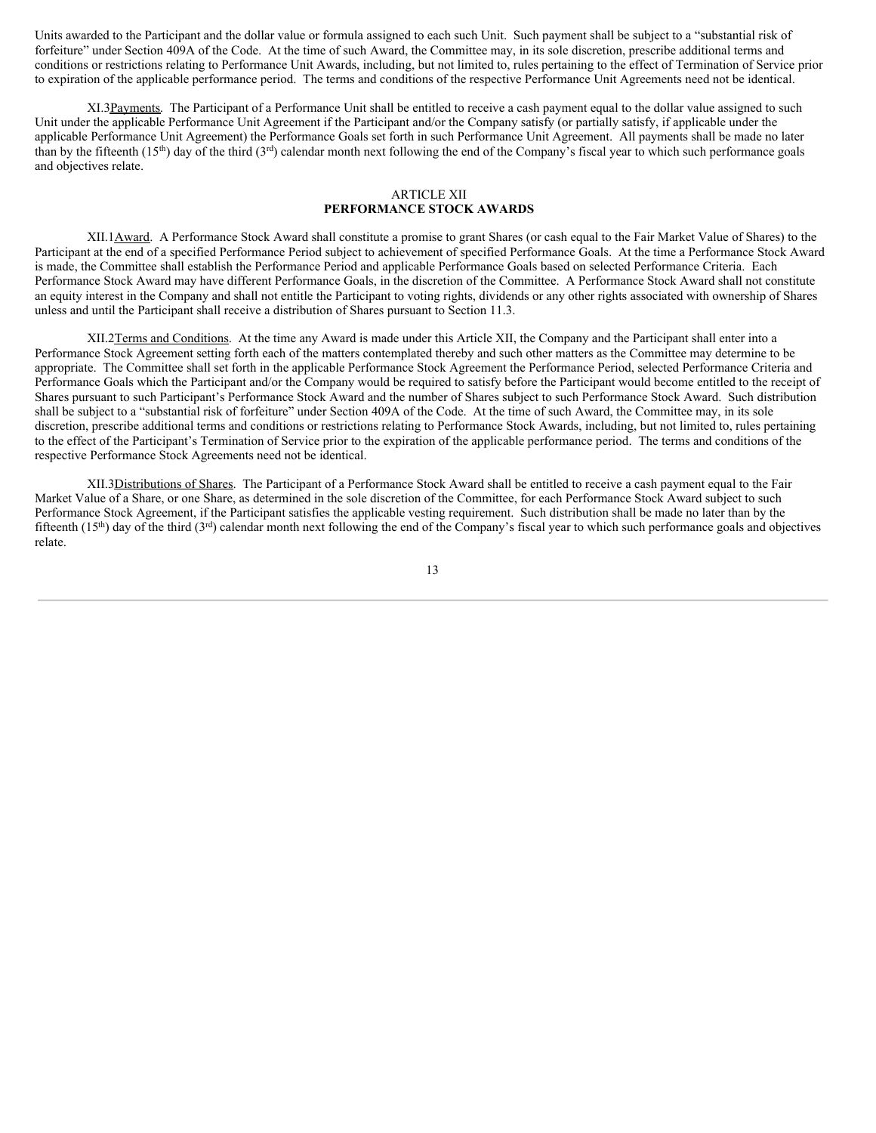Units awarded to the Participant and the dollar value or formula assigned to each such Unit. Such payment shall be subject to a "substantial risk of forfeiture" under Section 409A of the Code. At the time of such Award, the Committee may, in its sole discretion, prescribe additional terms and conditions or restrictions relating to Performance Unit Awards, including, but not limited to, rules pertaining to the effect of Termination of Service prior to expiration of the applicable performance period. The terms and conditions of the respective Performance Unit Agreements need not be identical.

XI.3Payments. The Participant of a Performance Unit shall be entitled to receive a cash payment equal to the dollar value assigned to such Unit under the applicable Performance Unit Agreement if the Participant and/or the Company satisfy (or partially satisfy, if applicable under the applicable Performance Unit Agreement) the Performance Goals set forth in such Performance Unit Agreement. All payments shall be made no later than by the fifteenth  $(15<sup>th</sup>)$  day of the third  $(3<sup>rd</sup>)$  calendar month next following the end of the Company's fiscal year to which such performance goals and objectives relate.

## ARTICLE XII **PERFORMANCE STOCK AWARDS**

XII.1Award. A Performance Stock Award shall constitute a promise to grant Shares (or cash equal to the Fair Market Value of Shares) to the Participant at the end of a specified Performance Period subject to achievement of specified Performance Goals. At the time a Performance Stock Award is made, the Committee shall establish the Performance Period and applicable Performance Goals based on selected Performance Criteria. Each Performance Stock Award may have different Performance Goals, in the discretion of the Committee. A Performance Stock Award shall not constitute an equity interest in the Company and shall not entitle the Participant to voting rights, dividends or any other rights associated with ownership of Shares unless and until the Participant shall receive a distribution of Shares pursuant to Section 11.3.

XII.2Terms and Conditions. At the time any Award is made under this Article XII, the Company and the Participant shall enter into a Performance Stock Agreement setting forth each of the matters contemplated thereby and such other matters as the Committee may determine to be appropriate. The Committee shall set forth in the applicable Performance Stock Agreement the Performance Period, selected Performance Criteria and Performance Goals which the Participant and/or the Company would be required to satisfy before the Participant would become entitled to the receipt of Shares pursuant to such Participant's Performance Stock Award and the number of Shares subject to such Performance Stock Award. Such distribution shall be subject to a "substantial risk of forfeiture" under Section 409A of the Code. At the time of such Award, the Committee may, in its sole discretion, prescribe additional terms and conditions or restrictions relating to Performance Stock Awards, including, but not limited to, rules pertaining to the effect of the Participant's Termination of Service prior to the expiration of the applicable performance period. The terms and conditions of the respective Performance Stock Agreements need not be identical.

XII.3Distributions of Shares. The Participant of a Performance Stock Award shall be entitled to receive a cash payment equal to the Fair Market Value of a Share, or one Share, as determined in the sole discretion of the Committee, for each Performance Stock Award subject to such Performance Stock Agreement, if the Participant satisfies the applicable vesting requirement. Such distribution shall be made no later than by the fifteenth  $(15<sup>th</sup>)$  day of the third  $(3<sup>rd</sup>)$  calendar month next following the end of the Company's fiscal year to which such performance goals and objectives relate.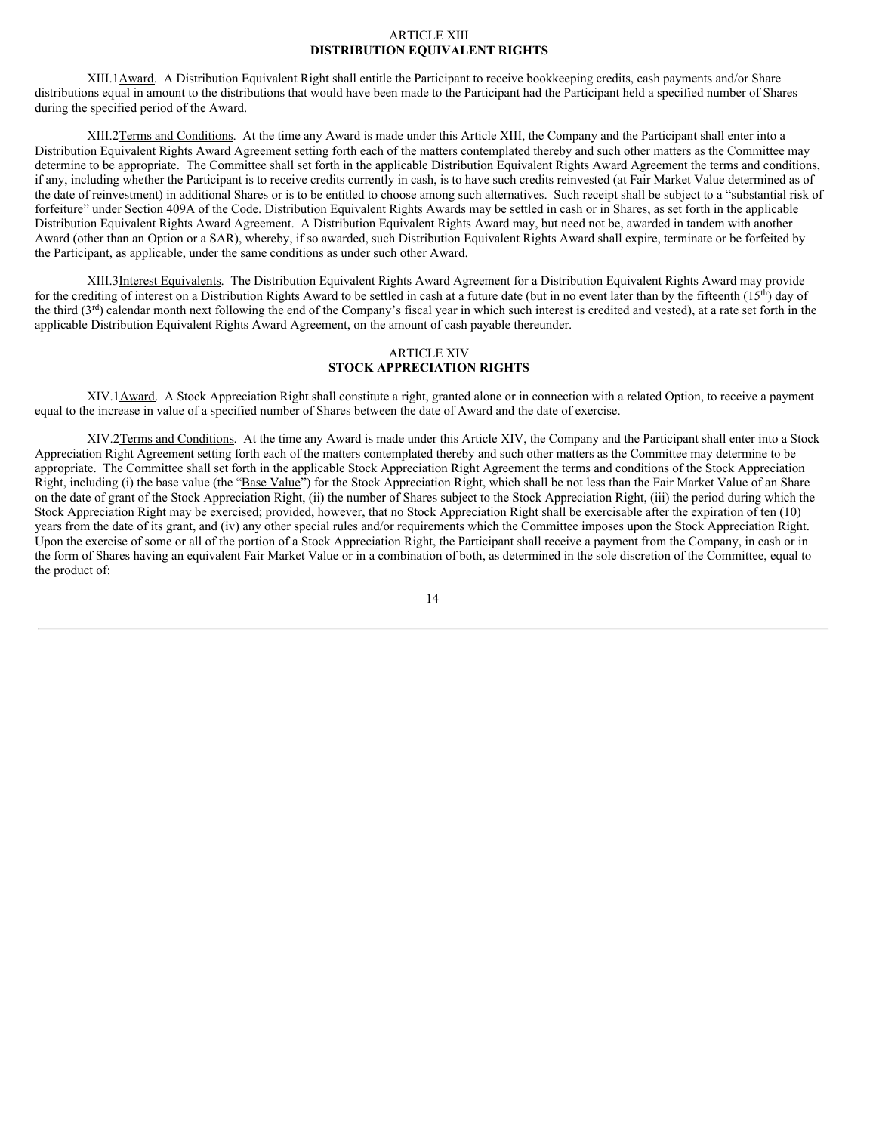# ARTICLE XIII **DISTRIBUTION EQUIVALENT RIGHTS**

XIII.1Award. A Distribution Equivalent Right shall entitle the Participant to receive bookkeeping credits, cash payments and/or Share distributions equal in amount to the distributions that would have been made to the Participant had the Participant held a specified number of Shares during the specified period of the Award.

XIII.2Terms and Conditions. At the time any Award is made under this Article XIII, the Company and the Participant shall enter into a Distribution Equivalent Rights Award Agreement setting forth each of the matters contemplated thereby and such other matters as the Committee may determine to be appropriate. The Committee shall set forth in the applicable Distribution Equivalent Rights Award Agreement the terms and conditions, if any, including whether the Participant is to receive credits currently in cash, is to have such credits reinvested (at Fair Market Value determined as of the date of reinvestment) in additional Shares or is to be entitled to choose among such alternatives. Such receipt shall be subject to a "substantial risk of forfeiture" under Section 409A of the Code. Distribution Equivalent Rights Awards may be settled in cash or in Shares, as set forth in the applicable Distribution Equivalent Rights Award Agreement. A Distribution Equivalent Rights Award may, but need not be, awarded in tandem with another Award (other than an Option or a SAR), whereby, if so awarded, such Distribution Equivalent Rights Award shall expire, terminate or be forfeited by the Participant, as applicable, under the same conditions as under such other Award.

XIII.3Interest Equivalents. The Distribution Equivalent Rights Award Agreement for a Distribution Equivalent Rights Award may provide for the crediting of interest on a Distribution Rights Award to be settled in cash at a future date (but in no event later than by the fifteenth  $(15<sup>th</sup>)$  day of the third (3<sup>rd</sup>) calendar month next following the end of the Company's fiscal year in which such interest is credited and vested), at a rate set forth in the applicable Distribution Equivalent Rights Award Agreement, on the amount of cash payable thereunder.

# ARTICLE XIV **STOCK APPRECIATION RIGHTS**

XIV.1Award. A Stock Appreciation Right shall constitute a right, granted alone or in connection with a related Option, to receive a payment equal to the increase in value of a specified number of Shares between the date of Award and the date of exercise.

XIV.2Terms and Conditions. At the time any Award is made under this Article XIV, the Company and the Participant shall enter into a Stock Appreciation Right Agreement setting forth each of the matters contemplated thereby and such other matters as the Committee may determine to be appropriate. The Committee shall set forth in the applicable Stock Appreciation Right Agreement the terms and conditions of the Stock Appreciation Right, including (i) the base value (the "Base Value") for the Stock Appreciation Right, which shall be not less than the Fair Market Value of an Share on the date of grant of the Stock Appreciation Right, (ii) the number of Shares subject to the Stock Appreciation Right, (iii) the period during which the Stock Appreciation Right may be exercised; provided, however, that no Stock Appreciation Right shall be exercisable after the expiration of ten (10) years from the date of its grant, and (iv) any other special rules and/or requirements which the Committee imposes upon the Stock Appreciation Right. Upon the exercise of some or all of the portion of a Stock Appreciation Right, the Participant shall receive a payment from the Company, in cash or in the form of Shares having an equivalent Fair Market Value or in a combination of both, as determined in the sole discretion of the Committee, equal to the product of: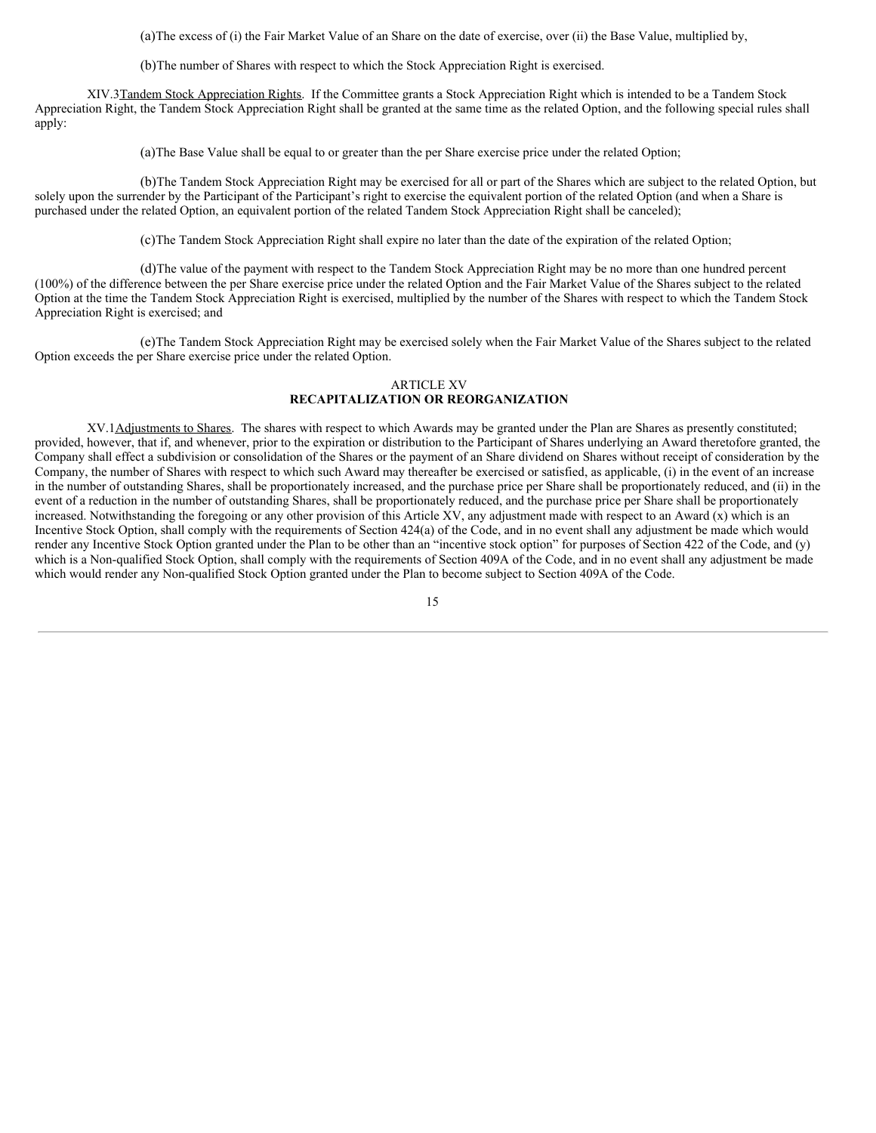(a)The excess of (i) the Fair Market Value of an Share on the date of exercise, over (ii) the Base Value, multiplied by,

(b)The number of Shares with respect to which the Stock Appreciation Right is exercised.

XIV.3Tandem Stock Appreciation Rights. If the Committee grants a Stock Appreciation Right which is intended to be a Tandem Stock Appreciation Right, the Tandem Stock Appreciation Right shall be granted at the same time as the related Option, and the following special rules shall apply:

(a)The Base Value shall be equal to or greater than the per Share exercise price under the related Option;

(b)The Tandem Stock Appreciation Right may be exercised for all or part of the Shares which are subject to the related Option, but solely upon the surrender by the Participant of the Participant's right to exercise the equivalent portion of the related Option (and when a Share is purchased under the related Option, an equivalent portion of the related Tandem Stock Appreciation Right shall be canceled);

(c)The Tandem Stock Appreciation Right shall expire no later than the date of the expiration of the related Option;

(d)The value of the payment with respect to the Tandem Stock Appreciation Right may be no more than one hundred percent (100%) of the difference between the per Share exercise price under the related Option and the Fair Market Value of the Shares subject to the related Option at the time the Tandem Stock Appreciation Right is exercised, multiplied by the number of the Shares with respect to which the Tandem Stock Appreciation Right is exercised; and

(e)The Tandem Stock Appreciation Right may be exercised solely when the Fair Market Value of the Shares subject to the related Option exceeds the per Share exercise price under the related Option.

## ARTICLE XV **RECAPITALIZATION OR REORGANIZATION**

XV.1Adjustments to Shares. The shares with respect to which Awards may be granted under the Plan are Shares as presently constituted; provided, however, that if, and whenever, prior to the expiration or distribution to the Participant of Shares underlying an Award theretofore granted, the Company shall effect a subdivision or consolidation of the Shares or the payment of an Share dividend on Shares without receipt of consideration by the Company, the number of Shares with respect to which such Award may thereafter be exercised or satisfied, as applicable, (i) in the event of an increase in the number of outstanding Shares, shall be proportionately increased, and the purchase price per Share shall be proportionately reduced, and (ii) in the event of a reduction in the number of outstanding Shares, shall be proportionately reduced, and the purchase price per Share shall be proportionately increased. Notwithstanding the foregoing or any other provision of this Article XV, any adjustment made with respect to an Award (x) which is an Incentive Stock Option, shall comply with the requirements of Section 424(a) of the Code, and in no event shall any adjustment be made which would render any Incentive Stock Option granted under the Plan to be other than an "incentive stock option" for purposes of Section 422 of the Code, and (y) which is a Non-qualified Stock Option, shall comply with the requirements of Section 409A of the Code, and in no event shall any adjustment be made which would render any Non-qualified Stock Option granted under the Plan to become subject to Section 409A of the Code.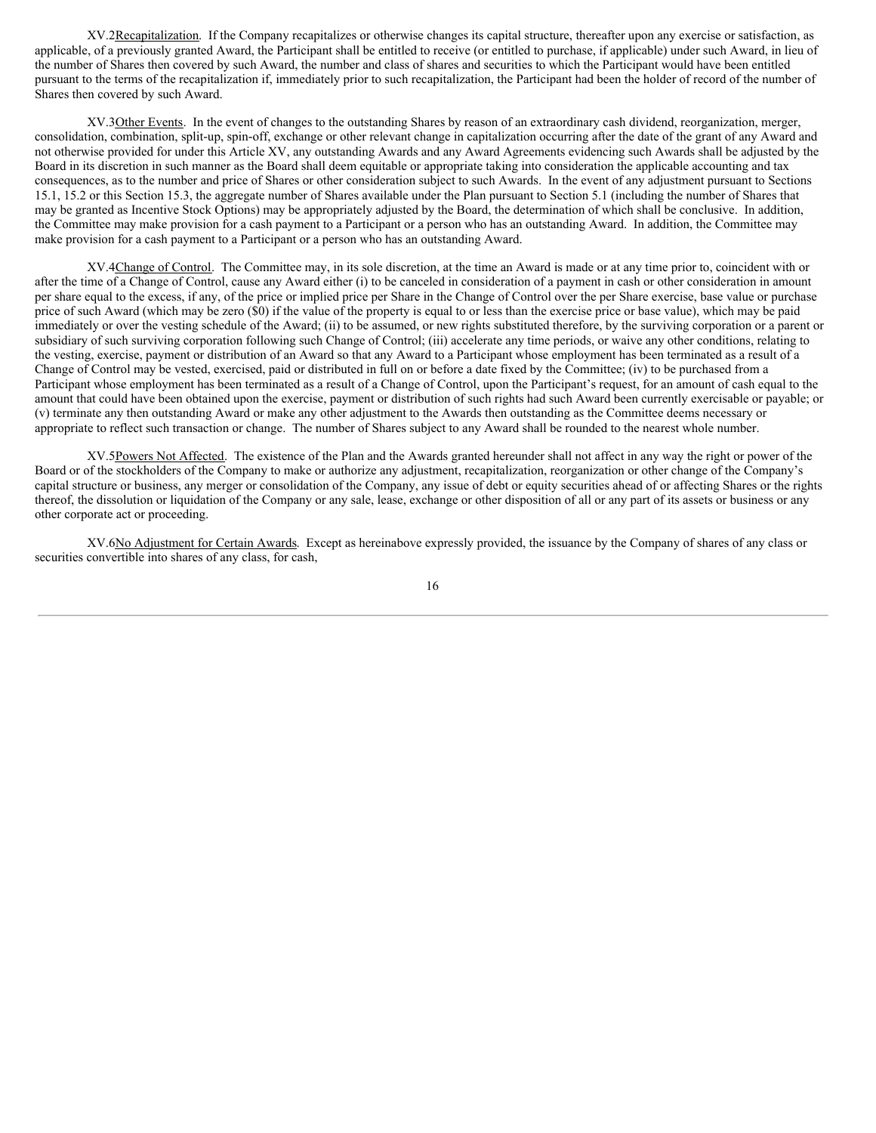XV.2Recapitalization. If the Company recapitalizes or otherwise changes its capital structure, thereafter upon any exercise or satisfaction, as applicable, of a previously granted Award, the Participant shall be entitled to receive (or entitled to purchase, if applicable) under such Award, in lieu of the number of Shares then covered by such Award, the number and class of shares and securities to which the Participant would have been entitled pursuant to the terms of the recapitalization if, immediately prior to such recapitalization, the Participant had been the holder of record of the number of Shares then covered by such Award.

XV.3Other Events. In the event of changes to the outstanding Shares by reason of an extraordinary cash dividend, reorganization, merger, consolidation, combination, split‑up, spin‑off, exchange or other relevant change in capitalization occurring after the date of the grant of any Award and not otherwise provided for under this Article XV, any outstanding Awards and any Award Agreements evidencing such Awards shall be adjusted by the Board in its discretion in such manner as the Board shall deem equitable or appropriate taking into consideration the applicable accounting and tax consequences, as to the number and price of Shares or other consideration subject to such Awards. In the event of any adjustment pursuant to Sections 15.1, 15.2 or this Section 15.3, the aggregate number of Shares available under the Plan pursuant to Section 5.1 (including the number of Shares that may be granted as Incentive Stock Options) may be appropriately adjusted by the Board, the determination of which shall be conclusive. In addition, the Committee may make provision for a cash payment to a Participant or a person who has an outstanding Award. In addition, the Committee may make provision for a cash payment to a Participant or a person who has an outstanding Award.

XV.4Change of Control. The Committee may, in its sole discretion, at the time an Award is made or at any time prior to, coincident with or after the time of a Change of Control, cause any Award either (i) to be canceled in consideration of a payment in cash or other consideration in amount per share equal to the excess, if any, of the price or implied price per Share in the Change of Control over the per Share exercise, base value or purchase price of such Award (which may be zero (\$0) if the value of the property is equal to or less than the exercise price or base value), which may be paid immediately or over the vesting schedule of the Award; (ii) to be assumed, or new rights substituted therefore, by the surviving corporation or a parent or subsidiary of such surviving corporation following such Change of Control; (iii) accelerate any time periods, or waive any other conditions, relating to the vesting, exercise, payment or distribution of an Award so that any Award to a Participant whose employment has been terminated as a result of a Change of Control may be vested, exercised, paid or distributed in full on or before a date fixed by the Committee; (iv) to be purchased from a Participant whose employment has been terminated as a result of a Change of Control, upon the Participant's request, for an amount of cash equal to the amount that could have been obtained upon the exercise, payment or distribution of such rights had such Award been currently exercisable or payable; or (v) terminate any then outstanding Award or make any other adjustment to the Awards then outstanding as the Committee deems necessary or appropriate to reflect such transaction or change. The number of Shares subject to any Award shall be rounded to the nearest whole number.

XV.5Powers Not Affected. The existence of the Plan and the Awards granted hereunder shall not affect in any way the right or power of the Board or of the stockholders of the Company to make or authorize any adjustment, recapitalization, reorganization or other change of the Company's capital structure or business, any merger or consolidation of the Company, any issue of debt or equity securities ahead of or affecting Shares or the rights thereof, the dissolution or liquidation of the Company or any sale, lease, exchange or other disposition of all or any part of its assets or business or any other corporate act or proceeding.

XV.6No Adjustment for Certain Awards. Except as hereinabove expressly provided, the issuance by the Company of shares of any class or securities convertible into shares of any class, for cash,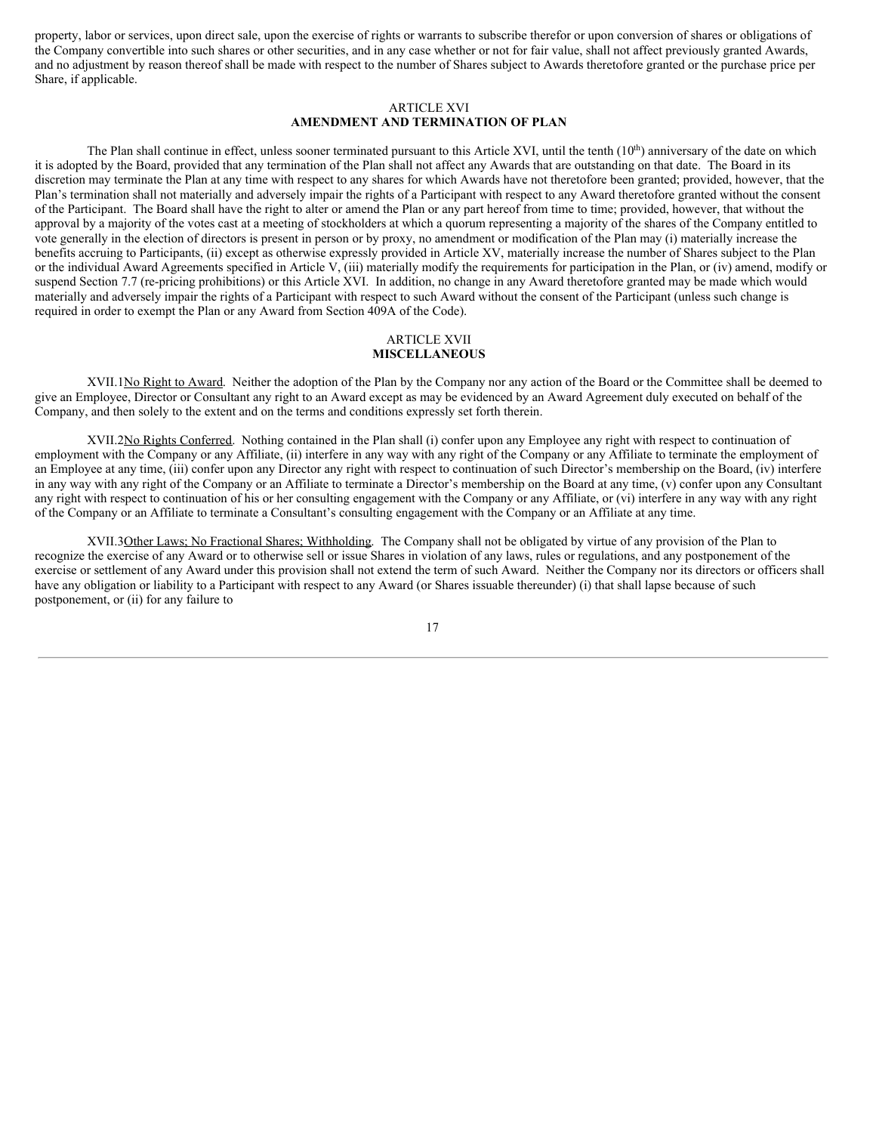property, labor or services, upon direct sale, upon the exercise of rights or warrants to subscribe therefor or upon conversion of shares or obligations of the Company convertible into such shares or other securities, and in any case whether or not for fair value, shall not affect previously granted Awards, and no adjustment by reason thereof shall be made with respect to the number of Shares subject to Awards theretofore granted or the purchase price per Share, if applicable.

# ARTICLE XVI **AMENDMENT AND TERMINATION OF PLAN**

The Plan shall continue in effect, unless sooner terminated pursuant to this Article XVI, until the tenth (10<sup>th</sup>) anniversary of the date on which it is adopted by the Board, provided that any termination of the Plan shall not affect any Awards that are outstanding on that date. The Board in its discretion may terminate the Plan at any time with respect to any shares for which Awards have not theretofore been granted; provided, however, that the Plan's termination shall not materially and adversely impair the rights of a Participant with respect to any Award theretofore granted without the consent of the Participant. The Board shall have the right to alter or amend the Plan or any part hereof from time to time; provided, however, that without the approval by a majority of the votes cast at a meeting of stockholders at which a quorum representing a majority of the shares of the Company entitled to vote generally in the election of directors is present in person or by proxy, no amendment or modification of the Plan may (i) materially increase the benefits accruing to Participants, (ii) except as otherwise expressly provided in Article XV, materially increase the number of Shares subject to the Plan or the individual Award Agreements specified in Article V, (iii) materially modify the requirements for participation in the Plan, or (iv) amend, modify or suspend Section 7.7 (re-pricing prohibitions) or this Article XVI. In addition, no change in any Award theretofore granted may be made which would materially and adversely impair the rights of a Participant with respect to such Award without the consent of the Participant (unless such change is required in order to exempt the Plan or any Award from Section 409A of the Code).

## ARTICLE XVII **MISCELLANEOUS**

XVII.1No Right to Award. Neither the adoption of the Plan by the Company nor any action of the Board or the Committee shall be deemed to give an Employee, Director or Consultant any right to an Award except as may be evidenced by an Award Agreement duly executed on behalf of the Company, and then solely to the extent and on the terms and conditions expressly set forth therein.

XVII.2No Rights Conferred. Nothing contained in the Plan shall (i) confer upon any Employee any right with respect to continuation of employment with the Company or any Affiliate, (ii) interfere in any way with any right of the Company or any Affiliate to terminate the employment of an Employee at any time, (iii) confer upon any Director any right with respect to continuation of such Director's membership on the Board, (iv) interfere in any way with any right of the Company or an Affiliate to terminate a Director's membership on the Board at any time, (v) confer upon any Consultant any right with respect to continuation of his or her consulting engagement with the Company or any Affiliate, or (vi) interfere in any way with any right of the Company or an Affiliate to terminate a Consultant's consulting engagement with the Company or an Affiliate at any time.

XVII.3Other Laws; No Fractional Shares; Withholding. The Company shall not be obligated by virtue of any provision of the Plan to recognize the exercise of any Award or to otherwise sell or issue Shares in violation of any laws, rules or regulations, and any postponement of the exercise or settlement of any Award under this provision shall not extend the term of such Award. Neither the Company nor its directors or officers shall have any obligation or liability to a Participant with respect to any Award (or Shares issuable thereunder) (i) that shall lapse because of such postponement, or (ii) for any failure to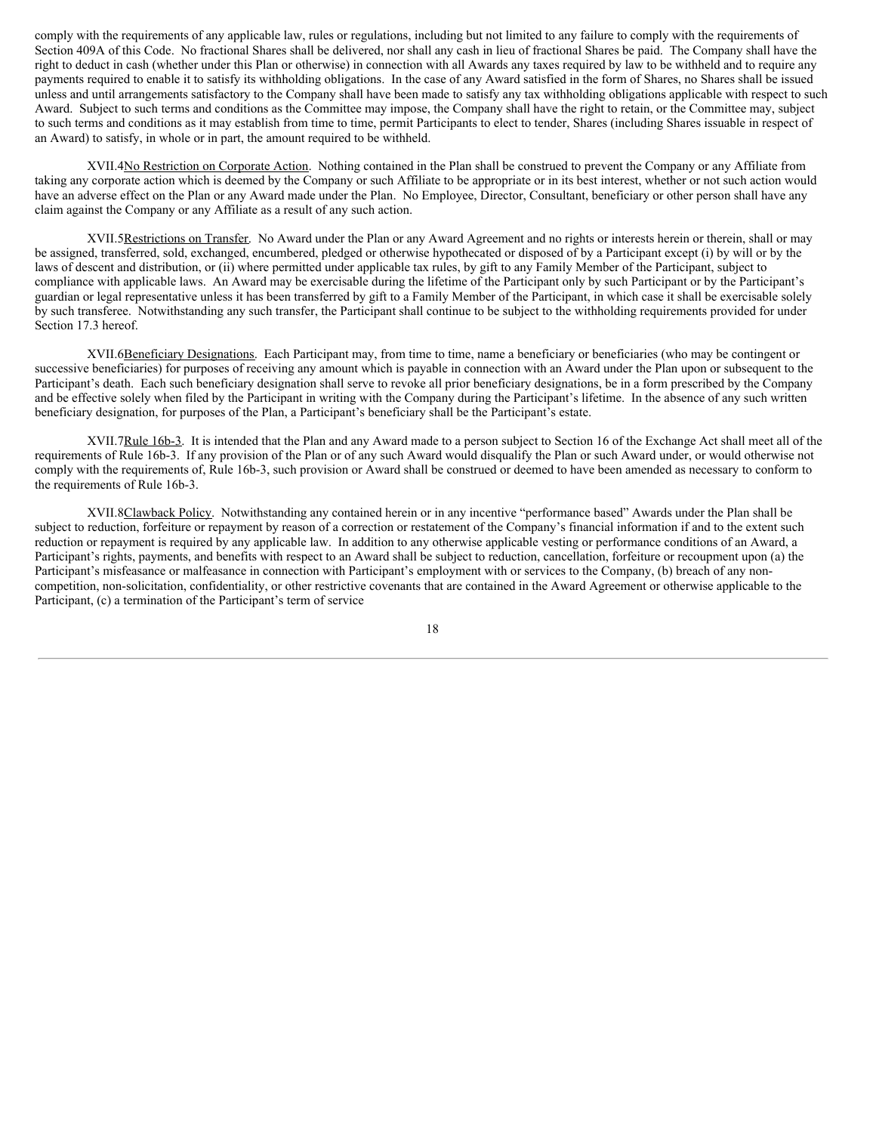comply with the requirements of any applicable law, rules or regulations, including but not limited to any failure to comply with the requirements of Section 409A of this Code. No fractional Shares shall be delivered, nor shall any cash in lieu of fractional Shares be paid. The Company shall have the right to deduct in cash (whether under this Plan or otherwise) in connection with all Awards any taxes required by law to be withheld and to require any payments required to enable it to satisfy its withholding obligations. In the case of any Award satisfied in the form of Shares, no Shares shall be issued unless and until arrangements satisfactory to the Company shall have been made to satisfy any tax withholding obligations applicable with respect to such Award. Subject to such terms and conditions as the Committee may impose, the Company shall have the right to retain, or the Committee may, subject to such terms and conditions as it may establish from time to time, permit Participants to elect to tender, Shares (including Shares issuable in respect of an Award) to satisfy, in whole or in part, the amount required to be withheld.

XVII.4No Restriction on Corporate Action. Nothing contained in the Plan shall be construed to prevent the Company or any Affiliate from taking any corporate action which is deemed by the Company or such Affiliate to be appropriate or in its best interest, whether or not such action would have an adverse effect on the Plan or any Award made under the Plan. No Employee, Director, Consultant, beneficiary or other person shall have any claim against the Company or any Affiliate as a result of any such action.

XVII.5Restrictions on Transfer. No Award under the Plan or any Award Agreement and no rights or interests herein or therein, shall or may be assigned, transferred, sold, exchanged, encumbered, pledged or otherwise hypothecated or disposed of by a Participant except (i) by will or by the laws of descent and distribution, or (ii) where permitted under applicable tax rules, by gift to any Family Member of the Participant, subject to compliance with applicable laws. An Award may be exercisable during the lifetime of the Participant only by such Participant or by the Participant's guardian or legal representative unless it has been transferred by gift to a Family Member of the Participant, in which case it shall be exercisable solely by such transferee. Notwithstanding any such transfer, the Participant shall continue to be subject to the withholding requirements provided for under Section 17.3 hereof.

XVII.6Beneficiary Designations. Each Participant may, from time to time, name a beneficiary or beneficiaries (who may be contingent or successive beneficiaries) for purposes of receiving any amount which is payable in connection with an Award under the Plan upon or subsequent to the Participant's death. Each such beneficiary designation shall serve to revoke all prior beneficiary designations, be in a form prescribed by the Company and be effective solely when filed by the Participant in writing with the Company during the Participant's lifetime. In the absence of any such written beneficiary designation, for purposes of the Plan, a Participant's beneficiary shall be the Participant's estate.

XVII.7Rule 16b-3. It is intended that the Plan and any Award made to a person subject to Section 16 of the Exchange Act shall meet all of the requirements of Rule 16b-3. If any provision of the Plan or of any such Award would disqualify the Plan or such Award under, or would otherwise not comply with the requirements of, Rule 16b-3, such provision or Award shall be construed or deemed to have been amended as necessary to conform to the requirements of Rule 16b-3.

XVII.8Clawback Policy. Notwithstanding any contained herein or in any incentive "performance based" Awards under the Plan shall be subject to reduction, forfeiture or repayment by reason of a correction or restatement of the Company's financial information if and to the extent such reduction or repayment is required by any applicable law. In addition to any otherwise applicable vesting or performance conditions of an Award, a Participant's rights, payments, and benefits with respect to an Award shall be subject to reduction, cancellation, forfeiture or recoupment upon (a) the Participant's misfeasance or malfeasance in connection with Participant's employment with or services to the Company, (b) breach of any noncompetition, non-solicitation, confidentiality, or other restrictive covenants that are contained in the Award Agreement or otherwise applicable to the Participant, (c) a termination of the Participant's term of service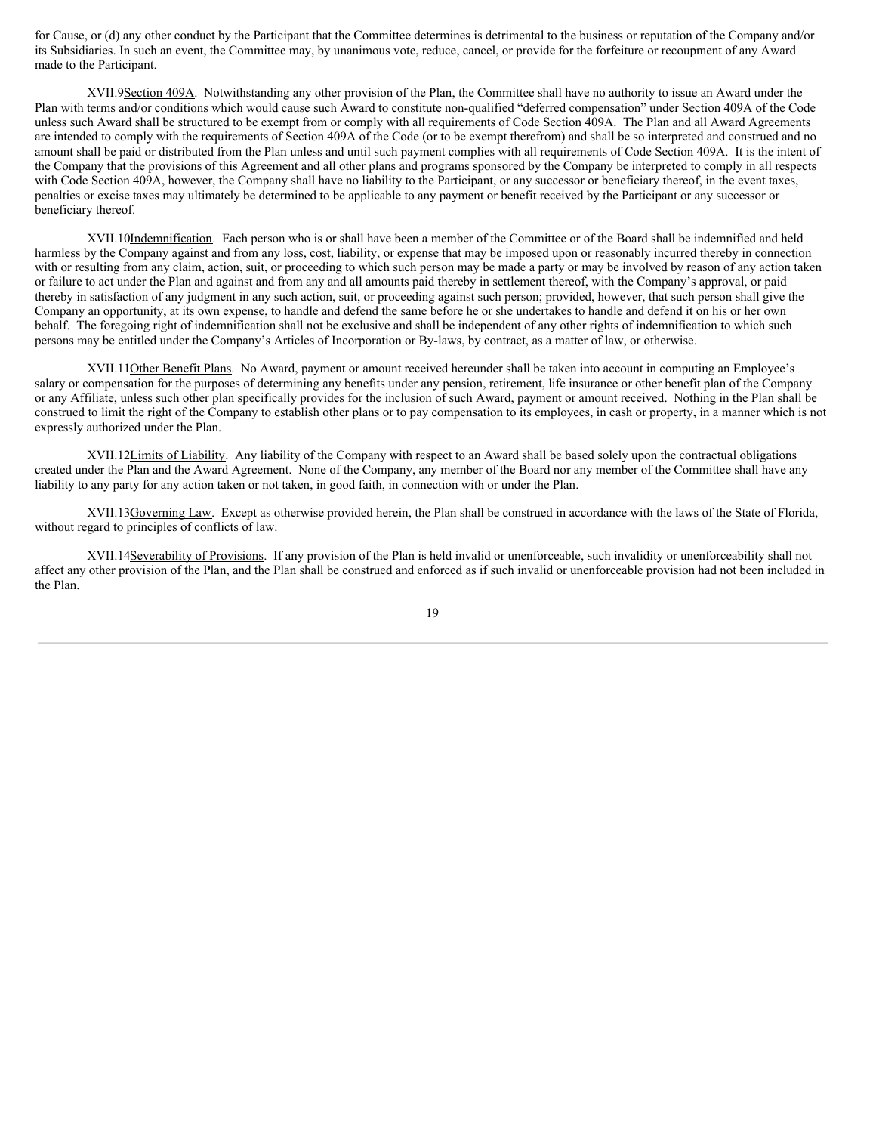for Cause, or (d) any other conduct by the Participant that the Committee determines is detrimental to the business or reputation of the Company and/or its Subsidiaries. In such an event, the Committee may, by unanimous vote, reduce, cancel, or provide for the forfeiture or recoupment of any Award made to the Participant.

XVII.9Section 409A. Notwithstanding any other provision of the Plan, the Committee shall have no authority to issue an Award under the Plan with terms and/or conditions which would cause such Award to constitute non-qualified "deferred compensation" under Section 409A of the Code unless such Award shall be structured to be exempt from or comply with all requirements of Code Section 409A. The Plan and all Award Agreements are intended to comply with the requirements of Section 409A of the Code (or to be exempt therefrom) and shall be so interpreted and construed and no amount shall be paid or distributed from the Plan unless and until such payment complies with all requirements of Code Section 409A. It is the intent of the Company that the provisions of this Agreement and all other plans and programs sponsored by the Company be interpreted to comply in all respects with Code Section 409A, however, the Company shall have no liability to the Participant, or any successor or beneficiary thereof, in the event taxes, penalties or excise taxes may ultimately be determined to be applicable to any payment or benefit received by the Participant or any successor or beneficiary thereof.

XVII.10Indemnification. Each person who is or shall have been a member of the Committee or of the Board shall be indemnified and held harmless by the Company against and from any loss, cost, liability, or expense that may be imposed upon or reasonably incurred thereby in connection with or resulting from any claim, action, suit, or proceeding to which such person may be made a party or may be involved by reason of any action taken or failure to act under the Plan and against and from any and all amounts paid thereby in settlement thereof, with the Company's approval, or paid thereby in satisfaction of any judgment in any such action, suit, or proceeding against such person; provided, however, that such person shall give the Company an opportunity, at its own expense, to handle and defend the same before he or she undertakes to handle and defend it on his or her own behalf. The foregoing right of indemnification shall not be exclusive and shall be independent of any other rights of indemnification to which such persons may be entitled under the Company's Articles of Incorporation or By-laws, by contract, as a matter of law, or otherwise.

XVII.11 Other Benefit Plans. No Award, payment or amount received hereunder shall be taken into account in computing an Employee's salary or compensation for the purposes of determining any benefits under any pension, retirement, life insurance or other benefit plan of the Company or any Affiliate, unless such other plan specifically provides for the inclusion of such Award, payment or amount received. Nothing in the Plan shall be construed to limit the right of the Company to establish other plans or to pay compensation to its employees, in cash or property, in a manner which is not expressly authorized under the Plan.

XVII.12Limits of Liability. Any liability of the Company with respect to an Award shall be based solely upon the contractual obligations created under the Plan and the Award Agreement. None of the Company, any member of the Board nor any member of the Committee shall have any liability to any party for any action taken or not taken, in good faith, in connection with or under the Plan.

XVII.13Governing Law. Except as otherwise provided herein, the Plan shall be construed in accordance with the laws of the State of Florida, without regard to principles of conflicts of law.

XVII.14Severability of Provisions. If any provision of the Plan is held invalid or unenforceable, such invalidity or unenforceability shall not affect any other provision of the Plan, and the Plan shall be construed and enforced as if such invalid or unenforceable provision had not been included in the Plan.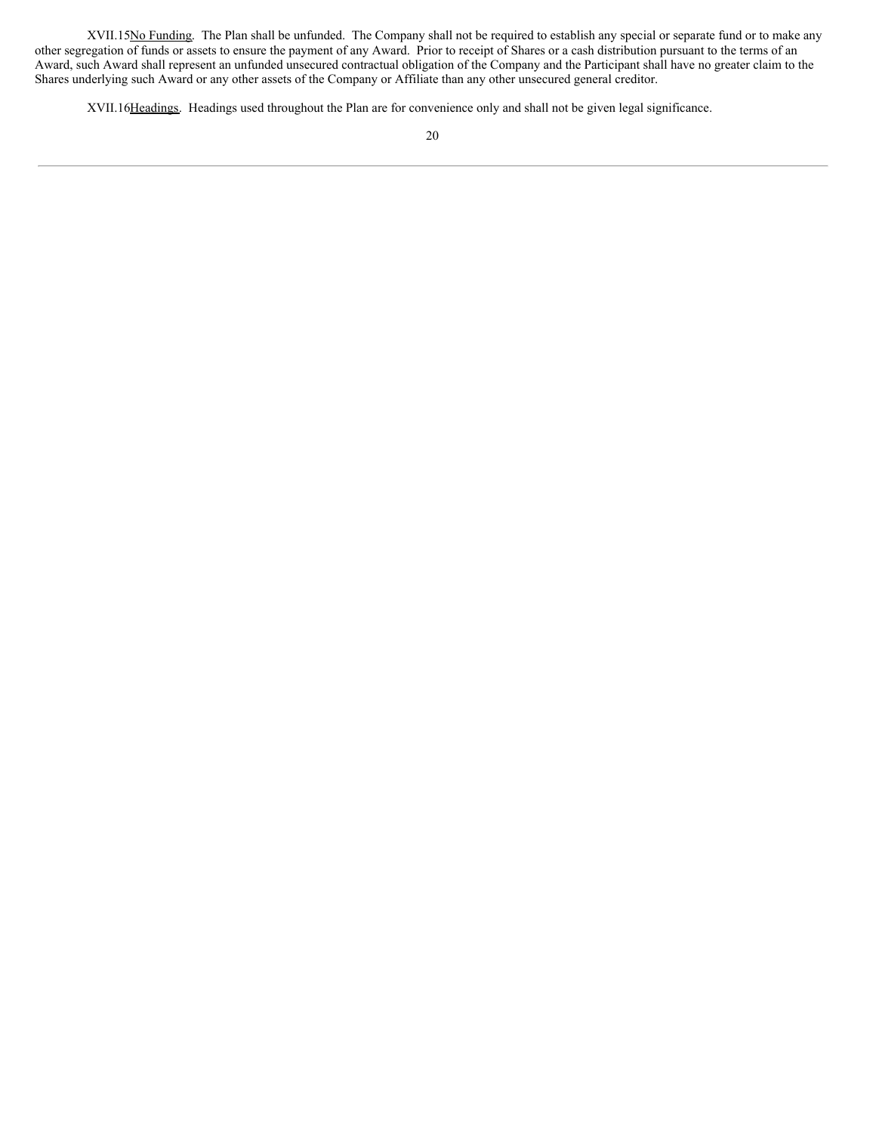XVII.15No Funding. The Plan shall be unfunded. The Company shall not be required to establish any special or separate fund or to make any other segregation of funds or assets to ensure the payment of any Award. Prior to receipt of Shares or a cash distribution pursuant to the terms of an Award, such Award shall represent an unfunded unsecured contractual obligation of the Company and the Participant shall have no greater claim to the Shares underlying such Award or any other assets of the Company or Affiliate than any other unsecured general creditor.

XVII.16Headings. Headings used throughout the Plan are for convenience only and shall not be given legal significance.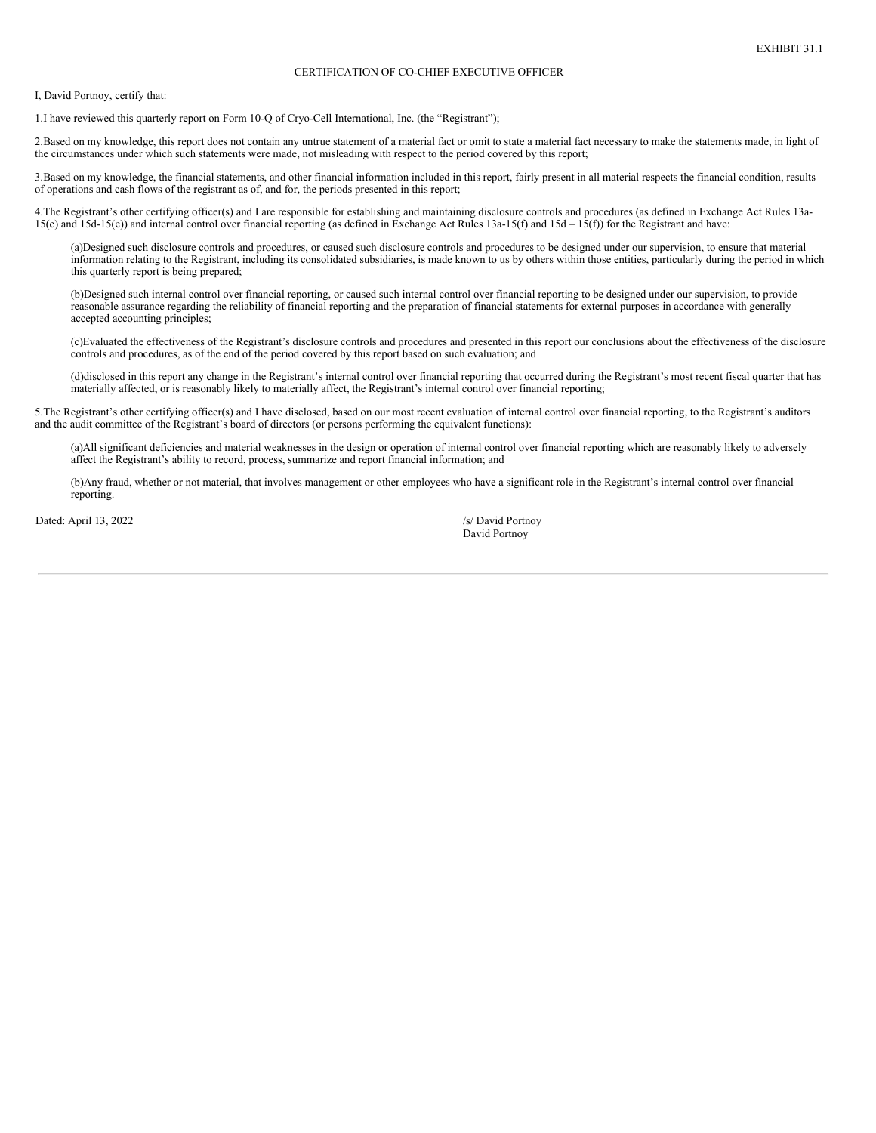## CERTIFICATION OF CO-CHIEF EXECUTIVE OFFICER

I, David Portnoy, certify that:

1.I have reviewed this quarterly report on Form 10-Q of Cryo-Cell International, Inc. (the "Registrant");

2.Based on my knowledge, this report does not contain any untrue statement of a material fact or omit to state a material fact necessary to make the statements made, in light of the circumstances under which such statements were made, not misleading with respect to the period covered by this report;

3.Based on my knowledge, the financial statements, and other financial information included in this report, fairly present in all material respects the financial condition, results of operations and cash flows of the registrant as of, and for, the periods presented in this report;

4.The Registrant's other certifying officer(s) and I are responsible for establishing and maintaining disclosure controls and procedures (as defined in Exchange Act Rules 13a-15(e) and 15d-15(e)) and internal control over financial reporting (as defined in Exchange Act Rules 13a-15(f) and 15d – 15(f)) for the Registrant and have:

(a)Designed such disclosure controls and procedures, or caused such disclosure controls and procedures to be designed under our supervision, to ensure that material information relating to the Registrant, including its consolidated subsidiaries, is made known to us by others within those entities, particularly during the period in which this quarterly report is being prepared;

(b)Designed such internal control over financial reporting, or caused such internal control over financial reporting to be designed under our supervision, to provide reasonable assurance regarding the reliability of financial reporting and the preparation of financial statements for external purposes in accordance with generally accepted accounting principles;

(c)Evaluated the effectiveness of the Registrant's disclosure controls and procedures and presented in this report our conclusions about the effectiveness of the disclosure controls and procedures, as of the end of the period covered by this report based on such evaluation; and

(d)disclosed in this report any change in the Registrant's internal control over financial reporting that occurred during the Registrant's most recent fiscal quarter that has materially affected, or is reasonably likely to materially affect, the Registrant's internal control over financial reporting;

5.The Registrant's other certifying officer(s) and I have disclosed, based on our most recent evaluation of internal control over financial reporting, to the Registrant's auditors and the audit committee of the Registrant's board of directors (or persons performing the equivalent functions):

(a)All significant deficiencies and material weaknesses in the design or operation of internal control over financial reporting which are reasonably likely to adversely affect the Registrant's ability to record, process, summarize and report financial information; and

(b)Any fraud, whether or not material, that involves management or other employees who have a significant role in the Registrant's internal control over financial reporting.

Dated: April 13, 2022 /s/ David Portnoy

David Portnoy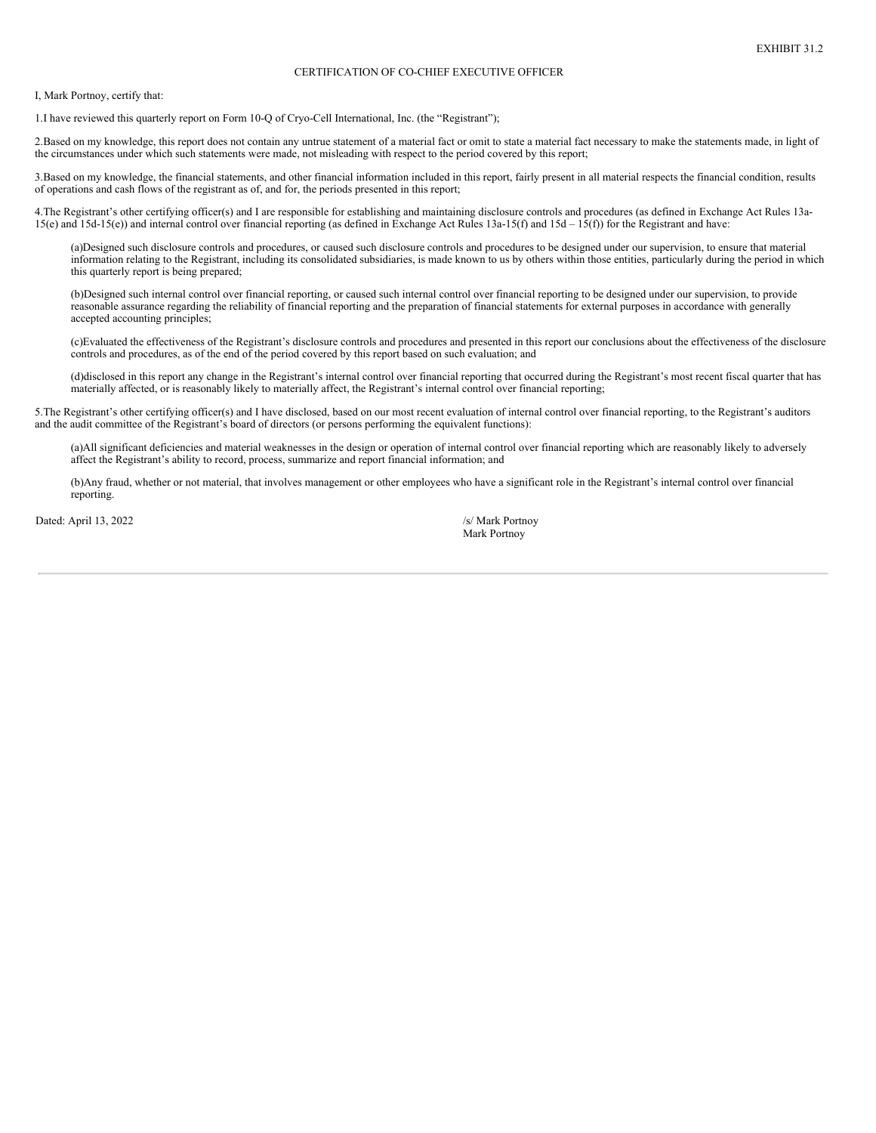## CERTIFICATION OF CO-CHIEF EXECUTIVE OFFICER

I, Mark Portnoy, certify that:

1.I have reviewed this quarterly report on Form 10-Q of Cryo-Cell International, Inc. (the "Registrant");

2.Based on my knowledge, this report does not contain any untrue statement of a material fact or omit to state a material fact necessary to make the statements made, in light of the circumstances under which such statements were made, not misleading with respect to the period covered by this report;

3.Based on my knowledge, the financial statements, and other financial information included in this report, fairly present in all material respects the financial condition, results of operations and cash flows of the registrant as of, and for, the periods presented in this report;

4.The Registrant's other certifying officer(s) and I are responsible for establishing and maintaining disclosure controls and procedures (as defined in Exchange Act Rules 13a-15(e) and 15d-15(e)) and internal control over financial reporting (as defined in Exchange Act Rules 13a-15(f) and 15d – 15(f)) for the Registrant and have:

(a)Designed such disclosure controls and procedures, or caused such disclosure controls and procedures to be designed under our supervision, to ensure that material information relating to the Registrant, including its consolidated subsidiaries, is made known to us by others within those entities, particularly during the period in which this quarterly report is being prepared;

(b)Designed such internal control over financial reporting, or caused such internal control over financial reporting to be designed under our supervision, to provide reasonable assurance regarding the reliability of financial reporting and the preparation of financial statements for external purposes in accordance with generally accepted accounting principles;

(c)Evaluated the effectiveness of the Registrant's disclosure controls and procedures and presented in this report our conclusions about the effectiveness of the disclosure controls and procedures, as of the end of the period covered by this report based on such evaluation; and

(d)disclosed in this report any change in the Registrant's internal control over financial reporting that occurred during the Registrant's most recent fiscal quarter that has materially affected, or is reasonably likely to materially affect, the Registrant's internal control over financial reporting;

5.The Registrant's other certifying officer(s) and I have disclosed, based on our most recent evaluation of internal control over financial reporting, to the Registrant's auditors and the audit committee of the Registrant's board of directors (or persons performing the equivalent functions):

(a)All significant deficiencies and material weaknesses in the design or operation of internal control over financial reporting which are reasonably likely to adversely affect the Registrant's ability to record, process, summarize and report financial information; and

(b)Any fraud, whether or not material, that involves management or other employees who have a significant role in the Registrant's internal control over financial reporting.

Dated: April 13, 2022 /s/ Mark Portnoy

Mark Portnoy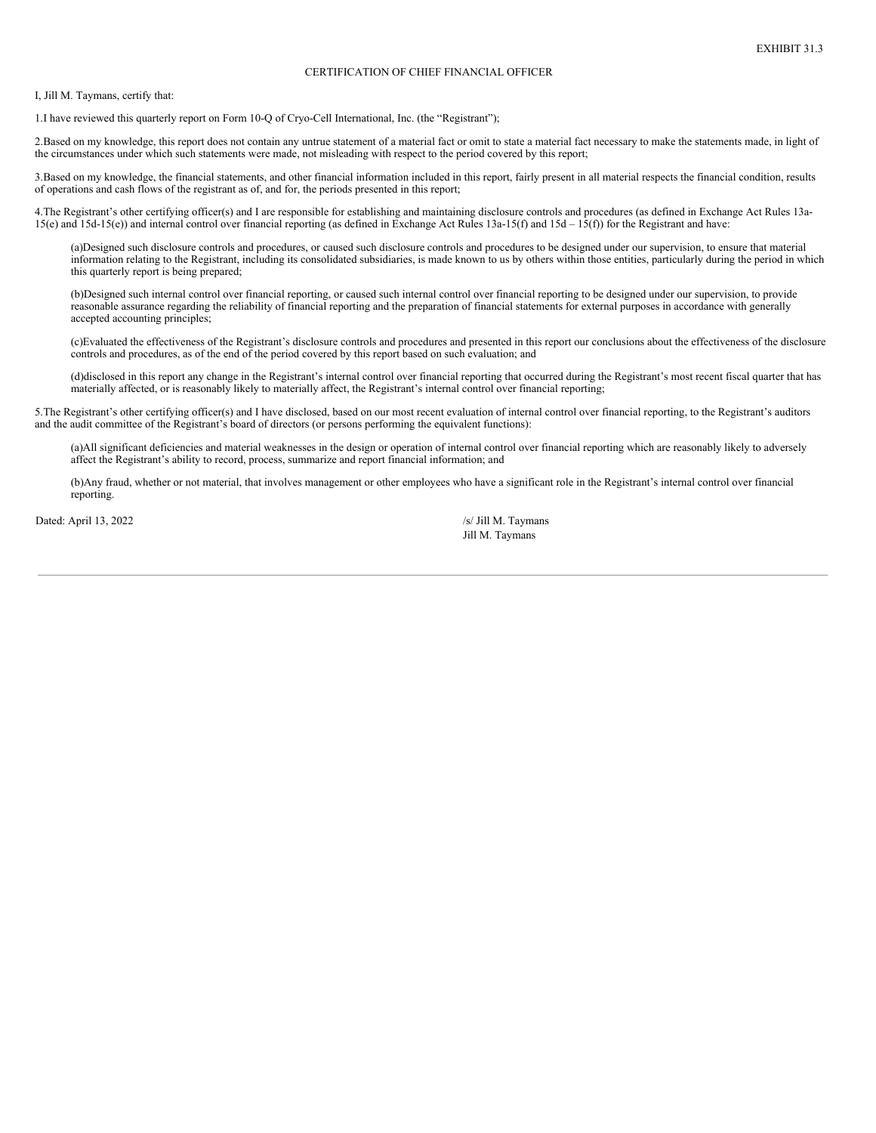## CERTIFICATION OF CHIEF FINANCIAL OFFICER

I, Jill M. Taymans, certify that:

1.I have reviewed this quarterly report on Form 10-Q of Cryo-Cell International, Inc. (the "Registrant");

2.Based on my knowledge, this report does not contain any untrue statement of a material fact or omit to state a material fact necessary to make the statements made, in light of the circumstances under which such statements were made, not misleading with respect to the period covered by this report;

3.Based on my knowledge, the financial statements, and other financial information included in this report, fairly present in all material respects the financial condition, results of operations and cash flows of the registrant as of, and for, the periods presented in this report;

4.The Registrant's other certifying officer(s) and I are responsible for establishing and maintaining disclosure controls and procedures (as defined in Exchange Act Rules 13a-15(e) and 15d-15(e)) and internal control over financial reporting (as defined in Exchange Act Rules 13a-15(f) and 15d – 15(f)) for the Registrant and have:

(a)Designed such disclosure controls and procedures, or caused such disclosure controls and procedures to be designed under our supervision, to ensure that material information relating to the Registrant, including its consolidated subsidiaries, is made known to us by others within those entities, particularly during the period in which this quarterly report is being prepared;

(b)Designed such internal control over financial reporting, or caused such internal control over financial reporting to be designed under our supervision, to provide reasonable assurance regarding the reliability of financial reporting and the preparation of financial statements for external purposes in accordance with generally accepted accounting principles;

(c)Evaluated the effectiveness of the Registrant's disclosure controls and procedures and presented in this report our conclusions about the effectiveness of the disclosure controls and procedures, as of the end of the period covered by this report based on such evaluation; and

(d)disclosed in this report any change in the Registrant's internal control over financial reporting that occurred during the Registrant's most recent fiscal quarter that has materially affected, or is reasonably likely to materially affect, the Registrant's internal control over financial reporting;

5.The Registrant's other certifying officer(s) and I have disclosed, based on our most recent evaluation of internal control over financial reporting, to the Registrant's auditors and the audit committee of the Registrant's board of directors (or persons performing the equivalent functions):

(a)All significant deficiencies and material weaknesses in the design or operation of internal control over financial reporting which are reasonably likely to adversely affect the Registrant's ability to record, process, summarize and report financial information; and

(b)Any fraud, whether or not material, that involves management or other employees who have a significant role in the Registrant's internal control over financial reporting.

Dated: April 13, 2022 /s/ Jill M. Taymans

Jill M. Taymans